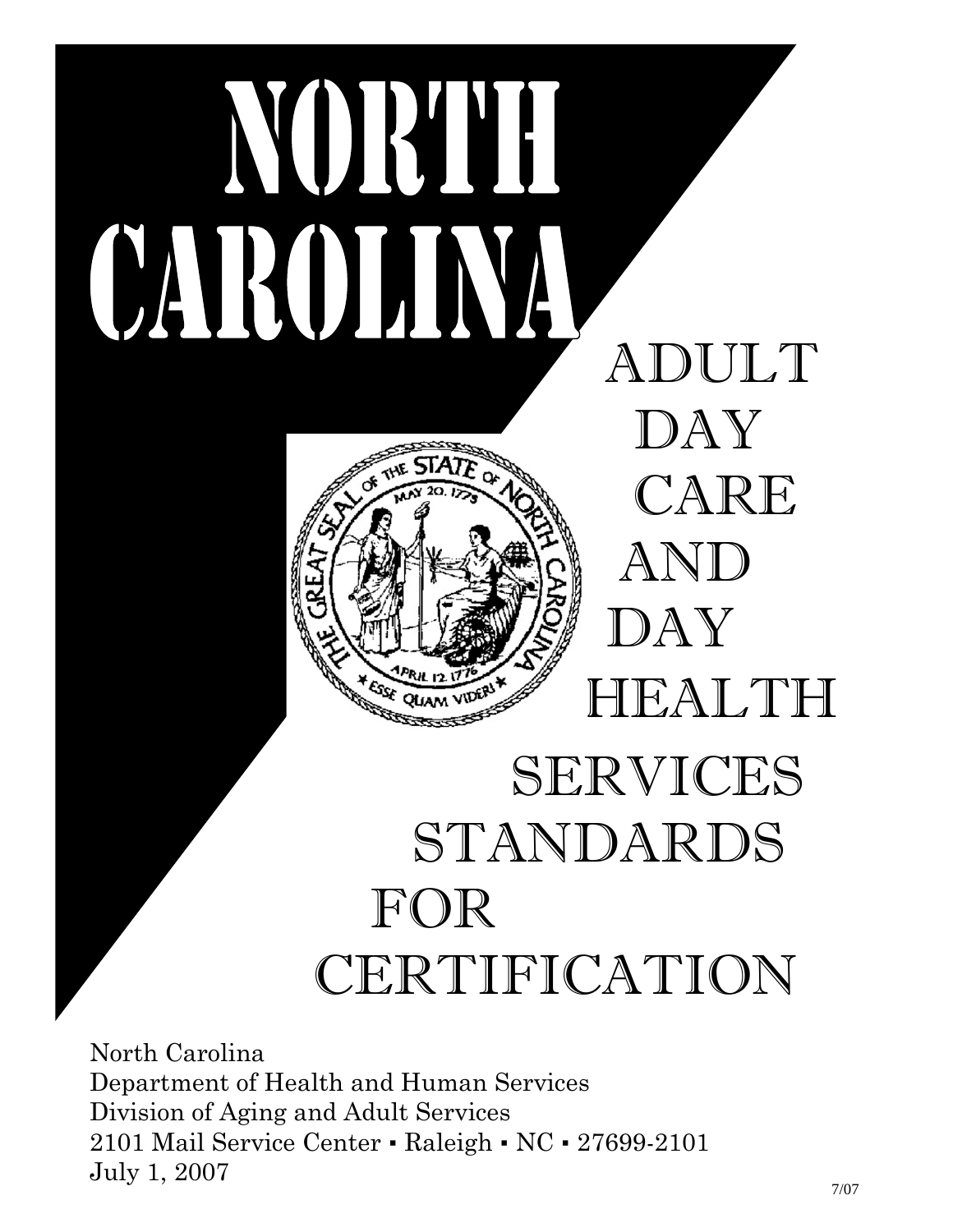

# STANDARDS FOR CERTIFICATION

North Carolina Department of Health and Human Services Division of Aging and Adult Services 2101 Mail Service Center • Raleigh • NC • 27699-2101 July 1, 2007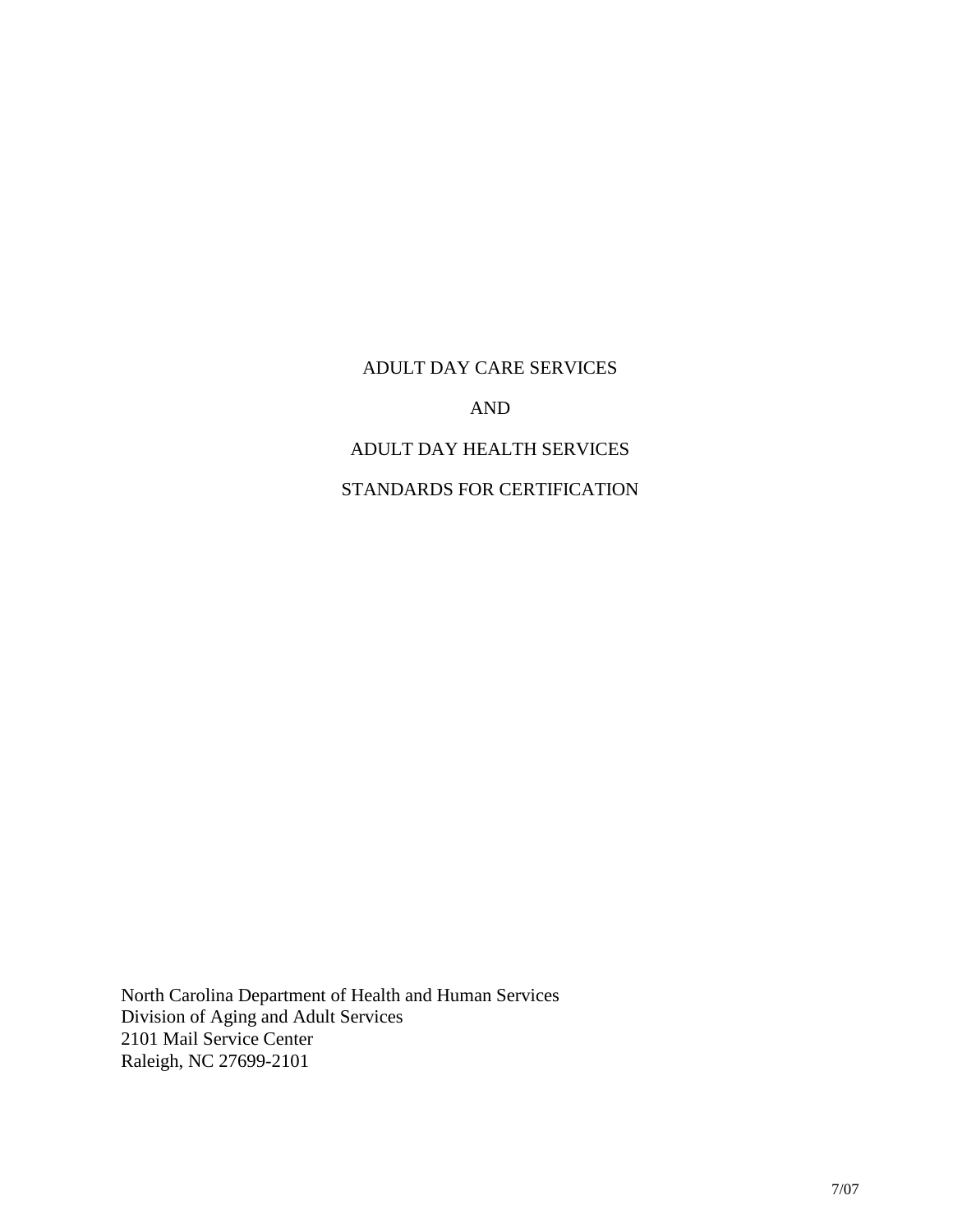#### ADULT DAY CARE SERVICES

AND

## ADULT DAY HEALTH SERVICES

## STANDARDS FOR CERTIFICATION

North Carolina Department of Health and Human Services Division of Aging and Adult Services 2101 Mail Service Center Raleigh, NC 27699-2101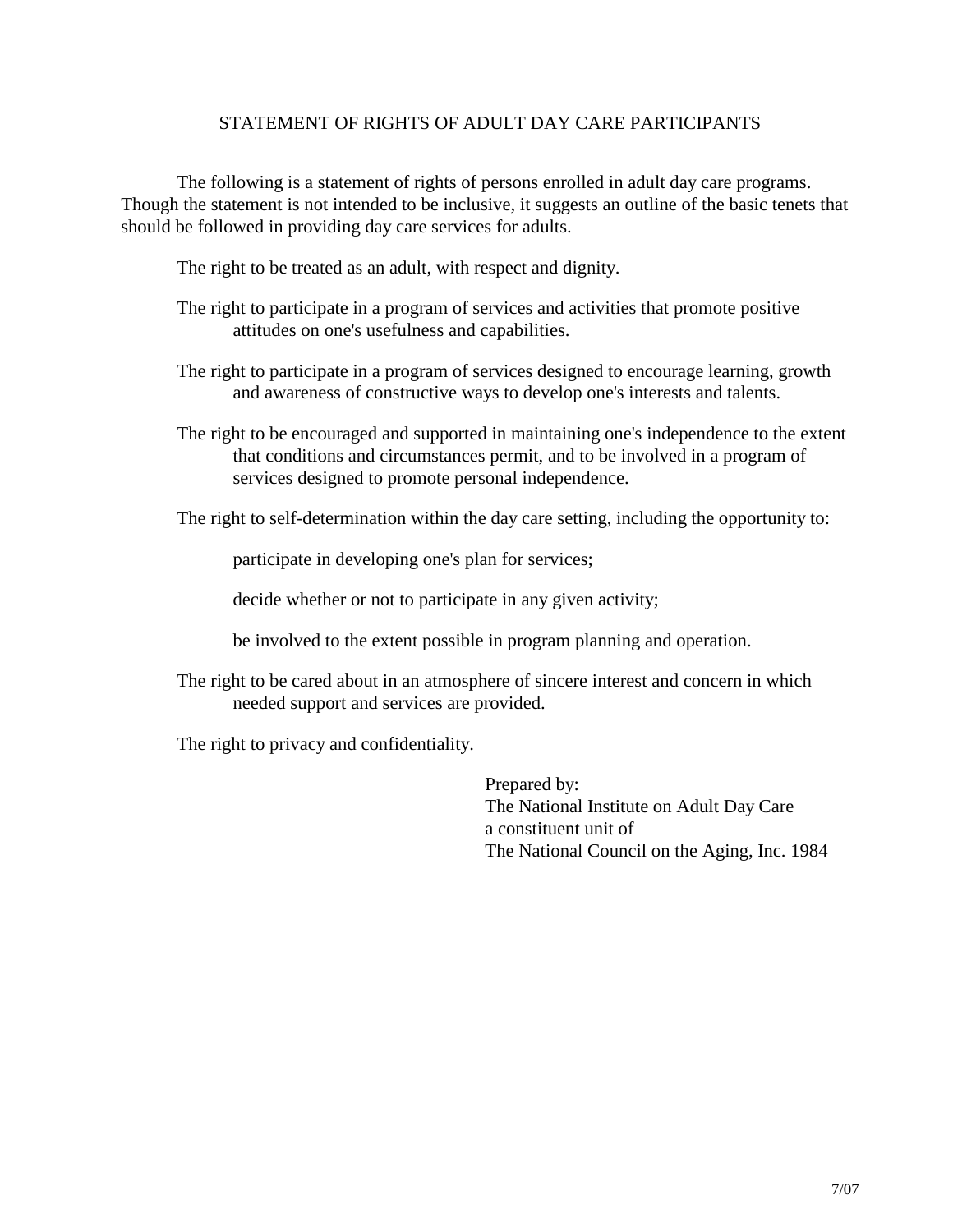#### STATEMENT OF RIGHTS OF ADULT DAY CARE PARTICIPANTS

The following is a statement of rights of persons enrolled in adult day care programs. Though the statement is not intended to be inclusive, it suggests an outline of the basic tenets that should be followed in providing day care services for adults.

The right to be treated as an adult, with respect and dignity.

- The right to participate in a program of services and activities that promote positive attitudes on one's usefulness and capabilities.
- The right to participate in a program of services designed to encourage learning, growth and awareness of constructive ways to develop one's interests and talents.
- The right to be encouraged and supported in maintaining one's independence to the extent that conditions and circumstances permit, and to be involved in a program of services designed to promote personal independence.

The right to self-determination within the day care setting, including the opportunity to:

participate in developing one's plan for services;

decide whether or not to participate in any given activity;

be involved to the extent possible in program planning and operation.

The right to be cared about in an atmosphere of sincere interest and concern in which needed support and services are provided.

The right to privacy and confidentiality.

Prepared by: The National Institute on Adult Day Care a constituent unit of The National Council on the Aging, Inc. 1984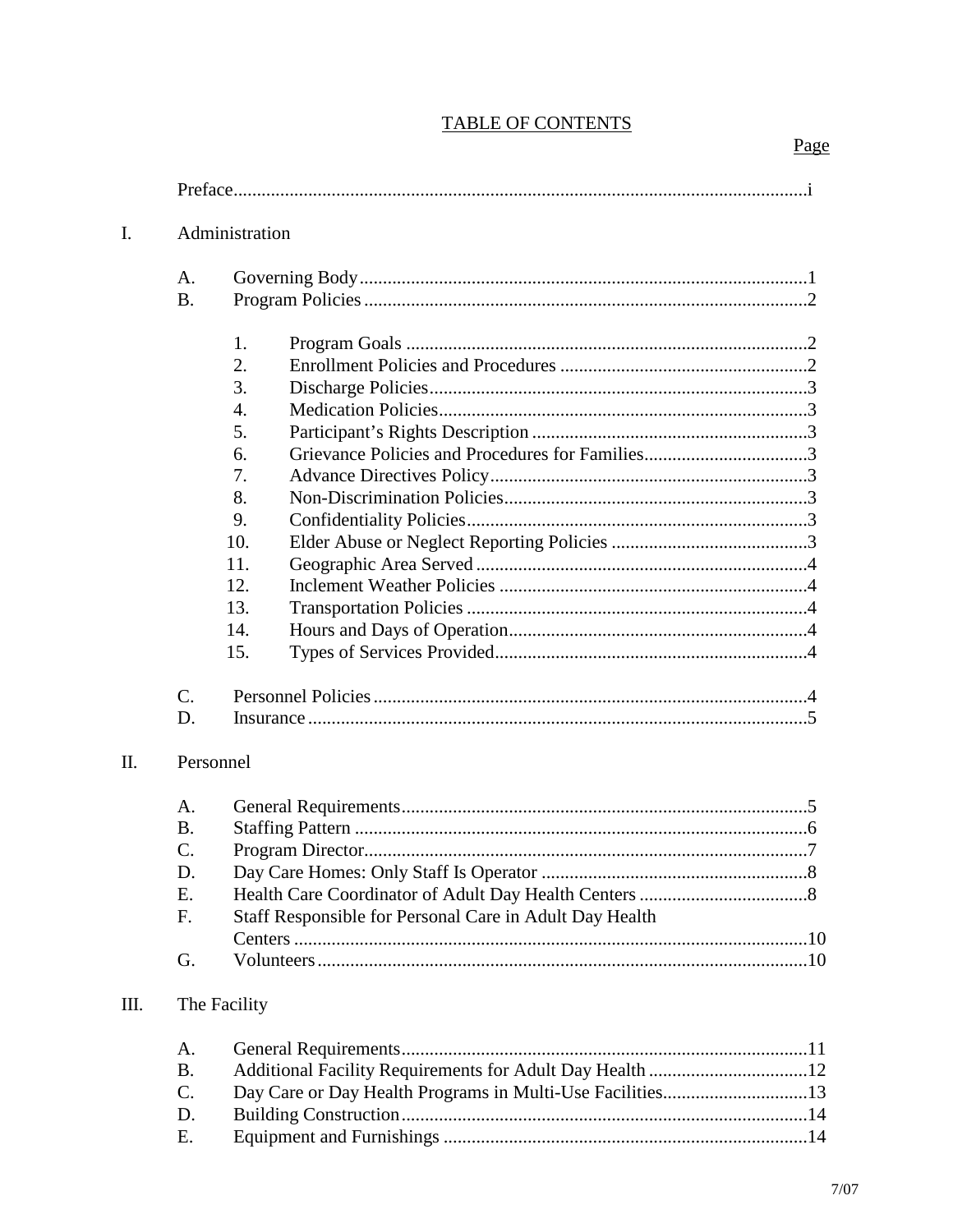| $\mathbf{I}$ . |                                                | Administration                                                                               |  |  |  |  |
|----------------|------------------------------------------------|----------------------------------------------------------------------------------------------|--|--|--|--|
|                | A.<br><b>B.</b>                                |                                                                                              |  |  |  |  |
|                | C.                                             | 1.<br>2.<br>3.<br>4.<br>5.<br>6.<br>7.<br>8.<br>9.<br>10.<br>11.<br>12.<br>13.<br>14.<br>15. |  |  |  |  |
| II.            | D.                                             | Personnel                                                                                    |  |  |  |  |
|                | A.<br><b>B.</b><br>C.<br>D<br>Ε.<br>F.<br>G.   | Staff Responsible for Personal Care in Adult Day Health                                      |  |  |  |  |
| Ш.             | A.<br><b>B.</b><br>$\mathcal{C}$ .<br>D.<br>Ε. | The Facility<br>Additional Facility Requirements for Adult Day Health 12                     |  |  |  |  |

# **TABLE OF CONTENTS**

## Page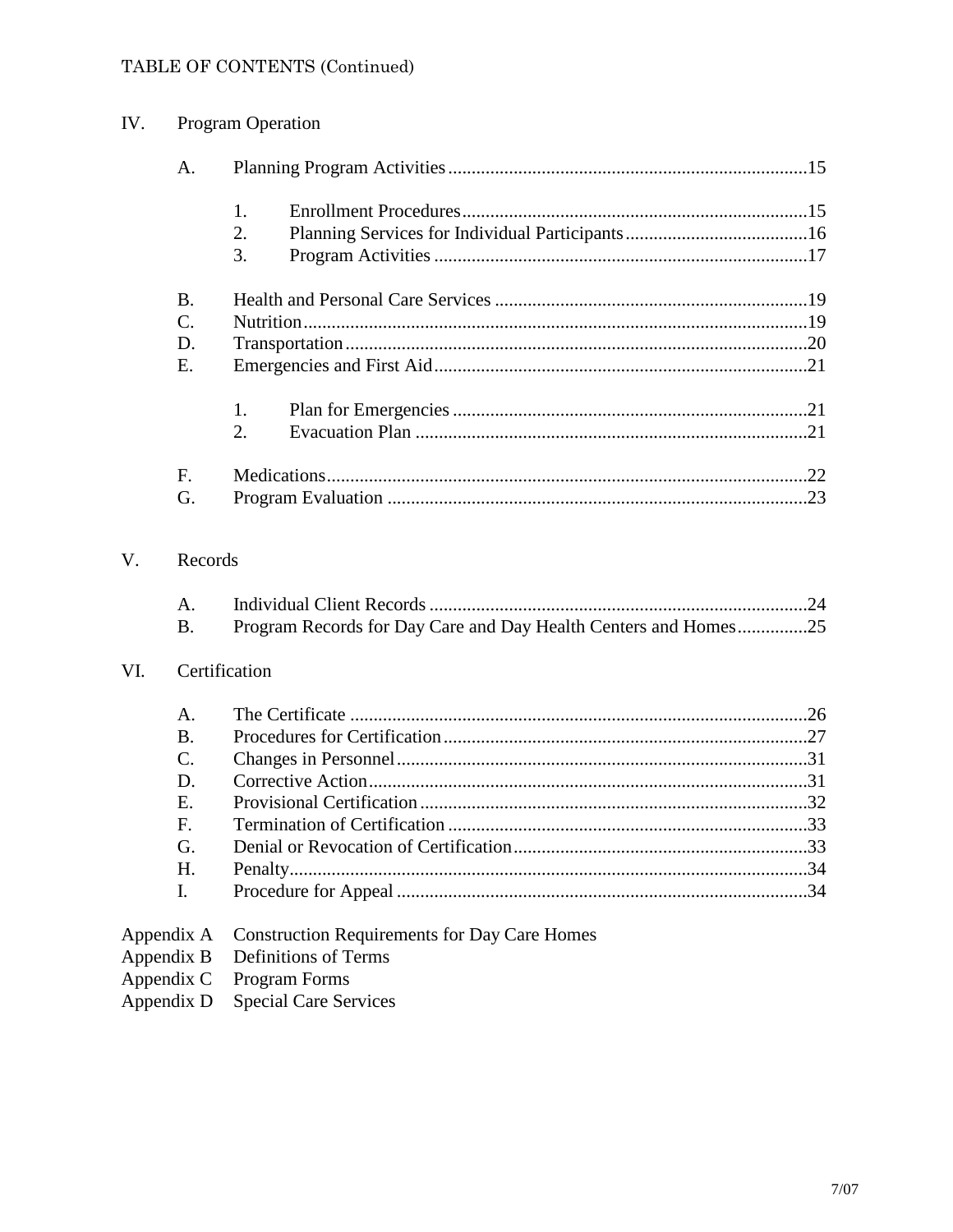## TABLE OF CONTENTS (Continued)

| IV.        |                            | <b>Program Operation</b>                                        |  |  |  |  |
|------------|----------------------------|-----------------------------------------------------------------|--|--|--|--|
|            | A.                         |                                                                 |  |  |  |  |
|            |                            | 1.                                                              |  |  |  |  |
|            |                            | 2.                                                              |  |  |  |  |
|            |                            | 3.                                                              |  |  |  |  |
|            | <b>B.</b>                  |                                                                 |  |  |  |  |
|            | $C_{\cdot}$                |                                                                 |  |  |  |  |
|            | D.                         |                                                                 |  |  |  |  |
|            | E.                         |                                                                 |  |  |  |  |
|            |                            | 1.                                                              |  |  |  |  |
|            |                            | 2.                                                              |  |  |  |  |
|            | F.                         |                                                                 |  |  |  |  |
|            | G.                         |                                                                 |  |  |  |  |
| V.         | Records<br>A.<br><b>B.</b> | Program Records for Day Care and Day Health Centers and Homes25 |  |  |  |  |
| VI.        |                            | Certification                                                   |  |  |  |  |
|            | A.                         |                                                                 |  |  |  |  |
|            | <b>B.</b>                  |                                                                 |  |  |  |  |
|            | C.                         |                                                                 |  |  |  |  |
|            | D.                         |                                                                 |  |  |  |  |
|            | Е.                         |                                                                 |  |  |  |  |
|            | F.                         |                                                                 |  |  |  |  |
|            | G.                         |                                                                 |  |  |  |  |
|            | H.                         |                                                                 |  |  |  |  |
|            | I.                         |                                                                 |  |  |  |  |
|            | Appendix A                 | <b>Construction Requirements for Day Care Homes</b>             |  |  |  |  |
| Appendix B |                            | <b>Definitions of Terms</b>                                     |  |  |  |  |
| Appendix C |                            | Program Forms                                                   |  |  |  |  |
| Appendix D |                            | <b>Special Care Services</b>                                    |  |  |  |  |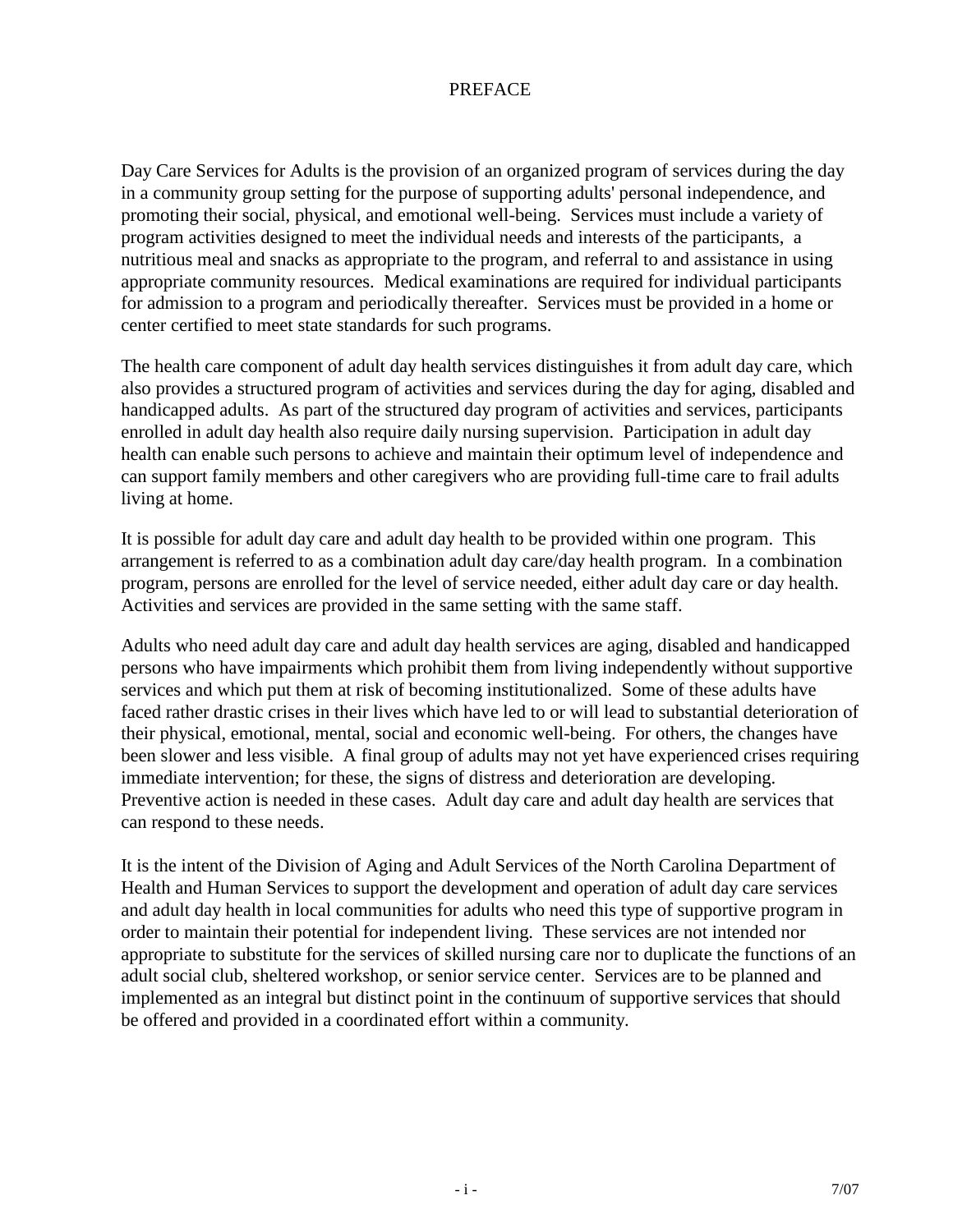#### PREFACE

Day Care Services for Adults is the provision of an organized program of services during the day in a community group setting for the purpose of supporting adults' personal independence, and promoting their social, physical, and emotional well-being. Services must include a variety of program activities designed to meet the individual needs and interests of the participants, a nutritious meal and snacks as appropriate to the program, and referral to and assistance in using appropriate community resources. Medical examinations are required for individual participants for admission to a program and periodically thereafter. Services must be provided in a home or center certified to meet state standards for such programs.

The health care component of adult day health services distinguishes it from adult day care, which also provides a structured program of activities and services during the day for aging, disabled and handicapped adults. As part of the structured day program of activities and services, participants enrolled in adult day health also require daily nursing supervision. Participation in adult day health can enable such persons to achieve and maintain their optimum level of independence and can support family members and other caregivers who are providing full-time care to frail adults living at home.

It is possible for adult day care and adult day health to be provided within one program. This arrangement is referred to as a combination adult day care/day health program. In a combination program, persons are enrolled for the level of service needed, either adult day care or day health. Activities and services are provided in the same setting with the same staff.

Adults who need adult day care and adult day health services are aging, disabled and handicapped persons who have impairments which prohibit them from living independently without supportive services and which put them at risk of becoming institutionalized. Some of these adults have faced rather drastic crises in their lives which have led to or will lead to substantial deterioration of their physical, emotional, mental, social and economic well-being. For others, the changes have been slower and less visible. A final group of adults may not yet have experienced crises requiring immediate intervention; for these, the signs of distress and deterioration are developing. Preventive action is needed in these cases. Adult day care and adult day health are services that can respond to these needs.

It is the intent of the Division of Aging and Adult Services of the North Carolina Department of Health and Human Services to support the development and operation of adult day care services and adult day health in local communities for adults who need this type of supportive program in order to maintain their potential for independent living. These services are not intended nor appropriate to substitute for the services of skilled nursing care nor to duplicate the functions of an adult social club, sheltered workshop, or senior service center. Services are to be planned and implemented as an integral but distinct point in the continuum of supportive services that should be offered and provided in a coordinated effort within a community.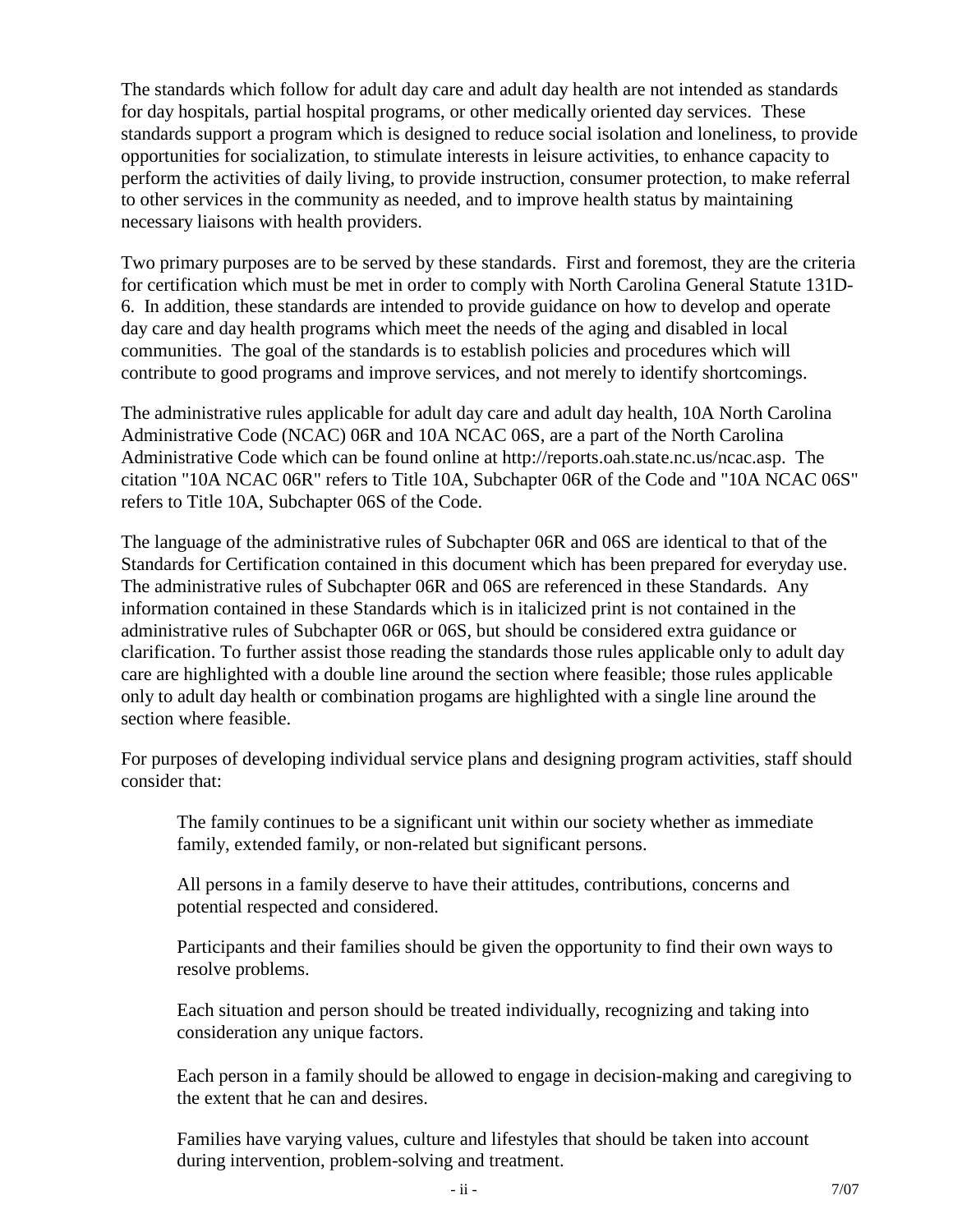The standards which follow for adult day care and adult day health are not intended as standards for day hospitals, partial hospital programs, or other medically oriented day services. These standards support a program which is designed to reduce social isolation and loneliness, to provide opportunities for socialization, to stimulate interests in leisure activities, to enhance capacity to perform the activities of daily living, to provide instruction, consumer protection, to make referral to other services in the community as needed, and to improve health status by maintaining necessary liaisons with health providers.

Two primary purposes are to be served by these standards. First and foremost, they are the criteria for certification which must be met in order to comply with North Carolina General Statute 131D-6. In addition, these standards are intended to provide guidance on how to develop and operate day care and day health programs which meet the needs of the aging and disabled in local communities. The goal of the standards is to establish policies and procedures which will contribute to good programs and improve services, and not merely to identify shortcomings.

The administrative rules applicable for adult day care and adult day health, 10A North Carolina Administrative Code (NCAC) 06R and 10A NCAC 06S, are a part of the North Carolina Administrative Code which can be found online at http://reports.oah.state.nc.us/ncac.asp. The citation "10A NCAC 06R" refers to Title 10A, Subchapter 06R of the Code and "10A NCAC 06S" refers to Title 10A, Subchapter 06S of the Code.

The language of the administrative rules of Subchapter 06R and 06S are identical to that of the Standards for Certification contained in this document which has been prepared for everyday use. The administrative rules of Subchapter 06R and 06S are referenced in these Standards. Any information contained in these Standards which is in italicized print is not contained in the administrative rules of Subchapter 06R or 06S, but should be considered extra guidance or clarification. To further assist those reading the standards those rules applicable only to adult day care are highlighted with a double line around the section where feasible; those rules applicable only to adult day health or combination progams are highlighted with a single line around the section where feasible.

For purposes of developing individual service plans and designing program activities, staff should consider that:

The family continues to be a significant unit within our society whether as immediate family, extended family, or non-related but significant persons.

All persons in a family deserve to have their attitudes, contributions, concerns and potential respected and considered.

Participants and their families should be given the opportunity to find their own ways to resolve problems.

Each situation and person should be treated individually, recognizing and taking into consideration any unique factors.

Each person in a family should be allowed to engage in decision-making and caregiving to the extent that he can and desires.

Families have varying values, culture and lifestyles that should be taken into account during intervention, problem-solving and treatment.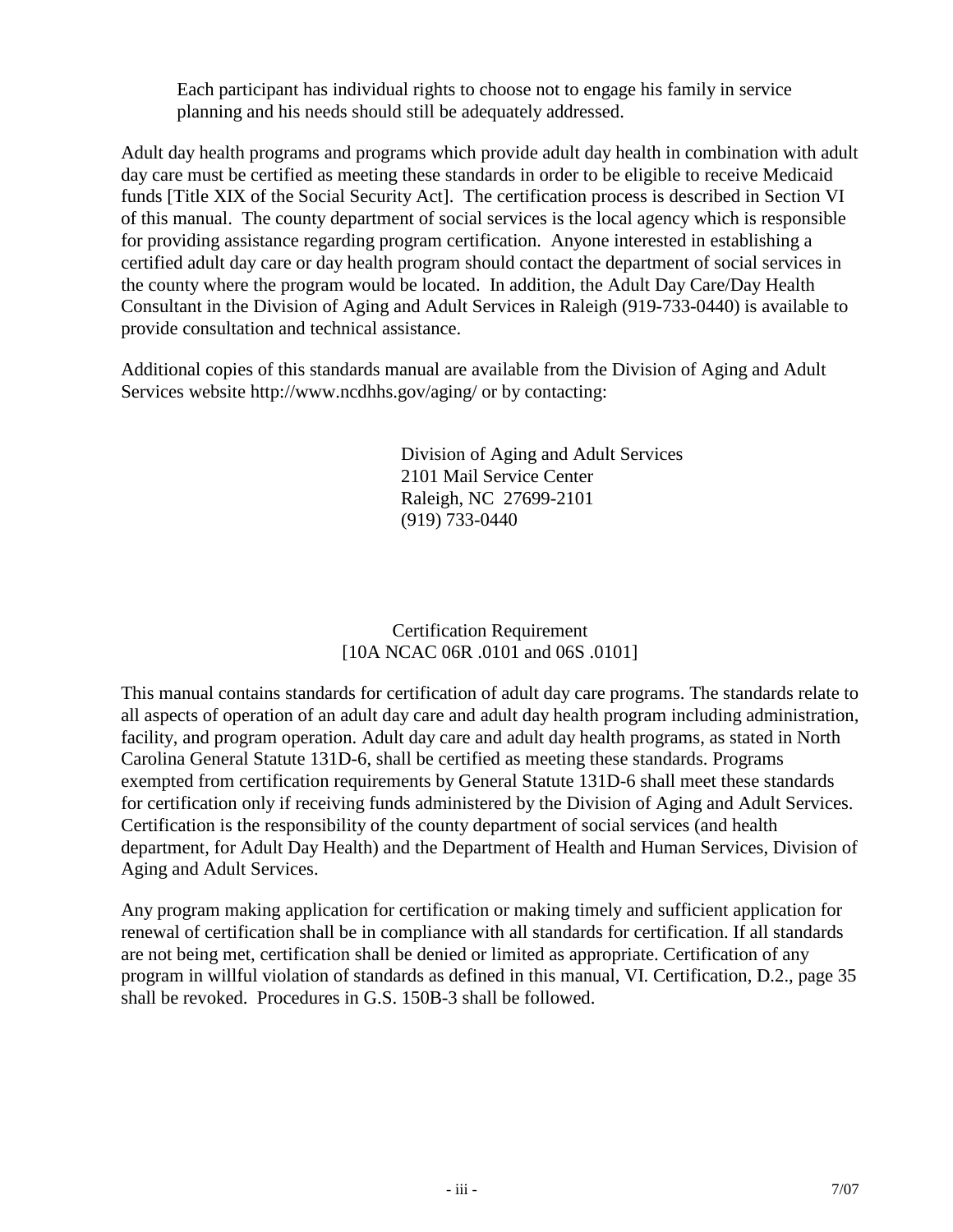Each participant has individual rights to choose not to engage his family in service planning and his needs should still be adequately addressed.

Adult day health programs and programs which provide adult day health in combination with adult day care must be certified as meeting these standards in order to be eligible to receive Medicaid funds [Title XIX of the Social Security Act]. The certification process is described in Section VI of this manual. The county department of social services is the local agency which is responsible for providing assistance regarding program certification. Anyone interested in establishing a certified adult day care or day health program should contact the department of social services in the county where the program would be located. In addition, the Adult Day Care/Day Health Consultant in the Division of Aging and Adult Services in Raleigh (919-733-0440) is available to provide consultation and technical assistance.

Additional copies of this standards manual are available from the Division of Aging and Adult Services website http://www.ncdhhs.gov/aging/ or by contacting:

> Division of Aging and Adult Services 2101 Mail Service Center Raleigh, NC 27699-2101 (919) 733-0440

#### Certification Requirement [10A NCAC 06R .0101 and 06S .0101]

This manual contains standards for certification of adult day care programs. The standards relate to all aspects of operation of an adult day care and adult day health program including administration, facility, and program operation. Adult day care and adult day health programs, as stated in North Carolina General Statute 131D-6, shall be certified as meeting these standards. Programs exempted from certification requirements by General Statute 131D-6 shall meet these standards for certification only if receiving funds administered by the Division of Aging and Adult Services. Certification is the responsibility of the county department of social services (and health department, for Adult Day Health) and the Department of Health and Human Services, Division of Aging and Adult Services.

Any program making application for certification or making timely and sufficient application for renewal of certification shall be in compliance with all standards for certification. If all standards are not being met, certification shall be denied or limited as appropriate. Certification of any program in willful violation of standards as defined in this manual, VI. Certification, D.2., page 35 shall be revoked. Procedures in G.S. 150B-3 shall be followed.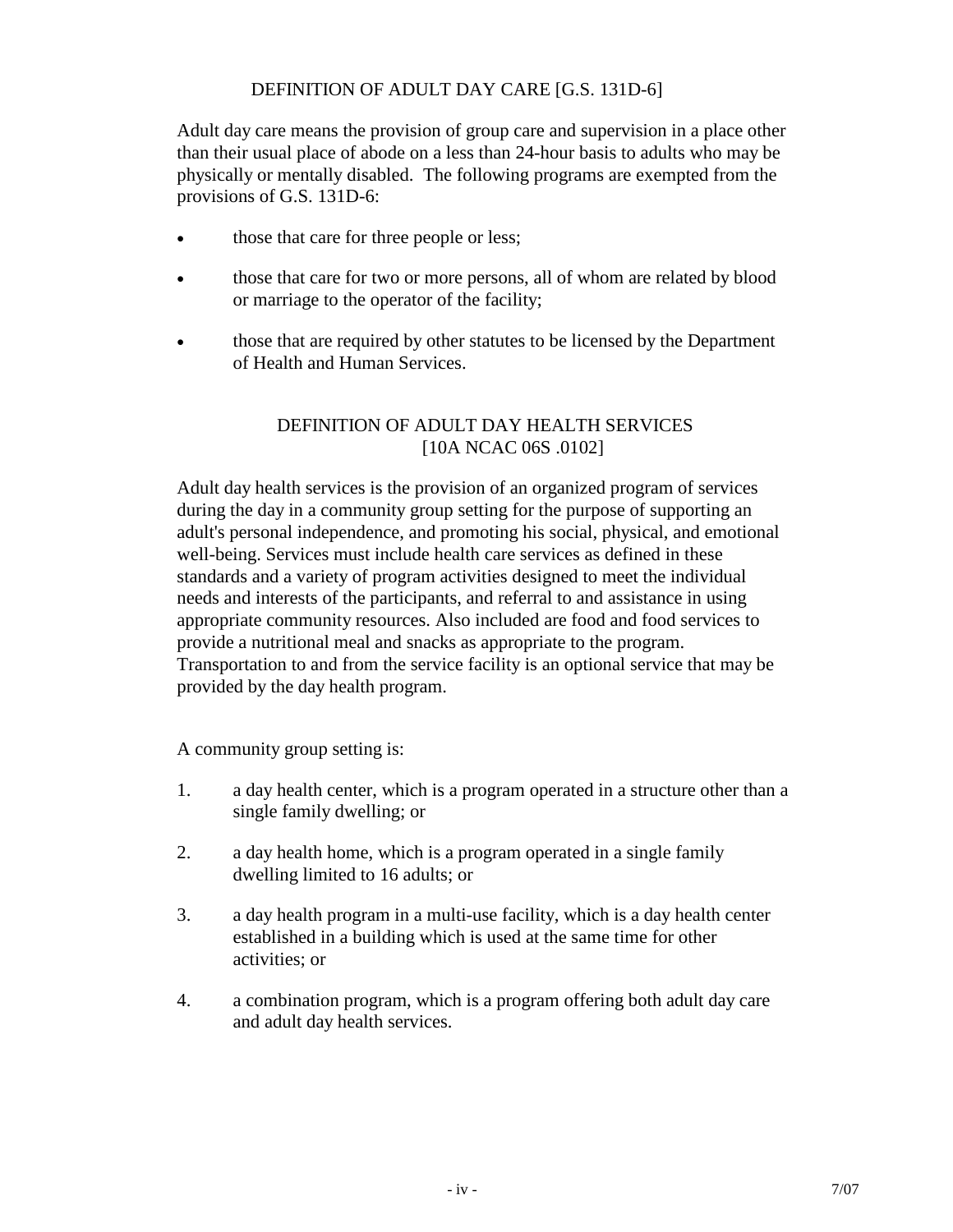#### DEFINITION OF ADULT DAY CARE [G.S. 131D-6]

Adult day care means the provision of group care and supervision in a place other than their usual place of abode on a less than 24-hour basis to adults who may be physically or mentally disabled. The following programs are exempted from the provisions of G.S. 131D-6:

- those that care for three people or less;
- those that care for two or more persons, all of whom are related by blood or marriage to the operator of the facility;
- those that are required by other statutes to be licensed by the Department of Health and Human Services.

#### DEFINITION OF ADULT DAY HEALTH SERVICES [10A NCAC 06S .0102]

Adult day health services is the provision of an organized program of services during the day in a community group setting for the purpose of supporting an adult's personal independence, and promoting his social, physical, and emotional well-being. Services must include health care services as defined in these standards and a variety of program activities designed to meet the individual needs and interests of the participants, and referral to and assistance in using appropriate community resources. Also included are food and food services to provide a nutritional meal and snacks as appropriate to the program. Transportation to and from the service facility is an optional service that may be provided by the day health program.

A community group setting is:

- 1. a day health center, which is a program operated in a structure other than a single family dwelling; or
- 2. a day health home, which is a program operated in a single family dwelling limited to 16 adults; or
- 3. a day health program in a multi-use facility, which is a day health center established in a building which is used at the same time for other activities; or
- 4. a combination program, which is a program offering both adult day care and adult day health services.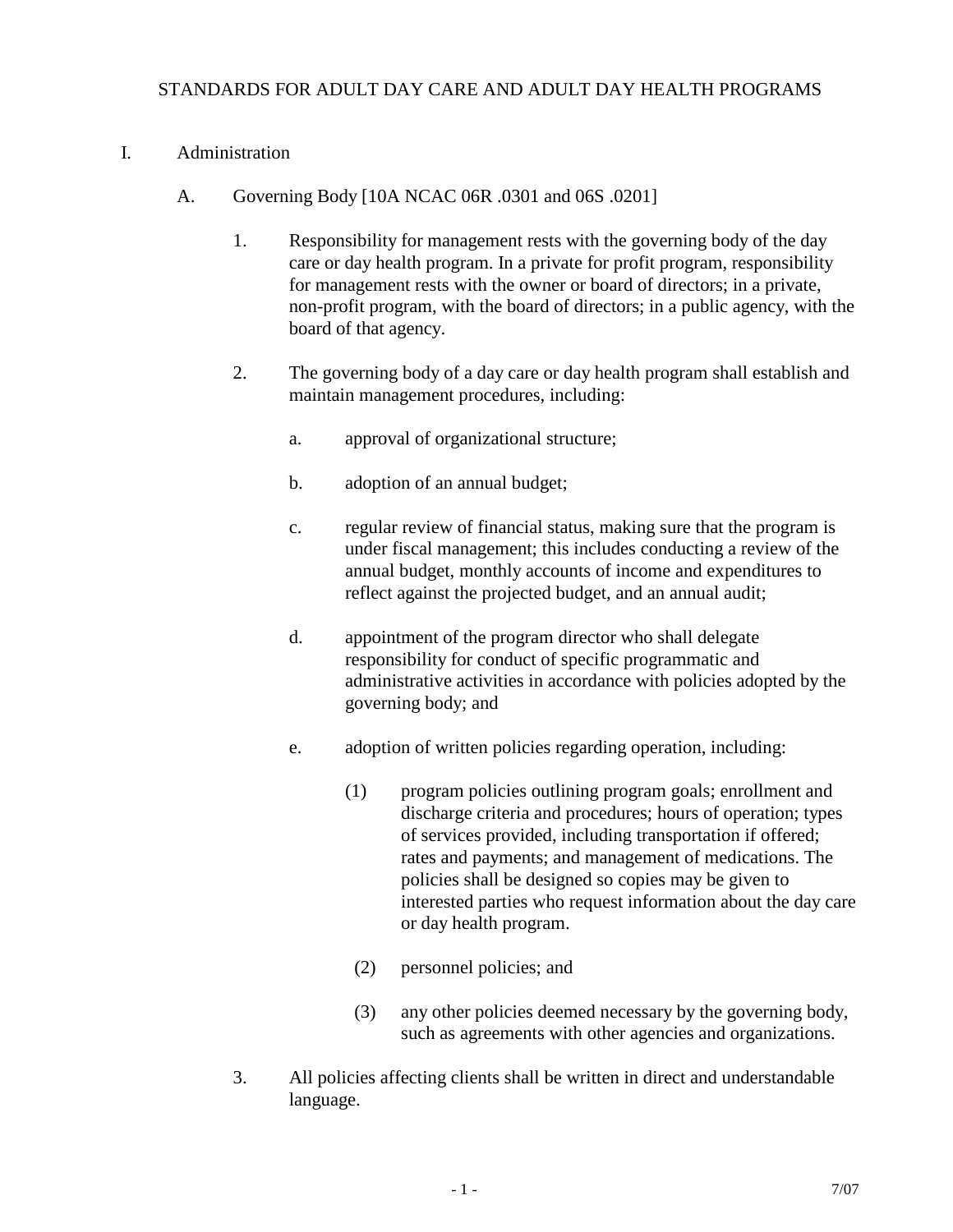#### STANDARDS FOR ADULT DAY CARE AND ADULT DAY HEALTH PROGRAMS

#### I. Administration

- A. Governing Body [10A NCAC 06R .0301 and 06S .0201]
	- 1. Responsibility for management rests with the governing body of the day care or day health program. In a private for profit program, responsibility for management rests with the owner or board of directors; in a private, non-profit program, with the board of directors; in a public agency, with the board of that agency.
	- 2. The governing body of a day care or day health program shall establish and maintain management procedures, including:
		- a. approval of organizational structure;
		- b. adoption of an annual budget;
		- c. regular review of financial status, making sure that the program is under fiscal management; this includes conducting a review of the annual budget, monthly accounts of income and expenditures to reflect against the projected budget, and an annual audit;
		- d. appointment of the program director who shall delegate responsibility for conduct of specific programmatic and administrative activities in accordance with policies adopted by the governing body; and
		- e. adoption of written policies regarding operation, including:
			- (1) program policies outlining program goals; enrollment and discharge criteria and procedures; hours of operation; types of services provided, including transportation if offered; rates and payments; and management of medications. The policies shall be designed so copies may be given to interested parties who request information about the day care or day health program.
			- (2) personnel policies; and
			- (3) any other policies deemed necessary by the governing body, such as agreements with other agencies and organizations.
	- 3. All policies affecting clients shall be written in direct and understandable language.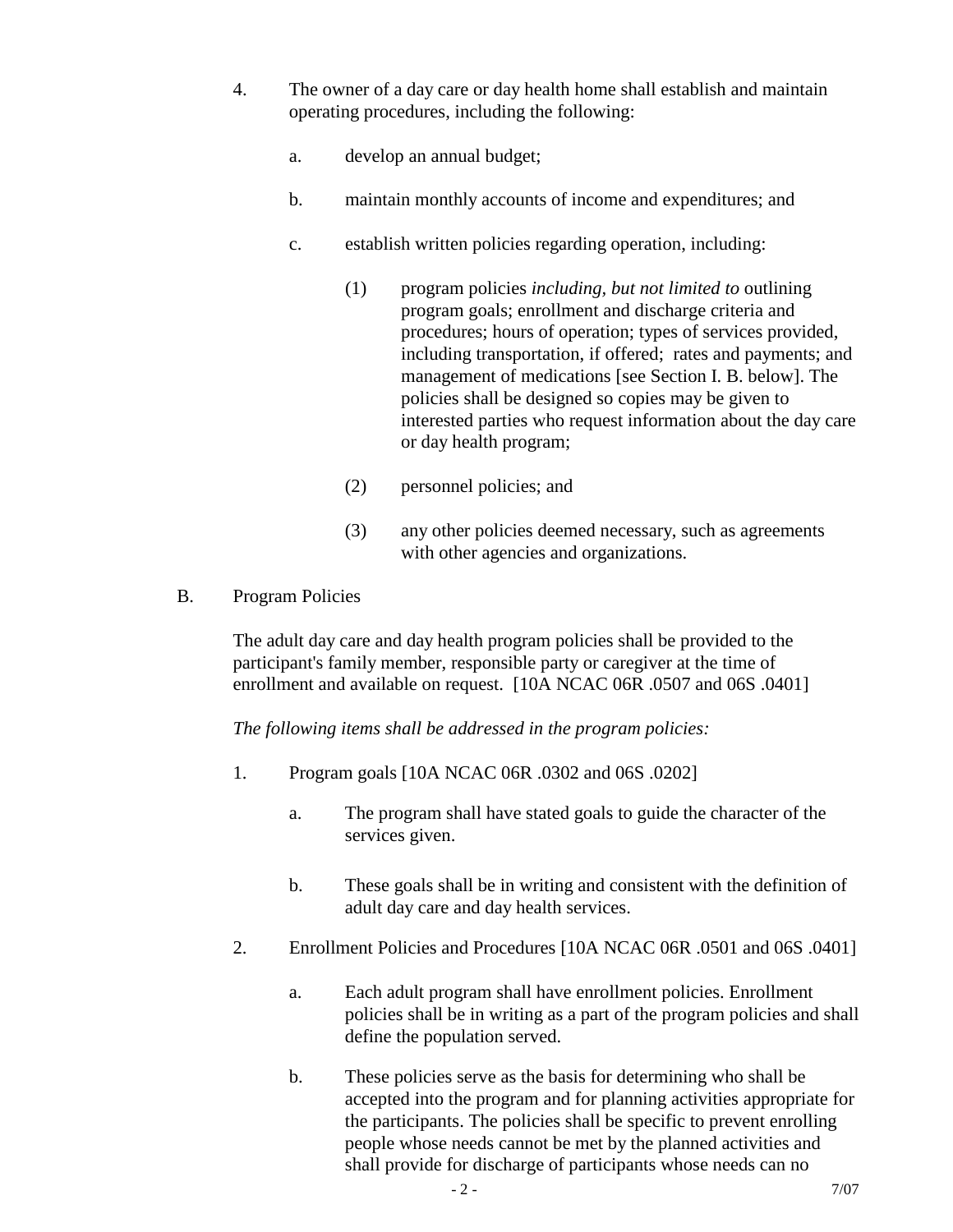- 4. The owner of a day care or day health home shall establish and maintain operating procedures, including the following:
	- a. develop an annual budget;
	- b. maintain monthly accounts of income and expenditures; and
	- c. establish written policies regarding operation, including:
		- (1) program policies *including, but not limited to* outlining program goals; enrollment and discharge criteria and procedures; hours of operation; types of services provided, including transportation, if offered; rates and payments; and management of medications [see Section I. B. below]. The policies shall be designed so copies may be given to interested parties who request information about the day care or day health program;
		- (2) personnel policies; and
		- (3) any other policies deemed necessary, such as agreements with other agencies and organizations.
- B. Program Policies

The adult day care and day health program policies shall be provided to the participant's family member, responsible party or caregiver at the time of enrollment and available on request. [10A NCAC 06R .0507 and 06S .0401]

*The following items shall be addressed in the program policies:*

- 1. Program goals [10A NCAC 06R .0302 and 06S .0202]
	- a. The program shall have stated goals to guide the character of the services given.
	- b. These goals shall be in writing and consistent with the definition of adult day care and day health services.
- 2. Enrollment Policies and Procedures [10A NCAC 06R .0501 and 06S .0401]
	- a. Each adult program shall have enrollment policies. Enrollment policies shall be in writing as a part of the program policies and shall define the population served.
	- b. These policies serve as the basis for determining who shall be accepted into the program and for planning activities appropriate for the participants. The policies shall be specific to prevent enrolling people whose needs cannot be met by the planned activities and shall provide for discharge of participants whose needs can no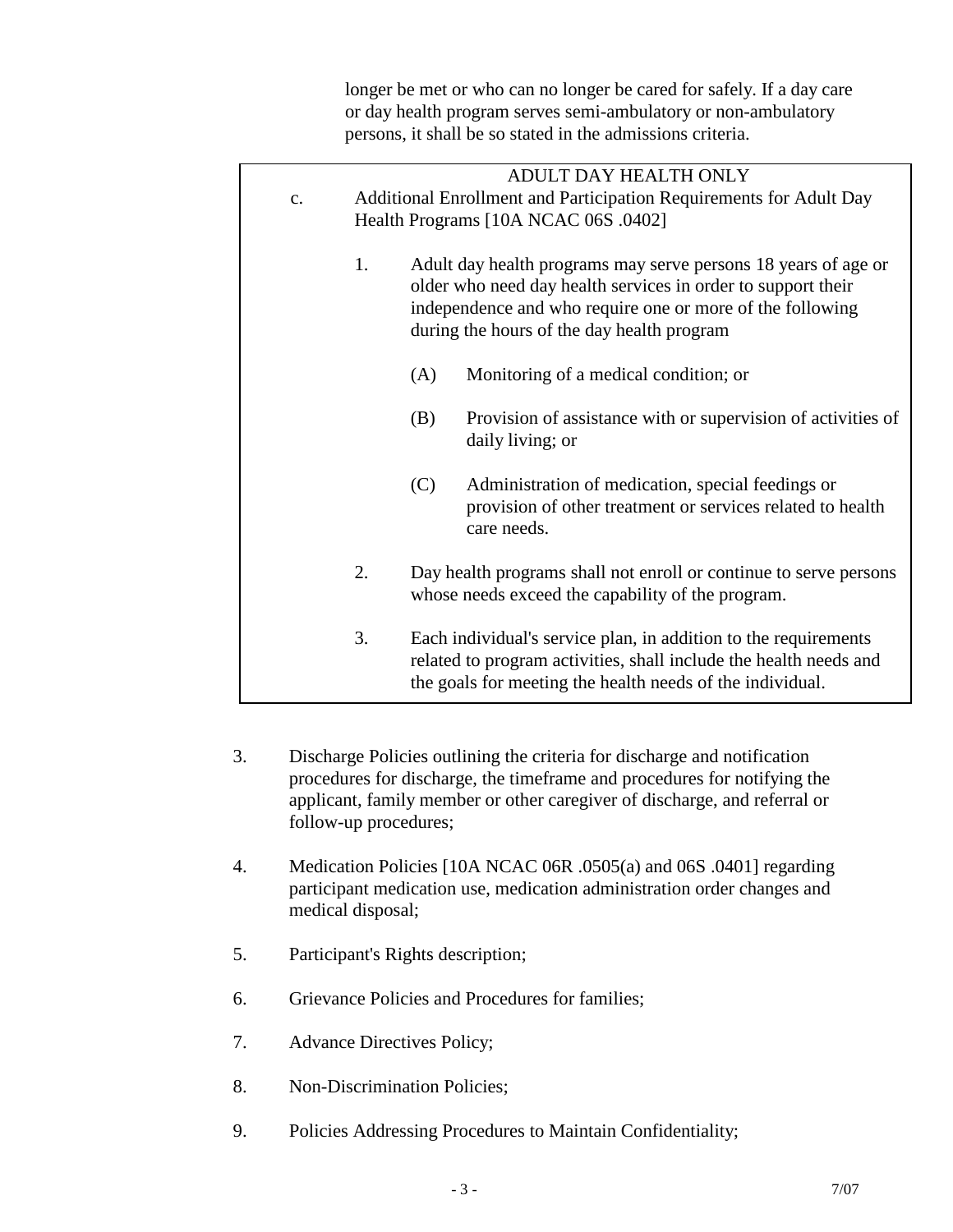longer be met or who can no longer be cared for safely. If a day care or day health program serves semi-ambulatory or non-ambulatory persons, it shall be so stated in the admissions criteria.

|    |                                                                    |     | ADULT DAY HEALTH ONLY                                             |
|----|--------------------------------------------------------------------|-----|-------------------------------------------------------------------|
| c. | Additional Enrollment and Participation Requirements for Adult Day |     |                                                                   |
|    | Health Programs [10A NCAC 06S .0402]                               |     |                                                                   |
|    |                                                                    |     |                                                                   |
|    | 1.                                                                 |     | Adult day health programs may serve persons 18 years of age or    |
|    |                                                                    |     | older who need day health services in order to support their      |
|    |                                                                    |     | independence and who require one or more of the following         |
|    |                                                                    |     | during the hours of the day health program                        |
|    |                                                                    |     |                                                                   |
|    |                                                                    | (A) | Monitoring of a medical condition; or                             |
|    |                                                                    | (B) | Provision of assistance with or supervision of activities of      |
|    |                                                                    |     | daily living; or                                                  |
|    |                                                                    |     |                                                                   |
|    |                                                                    | (C) | Administration of medication, special feedings or                 |
|    |                                                                    |     | provision of other treatment or services related to health        |
|    |                                                                    |     | care needs.                                                       |
|    |                                                                    |     |                                                                   |
|    | 2.                                                                 |     | Day health programs shall not enroll or continue to serve persons |
|    |                                                                    |     | whose needs exceed the capability of the program.                 |
|    | 3.                                                                 |     | Each individual's service plan, in addition to the requirements   |
|    |                                                                    |     | related to program activities, shall include the health needs and |
|    |                                                                    |     | the goals for meeting the health needs of the individual.         |
|    |                                                                    |     |                                                                   |

- 3. Discharge Policies outlining the criteria for discharge and notification procedures for discharge, the timeframe and procedures for notifying the applicant, family member or other caregiver of discharge, and referral or follow-up procedures;
- 4. Medication Policies [10A NCAC 06R .0505(a) and 06S .0401] regarding participant medication use, medication administration order changes and medical disposal;
- 5. Participant's Rights description;
- 6. Grievance Policies and Procedures for families;
- 7. Advance Directives Policy;
- 8. Non-Discrimination Policies;
- 9. Policies Addressing Procedures to Maintain Confidentiality;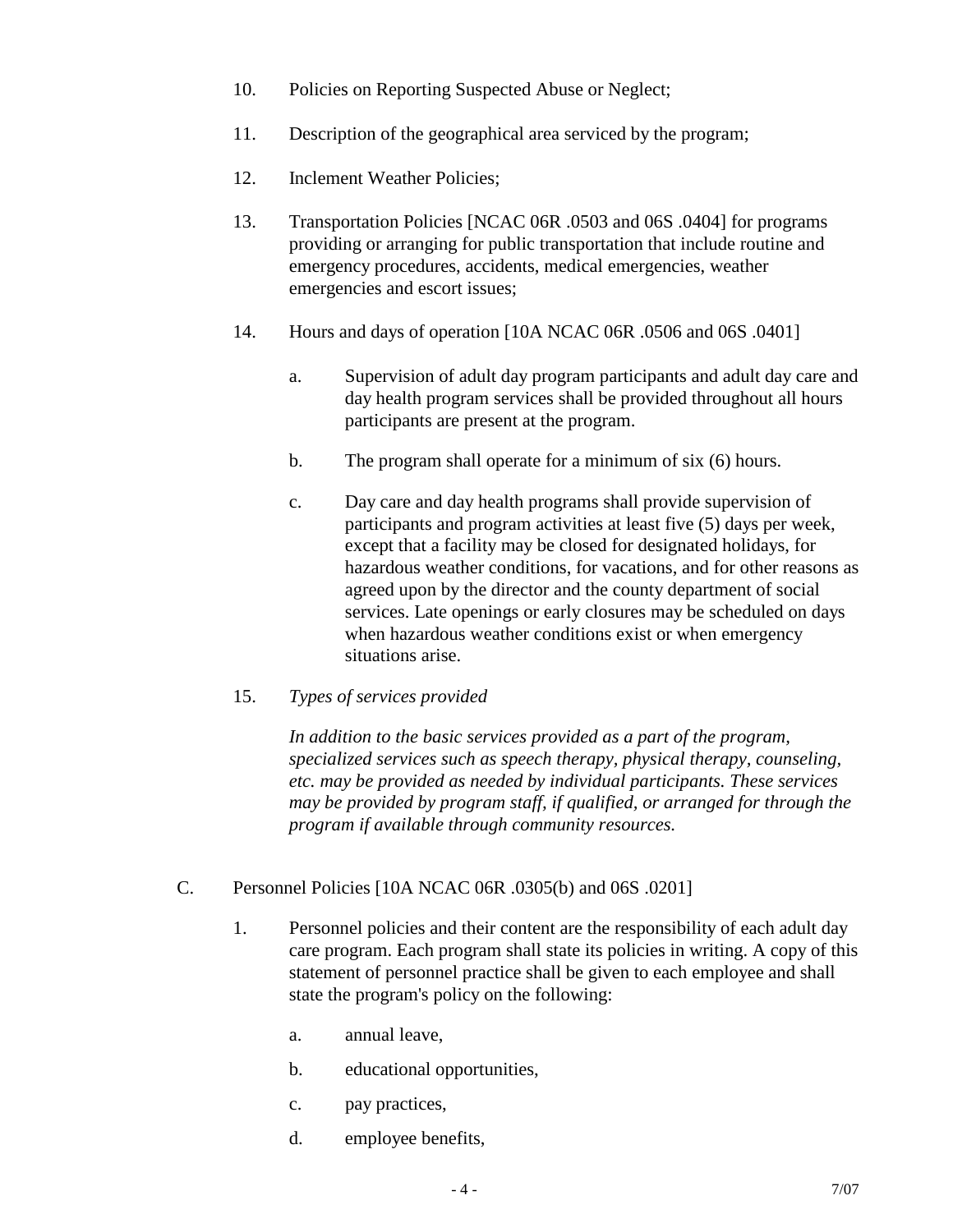- 10. Policies on Reporting Suspected Abuse or Neglect;
- 11. Description of the geographical area serviced by the program;
- 12. Inclement Weather Policies;
- 13. Transportation Policies [NCAC 06R .0503 and 06S .0404] for programs providing or arranging for public transportation that include routine and emergency procedures, accidents, medical emergencies, weather emergencies and escort issues;
- 14. Hours and days of operation [10A NCAC 06R .0506 and 06S .0401]
	- a. Supervision of adult day program participants and adult day care and day health program services shall be provided throughout all hours participants are present at the program.
	- b. The program shall operate for a minimum of six (6) hours.
	- c. Day care and day health programs shall provide supervision of participants and program activities at least five (5) days per week, except that a facility may be closed for designated holidays, for hazardous weather conditions, for vacations, and for other reasons as agreed upon by the director and the county department of social services. Late openings or early closures may be scheduled on days when hazardous weather conditions exist or when emergency situations arise.
- 15. *Types of services provided*

*In addition to the basic services provided as a part of the program, specialized services such as speech therapy, physical therapy, counseling, etc. may be provided as needed by individual participants. These services may be provided by program staff, if qualified, or arranged for through the program if available through community resources.*

- C. Personnel Policies [10A NCAC 06R .0305(b) and 06S .0201]
	- 1. Personnel policies and their content are the responsibility of each adult day care program. Each program shall state its policies in writing. A copy of this statement of personnel practice shall be given to each employee and shall state the program's policy on the following:
		- a. annual leave,
		- b. educational opportunities,
		- c. pay practices,
		- d. employee benefits,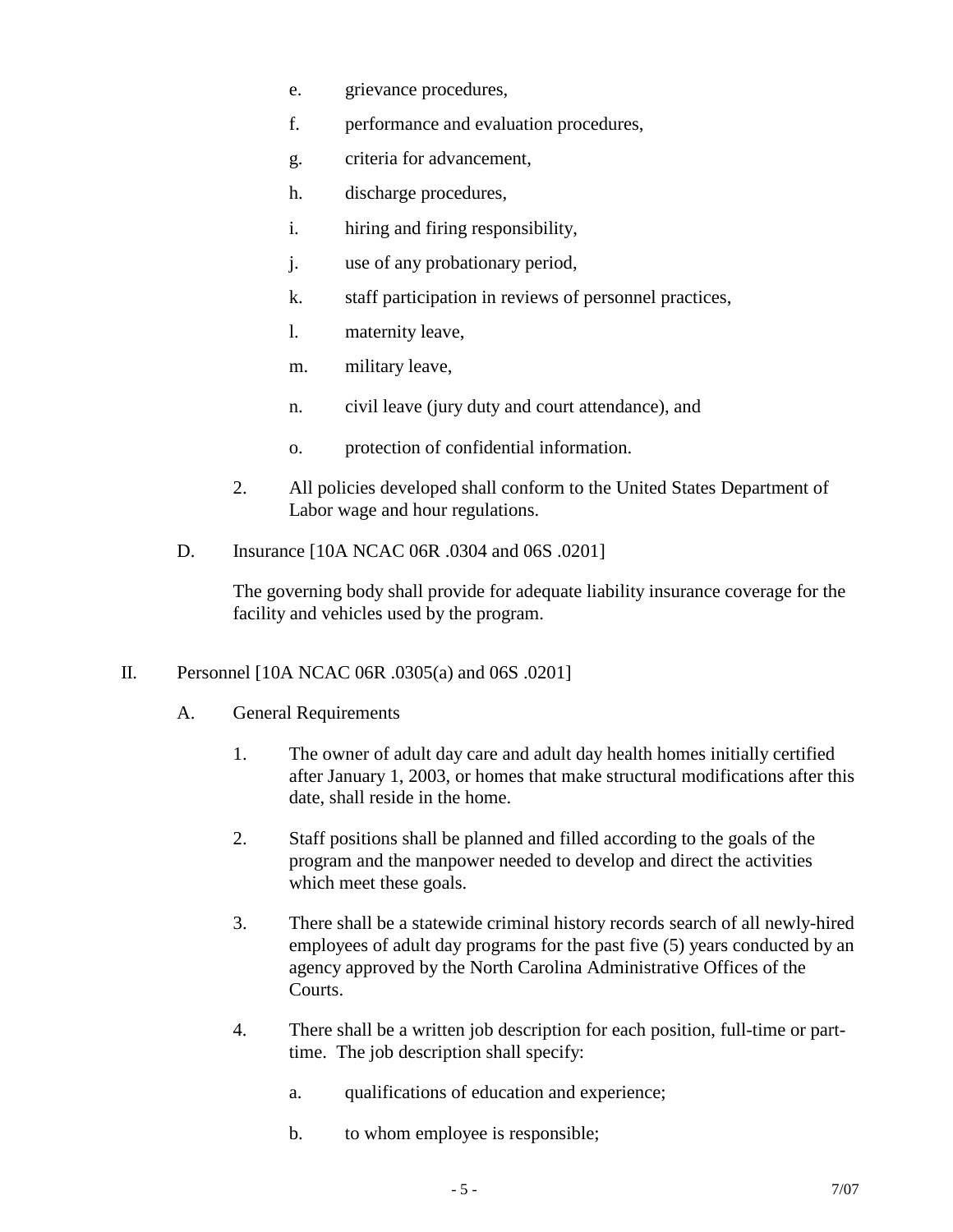- e. grievance procedures,
- f. performance and evaluation procedures,
- g. criteria for advancement,
- h. discharge procedures,
- i. hiring and firing responsibility,
- j. use of any probationary period,
- k. staff participation in reviews of personnel practices,
- l. maternity leave,
- m. military leave,
- n. civil leave (jury duty and court attendance), and
- o. protection of confidential information.
- 2. All policies developed shall conform to the United States Department of Labor wage and hour regulations.
- D. Insurance [10A NCAC 06R .0304 and 06S .0201]

The governing body shall provide for adequate liability insurance coverage for the facility and vehicles used by the program.

- II. Personnel [10A NCAC 06R .0305(a) and 06S .0201]
	- A. General Requirements
		- 1. The owner of adult day care and adult day health homes initially certified after January 1, 2003, or homes that make structural modifications after this date, shall reside in the home.
		- 2. Staff positions shall be planned and filled according to the goals of the program and the manpower needed to develop and direct the activities which meet these goals.
		- 3. There shall be a statewide criminal history records search of all newly-hired employees of adult day programs for the past five (5) years conducted by an agency approved by the North Carolina Administrative Offices of the Courts.
		- 4. There shall be a written job description for each position, full-time or parttime. The job description shall specify:
			- a. qualifications of education and experience;
			- b. to whom employee is responsible;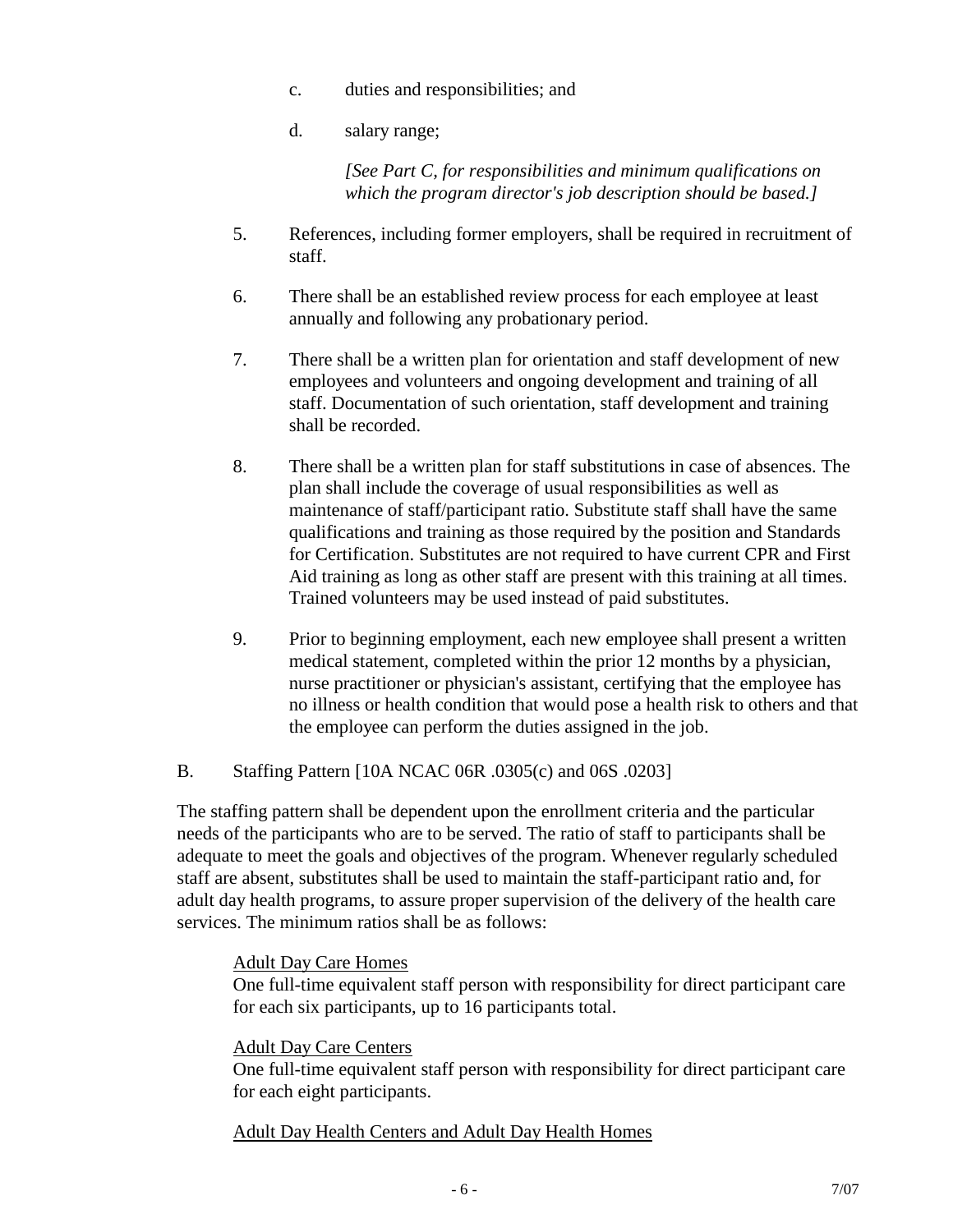- c. duties and responsibilities; and
- d. salary range;

*[See Part C, for responsibilities and minimum qualifications on which the program director's job description should be based.]*

- 5. References, including former employers, shall be required in recruitment of staff.
- 6. There shall be an established review process for each employee at least annually and following any probationary period.
- 7. There shall be a written plan for orientation and staff development of new employees and volunteers and ongoing development and training of all staff. Documentation of such orientation, staff development and training shall be recorded.
- 8. There shall be a written plan for staff substitutions in case of absences. The plan shall include the coverage of usual responsibilities as well as maintenance of staff/participant ratio. Substitute staff shall have the same qualifications and training as those required by the position and Standards for Certification. Substitutes are not required to have current CPR and First Aid training as long as other staff are present with this training at all times. Trained volunteers may be used instead of paid substitutes.
- 9. Prior to beginning employment, each new employee shall present a written medical statement, completed within the prior 12 months by a physician, nurse practitioner or physician's assistant, certifying that the employee has no illness or health condition that would pose a health risk to others and that the employee can perform the duties assigned in the job.
- B. Staffing Pattern [10A NCAC 06R .0305(c) and 06S .0203]

The staffing pattern shall be dependent upon the enrollment criteria and the particular needs of the participants who are to be served. The ratio of staff to participants shall be adequate to meet the goals and objectives of the program. Whenever regularly scheduled staff are absent, substitutes shall be used to maintain the staff-participant ratio and, for adult day health programs, to assure proper supervision of the delivery of the health care services. The minimum ratios shall be as follows:

#### Adult Day Care Homes

One full-time equivalent staff person with responsibility for direct participant care for each six participants, up to 16 participants total.

#### Adult Day Care Centers

One full-time equivalent staff person with responsibility for direct participant care for each eight participants.

#### Adult Day Health Centers and Adult Day Health Homes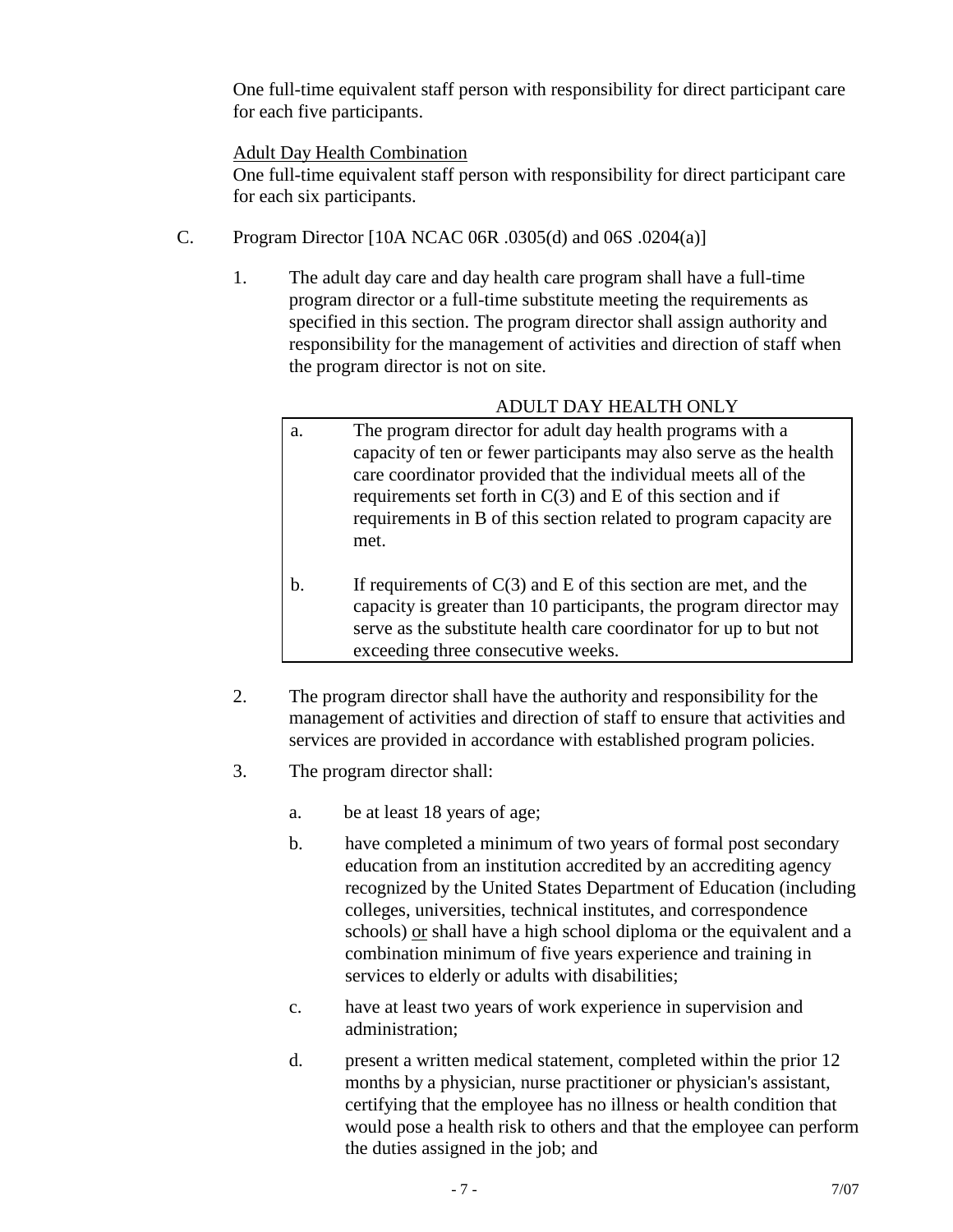One full-time equivalent staff person with responsibility for direct participant care for each five participants.

#### Adult Day Health Combination

One full-time equivalent staff person with responsibility for direct participant care for each six participants.

- C. Program Director [10A NCAC 06R .0305(d) and 06S .0204(a)]
	- 1. The adult day care and day health care program shall have a full-time program director or a full-time substitute meeting the requirements as specified in this section. The program director shall assign authority and responsibility for the management of activities and direction of staff when the program director is not on site.

## ADULT DAY HEALTH ONLY

- a. The program director for adult day health programs with a capacity of ten or fewer participants may also serve as the health care coordinator provided that the individual meets all of the requirements set forth in  $C(3)$  and E of this section and if requirements in B of this section related to program capacity are met.
- b. If requirements of  $C(3)$  and E of this section are met, and the capacity is greater than 10 participants, the program director may serve as the substitute health care coordinator for up to but not exceeding three consecutive weeks.
- 2. The program director shall have the authority and responsibility for the management of activities and direction of staff to ensure that activities and services are provided in accordance with established program policies.
- 3. The program director shall:
	- a. be at least 18 years of age;
	- b. have completed a minimum of two years of formal post secondary education from an institution accredited by an accrediting agency recognized by the United States Department of Education (including colleges, universities, technical institutes, and correspondence schools) or shall have a high school diploma or the equivalent and a combination minimum of five years experience and training in services to elderly or adults with disabilities;
	- c. have at least two years of work experience in supervision and administration;
	- d. present a written medical statement, completed within the prior 12 months by a physician, nurse practitioner or physician's assistant, certifying that the employee has no illness or health condition that would pose a health risk to others and that the employee can perform the duties assigned in the job; and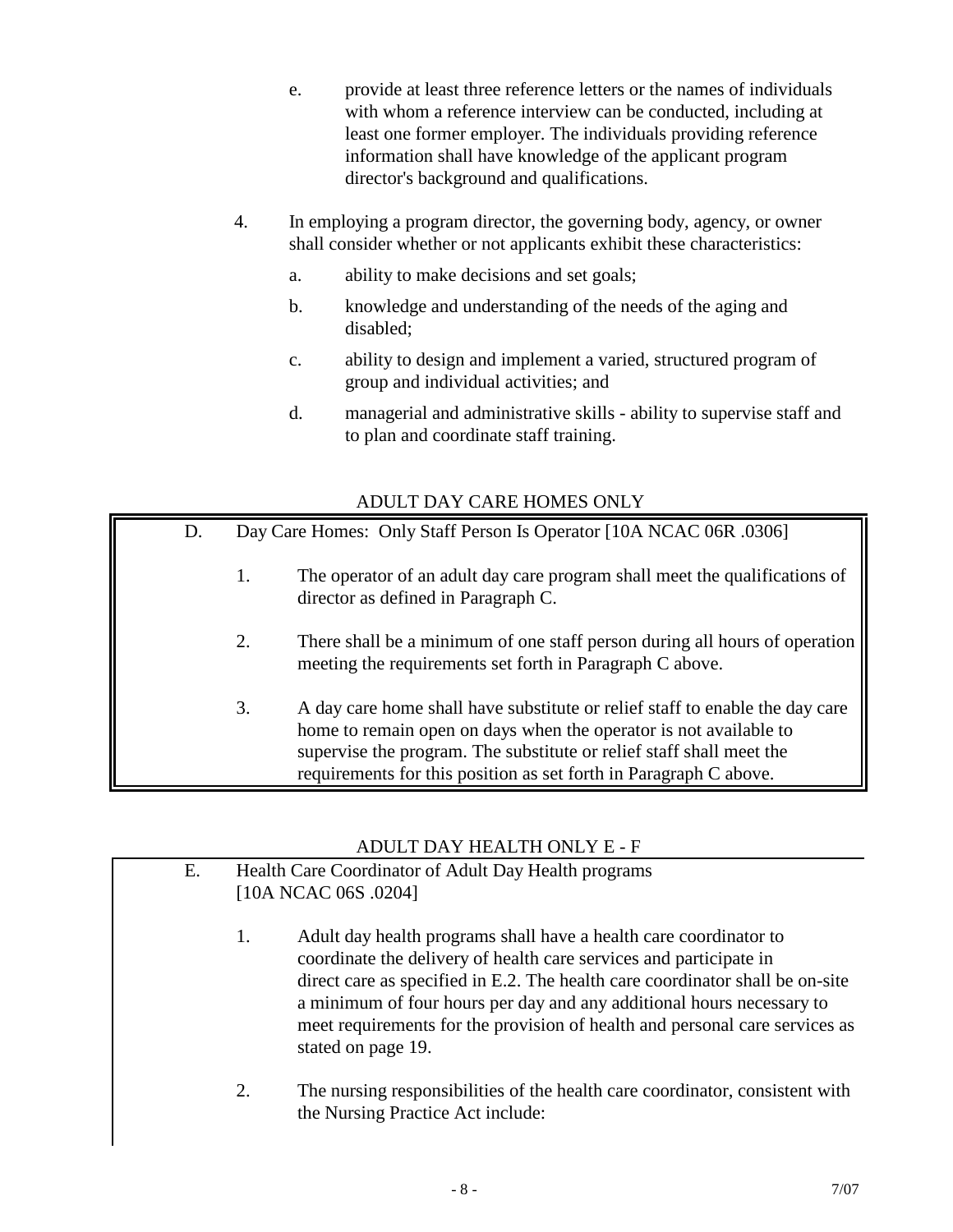- e. provide at least three reference letters or the names of individuals with whom a reference interview can be conducted, including at least one former employer. The individuals providing reference information shall have knowledge of the applicant program director's background and qualifications.
- 4. In employing a program director, the governing body, agency, or owner shall consider whether or not applicants exhibit these characteristics:
	- a. ability to make decisions and set goals;
	- b. knowledge and understanding of the needs of the aging and disabled;
	- c. ability to design and implement a varied, structured program of group and individual activities; and
	- d. managerial and administrative skills ability to supervise staff and to plan and coordinate staff training.

#### ADULT DAY CARE HOMES ONLY

| D. | Day Care Homes: Only Staff Person Is Operator [10A NCAC 06R .0306] |                                                                                                                                                                                                                                                                                                |
|----|--------------------------------------------------------------------|------------------------------------------------------------------------------------------------------------------------------------------------------------------------------------------------------------------------------------------------------------------------------------------------|
|    | 1.                                                                 | The operator of an adult day care program shall meet the qualifications of<br>director as defined in Paragraph C.                                                                                                                                                                              |
|    | 2.                                                                 | There shall be a minimum of one staff person during all hours of operation<br>meeting the requirements set forth in Paragraph C above.                                                                                                                                                         |
|    | 3.                                                                 | A day care home shall have substitute or relief staff to enable the day care<br>home to remain open on days when the operator is not available to<br>supervise the program. The substitute or relief staff shall meet the<br>requirements for this position as set forth in Paragraph C above. |

## ADULT DAY HEALTH ONLY E - F

| Ε. | Health Care Coordinator of Adult Day Health programs<br>[10A NCAC 06S .0204] |                                                                                                                                                                                                                                                                                                                                                                                                        |  |  |  |  |
|----|------------------------------------------------------------------------------|--------------------------------------------------------------------------------------------------------------------------------------------------------------------------------------------------------------------------------------------------------------------------------------------------------------------------------------------------------------------------------------------------------|--|--|--|--|
|    | 1.                                                                           | Adult day health programs shall have a health care coordinator to<br>coordinate the delivery of health care services and participate in<br>direct care as specified in E.2. The health care coordinator shall be on-site<br>a minimum of four hours per day and any additional hours necessary to<br>meet requirements for the provision of health and personal care services as<br>stated on page 19. |  |  |  |  |
|    | 2.                                                                           | The nursing responsibilities of the health care coordinator, consistent with<br>the Nursing Practice Act include:                                                                                                                                                                                                                                                                                      |  |  |  |  |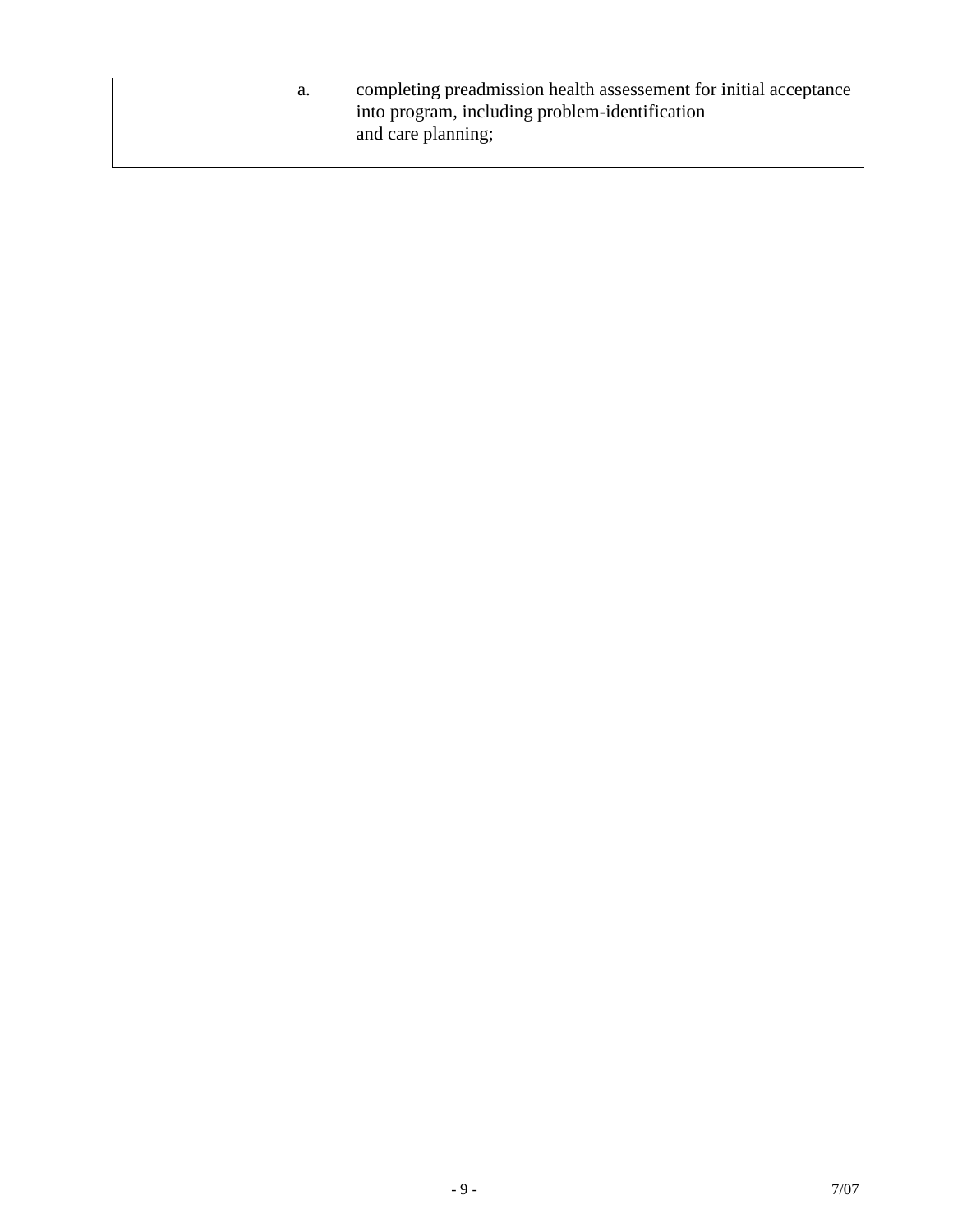a. completing preadmission health assessement for initial acceptance into program, including problem-identification and care planning;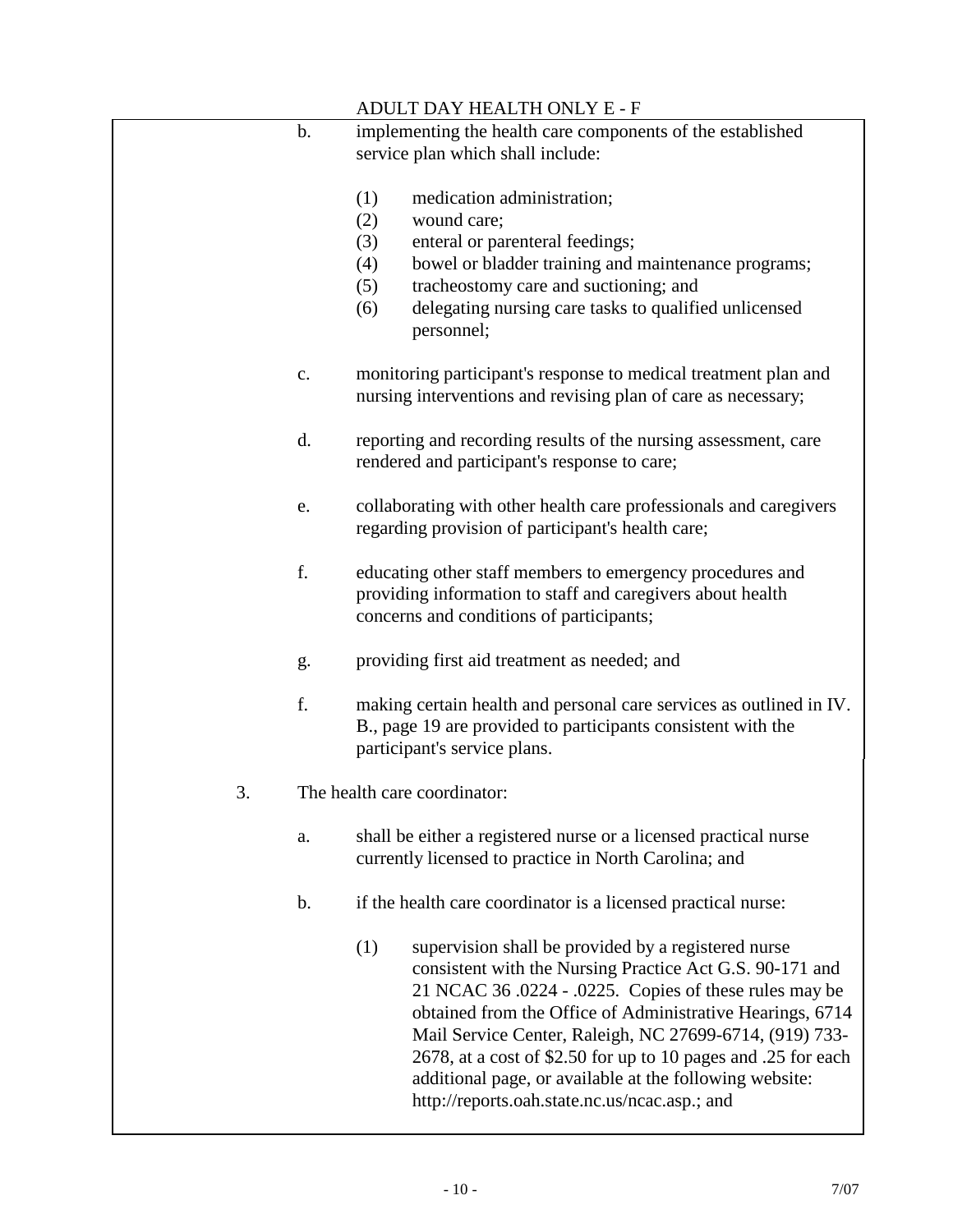|    |       | ADULT DAY HEALTH ONLY E - F                                                                                                                                                                                                                                                                                                                                                                                                                                                           |
|----|-------|---------------------------------------------------------------------------------------------------------------------------------------------------------------------------------------------------------------------------------------------------------------------------------------------------------------------------------------------------------------------------------------------------------------------------------------------------------------------------------------|
|    | b.    | implementing the health care components of the established                                                                                                                                                                                                                                                                                                                                                                                                                            |
|    |       | service plan which shall include:                                                                                                                                                                                                                                                                                                                                                                                                                                                     |
|    |       | (1)<br>medication administration;<br>wound care;<br>(2)<br>(3)<br>enteral or parenteral feedings;<br>bowel or bladder training and maintenance programs;<br>(4)<br>tracheostomy care and suctioning; and<br>(5)<br>delegating nursing care tasks to qualified unlicensed<br>(6)<br>personnel;                                                                                                                                                                                         |
|    | c.    | monitoring participant's response to medical treatment plan and<br>nursing interventions and revising plan of care as necessary;                                                                                                                                                                                                                                                                                                                                                      |
|    | d.    | reporting and recording results of the nursing assessment, care<br>rendered and participant's response to care;                                                                                                                                                                                                                                                                                                                                                                       |
|    | e.    | collaborating with other health care professionals and caregivers<br>regarding provision of participant's health care;                                                                                                                                                                                                                                                                                                                                                                |
|    | f.    | educating other staff members to emergency procedures and<br>providing information to staff and caregivers about health<br>concerns and conditions of participants;                                                                                                                                                                                                                                                                                                                   |
|    | g.    | providing first aid treatment as needed; and                                                                                                                                                                                                                                                                                                                                                                                                                                          |
|    | f.    | making certain health and personal care services as outlined in IV.<br>B., page 19 are provided to participants consistent with the<br>participant's service plans.                                                                                                                                                                                                                                                                                                                   |
| 3. |       | The health care coordinator:                                                                                                                                                                                                                                                                                                                                                                                                                                                          |
|    | a.    | shall be either a registered nurse or a licensed practical nurse<br>currently licensed to practice in North Carolina; and                                                                                                                                                                                                                                                                                                                                                             |
|    | $b$ . | if the health care coordinator is a licensed practical nurse:                                                                                                                                                                                                                                                                                                                                                                                                                         |
|    |       | (1)<br>supervision shall be provided by a registered nurse<br>consistent with the Nursing Practice Act G.S. 90-171 and<br>21 NCAC 36 .0224 - .0225. Copies of these rules may be<br>obtained from the Office of Administrative Hearings, 6714<br>Mail Service Center, Raleigh, NC 27699-6714, (919) 733-<br>2678, at a cost of \$2.50 for up to 10 pages and .25 for each<br>additional page, or available at the following website:<br>http://reports.oah.state.nc.us/ncac.asp.; and |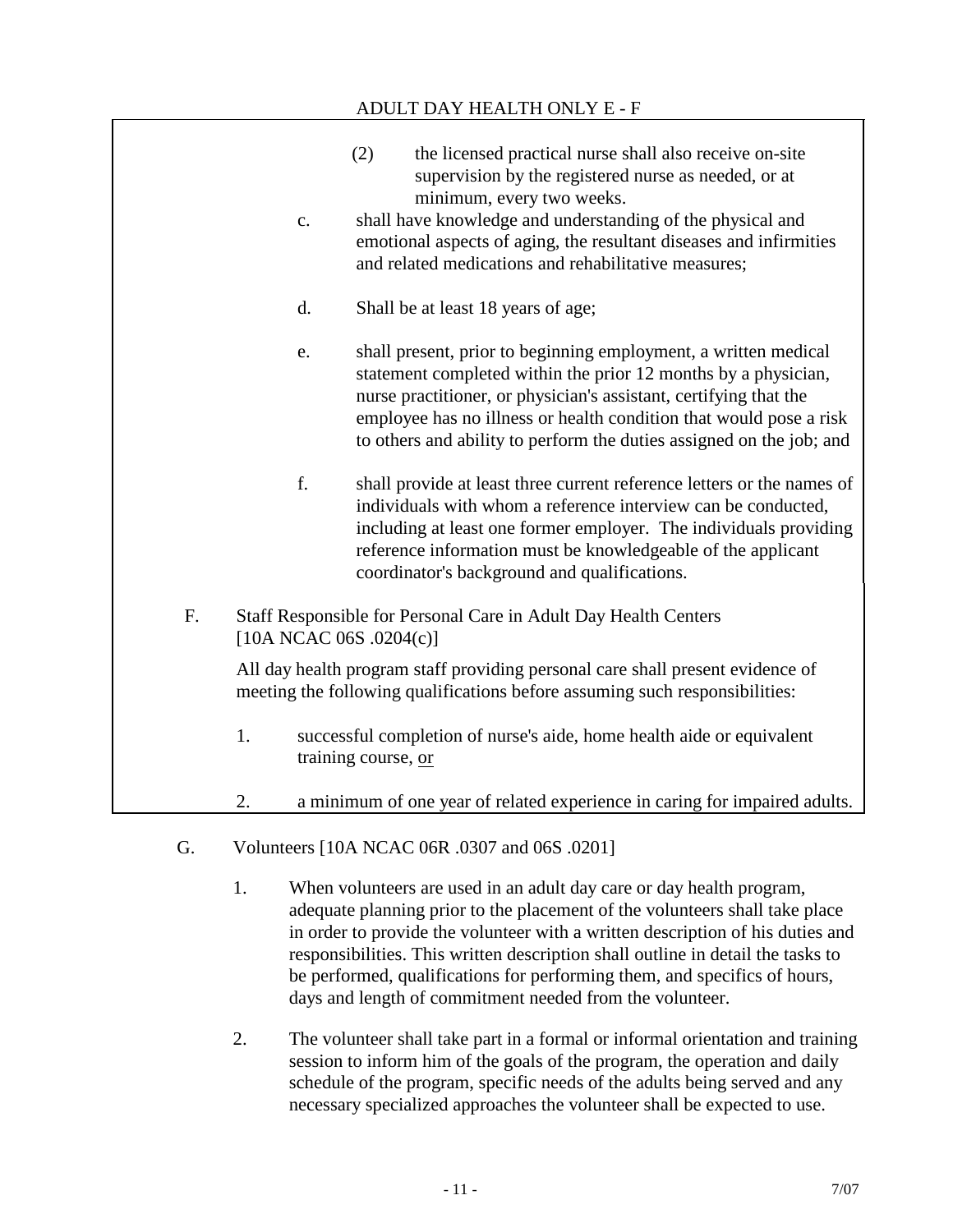|    |                         | ADULT DAY HEALTH ONLY E - F                                                                                                                                                                                                                                                                                                                          |
|----|-------------------------|------------------------------------------------------------------------------------------------------------------------------------------------------------------------------------------------------------------------------------------------------------------------------------------------------------------------------------------------------|
|    | c.                      | (2)<br>the licensed practical nurse shall also receive on-site<br>supervision by the registered nurse as needed, or at<br>minimum, every two weeks.<br>shall have knowledge and understanding of the physical and<br>emotional aspects of aging, the resultant diseases and infirmities<br>and related medications and rehabilitative measures;      |
|    | d.                      | Shall be at least 18 years of age;                                                                                                                                                                                                                                                                                                                   |
|    | e.                      | shall present, prior to beginning employment, a written medical<br>statement completed within the prior 12 months by a physician,<br>nurse practitioner, or physician's assistant, certifying that the<br>employee has no illness or health condition that would pose a risk<br>to others and ability to perform the duties assigned on the job; and |
|    | f.                      | shall provide at least three current reference letters or the names of<br>individuals with whom a reference interview can be conducted,<br>including at least one former employer. The individuals providing<br>reference information must be knowledgeable of the applicant<br>coordinator's background and qualifications.                         |
| F. | [10A NCAC 06S .0204(c)] | Staff Responsible for Personal Care in Adult Day Health Centers                                                                                                                                                                                                                                                                                      |
|    |                         | All day health program staff providing personal care shall present evidence of<br>meeting the following qualifications before assuming such responsibilities:                                                                                                                                                                                        |
|    | 1.                      | successful completion of nurse's aide, home health aide or equivalent<br>training course, or                                                                                                                                                                                                                                                         |
|    | 2.                      | a minimum of one year of related experience in caring for impaired adults.                                                                                                                                                                                                                                                                           |

- G. Volunteers [10A NCAC 06R .0307 and 06S .0201]
	- 1. When volunteers are used in an adult day care or day health program, adequate planning prior to the placement of the volunteers shall take place in order to provide the volunteer with a written description of his duties and responsibilities. This written description shall outline in detail the tasks to be performed, qualifications for performing them, and specifics of hours, days and length of commitment needed from the volunteer.
	- 2. The volunteer shall take part in a formal or informal orientation and training session to inform him of the goals of the program, the operation and daily schedule of the program, specific needs of the adults being served and any necessary specialized approaches the volunteer shall be expected to use.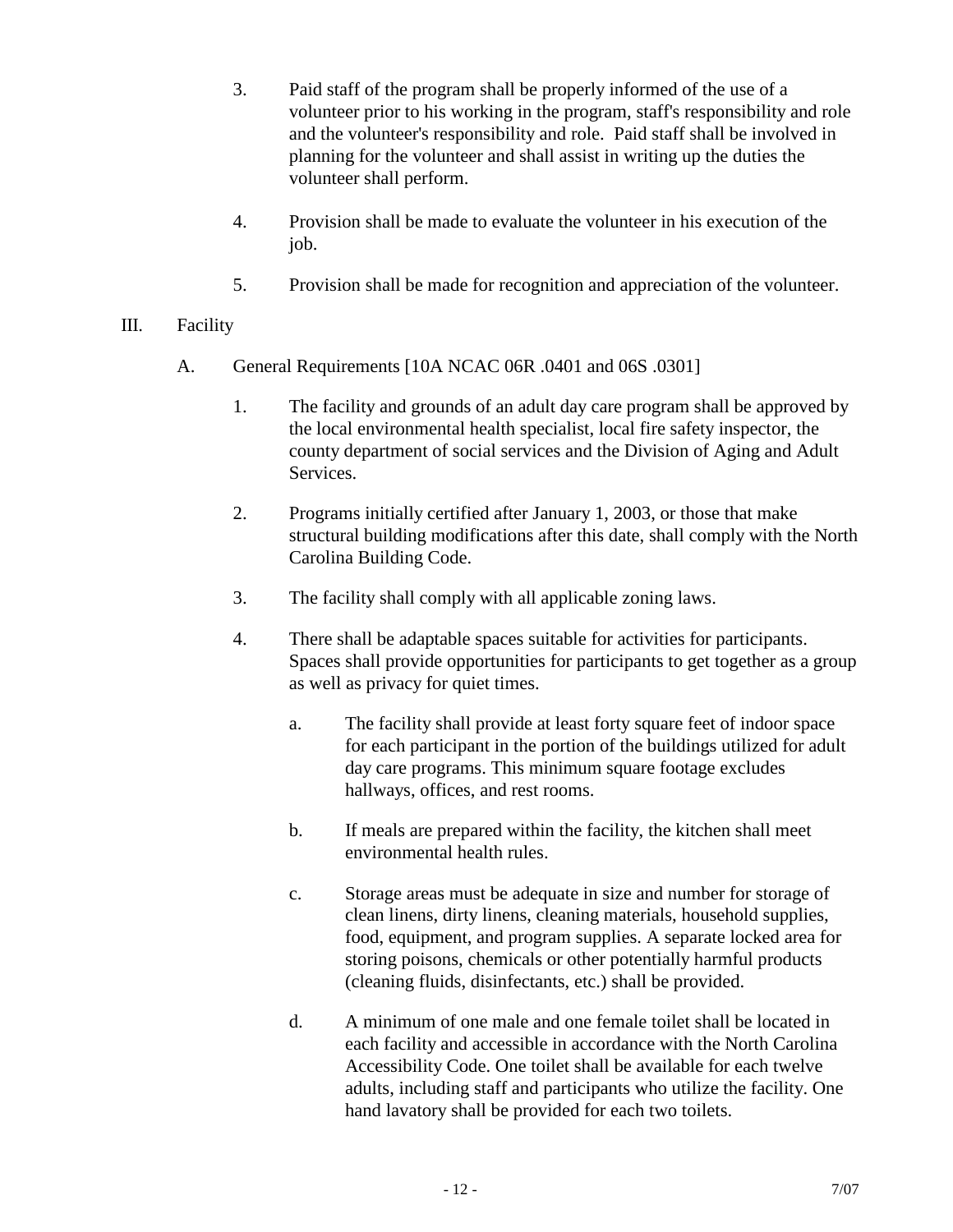- 3. Paid staff of the program shall be properly informed of the use of a volunteer prior to his working in the program, staff's responsibility and role and the volunteer's responsibility and role. Paid staff shall be involved in planning for the volunteer and shall assist in writing up the duties the volunteer shall perform.
- 4. Provision shall be made to evaluate the volunteer in his execution of the job.
- 5. Provision shall be made for recognition and appreciation of the volunteer.

#### III. Facility

- A. General Requirements [10A NCAC 06R .0401 and 06S .0301]
	- 1. The facility and grounds of an adult day care program shall be approved by the local environmental health specialist, local fire safety inspector, the county department of social services and the Division of Aging and Adult Services.
	- 2. Programs initially certified after January 1, 2003, or those that make structural building modifications after this date, shall comply with the North Carolina Building Code.
	- 3. The facility shall comply with all applicable zoning laws.
	- 4. There shall be adaptable spaces suitable for activities for participants. Spaces shall provide opportunities for participants to get together as a group as well as privacy for quiet times.
		- a. The facility shall provide at least forty square feet of indoor space for each participant in the portion of the buildings utilized for adult day care programs. This minimum square footage excludes hallways, offices, and rest rooms.
		- b. If meals are prepared within the facility, the kitchen shall meet environmental health rules.
		- c. Storage areas must be adequate in size and number for storage of clean linens, dirty linens, cleaning materials, household supplies, food, equipment, and program supplies. A separate locked area for storing poisons, chemicals or other potentially harmful products (cleaning fluids, disinfectants, etc.) shall be provided.
		- d. A minimum of one male and one female toilet shall be located in each facility and accessible in accordance with the North Carolina Accessibility Code. One toilet shall be available for each twelve adults, including staff and participants who utilize the facility. One hand lavatory shall be provided for each two toilets.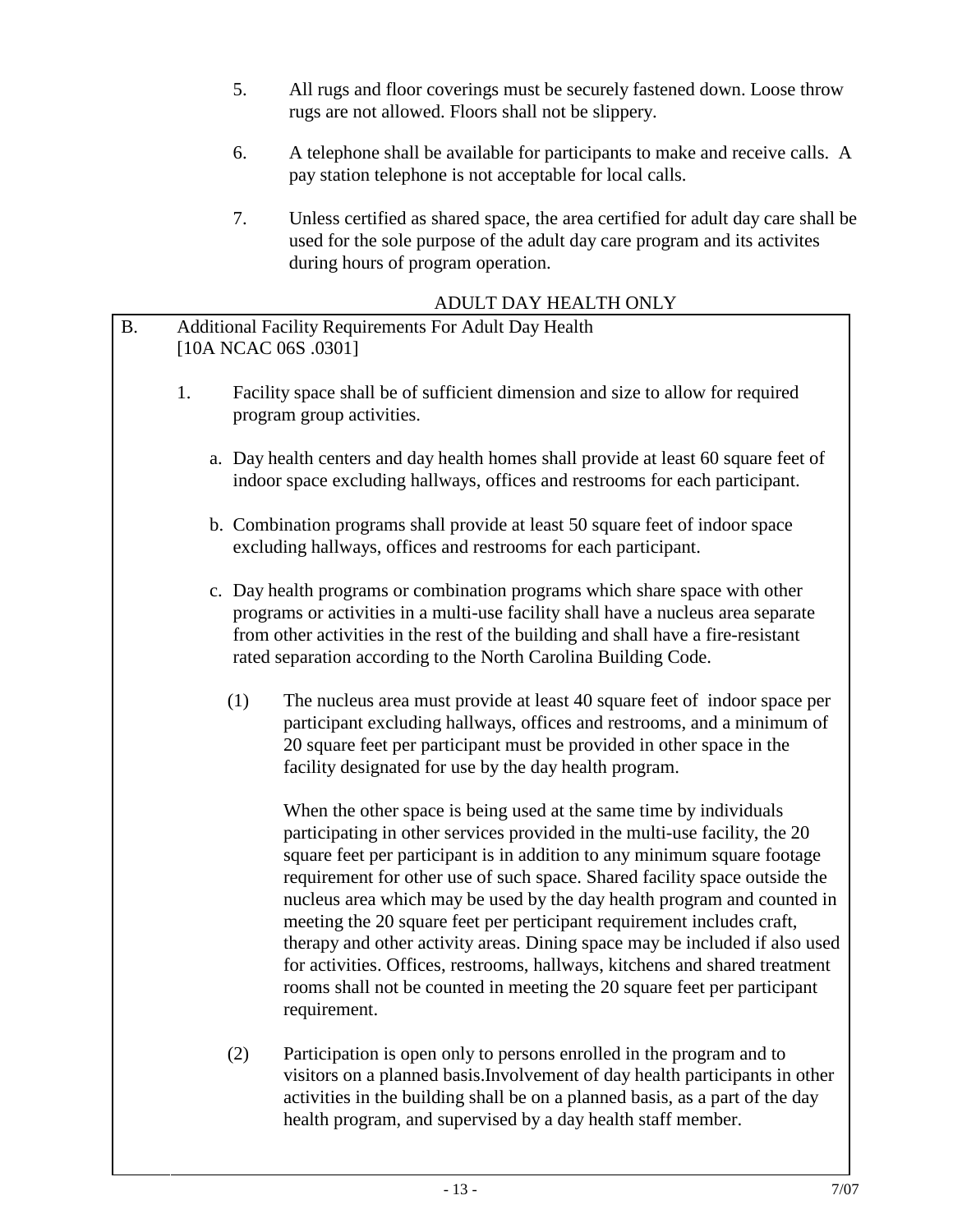- 5. All rugs and floor coverings must be securely fastened down. Loose throw rugs are not allowed. Floors shall not be slippery.
- 6. A telephone shall be available for participants to make and receive calls. A pay station telephone is not acceptable for local calls.
- 7. Unless certified as shared space, the area certified for adult day care shall be used for the sole purpose of the adult day care program and its activites during hours of program operation.

# ADULT DAY HEALTH ONLY

|           |                                                                               | ADULI DA I HEALIH UNLI                                                                                                                                                                                                                                                                                                                                                                                                                                                                                                                                                                                                                                                                                                    |  |  |  |  |
|-----------|-------------------------------------------------------------------------------|---------------------------------------------------------------------------------------------------------------------------------------------------------------------------------------------------------------------------------------------------------------------------------------------------------------------------------------------------------------------------------------------------------------------------------------------------------------------------------------------------------------------------------------------------------------------------------------------------------------------------------------------------------------------------------------------------------------------------|--|--|--|--|
| <b>B.</b> | Additional Facility Requirements For Adult Day Health<br>[10A NCAC 06S .0301] |                                                                                                                                                                                                                                                                                                                                                                                                                                                                                                                                                                                                                                                                                                                           |  |  |  |  |
|           | 1.                                                                            | Facility space shall be of sufficient dimension and size to allow for required<br>program group activities.                                                                                                                                                                                                                                                                                                                                                                                                                                                                                                                                                                                                               |  |  |  |  |
|           |                                                                               | a. Day health centers and day health homes shall provide at least 60 square feet of<br>indoor space excluding hallways, offices and restrooms for each participant.                                                                                                                                                                                                                                                                                                                                                                                                                                                                                                                                                       |  |  |  |  |
|           |                                                                               | b. Combination programs shall provide at least 50 square feet of indoor space<br>excluding hallways, offices and restrooms for each participant.                                                                                                                                                                                                                                                                                                                                                                                                                                                                                                                                                                          |  |  |  |  |
|           |                                                                               | c. Day health programs or combination programs which share space with other<br>programs or activities in a multi-use facility shall have a nucleus area separate<br>from other activities in the rest of the building and shall have a fire-resistant<br>rated separation according to the North Carolina Building Code.                                                                                                                                                                                                                                                                                                                                                                                                  |  |  |  |  |
|           | (1)                                                                           | The nucleus area must provide at least 40 square feet of indoor space per<br>participant excluding hallways, offices and restrooms, and a minimum of<br>20 square feet per participant must be provided in other space in the<br>facility designated for use by the day health program.                                                                                                                                                                                                                                                                                                                                                                                                                                   |  |  |  |  |
|           |                                                                               | When the other space is being used at the same time by individuals<br>participating in other services provided in the multi-use facility, the 20<br>square feet per participant is in addition to any minimum square footage<br>requirement for other use of such space. Shared facility space outside the<br>nucleus area which may be used by the day health program and counted in<br>meeting the 20 square feet per perticipant requirement includes craft,<br>therapy and other activity areas. Dining space may be included if also used<br>for activities. Offices, restrooms, hallways, kitchens and shared treatment<br>rooms shall not be counted in meeting the 20 square feet per participant<br>requirement. |  |  |  |  |
|           | (2)                                                                           | Participation is open only to persons enrolled in the program and to<br>visitors on a planned basis. Involvement of day health participants in other<br>activities in the building shall be on a planned basis, as a part of the day                                                                                                                                                                                                                                                                                                                                                                                                                                                                                      |  |  |  |  |

health program, and supervised by a day health staff member.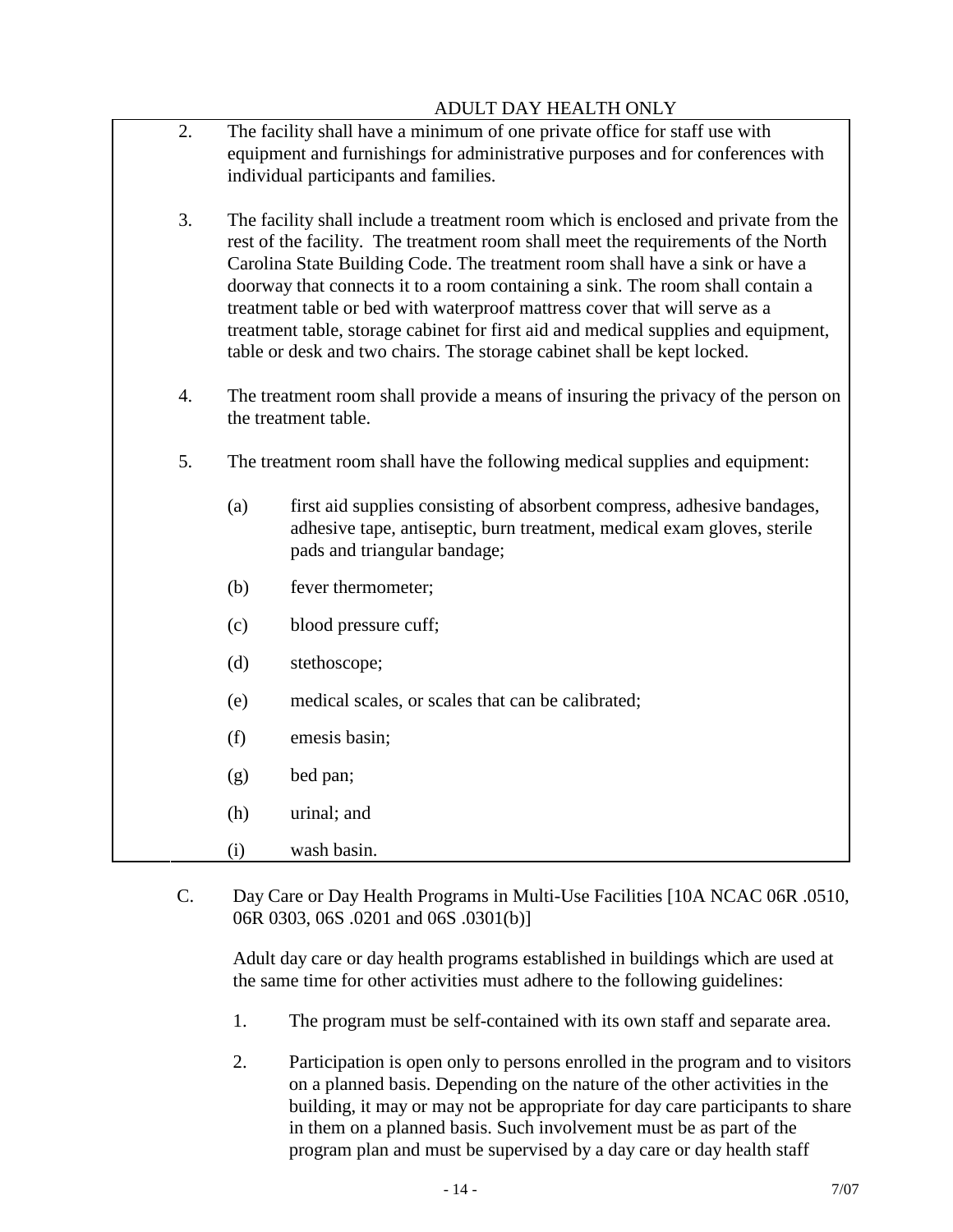#### ADULT DAY HEALTH ONLY

2. The facility shall have a minimum of one private office for staff use with equipment and furnishings for administrative purposes and for conferences with individual participants and families.

3. The facility shall include a treatment room which is enclosed and private from the rest of the facility. The treatment room shall meet the requirements of the North Carolina State Building Code. The treatment room shall have a sink or have a doorway that connects it to a room containing a sink. The room shall contain a treatment table or bed with waterproof mattress cover that will serve as a treatment table, storage cabinet for first aid and medical supplies and equipment, table or desk and two chairs. The storage cabinet shall be kept locked.

- 4. The treatment room shall provide a means of insuring the privacy of the person on the treatment table.
- 5. The treatment room shall have the following medical supplies and equipment:
	- (a) first aid supplies consisting of absorbent compress, adhesive bandages, adhesive tape, antiseptic, burn treatment, medical exam gloves, sterile pads and triangular bandage;
	- (b) fever thermometer;
	- (c) blood pressure cuff;
	- (d) stethoscope;
	- (e) medical scales, or scales that can be calibrated;
	- (f) emesis basin;
	- (g) bed pan;
	- (h) urinal; and
	- (i) wash basin.
- C. Day Care or Day Health Programs in Multi-Use Facilities [10A NCAC 06R .0510, 06R 0303, 06S .0201 and 06S .0301(b)]

Adult day care or day health programs established in buildings which are used at the same time for other activities must adhere to the following guidelines:

- 1. The program must be self-contained with its own staff and separate area.
- 2. Participation is open only to persons enrolled in the program and to visitors on a planned basis. Depending on the nature of the other activities in the building, it may or may not be appropriate for day care participants to share in them on a planned basis. Such involvement must be as part of the program plan and must be supervised by a day care or day health staff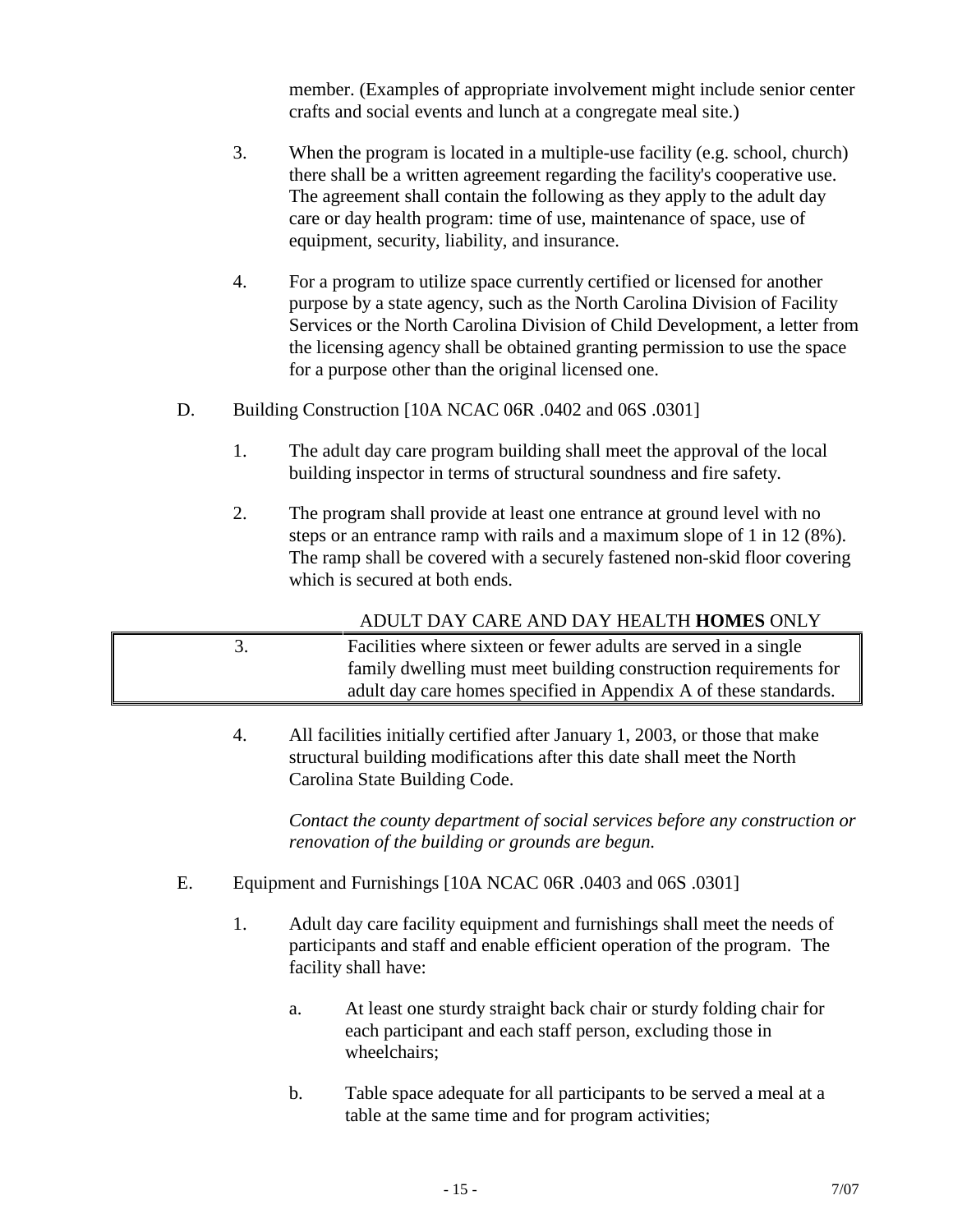member. (Examples of appropriate involvement might include senior center crafts and social events and lunch at a congregate meal site.)

- 3. When the program is located in a multiple-use facility (e.g. school, church) there shall be a written agreement regarding the facility's cooperative use. The agreement shall contain the following as they apply to the adult day care or day health program: time of use, maintenance of space, use of equipment, security, liability, and insurance.
- 4. For a program to utilize space currently certified or licensed for another purpose by a state agency, such as the North Carolina Division of Facility Services or the North Carolina Division of Child Development, a letter from the licensing agency shall be obtained granting permission to use the space for a purpose other than the original licensed one.
- D. Building Construction [10A NCAC 06R .0402 and 06S .0301]
	- 1. The adult day care program building shall meet the approval of the local building inspector in terms of structural soundness and fire safety.
	- 2. The program shall provide at least one entrance at ground level with no steps or an entrance ramp with rails and a maximum slope of 1 in 12 (8%). The ramp shall be covered with a securely fastened non-skid floor covering which is secured at both ends.

ADULT DAY CARE AND DAY HEALTH **HOMES** ONLY

- 3. Facilities where sixteen or fewer adults are served in a single family dwelling must meet building construction requirements for adult day care homes specified in Appendix A of these standards.
	- 4. All facilities initially certified after January 1, 2003, or those that make structural building modifications after this date shall meet the North Carolina State Building Code.

*Contact the county department of social services before any construction or renovation of the building or grounds are begun.*

- E. Equipment and Furnishings [10A NCAC 06R .0403 and 06S .0301]
	- 1. Adult day care facility equipment and furnishings shall meet the needs of participants and staff and enable efficient operation of the program. The facility shall have:
		- a. At least one sturdy straight back chair or sturdy folding chair for each participant and each staff person, excluding those in wheelchairs;
		- b. Table space adequate for all participants to be served a meal at a table at the same time and for program activities;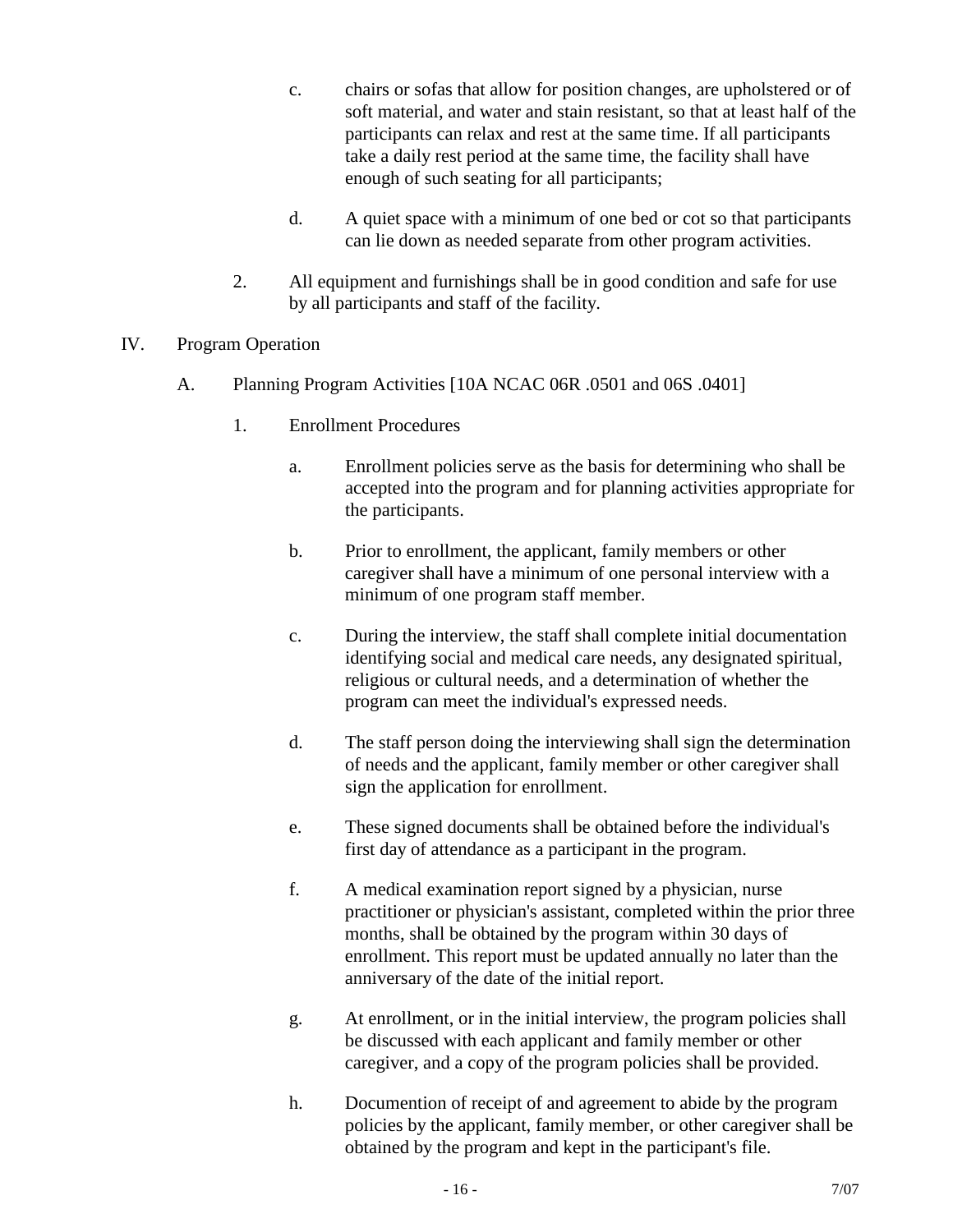- c. chairs or sofas that allow for position changes, are upholstered or of soft material, and water and stain resistant, so that at least half of the participants can relax and rest at the same time. If all participants take a daily rest period at the same time, the facility shall have enough of such seating for all participants;
- d. A quiet space with a minimum of one bed or cot so that participants can lie down as needed separate from other program activities.
- 2. All equipment and furnishings shall be in good condition and safe for use by all participants and staff of the facility.
- IV. Program Operation
	- A. Planning Program Activities [10A NCAC 06R .0501 and 06S .0401]
		- 1. Enrollment Procedures
			- a. Enrollment policies serve as the basis for determining who shall be accepted into the program and for planning activities appropriate for the participants.
			- b. Prior to enrollment, the applicant, family members or other caregiver shall have a minimum of one personal interview with a minimum of one program staff member.
			- c. During the interview, the staff shall complete initial documentation identifying social and medical care needs, any designated spiritual, religious or cultural needs, and a determination of whether the program can meet the individual's expressed needs.
			- d. The staff person doing the interviewing shall sign the determination of needs and the applicant, family member or other caregiver shall sign the application for enrollment.
			- e. These signed documents shall be obtained before the individual's first day of attendance as a participant in the program.
			- f. A medical examination report signed by a physician, nurse practitioner or physician's assistant, completed within the prior three months, shall be obtained by the program within 30 days of enrollment. This report must be updated annually no later than the anniversary of the date of the initial report.
			- g. At enrollment, or in the initial interview, the program policies shall be discussed with each applicant and family member or other caregiver, and a copy of the program policies shall be provided.
			- h. Documention of receipt of and agreement to abide by the program policies by the applicant, family member, or other caregiver shall be obtained by the program and kept in the participant's file.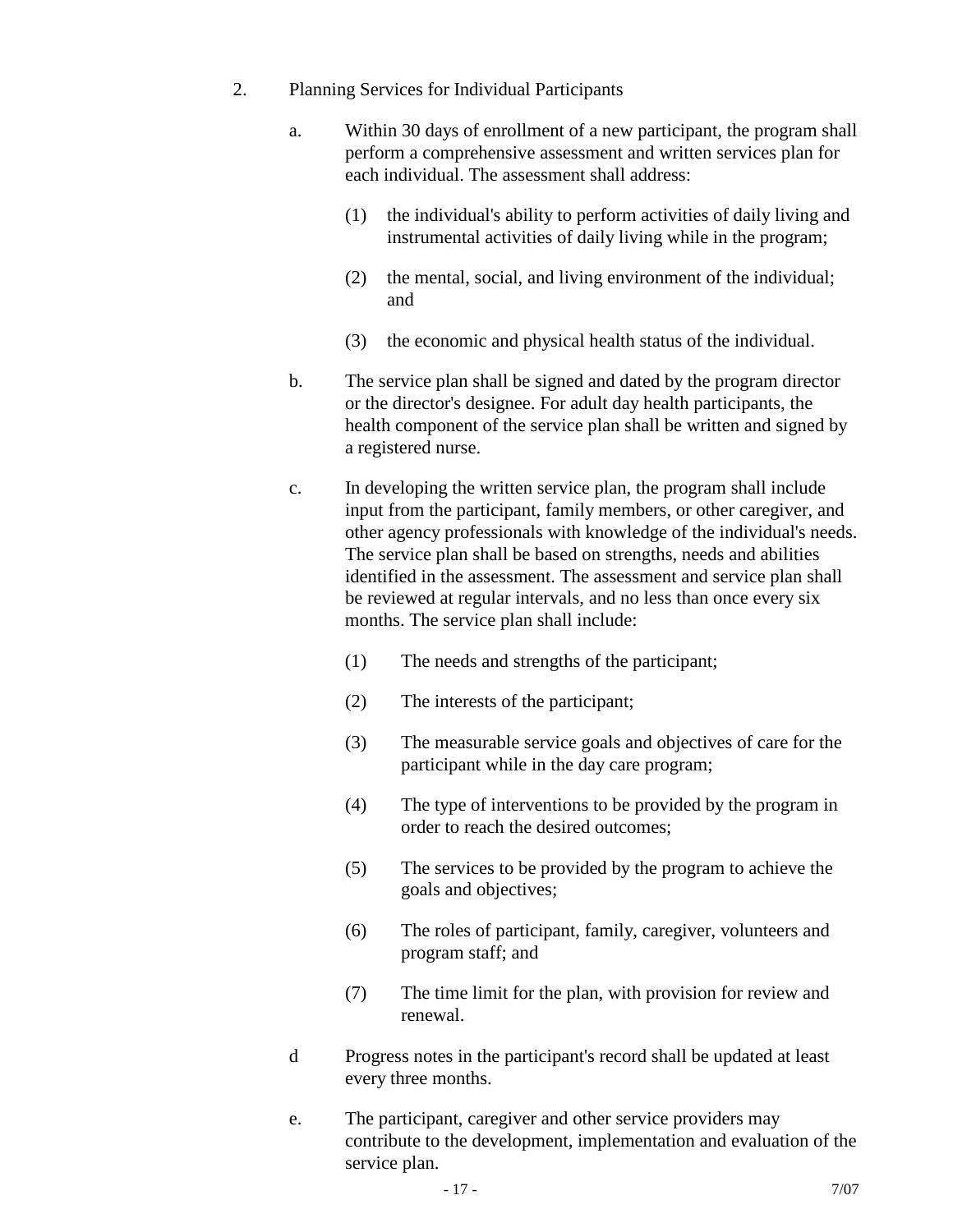- 2. Planning Services for Individual Participants
	- a. Within 30 days of enrollment of a new participant, the program shall perform a comprehensive assessment and written services plan for each individual. The assessment shall address:
		- (1) the individual's ability to perform activities of daily living and instrumental activities of daily living while in the program;
		- (2) the mental, social, and living environment of the individual; and
		- (3) the economic and physical health status of the individual.
	- b. The service plan shall be signed and dated by the program director or the director's designee. For adult day health participants, the health component of the service plan shall be written and signed by a registered nurse.
	- c. In developing the written service plan, the program shall include input from the participant, family members, or other caregiver, and other agency professionals with knowledge of the individual's needs. The service plan shall be based on strengths, needs and abilities identified in the assessment. The assessment and service plan shall be reviewed at regular intervals, and no less than once every six months. The service plan shall include:
		- (1) The needs and strengths of the participant;
		- (2) The interests of the participant;
		- (3) The measurable service goals and objectives of care for the participant while in the day care program;
		- (4) The type of interventions to be provided by the program in order to reach the desired outcomes;
		- (5) The services to be provided by the program to achieve the goals and objectives;
		- (6) The roles of participant, family, caregiver, volunteers and program staff; and
		- (7) The time limit for the plan, with provision for review and renewal.
	- d Progress notes in the participant's record shall be updated at least every three months.
	- e. The participant, caregiver and other service providers may contribute to the development, implementation and evaluation of the service plan.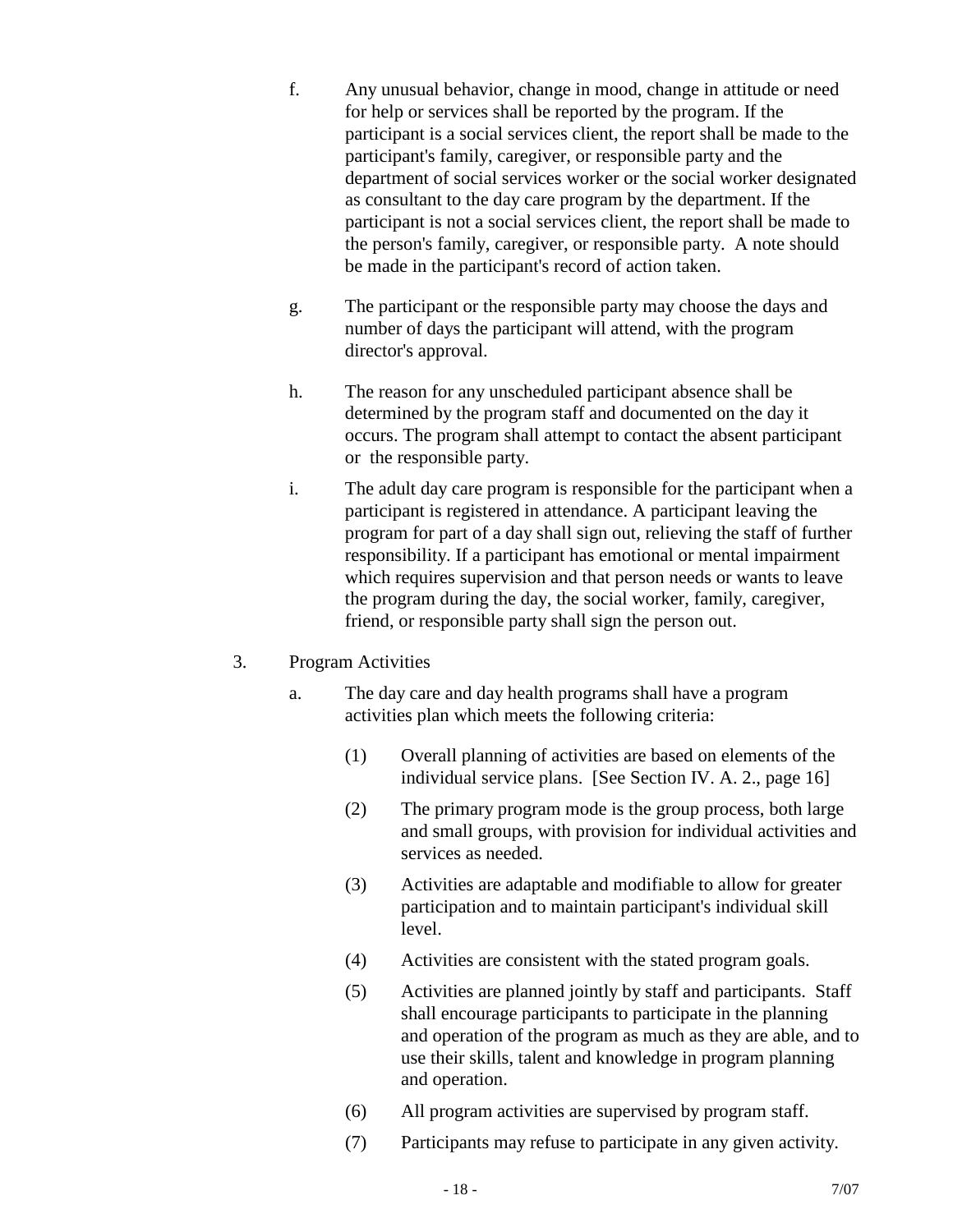- f. Any unusual behavior, change in mood, change in attitude or need for help or services shall be reported by the program. If the participant is a social services client, the report shall be made to the participant's family, caregiver, or responsible party and the department of social services worker or the social worker designated as consultant to the day care program by the department. If the participant is not a social services client, the report shall be made to the person's family, caregiver, or responsible party. A note should be made in the participant's record of action taken.
- g. The participant or the responsible party may choose the days and number of days the participant will attend, with the program director's approval.
- h. The reason for any unscheduled participant absence shall be determined by the program staff and documented on the day it occurs. The program shall attempt to contact the absent participant or the responsible party.
- i. The adult day care program is responsible for the participant when a participant is registered in attendance. A participant leaving the program for part of a day shall sign out, relieving the staff of further responsibility. If a participant has emotional or mental impairment which requires supervision and that person needs or wants to leave the program during the day, the social worker, family, caregiver, friend, or responsible party shall sign the person out.
- 3. Program Activities
	- a. The day care and day health programs shall have a program activities plan which meets the following criteria:
		- (1) Overall planning of activities are based on elements of the individual service plans. [See Section IV. A. 2., page 16]
		- (2) The primary program mode is the group process, both large and small groups, with provision for individual activities and services as needed.
		- (3) Activities are adaptable and modifiable to allow for greater participation and to maintain participant's individual skill level.
		- (4) Activities are consistent with the stated program goals.
		- (5) Activities are planned jointly by staff and participants. Staff shall encourage participants to participate in the planning and operation of the program as much as they are able, and to use their skills, talent and knowledge in program planning and operation.
		- (6) All program activities are supervised by program staff.
		- (7) Participants may refuse to participate in any given activity.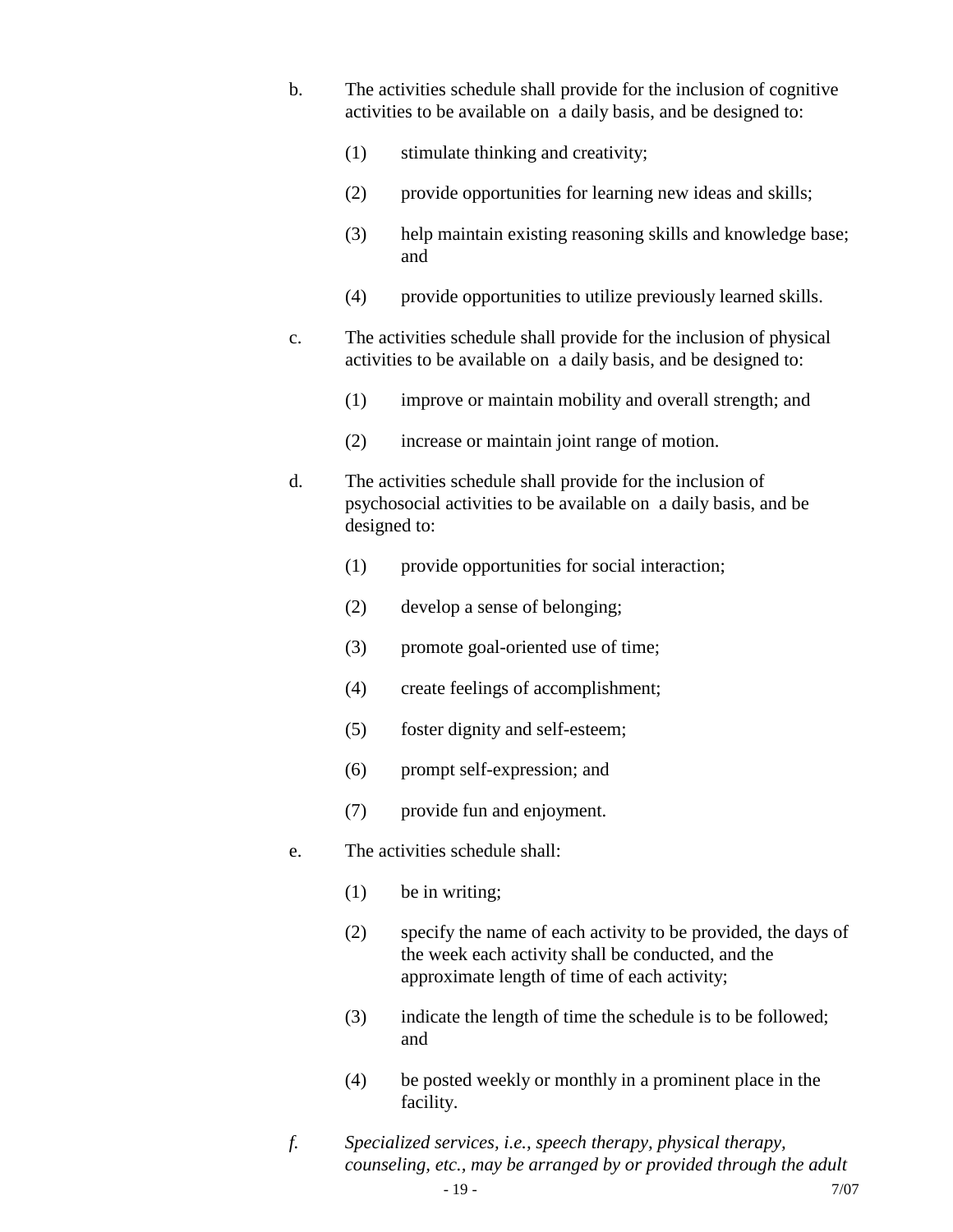- b. The activities schedule shall provide for the inclusion of cognitive activities to be available on a daily basis, and be designed to:
	- (1) stimulate thinking and creativity;
	- (2) provide opportunities for learning new ideas and skills;
	- (3) help maintain existing reasoning skills and knowledge base; and
	- (4) provide opportunities to utilize previously learned skills.
- c. The activities schedule shall provide for the inclusion of physical activities to be available on a daily basis, and be designed to:
	- (1) improve or maintain mobility and overall strength; and
	- (2) increase or maintain joint range of motion.
- d. The activities schedule shall provide for the inclusion of psychosocial activities to be available on a daily basis, and be designed to:
	- (1) provide opportunities for social interaction;
	- (2) develop a sense of belonging;
	- (3) promote goal-oriented use of time;
	- (4) create feelings of accomplishment;
	- (5) foster dignity and self-esteem;
	- (6) prompt self-expression; and
	- (7) provide fun and enjoyment.
- e. The activities schedule shall:
	- (1) be in writing;
	- (2) specify the name of each activity to be provided, the days of the week each activity shall be conducted, and the approximate length of time of each activity;
	- (3) indicate the length of time the schedule is to be followed; and
	- (4) be posted weekly or monthly in a prominent place in the facility.
- *f. Specialized services, i.e., speech therapy, physical therapy, counseling, etc., may be arranged by or provided through the adult*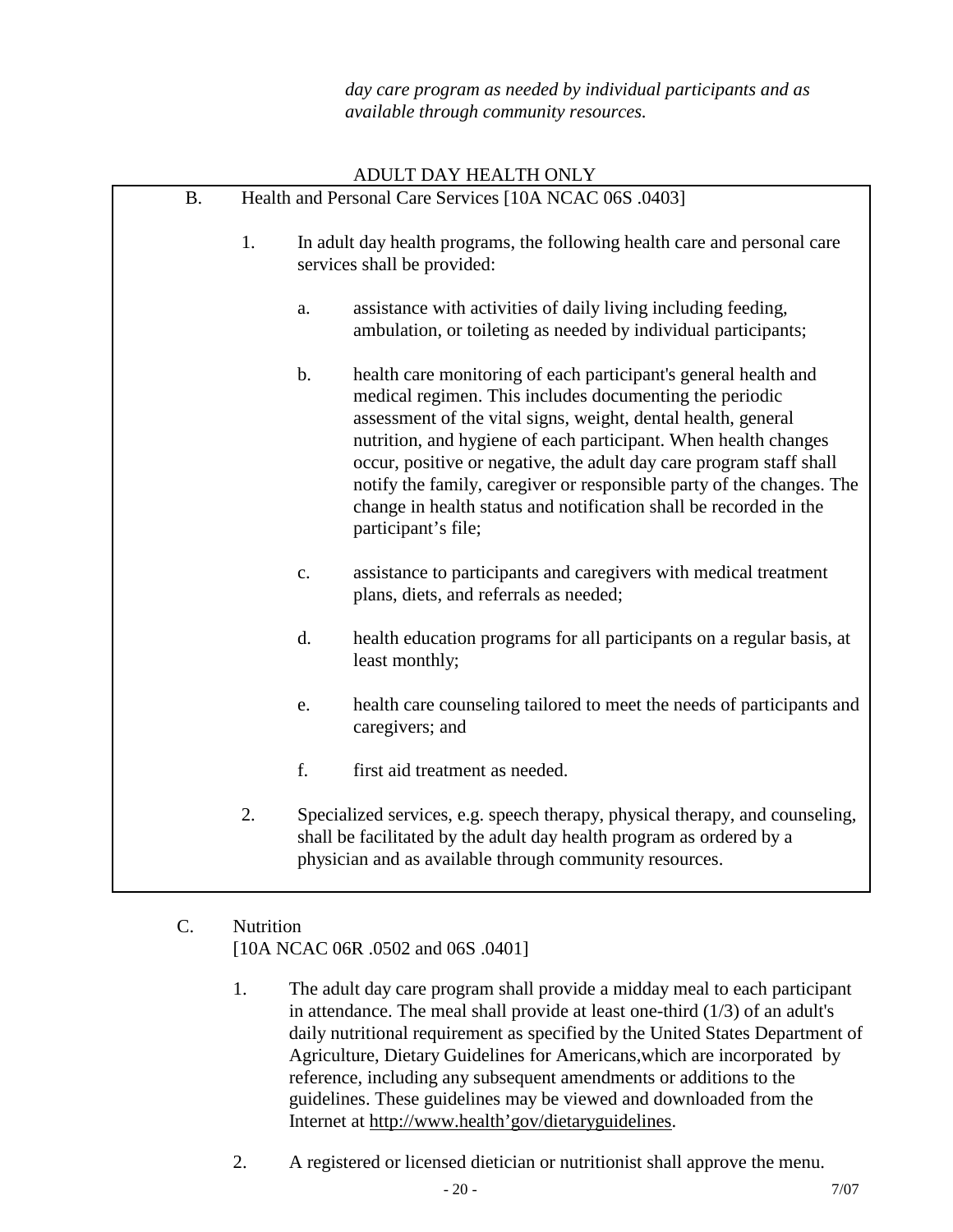*day care program as needed by individual participants and as available through community resources.*

|           |                                                        |               | ADULT DAY HEALTH ONLY                                                                                                                                                                                                                                                                                                                                                                                                                                                                                      |  |
|-----------|--------------------------------------------------------|---------------|------------------------------------------------------------------------------------------------------------------------------------------------------------------------------------------------------------------------------------------------------------------------------------------------------------------------------------------------------------------------------------------------------------------------------------------------------------------------------------------------------------|--|
| <b>B.</b> | Health and Personal Care Services [10A NCAC 06S .0403] |               |                                                                                                                                                                                                                                                                                                                                                                                                                                                                                                            |  |
|           | 1.                                                     |               | In adult day health programs, the following health care and personal care<br>services shall be provided:                                                                                                                                                                                                                                                                                                                                                                                                   |  |
|           |                                                        | a.            | assistance with activities of daily living including feeding,<br>ambulation, or toileting as needed by individual participants;                                                                                                                                                                                                                                                                                                                                                                            |  |
|           |                                                        | $\mathbf b$ . | health care monitoring of each participant's general health and<br>medical regimen. This includes documenting the periodic<br>assessment of the vital signs, weight, dental health, general<br>nutrition, and hygiene of each participant. When health changes<br>occur, positive or negative, the adult day care program staff shall<br>notify the family, caregiver or responsible party of the changes. The<br>change in health status and notification shall be recorded in the<br>participant's file; |  |
|           |                                                        | c.            | assistance to participants and caregivers with medical treatment<br>plans, diets, and referrals as needed;                                                                                                                                                                                                                                                                                                                                                                                                 |  |
|           |                                                        | d.            | health education programs for all participants on a regular basis, at<br>least monthly;                                                                                                                                                                                                                                                                                                                                                                                                                    |  |
|           |                                                        | e.            | health care counseling tailored to meet the needs of participants and<br>caregivers; and                                                                                                                                                                                                                                                                                                                                                                                                                   |  |
|           |                                                        | f.            | first aid treatment as needed.                                                                                                                                                                                                                                                                                                                                                                                                                                                                             |  |
|           | 2.                                                     |               | Specialized services, e.g. speech therapy, physical therapy, and counseling,<br>shall be facilitated by the adult day health program as ordered by a<br>physician and as available through community resources.                                                                                                                                                                                                                                                                                            |  |

## C. Nutrition [10A NCAC 06R .0502 and 06S .0401]

- 1. The adult day care program shall provide a midday meal to each participant in attendance. The meal shall provide at least one-third (1/3) of an adult's daily nutritional requirement as specified by the United States Department of Agriculture, Dietary Guidelines for Americans,which are incorporated by reference, including any subsequent amendments or additions to the guidelines. These guidelines may be viewed and downloaded from the Internet at [http://www.health'gov/dietaryguidelines.](http://www.health)
- 2. A registered or licensed dietician or nutritionist shall approve the menu.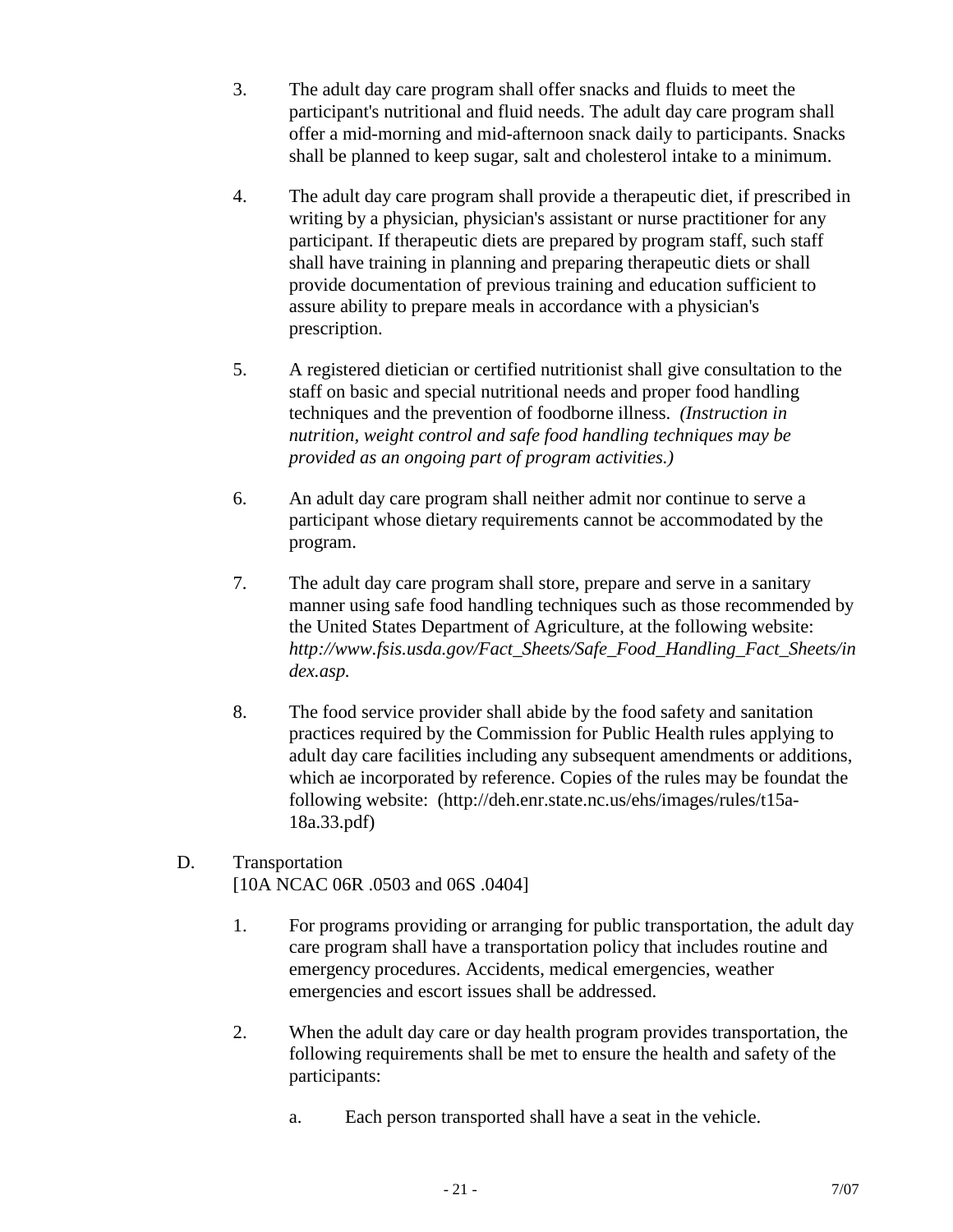- 3. The adult day care program shall offer snacks and fluids to meet the participant's nutritional and fluid needs. The adult day care program shall offer a mid-morning and mid-afternoon snack daily to participants. Snacks shall be planned to keep sugar, salt and cholesterol intake to a minimum.
- 4. The adult day care program shall provide a therapeutic diet, if prescribed in writing by a physician, physician's assistant or nurse practitioner for any participant. If therapeutic diets are prepared by program staff, such staff shall have training in planning and preparing therapeutic diets or shall provide documentation of previous training and education sufficient to assure ability to prepare meals in accordance with a physician's prescription.
- 5. A registered dietician or certified nutritionist shall give consultation to the staff on basic and special nutritional needs and proper food handling techniques and the prevention of foodborne illness. *(Instruction in nutrition, weight control and safe food handling techniques may be provided as an ongoing part of program activities.)*
- 6. An adult day care program shall neither admit nor continue to serve a participant whose dietary requirements cannot be accommodated by the program.
- 7. The adult day care program shall store, prepare and serve in a sanitary manner using safe food handling techniques such as those recommended by the United States Department of Agriculture, at the following website: *http://www.fsis.usda.gov/Fact\_Sheets/Safe\_Food\_Handling\_Fact\_Sheets/in dex.asp.*
- 8. The food service provider shall abide by the food safety and sanitation practices required by the Commission for Public Health rules applying to adult day care facilities including any subsequent amendments or additions, which ae incorporated by reference. Copies of the rules may be foundat the following website: (http://deh.enr.state.nc.us/ehs/images/rules/t15a-18a.33.pdf)
- D. Transportation [10A NCAC 06R .0503 and 06S .0404]
	- 1. For programs providing or arranging for public transportation, the adult day care program shall have a transportation policy that includes routine and emergency procedures. Accidents, medical emergencies, weather emergencies and escort issues shall be addressed.
	- 2. When the adult day care or day health program provides transportation, the following requirements shall be met to ensure the health and safety of the participants:
		- a. Each person transported shall have a seat in the vehicle.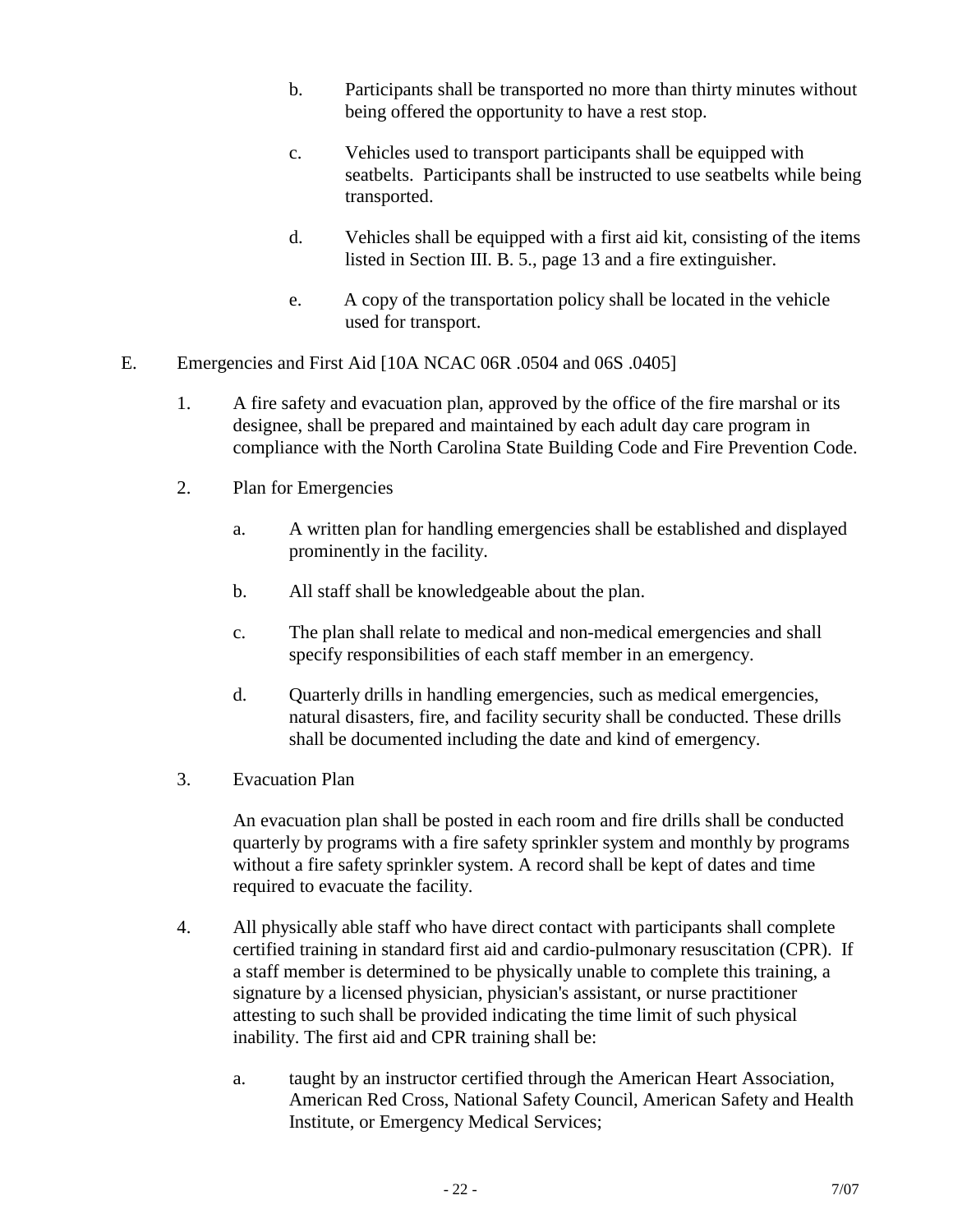- b. Participants shall be transported no more than thirty minutes without being offered the opportunity to have a rest stop.
- c. Vehicles used to transport participants shall be equipped with seatbelts. Participants shall be instructed to use seatbelts while being transported.
- d. Vehicles shall be equipped with a first aid kit, consisting of the items listed in Section III. B. 5., page 13 and a fire extinguisher.
- e. A copy of the transportation policy shall be located in the vehicle used for transport.
- E. Emergencies and First Aid [10A NCAC 06R .0504 and 06S .0405]
	- 1. A fire safety and evacuation plan, approved by the office of the fire marshal or its designee, shall be prepared and maintained by each adult day care program in compliance with the North Carolina State Building Code and Fire Prevention Code.
	- 2. Plan for Emergencies
		- a. A written plan for handling emergencies shall be established and displayed prominently in the facility.
		- b. All staff shall be knowledgeable about the plan.
		- c. The plan shall relate to medical and non-medical emergencies and shall specify responsibilities of each staff member in an emergency.
		- d. Quarterly drills in handling emergencies, such as medical emergencies, natural disasters, fire, and facility security shall be conducted. These drills shall be documented including the date and kind of emergency.
	- 3. Evacuation Plan

An evacuation plan shall be posted in each room and fire drills shall be conducted quarterly by programs with a fire safety sprinkler system and monthly by programs without a fire safety sprinkler system. A record shall be kept of dates and time required to evacuate the facility.

- 4. All physically able staff who have direct contact with participants shall complete certified training in standard first aid and cardio-pulmonary resuscitation (CPR). If a staff member is determined to be physically unable to complete this training, a signature by a licensed physician, physician's assistant, or nurse practitioner attesting to such shall be provided indicating the time limit of such physical inability. The first aid and CPR training shall be:
	- a. taught by an instructor certified through the American Heart Association, American Red Cross, National Safety Council, American Safety and Health Institute, or Emergency Medical Services;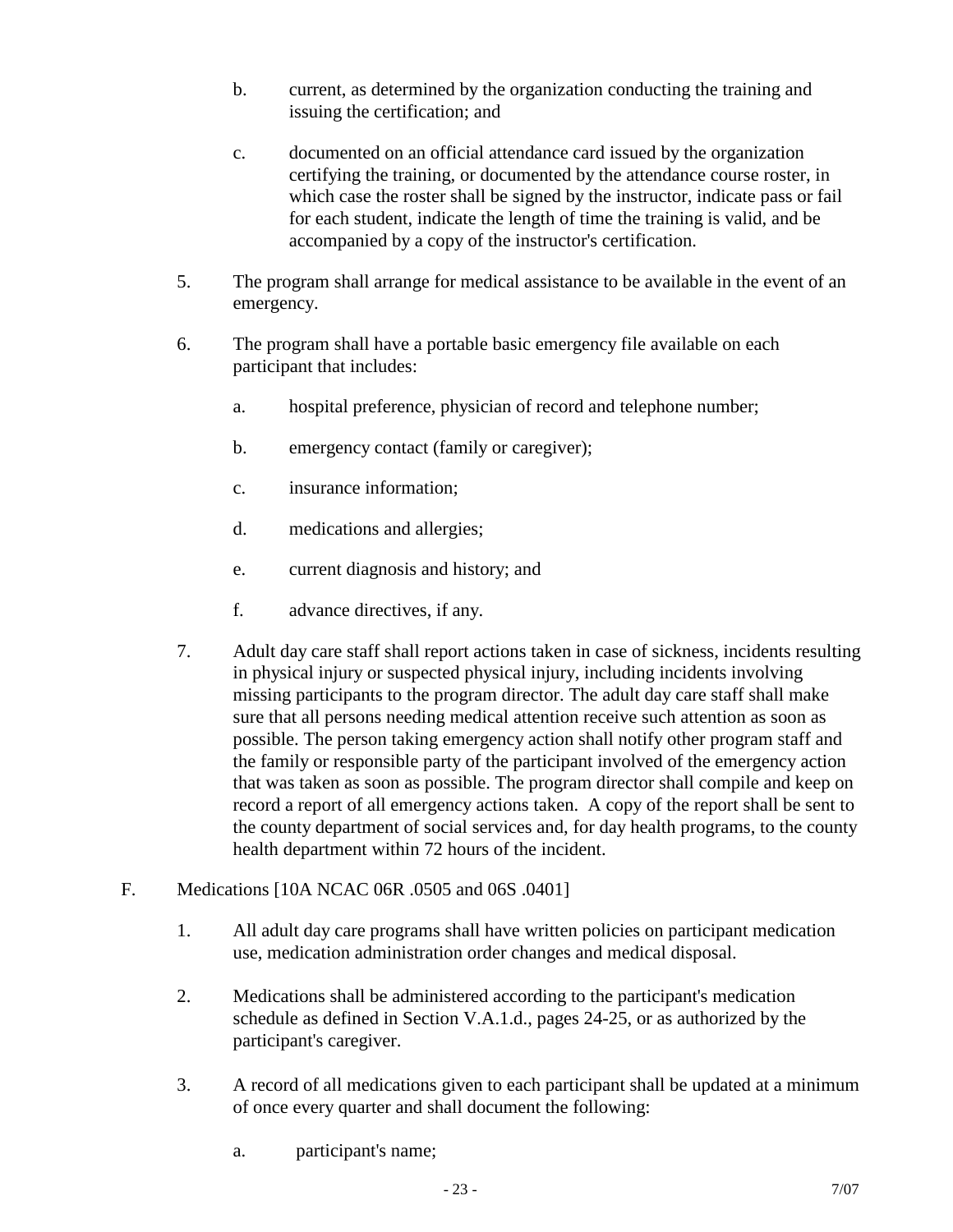- b. current, as determined by the organization conducting the training and issuing the certification; and
- c. documented on an official attendance card issued by the organization certifying the training, or documented by the attendance course roster, in which case the roster shall be signed by the instructor, indicate pass or fail for each student, indicate the length of time the training is valid, and be accompanied by a copy of the instructor's certification.
- 5. The program shall arrange for medical assistance to be available in the event of an emergency.
- 6. The program shall have a portable basic emergency file available on each participant that includes:
	- a. hospital preference, physician of record and telephone number;
	- b. emergency contact (family or caregiver);
	- c. insurance information;
	- d. medications and allergies;
	- e. current diagnosis and history; and
	- f. advance directives, if any.
- 7. Adult day care staff shall report actions taken in case of sickness, incidents resulting in physical injury or suspected physical injury, including incidents involving missing participants to the program director. The adult day care staff shall make sure that all persons needing medical attention receive such attention as soon as possible. The person taking emergency action shall notify other program staff and the family or responsible party of the participant involved of the emergency action that was taken as soon as possible. The program director shall compile and keep on record a report of all emergency actions taken. A copy of the report shall be sent to the county department of social services and, for day health programs, to the county health department within 72 hours of the incident.
- F. Medications [10A NCAC 06R .0505 and 06S .0401]
	- 1. All adult day care programs shall have written policies on participant medication use, medication administration order changes and medical disposal.
	- 2. Medications shall be administered according to the participant's medication schedule as defined in Section V.A.1.d., pages 24-25, or as authorized by the participant's caregiver.
	- 3. A record of all medications given to each participant shall be updated at a minimum of once every quarter and shall document the following:
		- a. participant's name;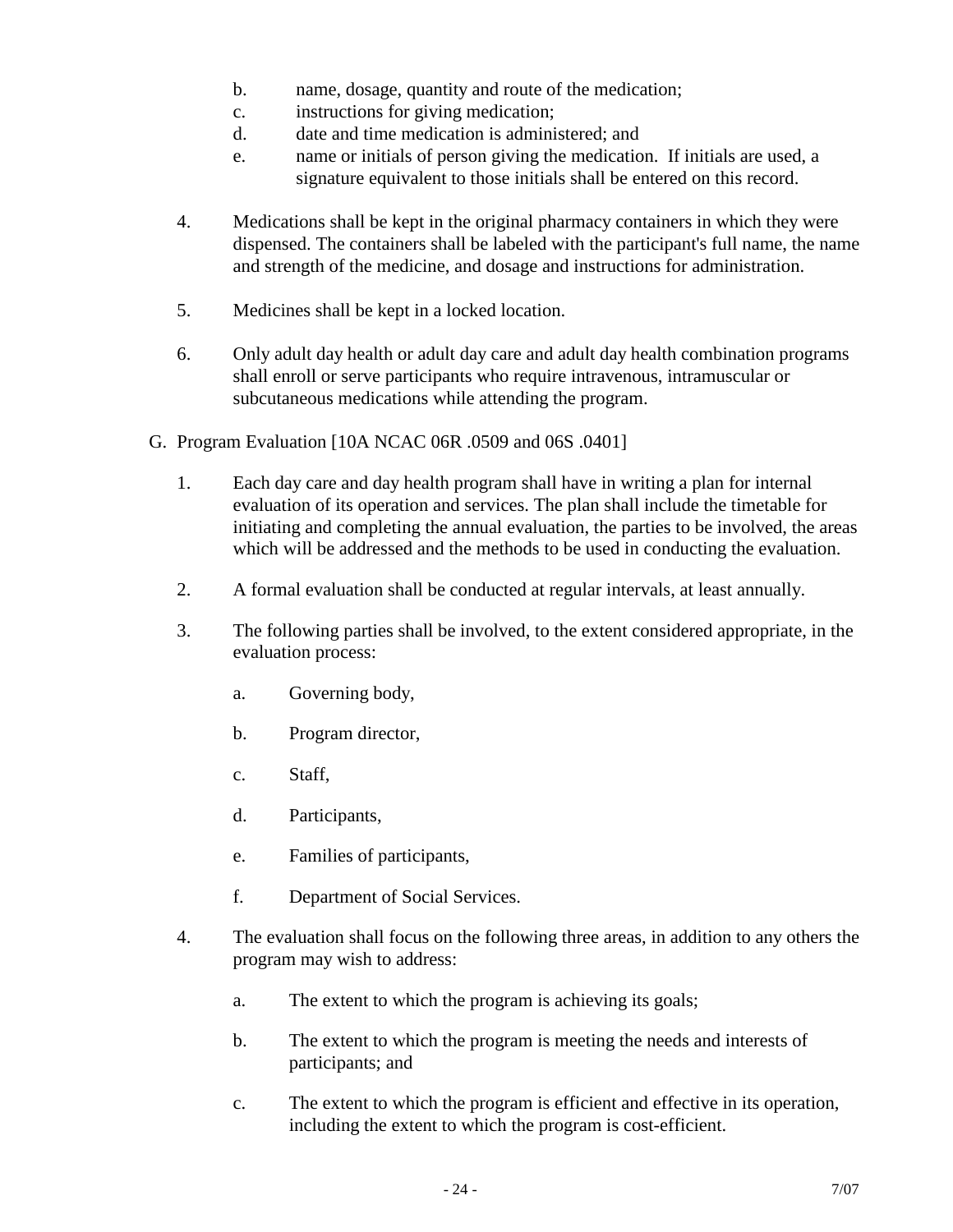- b. name, dosage, quantity and route of the medication;
- c. instructions for giving medication;
- d. date and time medication is administered; and
- e. name or initials of person giving the medication. If initials are used, a signature equivalent to those initials shall be entered on this record.
- 4. Medications shall be kept in the original pharmacy containers in which they were dispensed. The containers shall be labeled with the participant's full name, the name and strength of the medicine, and dosage and instructions for administration.
- 5. Medicines shall be kept in a locked location.
- 6. Only adult day health or adult day care and adult day health combination programs shall enroll or serve participants who require intravenous, intramuscular or subcutaneous medications while attending the program.
- G. Program Evaluation [10A NCAC 06R .0509 and 06S .0401]
	- 1. Each day care and day health program shall have in writing a plan for internal evaluation of its operation and services. The plan shall include the timetable for initiating and completing the annual evaluation, the parties to be involved, the areas which will be addressed and the methods to be used in conducting the evaluation.
	- 2. A formal evaluation shall be conducted at regular intervals, at least annually.
	- 3. The following parties shall be involved, to the extent considered appropriate, in the evaluation process:
		- a. Governing body,
		- b. Program director,
		- c. Staff,
		- d. Participants,
		- e. Families of participants,
		- f. Department of Social Services.
	- 4. The evaluation shall focus on the following three areas, in addition to any others the program may wish to address:
		- a. The extent to which the program is achieving its goals;
		- b. The extent to which the program is meeting the needs and interests of participants; and
		- c. The extent to which the program is efficient and effective in its operation, including the extent to which the program is cost-efficient.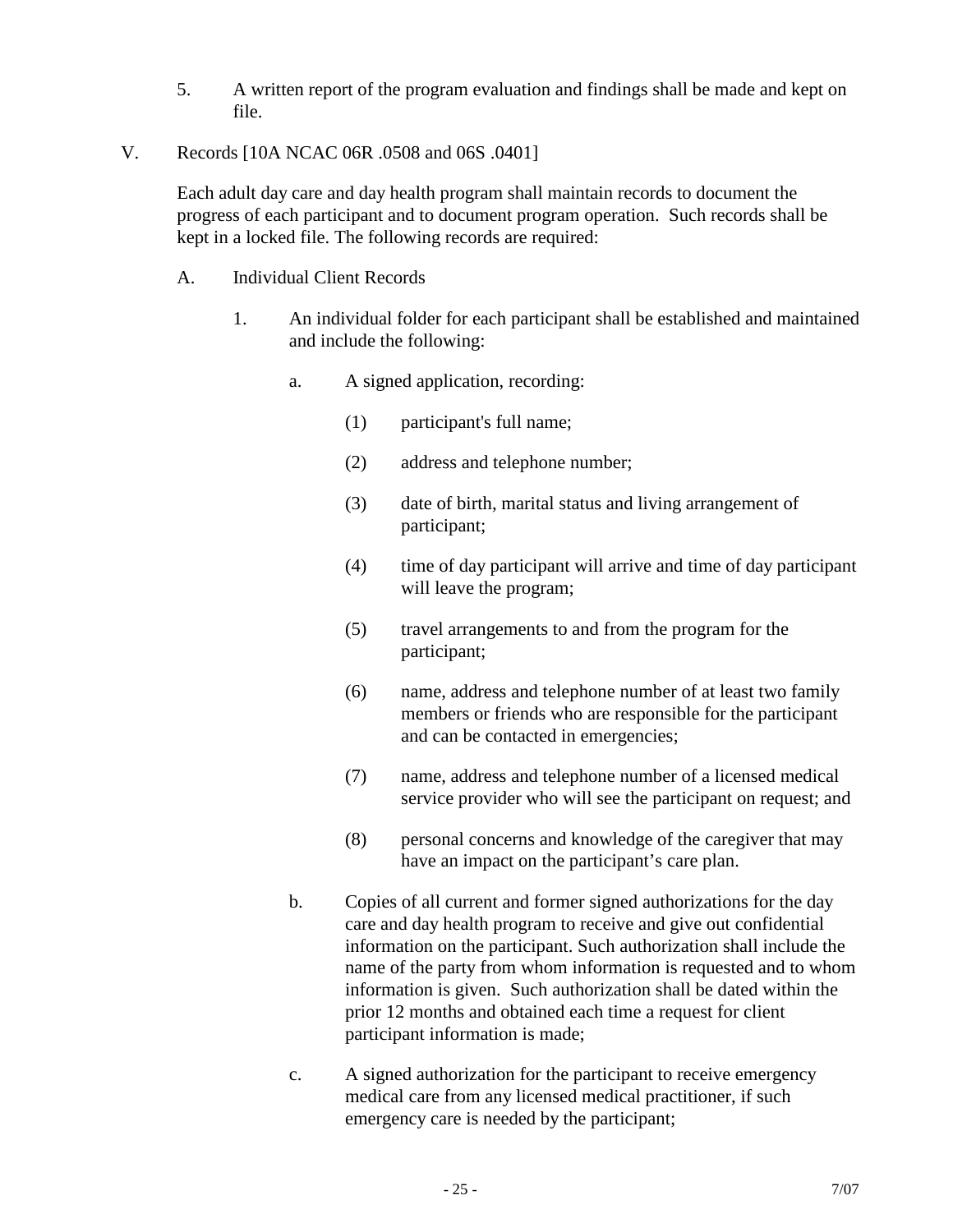- 5. A written report of the program evaluation and findings shall be made and kept on file.
- V. Records [10A NCAC 06R .0508 and 06S .0401]

Each adult day care and day health program shall maintain records to document the progress of each participant and to document program operation. Such records shall be kept in a locked file. The following records are required:

- A. Individual Client Records
	- 1. An individual folder for each participant shall be established and maintained and include the following:
		- a. A signed application, recording:
			- (1) participant's full name;
			- (2) address and telephone number;
			- (3) date of birth, marital status and living arrangement of participant;
			- (4) time of day participant will arrive and time of day participant will leave the program;
			- (5) travel arrangements to and from the program for the participant;
			- (6) name, address and telephone number of at least two family members or friends who are responsible for the participant and can be contacted in emergencies;
			- (7) name, address and telephone number of a licensed medical service provider who will see the participant on request; and
			- (8) personal concerns and knowledge of the caregiver that may have an impact on the participant's care plan.
		- b. Copies of all current and former signed authorizations for the day care and day health program to receive and give out confidential information on the participant. Such authorization shall include the name of the party from whom information is requested and to whom information is given. Such authorization shall be dated within the prior 12 months and obtained each time a request for client participant information is made;
		- c. A signed authorization for the participant to receive emergency medical care from any licensed medical practitioner, if such emergency care is needed by the participant;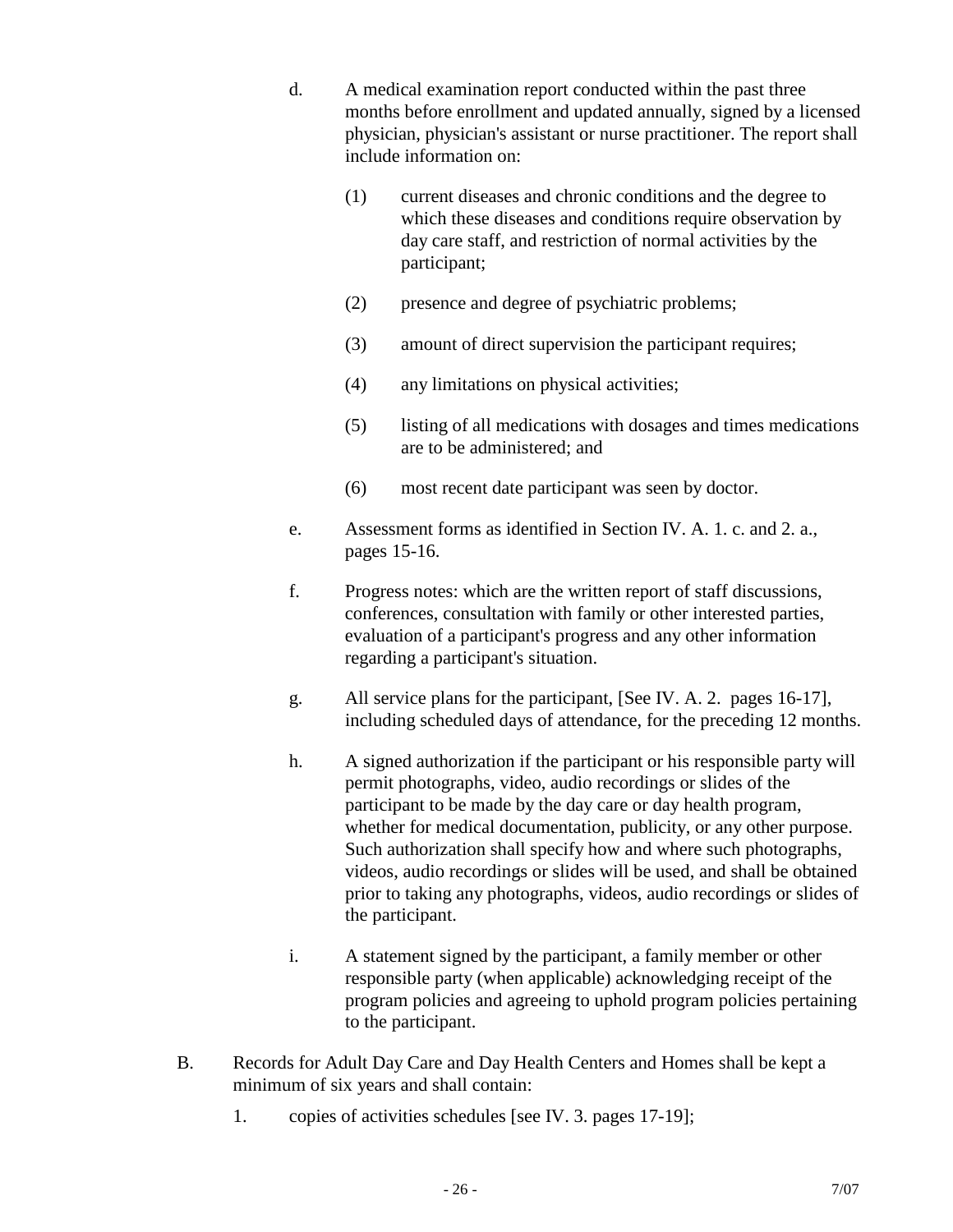- d. A medical examination report conducted within the past three months before enrollment and updated annually, signed by a licensed physician, physician's assistant or nurse practitioner. The report shall include information on:
	- (1) current diseases and chronic conditions and the degree to which these diseases and conditions require observation by day care staff, and restriction of normal activities by the participant;
	- (2) presence and degree of psychiatric problems;
	- (3) amount of direct supervision the participant requires;
	- (4) any limitations on physical activities;
	- (5) listing of all medications with dosages and times medications are to be administered; and
	- (6) most recent date participant was seen by doctor.
- e. Assessment forms as identified in Section IV. A. 1. c. and 2. a., pages 15-16.
- f. Progress notes: which are the written report of staff discussions, conferences, consultation with family or other interested parties, evaluation of a participant's progress and any other information regarding a participant's situation.
- g. All service plans for the participant, [See IV. A. 2. pages 16-17], including scheduled days of attendance, for the preceding 12 months.
- h. A signed authorization if the participant or his responsible party will permit photographs, video, audio recordings or slides of the participant to be made by the day care or day health program, whether for medical documentation, publicity, or any other purpose. Such authorization shall specify how and where such photographs, videos, audio recordings or slides will be used, and shall be obtained prior to taking any photographs, videos, audio recordings or slides of the participant.
- i. A statement signed by the participant, a family member or other responsible party (when applicable) acknowledging receipt of the program policies and agreeing to uphold program policies pertaining to the participant.
- B. Records for Adult Day Care and Day Health Centers and Homes shall be kept a minimum of six years and shall contain:
	- 1. copies of activities schedules [see IV. 3. pages 17-19];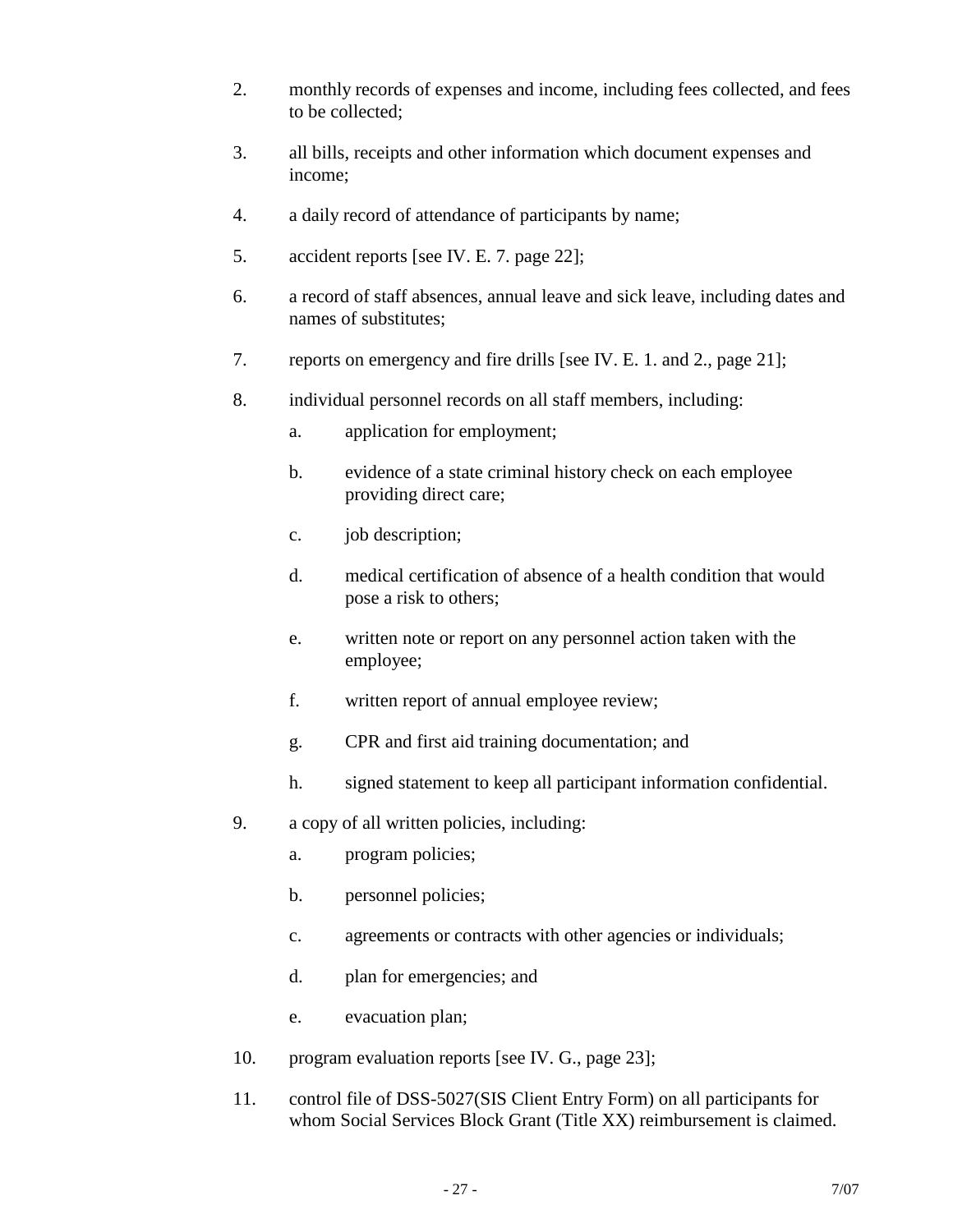- 2. monthly records of expenses and income, including fees collected, and fees to be collected;
- 3. all bills, receipts and other information which document expenses and income;
- 4. a daily record of attendance of participants by name;
- 5. accident reports [see IV. E. 7. page 22];
- 6. a record of staff absences, annual leave and sick leave, including dates and names of substitutes;
- 7. reports on emergency and fire drills [see IV. E. 1. and 2., page 21];
- 8. individual personnel records on all staff members, including:
	- a. application for employment;
	- b. evidence of a state criminal history check on each employee providing direct care;
	- c. job description;
	- d. medical certification of absence of a health condition that would pose a risk to others;
	- e. written note or report on any personnel action taken with the employee;
	- f. written report of annual employee review;
	- g. CPR and first aid training documentation; and
	- h. signed statement to keep all participant information confidential.
- 9. a copy of all written policies, including:
	- a. program policies;
	- b. personnel policies;
	- c. agreements or contracts with other agencies or individuals;
	- d. plan for emergencies; and
	- e. evacuation plan;
- 10. program evaluation reports [see IV. G., page 23];
- 11. control file of DSS-5027(SIS Client Entry Form) on all participants for whom Social Services Block Grant (Title XX) reimbursement is claimed.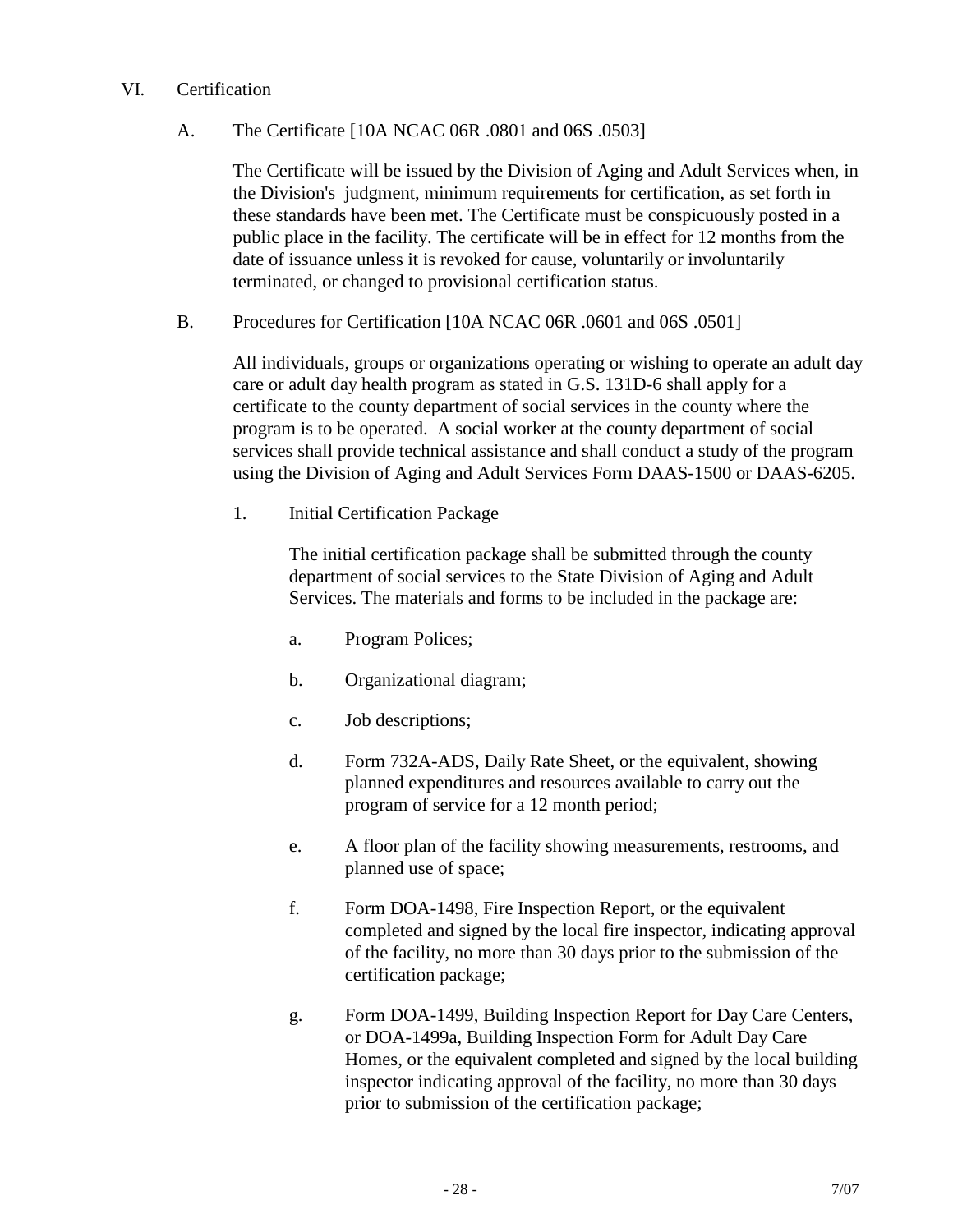#### VI. Certification

## A. The Certificate [10A NCAC 06R .0801 and 06S .0503]

The Certificate will be issued by the Division of Aging and Adult Services when, in the Division's judgment, minimum requirements for certification, as set forth in these standards have been met. The Certificate must be conspicuously posted in a public place in the facility. The certificate will be in effect for 12 months from the date of issuance unless it is revoked for cause, voluntarily or involuntarily terminated, or changed to provisional certification status.

B. Procedures for Certification [10A NCAC 06R .0601 and 06S .0501]

All individuals, groups or organizations operating or wishing to operate an adult day care or adult day health program as stated in G.S. 131D-6 shall apply for a certificate to the county department of social services in the county where the program is to be operated. A social worker at the county department of social services shall provide technical assistance and shall conduct a study of the program using the Division of Aging and Adult Services Form DAAS-1500 or DAAS-6205.

1. Initial Certification Package

The initial certification package shall be submitted through the county department of social services to the State Division of Aging and Adult Services. The materials and forms to be included in the package are:

- a. Program Polices;
- b. Organizational diagram;
- c. Job descriptions;
- d. Form 732A-ADS, Daily Rate Sheet, or the equivalent, showing planned expenditures and resources available to carry out the program of service for a 12 month period;
- e. A floor plan of the facility showing measurements, restrooms, and planned use of space;
- f. Form DOA-1498, Fire Inspection Report, or the equivalent completed and signed by the local fire inspector, indicating approval of the facility, no more than 30 days prior to the submission of the certification package;
- g. Form DOA-1499, Building Inspection Report for Day Care Centers, or DOA-1499a, Building Inspection Form for Adult Day Care Homes, or the equivalent completed and signed by the local building inspector indicating approval of the facility, no more than 30 days prior to submission of the certification package;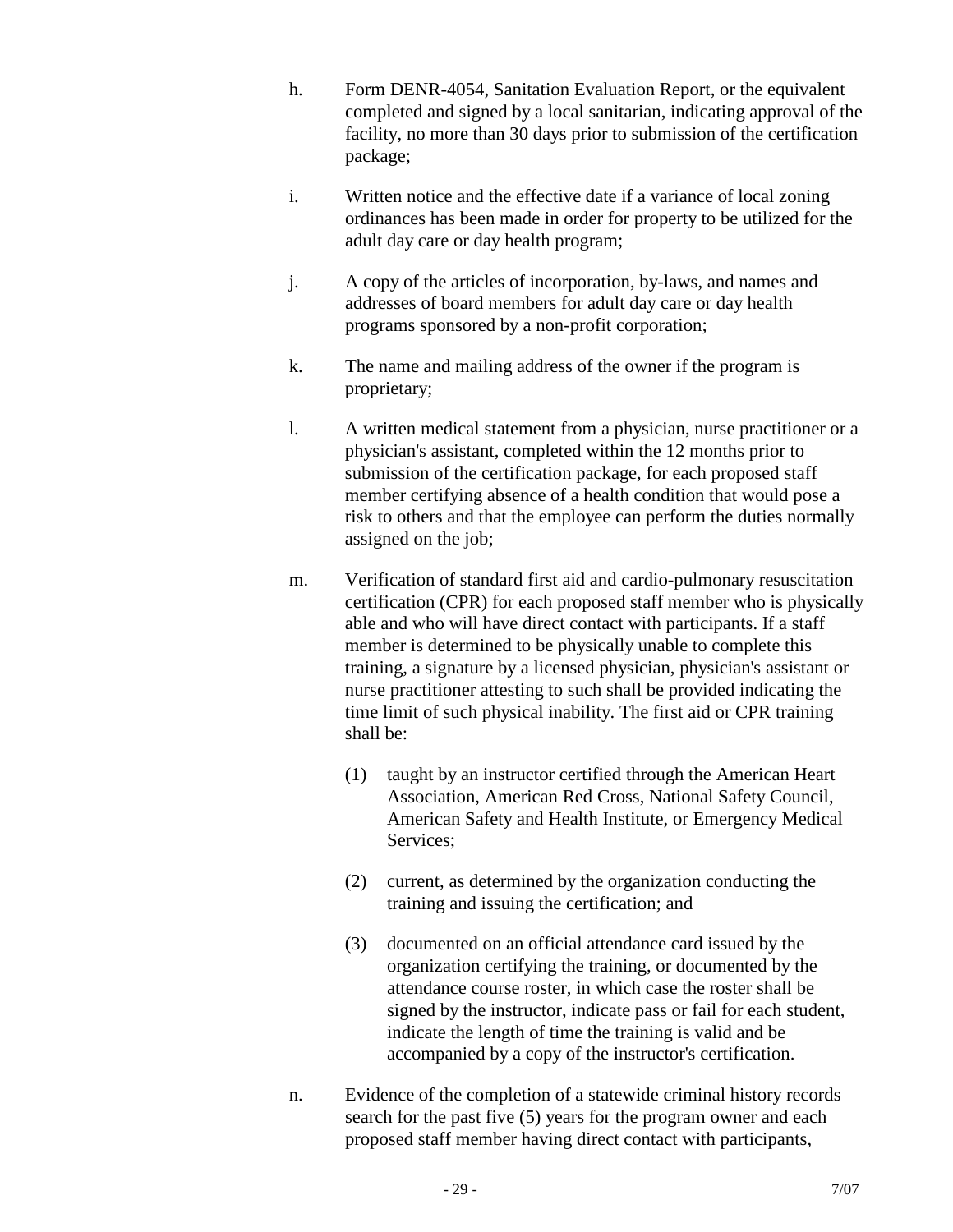- h. Form DENR-4054, Sanitation Evaluation Report, or the equivalent completed and signed by a local sanitarian, indicating approval of the facility, no more than 30 days prior to submission of the certification package;
- i. Written notice and the effective date if a variance of local zoning ordinances has been made in order for property to be utilized for the adult day care or day health program;
- j. A copy of the articles of incorporation, by-laws, and names and addresses of board members for adult day care or day health programs sponsored by a non-profit corporation;
- k. The name and mailing address of the owner if the program is proprietary;
- l. A written medical statement from a physician, nurse practitioner or a physician's assistant, completed within the 12 months prior to submission of the certification package, for each proposed staff member certifying absence of a health condition that would pose a risk to others and that the employee can perform the duties normally assigned on the job;
- m. Verification of standard first aid and cardio-pulmonary resuscitation certification (CPR) for each proposed staff member who is physically able and who will have direct contact with participants. If a staff member is determined to be physically unable to complete this training, a signature by a licensed physician, physician's assistant or nurse practitioner attesting to such shall be provided indicating the time limit of such physical inability. The first aid or CPR training shall be:
	- (1) taught by an instructor certified through the American Heart Association, American Red Cross, National Safety Council, American Safety and Health Institute, or Emergency Medical Services;
	- (2) current, as determined by the organization conducting the training and issuing the certification; and
	- (3) documented on an official attendance card issued by the organization certifying the training, or documented by the attendance course roster, in which case the roster shall be signed by the instructor, indicate pass or fail for each student, indicate the length of time the training is valid and be accompanied by a copy of the instructor's certification.
- n. Evidence of the completion of a statewide criminal history records search for the past five (5) years for the program owner and each proposed staff member having direct contact with participants,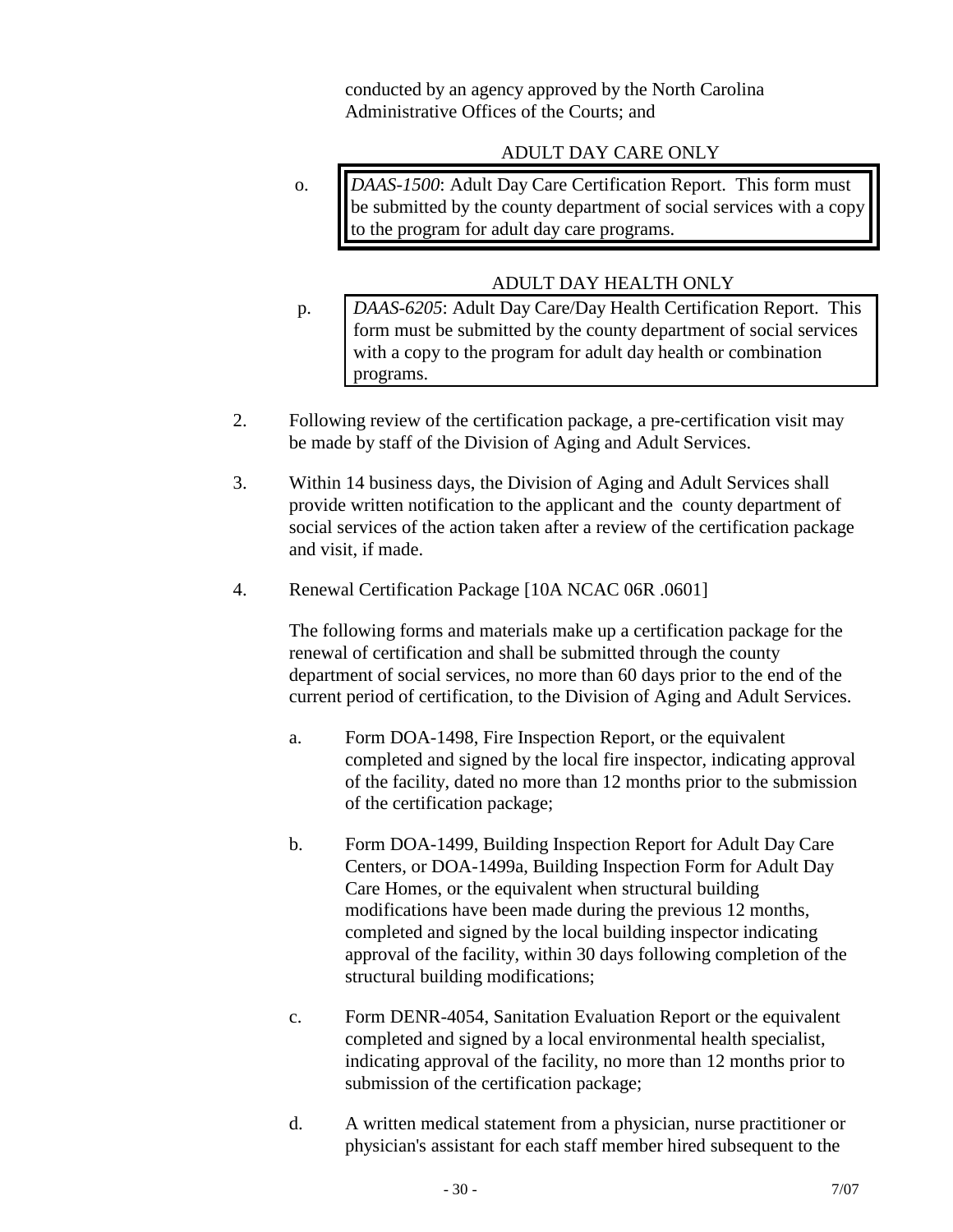conducted by an agency approved by the North Carolina Administrative Offices of the Courts; and

### ADULT DAY CARE ONLY

o. *DAAS-1500*: Adult Day Care Certification Report. This form must be submitted by the county department of social services with a copy to the program for adult day care programs.

## ADULT DAY HEALTH ONLY

- p. *DAAS-6205*: Adult Day Care/Day Health Certification Report. This form must be submitted by the county department of social services with a copy to the program for adult day health or combination programs.
- 2. Following review of the certification package, a pre-certification visit may be made by staff of the Division of Aging and Adult Services.
- 3. Within 14 business days, the Division of Aging and Adult Services shall provide written notification to the applicant and the county department of social services of the action taken after a review of the certification package and visit, if made.
- 4. Renewal Certification Package [10A NCAC 06R .0601]

The following forms and materials make up a certification package for the renewal of certification and shall be submitted through the county department of social services, no more than 60 days prior to the end of the current period of certification, to the Division of Aging and Adult Services.

- a. Form DOA-1498, Fire Inspection Report, or the equivalent completed and signed by the local fire inspector, indicating approval of the facility, dated no more than 12 months prior to the submission of the certification package;
- b. Form DOA-1499, Building Inspection Report for Adult Day Care Centers, or DOA-1499a, Building Inspection Form for Adult Day Care Homes, or the equivalent when structural building modifications have been made during the previous 12 months, completed and signed by the local building inspector indicating approval of the facility, within 30 days following completion of the structural building modifications;
- c. Form DENR-4054, Sanitation Evaluation Report or the equivalent completed and signed by a local environmental health specialist, indicating approval of the facility, no more than 12 months prior to submission of the certification package;
- d. A written medical statement from a physician, nurse practitioner or physician's assistant for each staff member hired subsequent to the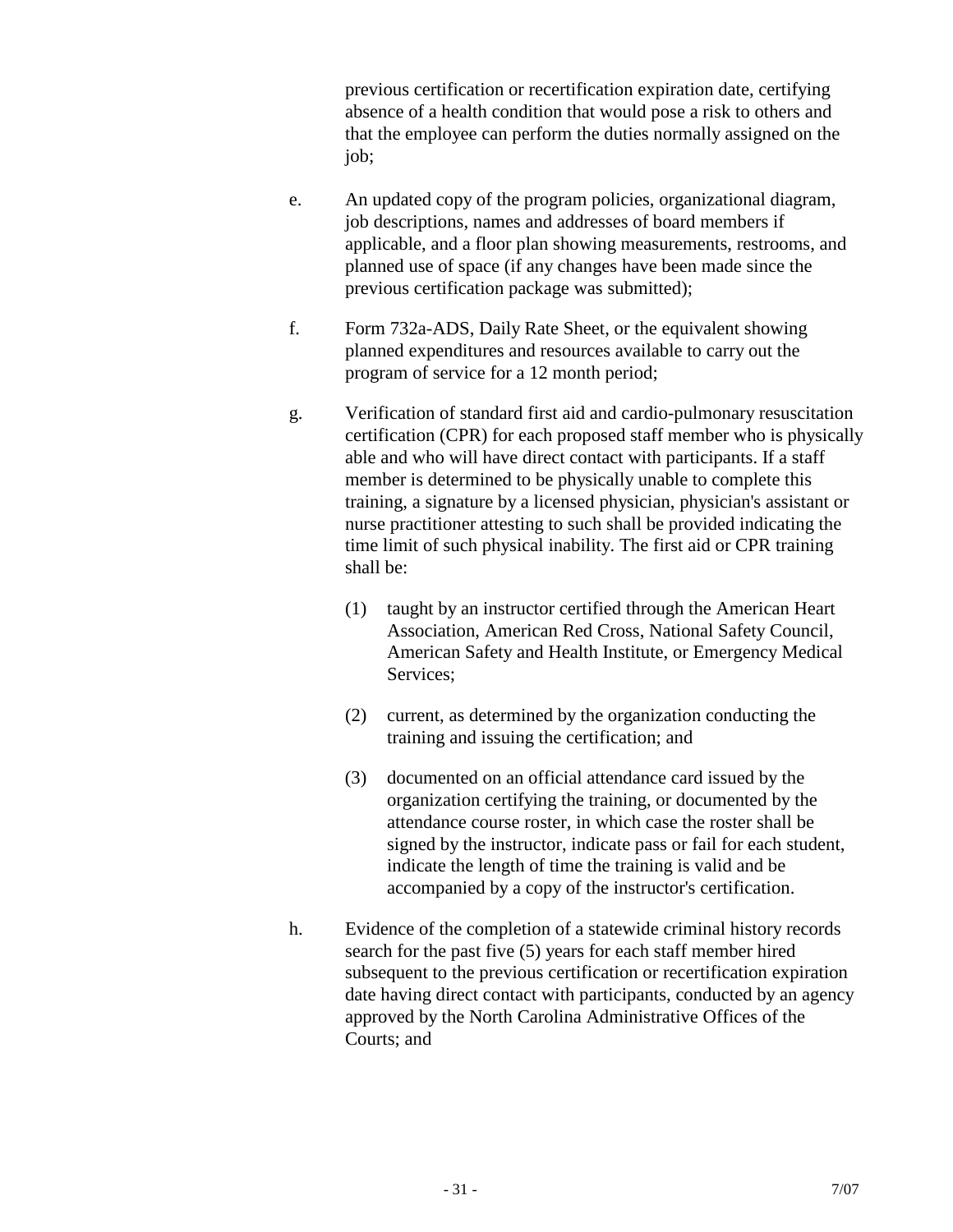previous certification or recertification expiration date, certifying absence of a health condition that would pose a risk to others and that the employee can perform the duties normally assigned on the job;

- e. An updated copy of the program policies, organizational diagram, job descriptions, names and addresses of board members if applicable, and a floor plan showing measurements, restrooms, and planned use of space (if any changes have been made since the previous certification package was submitted);
- f. Form 732a-ADS, Daily Rate Sheet, or the equivalent showing planned expenditures and resources available to carry out the program of service for a 12 month period;
- g. Verification of standard first aid and cardio-pulmonary resuscitation certification (CPR) for each proposed staff member who is physically able and who will have direct contact with participants. If a staff member is determined to be physically unable to complete this training, a signature by a licensed physician, physician's assistant or nurse practitioner attesting to such shall be provided indicating the time limit of such physical inability. The first aid or CPR training shall be:
	- (1) taught by an instructor certified through the American Heart Association, American Red Cross, National Safety Council, American Safety and Health Institute, or Emergency Medical Services;
	- (2) current, as determined by the organization conducting the training and issuing the certification; and
	- (3) documented on an official attendance card issued by the organization certifying the training, or documented by the attendance course roster, in which case the roster shall be signed by the instructor, indicate pass or fail for each student, indicate the length of time the training is valid and be accompanied by a copy of the instructor's certification.
- h. Evidence of the completion of a statewide criminal history records search for the past five (5) years for each staff member hired subsequent to the previous certification or recertification expiration date having direct contact with participants, conducted by an agency approved by the North Carolina Administrative Offices of the Courts; and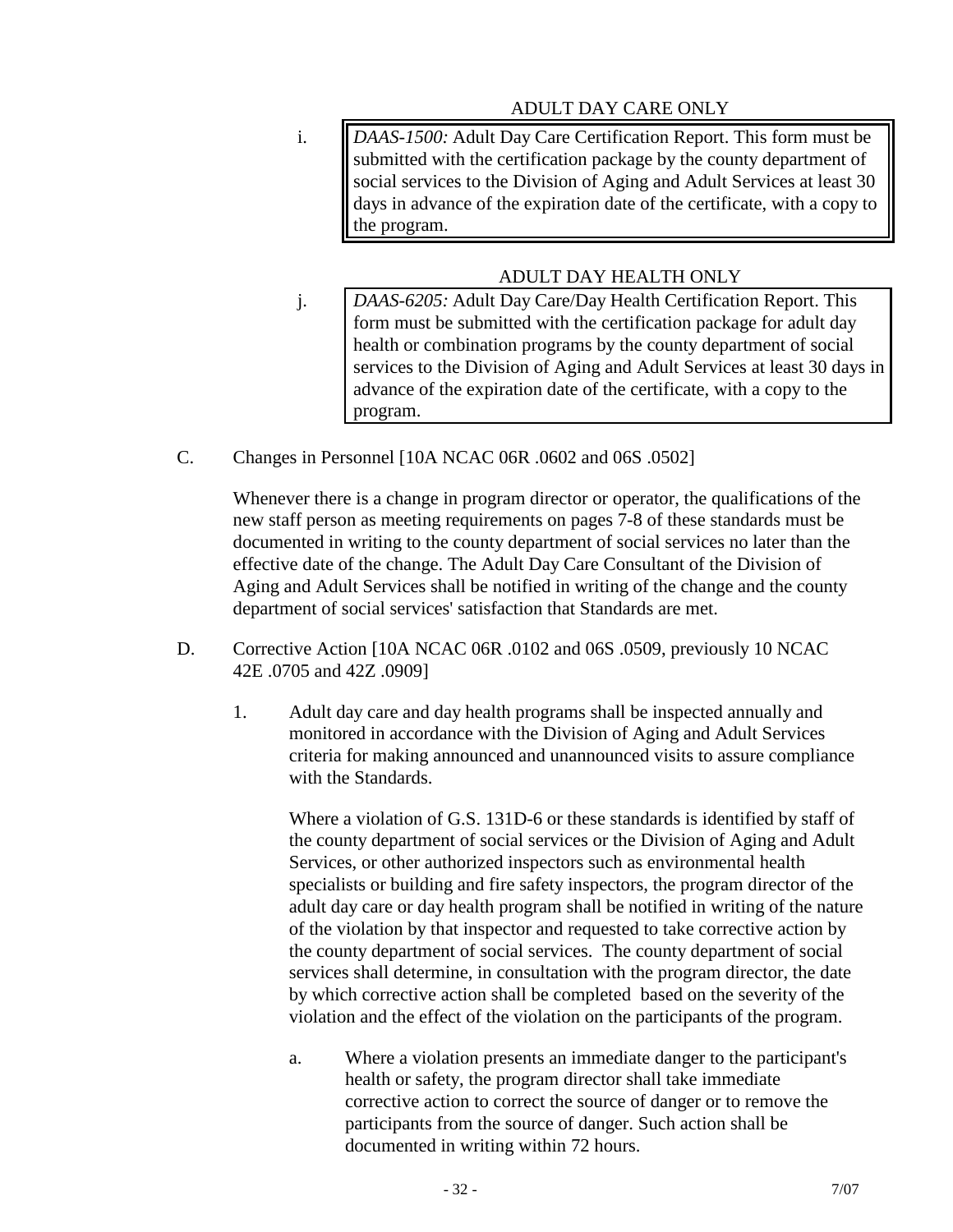## ADULT DAY CARE ONLY

i. *DAAS-1500:* Adult Day Care Certification Report. This form must be submitted with the certification package by the county department of social services to the Division of Aging and Adult Services at least 30 days in advance of the expiration date of the certificate, with a copy to the program.

## ADULT DAY HEALTH ONLY

- j. *DAAS-6205:* Adult Day Care/Day Health Certification Report. This form must be submitted with the certification package for adult day health or combination programs by the county department of social services to the Division of Aging and Adult Services at least 30 days in advance of the expiration date of the certificate, with a copy to the program.
- C. Changes in Personnel [10A NCAC 06R .0602 and 06S .0502]

Whenever there is a change in program director or operator, the qualifications of the new staff person as meeting requirements on pages 7-8 of these standards must be documented in writing to the county department of social services no later than the effective date of the change. The Adult Day Care Consultant of the Division of Aging and Adult Services shall be notified in writing of the change and the county department of social services' satisfaction that Standards are met.

- D. Corrective Action [10A NCAC 06R .0102 and 06S .0509, previously 10 NCAC 42E .0705 and 42Z .0909]
	- 1. Adult day care and day health programs shall be inspected annually and monitored in accordance with the Division of Aging and Adult Services criteria for making announced and unannounced visits to assure compliance with the Standards.

Where a violation of G.S. 131D-6 or these standards is identified by staff of the county department of social services or the Division of Aging and Adult Services, or other authorized inspectors such as environmental health specialists or building and fire safety inspectors, the program director of the adult day care or day health program shall be notified in writing of the nature of the violation by that inspector and requested to take corrective action by the county department of social services. The county department of social services shall determine, in consultation with the program director, the date by which corrective action shall be completed based on the severity of the violation and the effect of the violation on the participants of the program.

a. Where a violation presents an immediate danger to the participant's health or safety, the program director shall take immediate corrective action to correct the source of danger or to remove the participants from the source of danger. Such action shall be documented in writing within 72 hours.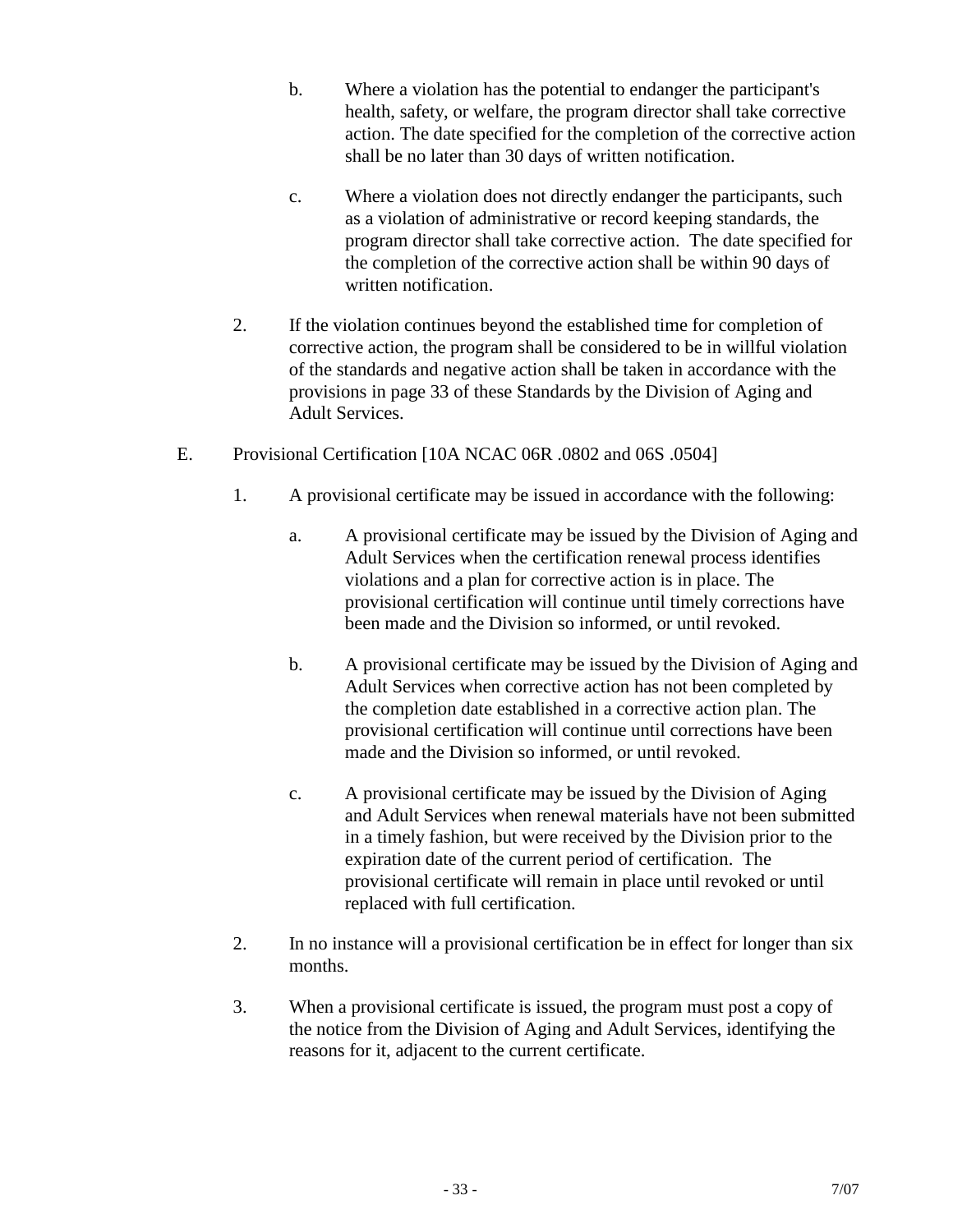- b. Where a violation has the potential to endanger the participant's health, safety, or welfare, the program director shall take corrective action. The date specified for the completion of the corrective action shall be no later than 30 days of written notification.
- c. Where a violation does not directly endanger the participants, such as a violation of administrative or record keeping standards, the program director shall take corrective action. The date specified for the completion of the corrective action shall be within 90 days of written notification.
- 2. If the violation continues beyond the established time for completion of corrective action, the program shall be considered to be in willful violation of the standards and negative action shall be taken in accordance with the provisions in page 33 of these Standards by the Division of Aging and Adult Services.
- E. Provisional Certification [10A NCAC 06R .0802 and 06S .0504]
	- 1. A provisional certificate may be issued in accordance with the following:
		- a. A provisional certificate may be issued by the Division of Aging and Adult Services when the certification renewal process identifies violations and a plan for corrective action is in place. The provisional certification will continue until timely corrections have been made and the Division so informed, or until revoked.
		- b. A provisional certificate may be issued by the Division of Aging and Adult Services when corrective action has not been completed by the completion date established in a corrective action plan. The provisional certification will continue until corrections have been made and the Division so informed, or until revoked.
		- c. A provisional certificate may be issued by the Division of Aging and Adult Services when renewal materials have not been submitted in a timely fashion, but were received by the Division prior to the expiration date of the current period of certification. The provisional certificate will remain in place until revoked or until replaced with full certification.
	- 2. In no instance will a provisional certification be in effect for longer than six months.
	- 3. When a provisional certificate is issued, the program must post a copy of the notice from the Division of Aging and Adult Services, identifying the reasons for it, adjacent to the current certificate.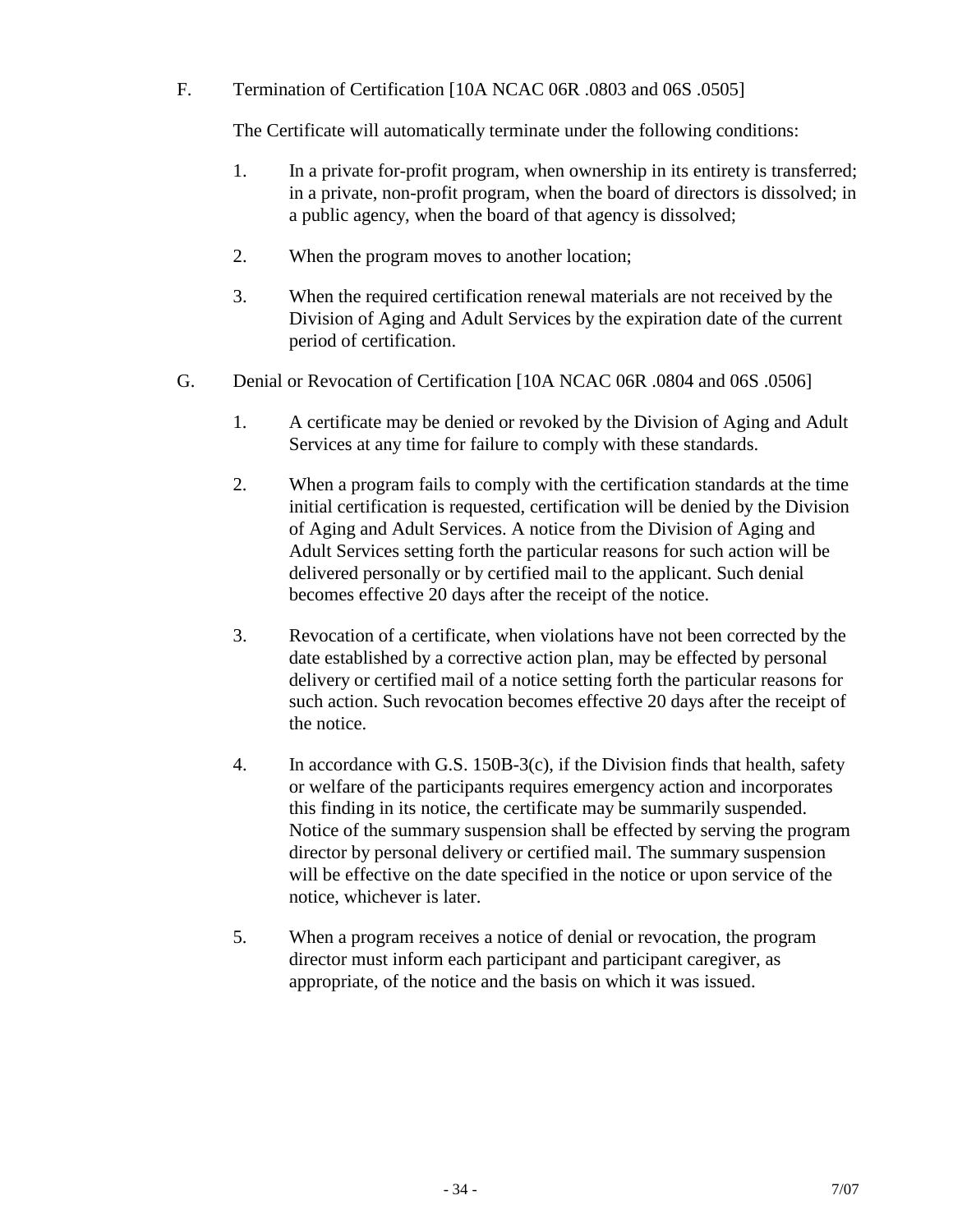F. Termination of Certification [10A NCAC 06R .0803 and 06S .0505]

The Certificate will automatically terminate under the following conditions:

- 1. In a private for-profit program, when ownership in its entirety is transferred; in a private, non-profit program, when the board of directors is dissolved; in a public agency, when the board of that agency is dissolved;
- 2. When the program moves to another location;
- 3. When the required certification renewal materials are not received by the Division of Aging and Adult Services by the expiration date of the current period of certification.
- G. Denial or Revocation of Certification [10A NCAC 06R .0804 and 06S .0506]
	- 1. A certificate may be denied or revoked by the Division of Aging and Adult Services at any time for failure to comply with these standards.
	- 2. When a program fails to comply with the certification standards at the time initial certification is requested, certification will be denied by the Division of Aging and Adult Services. A notice from the Division of Aging and Adult Services setting forth the particular reasons for such action will be delivered personally or by certified mail to the applicant. Such denial becomes effective 20 days after the receipt of the notice.
	- 3. Revocation of a certificate, when violations have not been corrected by the date established by a corrective action plan, may be effected by personal delivery or certified mail of a notice setting forth the particular reasons for such action. Such revocation becomes effective 20 days after the receipt of the notice.
	- 4. In accordance with G.S. 150B-3(c), if the Division finds that health, safety or welfare of the participants requires emergency action and incorporates this finding in its notice, the certificate may be summarily suspended. Notice of the summary suspension shall be effected by serving the program director by personal delivery or certified mail. The summary suspension will be effective on the date specified in the notice or upon service of the notice, whichever is later.
	- 5. When a program receives a notice of denial or revocation, the program director must inform each participant and participant caregiver, as appropriate, of the notice and the basis on which it was issued.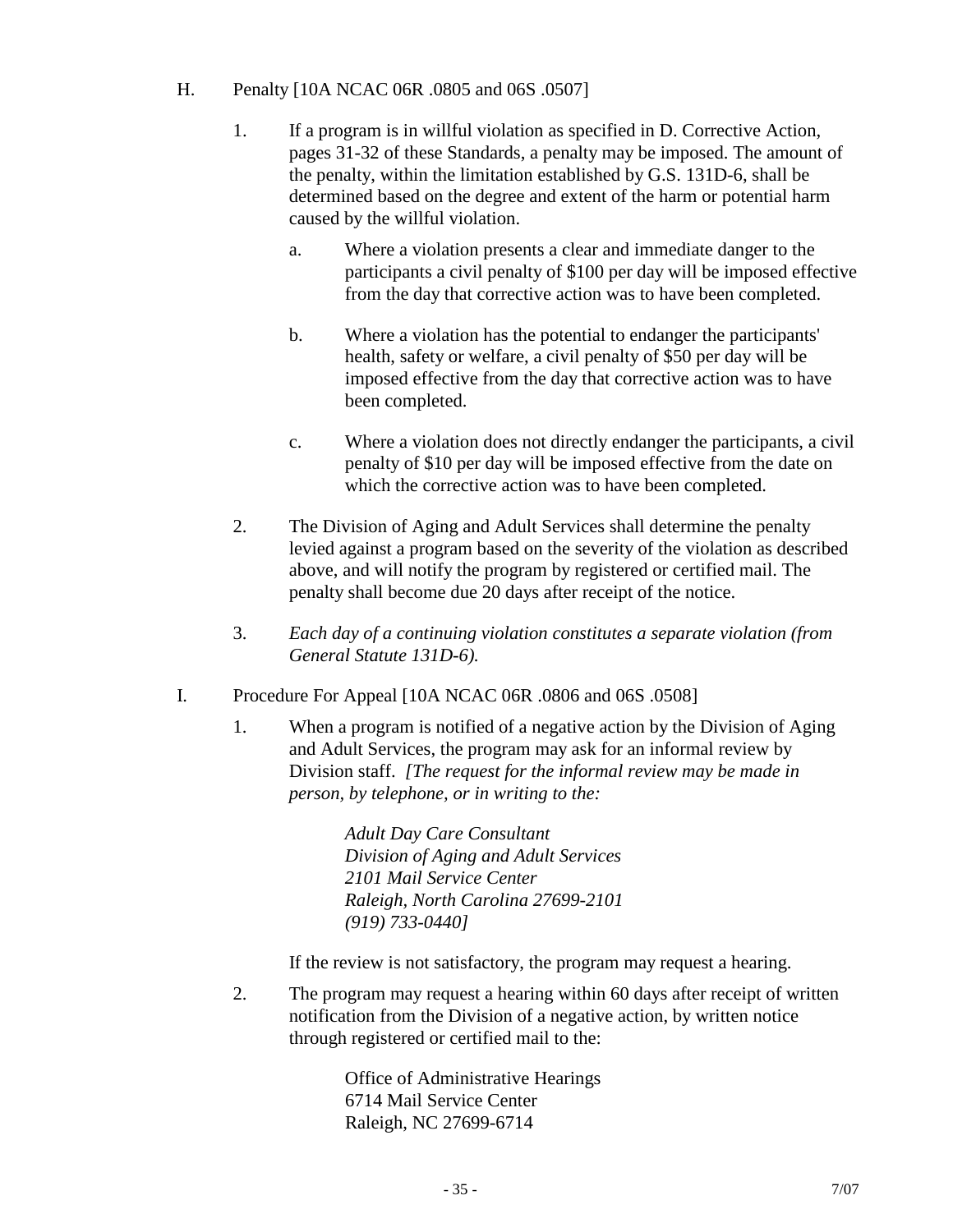#### H. Penalty [10A NCAC 06R .0805 and 06S .0507]

- 1. If a program is in willful violation as specified in D. Corrective Action, pages 31-32 of these Standards, a penalty may be imposed. The amount of the penalty, within the limitation established by G.S. 131D-6, shall be determined based on the degree and extent of the harm or potential harm caused by the willful violation.
	- a. Where a violation presents a clear and immediate danger to the participants a civil penalty of \$100 per day will be imposed effective from the day that corrective action was to have been completed.
	- b. Where a violation has the potential to endanger the participants' health, safety or welfare, a civil penalty of \$50 per day will be imposed effective from the day that corrective action was to have been completed.
	- c. Where a violation does not directly endanger the participants, a civil penalty of \$10 per day will be imposed effective from the date on which the corrective action was to have been completed.
- 2. The Division of Aging and Adult Services shall determine the penalty levied against a program based on the severity of the violation as described above, and will notify the program by registered or certified mail. The penalty shall become due 20 days after receipt of the notice.
- 3. *Each day of a continuing violation constitutes a separate violation (from General Statute 131D-6).*
- I. Procedure For Appeal [10A NCAC 06R .0806 and 06S .0508]
	- 1. When a program is notified of a negative action by the Division of Aging and Adult Services, the program may ask for an informal review by Division staff. *[The request for the informal review may be made in person, by telephone, or in writing to the:*

*Adult Day Care Consultant Division of Aging and Adult Services 2101 Mail Service Center Raleigh, North Carolina 27699-2101 (919) 733-0440]*

If the review is not satisfactory, the program may request a hearing.

2. The program may request a hearing within 60 days after receipt of written notification from the Division of a negative action, by written notice through registered or certified mail to the:

> Office of Administrative Hearings 6714 Mail Service Center Raleigh, NC 27699-6714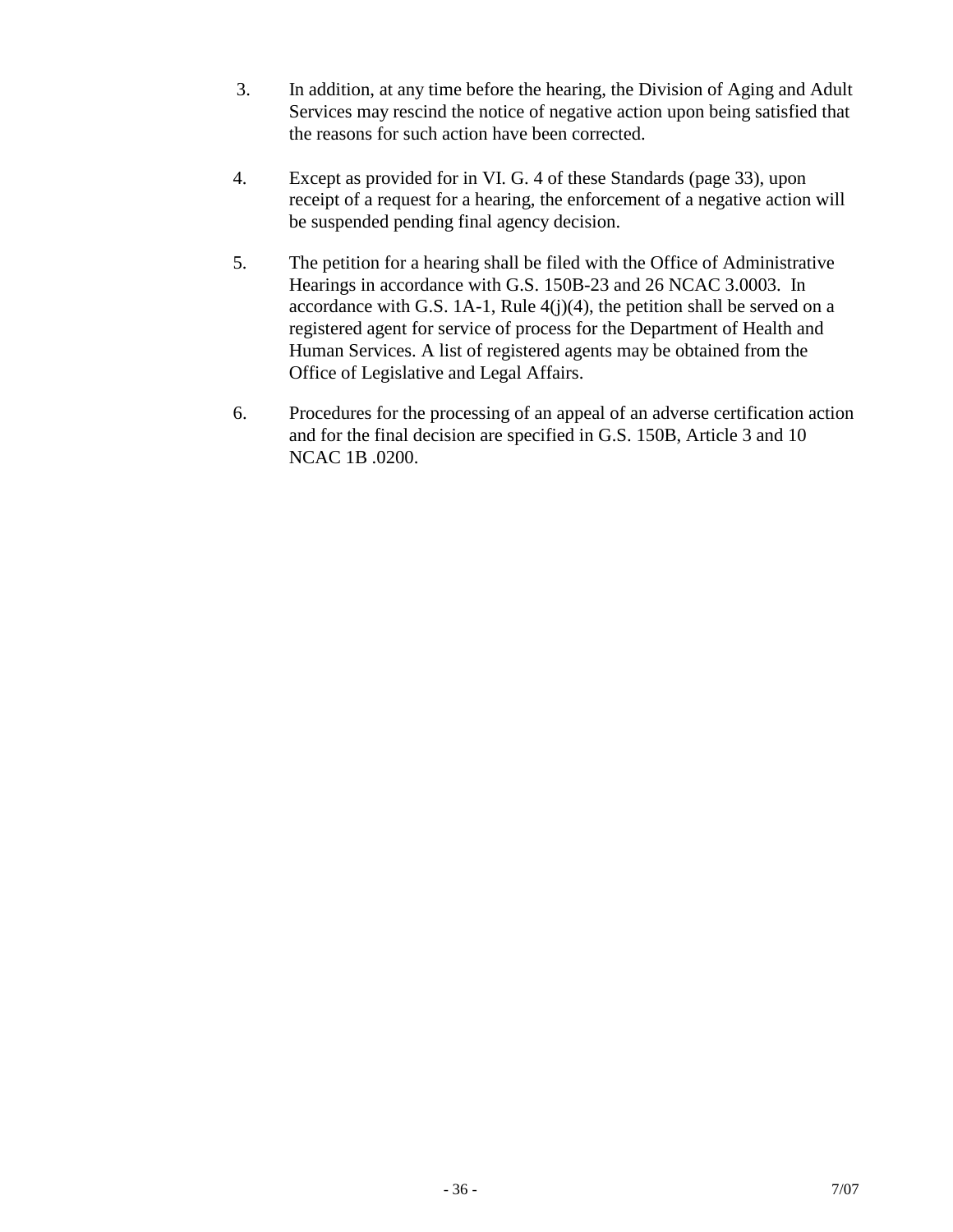- 3. In addition, at any time before the hearing, the Division of Aging and Adult Services may rescind the notice of negative action upon being satisfied that the reasons for such action have been corrected.
- 4. Except as provided for in VI. G. 4 of these Standards (page 33), upon receipt of a request for a hearing, the enforcement of a negative action will be suspended pending final agency decision.
- 5. The petition for a hearing shall be filed with the Office of Administrative Hearings in accordance with G.S. 150B-23 and 26 NCAC 3.0003. In accordance with G.S. 1A-1, Rule  $4(j)(4)$ , the petition shall be served on a registered agent for service of process for the Department of Health and Human Services. A list of registered agents may be obtained from the Office of Legislative and Legal Affairs.
- 6. Procedures for the processing of an appeal of an adverse certification action and for the final decision are specified in G.S. 150B, Article 3 and 10 NCAC 1B .0200.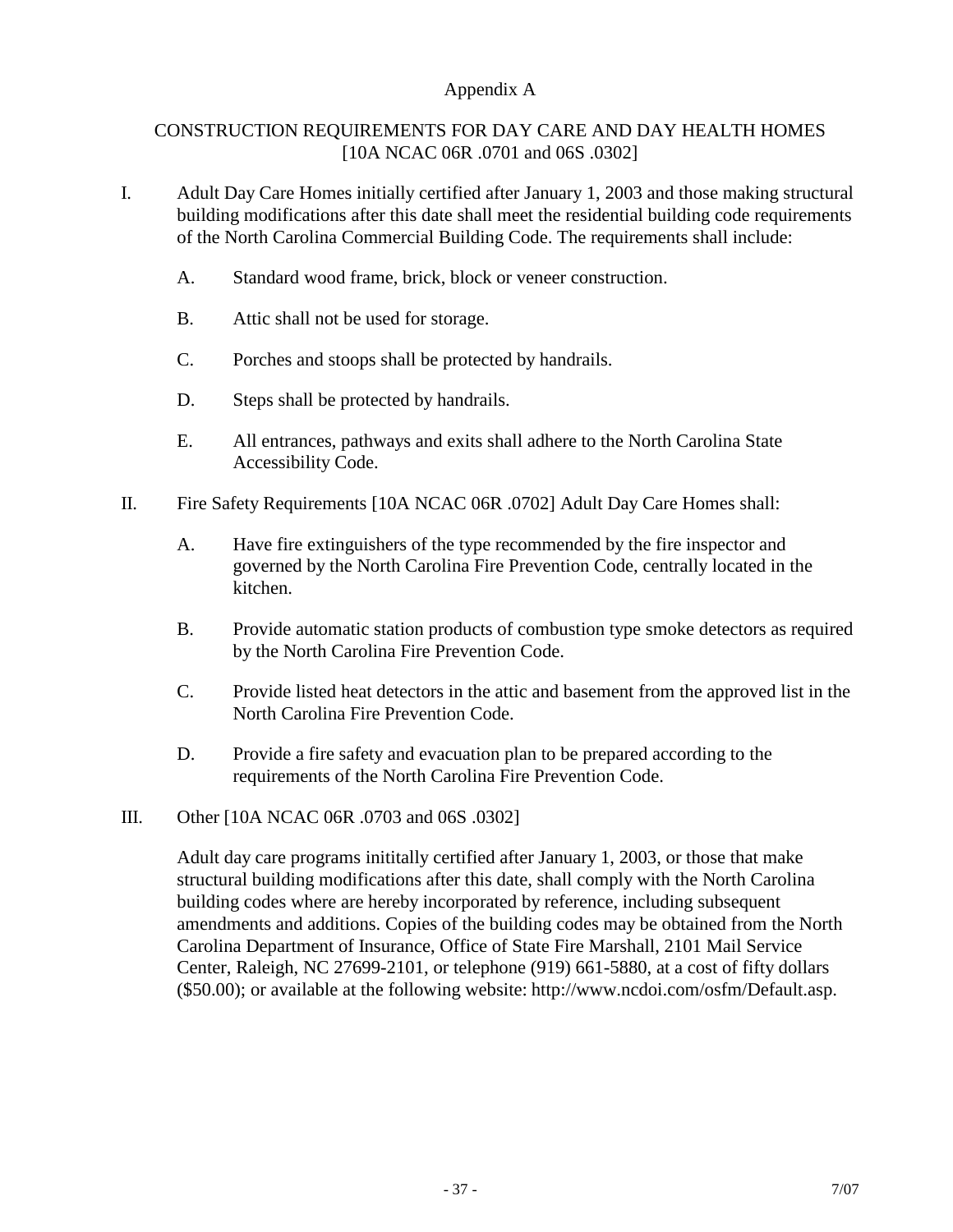## Appendix A

## CONSTRUCTION REQUIREMENTS FOR DAY CARE AND DAY HEALTH HOMES [10A NCAC 06R .0701 and 06S .0302]

- I. Adult Day Care Homes initially certified after January 1, 2003 and those making structural building modifications after this date shall meet the residential building code requirements of the North Carolina Commercial Building Code. The requirements shall include:
	- A. Standard wood frame, brick, block or veneer construction.
	- B. Attic shall not be used for storage.
	- C. Porches and stoops shall be protected by handrails.
	- D. Steps shall be protected by handrails.
	- E. All entrances, pathways and exits shall adhere to the North Carolina State Accessibility Code.
- II. Fire Safety Requirements [10A NCAC 06R .0702] Adult Day Care Homes shall:
	- A. Have fire extinguishers of the type recommended by the fire inspector and governed by the North Carolina Fire Prevention Code, centrally located in the kitchen.
	- B. Provide automatic station products of combustion type smoke detectors as required by the North Carolina Fire Prevention Code.
	- C. Provide listed heat detectors in the attic and basement from the approved list in the North Carolina Fire Prevention Code.
	- D. Provide a fire safety and evacuation plan to be prepared according to the requirements of the North Carolina Fire Prevention Code.
- III. Other [10A NCAC 06R .0703 and 06S .0302]

Adult day care programs inititally certified after January 1, 2003, or those that make structural building modifications after this date, shall comply with the North Carolina building codes where are hereby incorporated by reference, including subsequent amendments and additions. Copies of the building codes may be obtained from the North Carolina Department of Insurance, Office of State Fire Marshall, 2101 Mail Service Center, Raleigh, NC 27699-2101, or telephone (919) 661-5880, at a cost of fifty dollars (\$50.00); or available at the following website: http://www.ncdoi.com/osfm/Default.asp.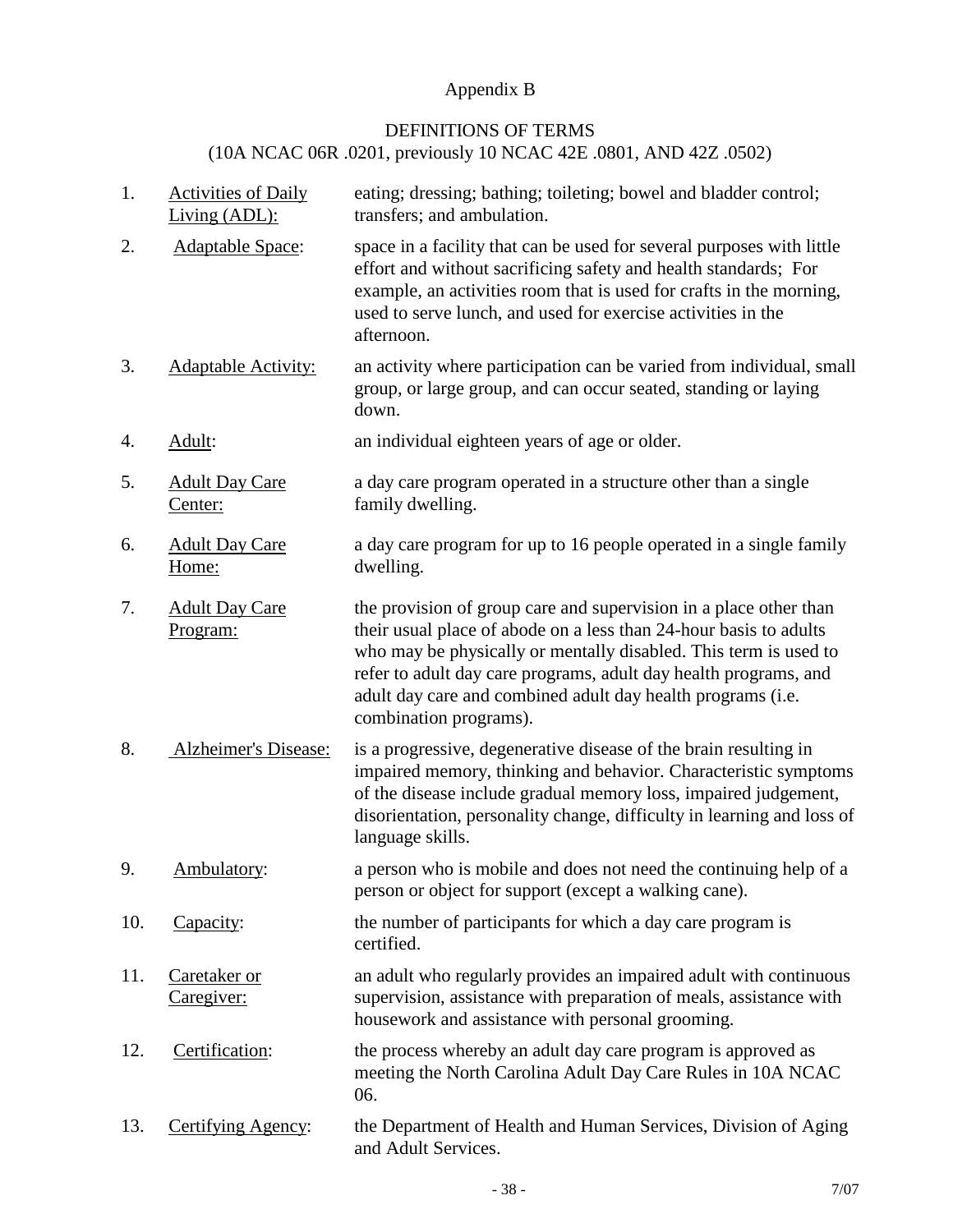# Appendix B

## DEFINITIONS OF TERMS

# (10A NCAC 06R .0201, previously 10 NCAC 42E .0801, AND 42Z .0502)

| 1.  | <b>Activities of Daily</b><br>Living (ADL): | eating; dressing; bathing; toileting; bowel and bladder control;<br>transfers; and ambulation.                                                                                                                                                                                                                                                                          |
|-----|---------------------------------------------|-------------------------------------------------------------------------------------------------------------------------------------------------------------------------------------------------------------------------------------------------------------------------------------------------------------------------------------------------------------------------|
| 2.  | <b>Adaptable Space:</b>                     | space in a facility that can be used for several purposes with little<br>effort and without sacrificing safety and health standards; For<br>example, an activities room that is used for crafts in the morning,<br>used to serve lunch, and used for exercise activities in the<br>afternoon.                                                                           |
| 3.  | <b>Adaptable Activity:</b>                  | an activity where participation can be varied from individual, small<br>group, or large group, and can occur seated, standing or laying<br>down.                                                                                                                                                                                                                        |
| 4.  | Adult:                                      | an individual eighteen years of age or older.                                                                                                                                                                                                                                                                                                                           |
| 5.  | <b>Adult Day Care</b><br>Center:            | a day care program operated in a structure other than a single<br>family dwelling.                                                                                                                                                                                                                                                                                      |
| 6.  | <b>Adult Day Care</b><br>Home:              | a day care program for up to 16 people operated in a single family<br>dwelling.                                                                                                                                                                                                                                                                                         |
| 7.  | <b>Adult Day Care</b><br>Program:           | the provision of group care and supervision in a place other than<br>their usual place of abode on a less than 24-hour basis to adults<br>who may be physically or mentally disabled. This term is used to<br>refer to adult day care programs, adult day health programs, and<br>adult day care and combined adult day health programs (i.e.<br>combination programs). |
| 8.  | Alzheimer's Disease:                        | is a progressive, degenerative disease of the brain resulting in<br>impaired memory, thinking and behavior. Characteristic symptoms<br>of the disease include gradual memory loss, impaired judgement,<br>disorientation, personality change, difficulty in learning and loss of<br>language skills.                                                                    |
| 9.  | Ambulatory:                                 | a person who is mobile and does not need the continuing help of a<br>person or object for support (except a walking cane).                                                                                                                                                                                                                                              |
| 10. | Capacity:                                   | the number of participants for which a day care program is<br>certified.                                                                                                                                                                                                                                                                                                |
| 11. | Caretaker or<br>Caregiver:                  | an adult who regularly provides an impaired adult with continuous<br>supervision, assistance with preparation of meals, assistance with<br>housework and assistance with personal grooming.                                                                                                                                                                             |
| 12. | Certification:                              | the process whereby an adult day care program is approved as<br>meeting the North Carolina Adult Day Care Rules in 10A NCAC<br>06.                                                                                                                                                                                                                                      |
| 13. | Certifying Agency:                          | the Department of Health and Human Services, Division of Aging<br>and Adult Services.                                                                                                                                                                                                                                                                                   |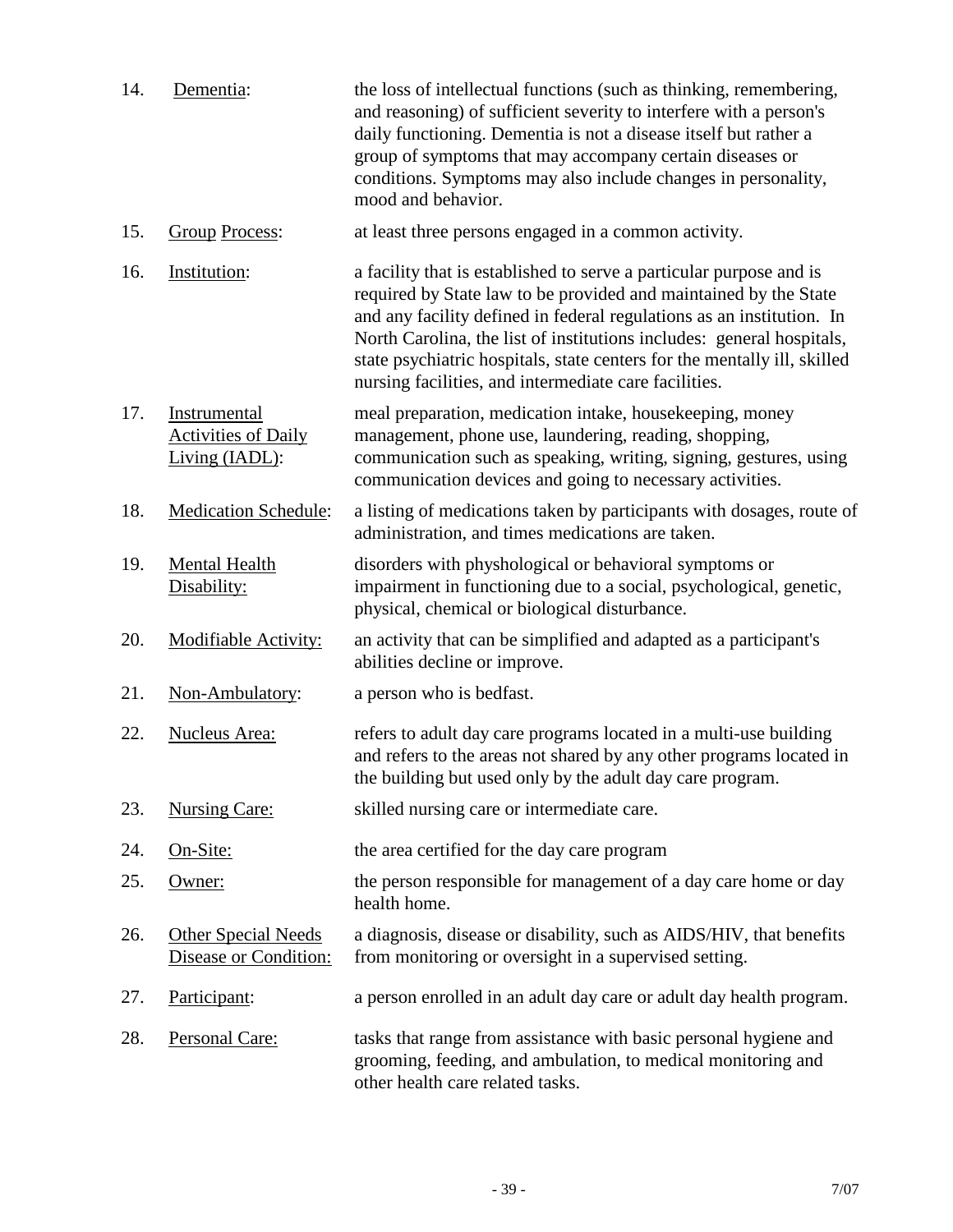| 14. | Dementia:                                                    | the loss of intellectual functions (such as thinking, remembering,<br>and reasoning) of sufficient severity to interfere with a person's<br>daily functioning. Dementia is not a disease itself but rather a<br>group of symptoms that may accompany certain diseases or<br>conditions. Symptoms may also include changes in personality,<br>mood and behavior.                                                                |
|-----|--------------------------------------------------------------|--------------------------------------------------------------------------------------------------------------------------------------------------------------------------------------------------------------------------------------------------------------------------------------------------------------------------------------------------------------------------------------------------------------------------------|
| 15. | <b>Group Process:</b>                                        | at least three persons engaged in a common activity.                                                                                                                                                                                                                                                                                                                                                                           |
| 16. | Institution:                                                 | a facility that is established to serve a particular purpose and is<br>required by State law to be provided and maintained by the State<br>and any facility defined in federal regulations as an institution. In<br>North Carolina, the list of institutions includes: general hospitals,<br>state psychiatric hospitals, state centers for the mentally ill, skilled<br>nursing facilities, and intermediate care facilities. |
| 17. | Instrumental<br><b>Activities of Daily</b><br>Living (IADL): | meal preparation, medication intake, housekeeping, money<br>management, phone use, laundering, reading, shopping,<br>communication such as speaking, writing, signing, gestures, using<br>communication devices and going to necessary activities.                                                                                                                                                                             |
| 18. | <b>Medication Schedule:</b>                                  | a listing of medications taken by participants with dosages, route of<br>administration, and times medications are taken.                                                                                                                                                                                                                                                                                                      |
| 19. | <b>Mental Health</b><br>Disability:                          | disorders with physhological or behavioral symptoms or<br>impairment in functioning due to a social, psychological, genetic,<br>physical, chemical or biological disturbance.                                                                                                                                                                                                                                                  |
| 20. | Modifiable Activity:                                         | an activity that can be simplified and adapted as a participant's<br>abilities decline or improve.                                                                                                                                                                                                                                                                                                                             |
| 21. | Non-Ambulatory:                                              | a person who is bedfast.                                                                                                                                                                                                                                                                                                                                                                                                       |
| 22. | Nucleus Area:                                                | refers to adult day care programs located in a multi-use building<br>and refers to the areas not shared by any other programs located in<br>the building but used only by the adult day care program.                                                                                                                                                                                                                          |
| 23. | <b>Nursing Care:</b>                                         | skilled nursing care or intermediate care.                                                                                                                                                                                                                                                                                                                                                                                     |
| 24. | On-Site:                                                     | the area certified for the day care program                                                                                                                                                                                                                                                                                                                                                                                    |
| 25. | Owner:                                                       | the person responsible for management of a day care home or day<br>health home.                                                                                                                                                                                                                                                                                                                                                |
| 26. | <b>Other Special Needs</b><br>Disease or Condition:          | a diagnosis, disease or disability, such as AIDS/HIV, that benefits<br>from monitoring or oversight in a supervised setting.                                                                                                                                                                                                                                                                                                   |
| 27. | Participant:                                                 | a person enrolled in an adult day care or adult day health program.                                                                                                                                                                                                                                                                                                                                                            |
| 28. | Personal Care:                                               | tasks that range from assistance with basic personal hygiene and<br>grooming, feeding, and ambulation, to medical monitoring and<br>other health care related tasks.                                                                                                                                                                                                                                                           |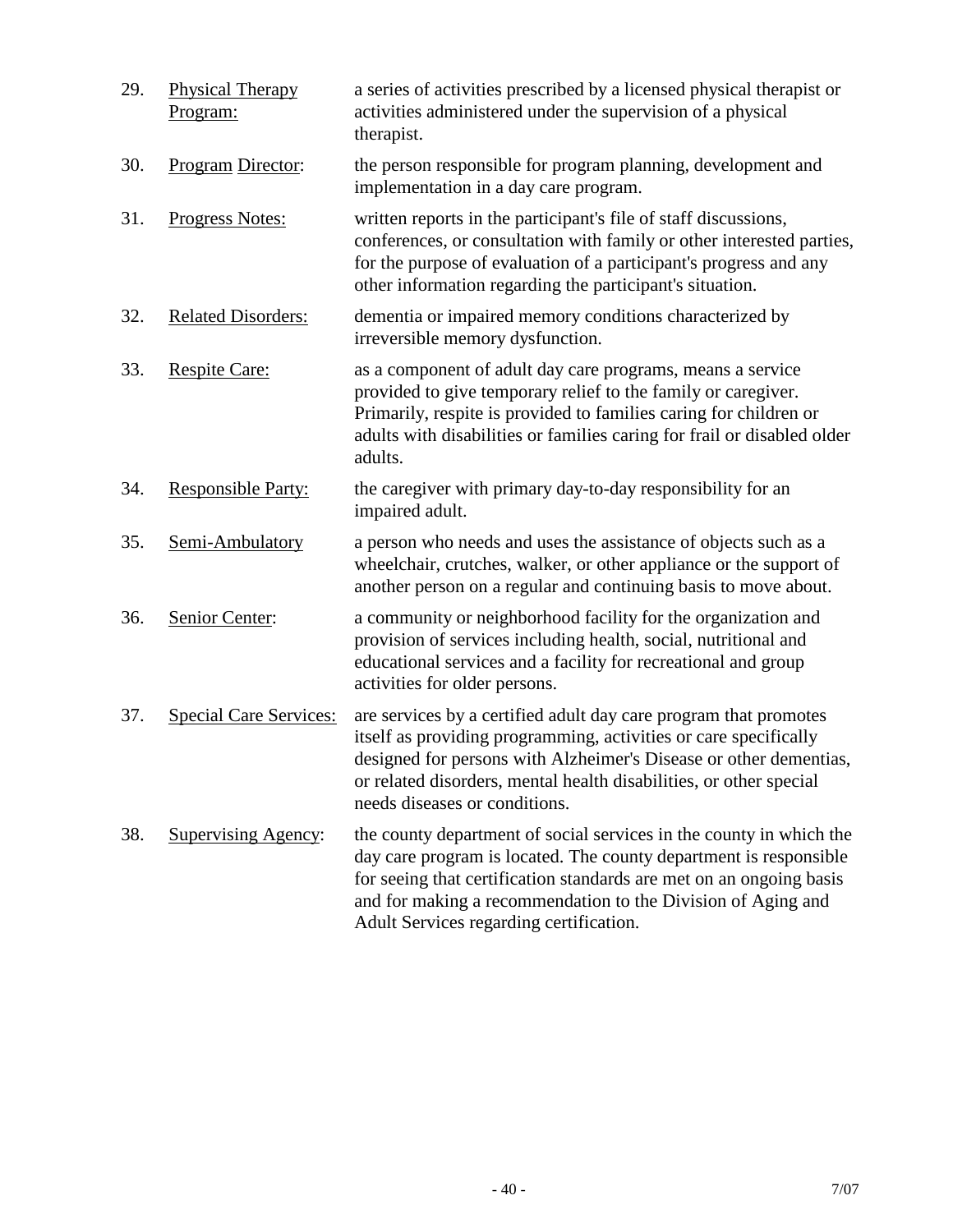| 29. | <b>Physical Therapy</b><br>Program: | a series of activities prescribed by a licensed physical therapist or<br>activities administered under the supervision of a physical<br>therapist.                                                                                                                                                                         |
|-----|-------------------------------------|----------------------------------------------------------------------------------------------------------------------------------------------------------------------------------------------------------------------------------------------------------------------------------------------------------------------------|
| 30. | Program Director:                   | the person responsible for program planning, development and<br>implementation in a day care program.                                                                                                                                                                                                                      |
| 31. | Progress Notes:                     | written reports in the participant's file of staff discussions,<br>conferences, or consultation with family or other interested parties,<br>for the purpose of evaluation of a participant's progress and any<br>other information regarding the participant's situation.                                                  |
| 32. | <b>Related Disorders:</b>           | dementia or impaired memory conditions characterized by<br>irreversible memory dysfunction.                                                                                                                                                                                                                                |
| 33. | <b>Respite Care:</b>                | as a component of adult day care programs, means a service<br>provided to give temporary relief to the family or caregiver.<br>Primarily, respite is provided to families caring for children or<br>adults with disabilities or families caring for frail or disabled older<br>adults.                                     |
| 34. | <b>Responsible Party:</b>           | the caregiver with primary day-to-day responsibility for an<br>impaired adult.                                                                                                                                                                                                                                             |
| 35. | Semi-Ambulatory                     | a person who needs and uses the assistance of objects such as a<br>wheelchair, crutches, walker, or other appliance or the support of<br>another person on a regular and continuing basis to move about.                                                                                                                   |
| 36. | Senior Center:                      | a community or neighborhood facility for the organization and<br>provision of services including health, social, nutritional and<br>educational services and a facility for recreational and group<br>activities for older persons.                                                                                        |
| 37. | <b>Special Care Services:</b>       | are services by a certified adult day care program that promotes<br>itself as providing programming, activities or care specifically<br>designed for persons with Alzheimer's Disease or other dementias,<br>or related disorders, mental health disabilities, or other special<br>needs diseases or conditions.           |
| 38. | <b>Supervising Agency:</b>          | the county department of social services in the county in which the<br>day care program is located. The county department is responsible<br>for seeing that certification standards are met on an ongoing basis<br>and for making a recommendation to the Division of Aging and<br>Adult Services regarding certification. |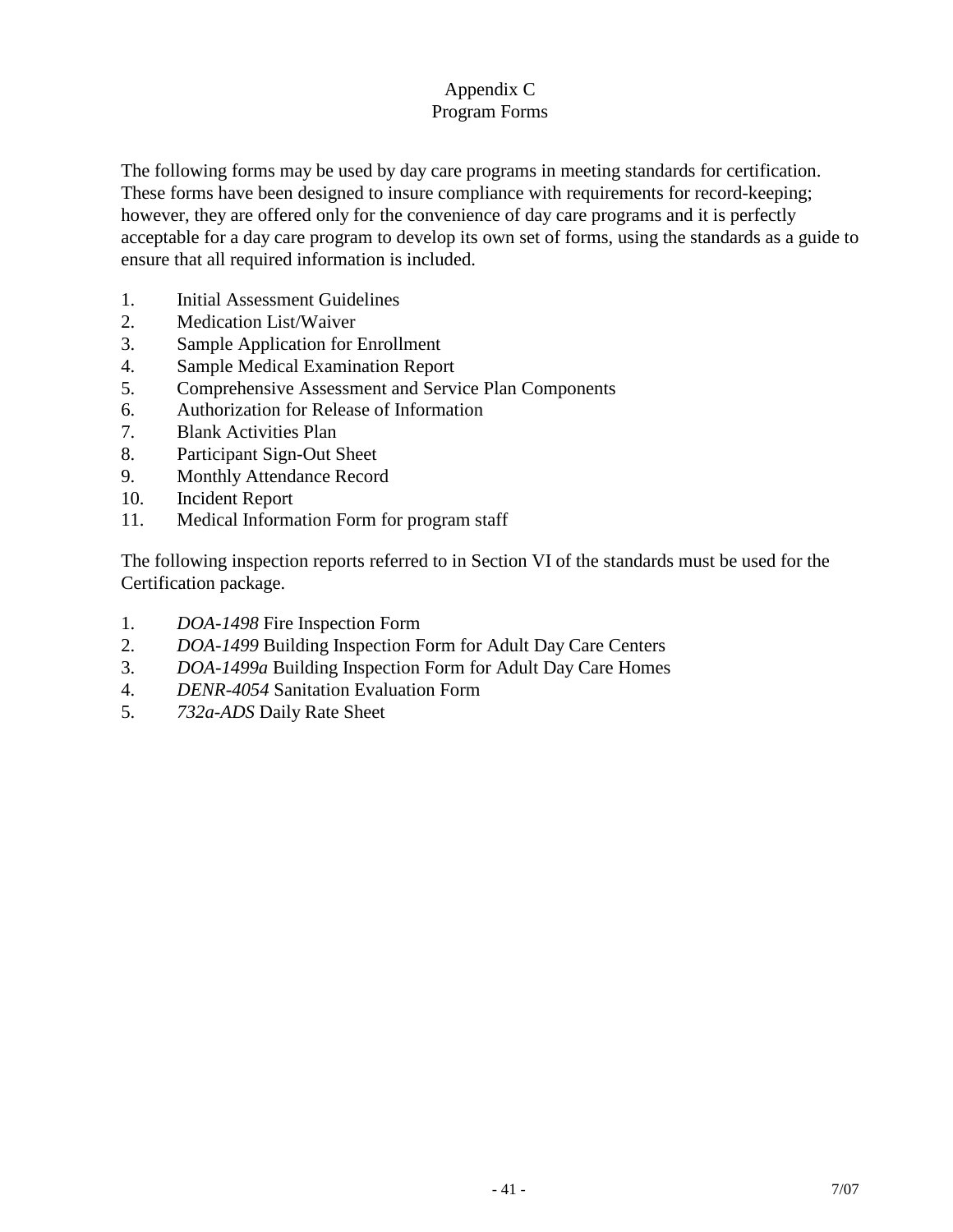## Appendix C Program Forms

The following forms may be used by day care programs in meeting standards for certification. These forms have been designed to insure compliance with requirements for record-keeping; however, they are offered only for the convenience of day care programs and it is perfectly acceptable for a day care program to develop its own set of forms, using the standards as a guide to ensure that all required information is included.

- 1. Initial Assessment Guidelines
- 2. Medication List/Waiver
- 3. Sample Application for Enrollment
- 4. Sample Medical Examination Report
- 5. Comprehensive Assessment and Service Plan Components
- 6. Authorization for Release of Information
- 7. Blank Activities Plan
- 8. Participant Sign-Out Sheet
- 9. Monthly Attendance Record
- 10. Incident Report
- 11. Medical Information Form for program staff

The following inspection reports referred to in Section VI of the standards must be used for the Certification package.

- 1. *DOA-1498* Fire Inspection Form
- 2. *DOA-1499* Building Inspection Form for Adult Day Care Centers
- 3. *DOA-1499a* Building Inspection Form for Adult Day Care Homes
- 4. *DENR-4054* Sanitation Evaluation Form
- 5. *732a-ADS* Daily Rate Sheet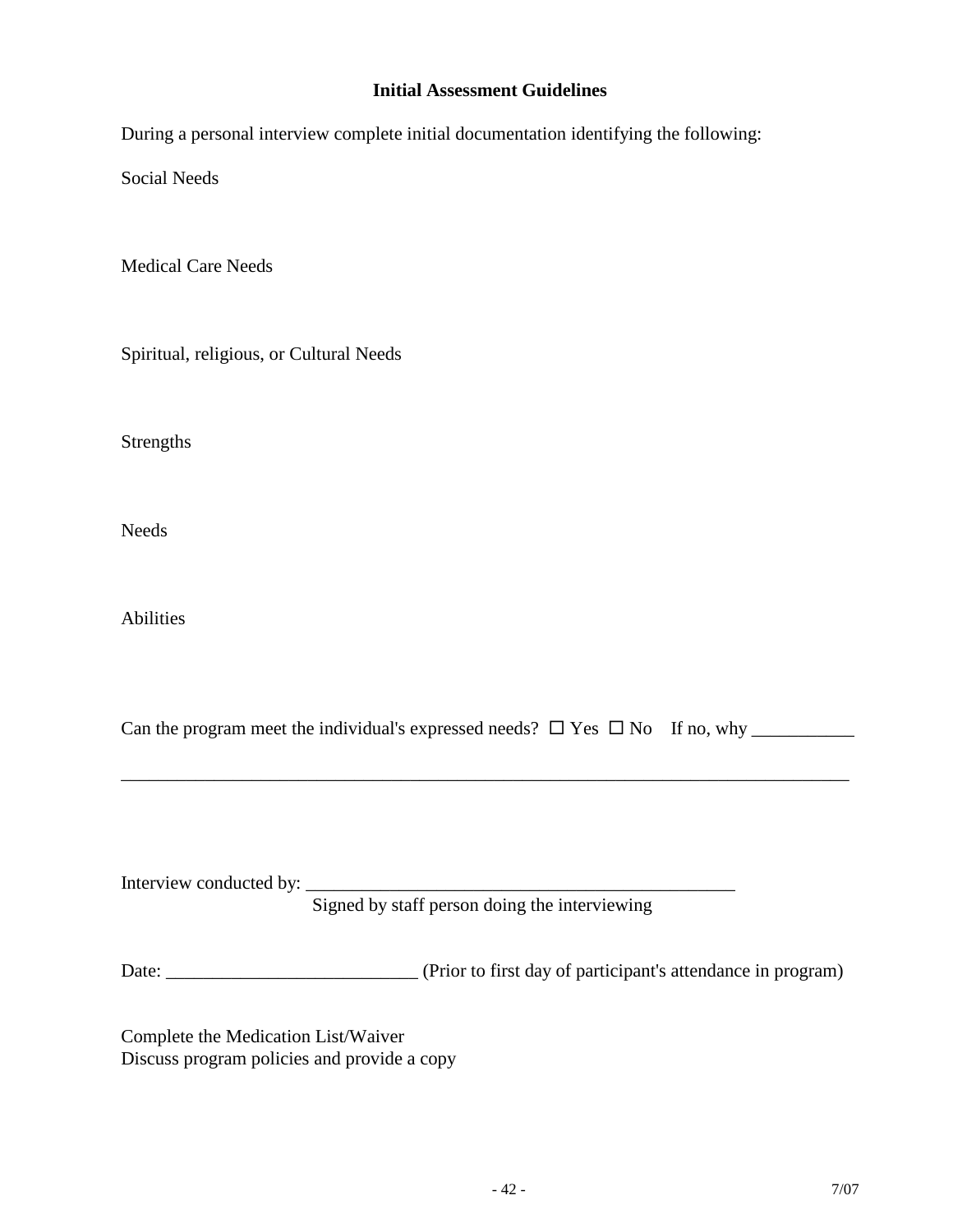#### **Initial Assessment Guidelines**

During a personal interview complete initial documentation identifying the following:

Social Needs

Medical Care Needs

Spiritual, religious, or Cultural Needs

Strengths

Needs

Abilities

| Can the program meet the individual's expressed needs? $\Box$ Yes $\Box$ No If no, why |  |  |  |  |
|----------------------------------------------------------------------------------------|--|--|--|--|
|----------------------------------------------------------------------------------------|--|--|--|--|

\_\_\_\_\_\_\_\_\_\_\_\_\_\_\_\_\_\_\_\_\_\_\_\_\_\_\_\_\_\_\_\_\_\_\_\_\_\_\_\_\_\_\_\_\_\_\_\_\_\_\_\_\_\_\_\_\_\_\_\_\_\_\_\_\_\_\_\_\_\_\_\_\_\_\_\_\_\_

| Interview conducted by: |                                               |  |
|-------------------------|-----------------------------------------------|--|
|                         | Signed by staff person doing the interviewing |  |
|                         |                                               |  |

Date: \_\_\_\_\_\_\_\_\_\_\_\_\_\_\_\_\_\_\_\_\_\_\_\_\_\_\_ (Prior to first day of participant's attendance in program)

Complete the Medication List/Waiver Discuss program policies and provide a copy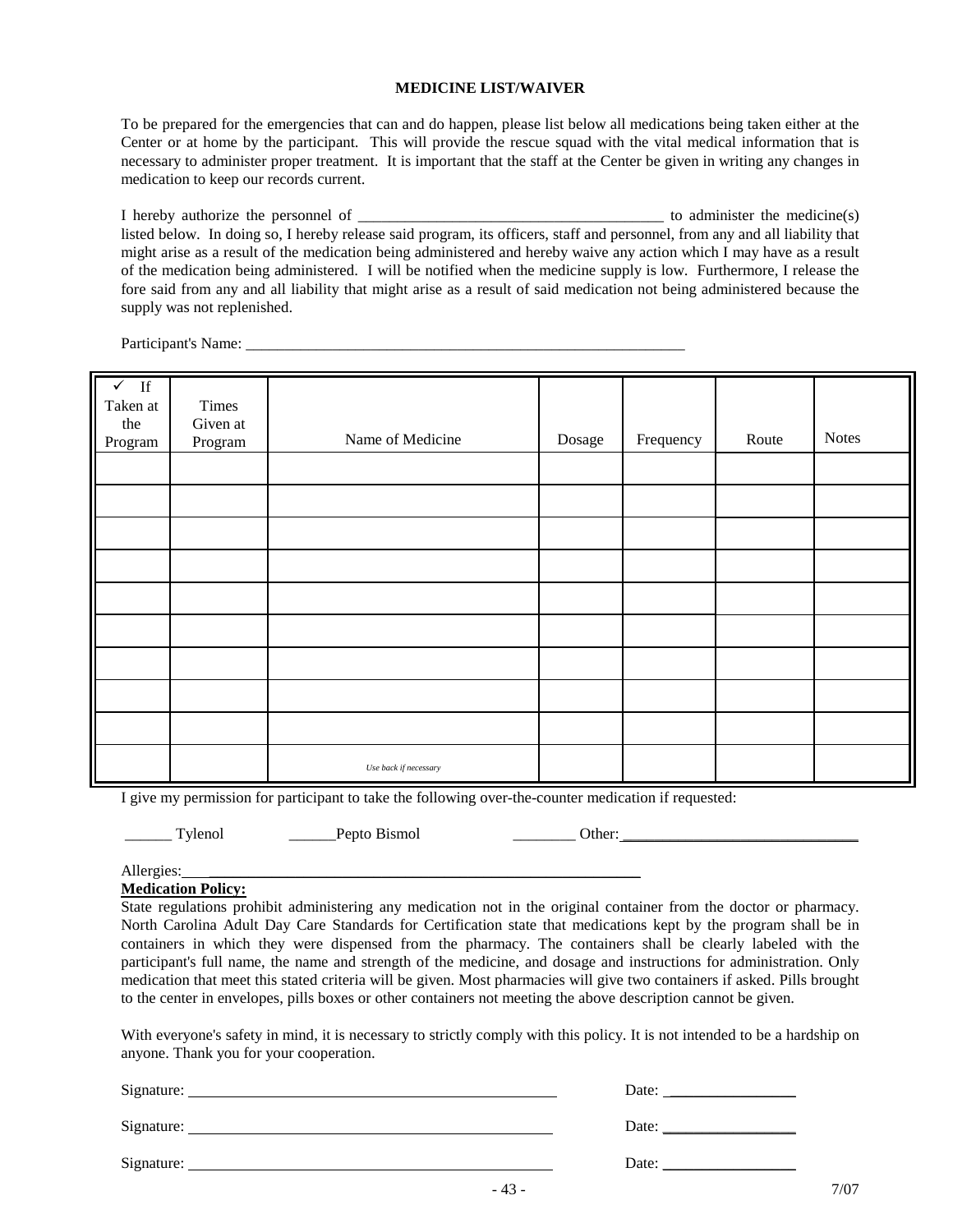#### **MEDICINE LIST/WAIVER**

To be prepared for the emergencies that can and do happen, please list below all medications being taken either at the Center or at home by the participant. This will provide the rescue squad with the vital medical information that is necessary to administer proper treatment. It is important that the staff at the Center be given in writing any changes in medication to keep our records current.

I hereby authorize the personnel of the contract the medicine(s) administer the medicine(s) listed below. In doing so, I hereby release said program, its officers, staff and personnel, from any and all liability that might arise as a result of the medication being administered and hereby waive any action which I may have as a result of the medication being administered. I will be notified when the medicine supply is low. Furthermore, I release the fore said from any and all liability that might arise as a result of said medication not being administered because the supply was not replenished.

Participant's Name:

| $\sqrt{ }$<br>$\mathbf{If}% =\mathbf{1}_{\mathbf{1}_{\mathbf{1}}\cup\mathbf{1}_{\mathbf{1}}\mathbf{1}_{\mathbf{1}}}$<br>Taken at<br>the<br>Program | Times<br>Given at<br>Program | Name of Medicine      | Dosage | Frequency | Route | <b>Notes</b> |
|----------------------------------------------------------------------------------------------------------------------------------------------------|------------------------------|-----------------------|--------|-----------|-------|--------------|
|                                                                                                                                                    |                              |                       |        |           |       |              |
|                                                                                                                                                    |                              |                       |        |           |       |              |
|                                                                                                                                                    |                              |                       |        |           |       |              |
|                                                                                                                                                    |                              |                       |        |           |       |              |
|                                                                                                                                                    |                              |                       |        |           |       |              |
|                                                                                                                                                    |                              |                       |        |           |       |              |
|                                                                                                                                                    |                              |                       |        |           |       |              |
|                                                                                                                                                    |                              |                       |        |           |       |              |
|                                                                                                                                                    |                              |                       |        |           |       |              |
|                                                                                                                                                    |                              | Use back if necessary |        |           |       |              |

I give my permission for participant to take the following over-the-counter medication if requested:

\_\_\_\_\_\_ Tylenol \_\_\_\_\_\_Pepto Bismol \_\_\_\_\_\_\_\_ Other: \_\_\_\_\_\_\_\_\_\_\_\_\_\_\_\_\_\_\_\_\_\_\_\_\_\_\_\_\_\_

Allergies:

**Medication Policy:**

State regulations prohibit administering any medication not in the original container from the doctor or pharmacy. North Carolina Adult Day Care Standards for Certification state that medications kept by the program shall be in containers in which they were dispensed from the pharmacy. The containers shall be clearly labeled with the participant's full name, the name and strength of the medicine, and dosage and instructions for administration. Only medication that meet this stated criteria will be given. Most pharmacies will give two containers if asked. Pills brought to the center in envelopes, pills boxes or other containers not meeting the above description cannot be given.

With everyone's safety in mind, it is necessary to strictly comply with this policy. It is not intended to be a hardship on anyone. Thank you for your cooperation.

| Signature: | Date: |
|------------|-------|
| Signature: | Date: |
| Signature: | Date: |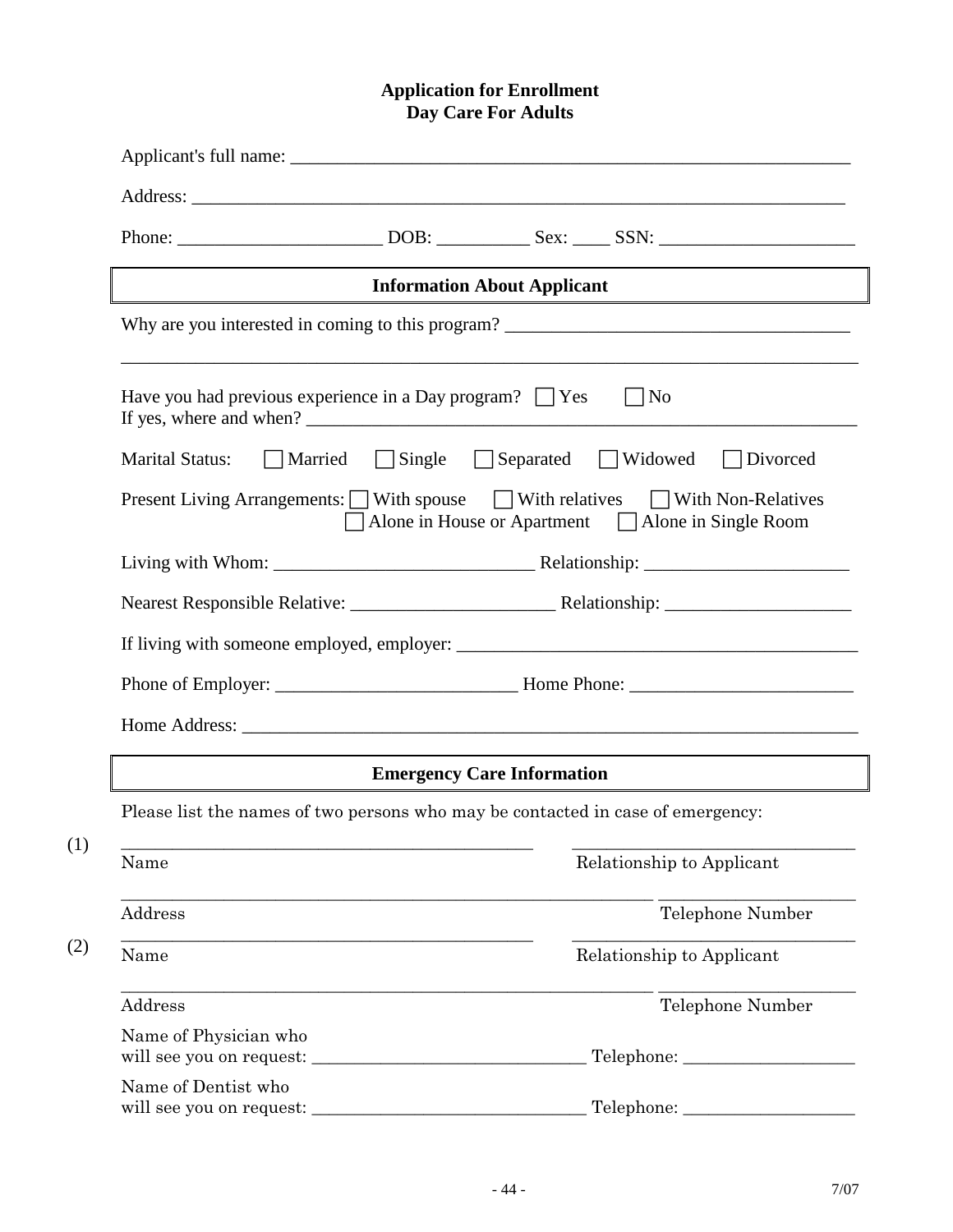#### **Application for Enrollment Day Care For Adults**

|                                                                                                                                          |                                           | <b>Information About Applicant</b> |                           |  |  |  |  |  |
|------------------------------------------------------------------------------------------------------------------------------------------|-------------------------------------------|------------------------------------|---------------------------|--|--|--|--|--|
| Why are you interested in coming to this program?                                                                                        |                                           |                                    |                           |  |  |  |  |  |
| Have you had previous experience in a Day program? $\Box$ Yes<br>$\vert$  No                                                             |                                           |                                    |                           |  |  |  |  |  |
| <b>Marital Status:</b>                                                                                                                   | Married Single Separated Widowed Divorced |                                    |                           |  |  |  |  |  |
| Present Living Arrangements: □ With spouse □ With relatives □ With Non-Relatives<br>□ Alone in House or Apartment □ Alone in Single Room |                                           |                                    |                           |  |  |  |  |  |
|                                                                                                                                          |                                           |                                    |                           |  |  |  |  |  |
|                                                                                                                                          |                                           |                                    |                           |  |  |  |  |  |
|                                                                                                                                          |                                           |                                    |                           |  |  |  |  |  |
|                                                                                                                                          |                                           |                                    |                           |  |  |  |  |  |
| <b>Emergency Care Information</b>                                                                                                        |                                           |                                    |                           |  |  |  |  |  |
| Please list the names of two persons who may be contacted in case of emergency:                                                          |                                           |                                    |                           |  |  |  |  |  |
| Name                                                                                                                                     |                                           |                                    | Relationship to Applicant |  |  |  |  |  |
| Address                                                                                                                                  |                                           |                                    | Telephone Number          |  |  |  |  |  |
| Name                                                                                                                                     |                                           |                                    | Relationship to Applicant |  |  |  |  |  |
| Address                                                                                                                                  |                                           |                                    | Telephone Number          |  |  |  |  |  |
| Name of Physician who                                                                                                                    |                                           |                                    |                           |  |  |  |  |  |
| Name of Dentist who                                                                                                                      |                                           |                                    |                           |  |  |  |  |  |
| will see you on request:                                                                                                                 |                                           |                                    | Telephone:                |  |  |  |  |  |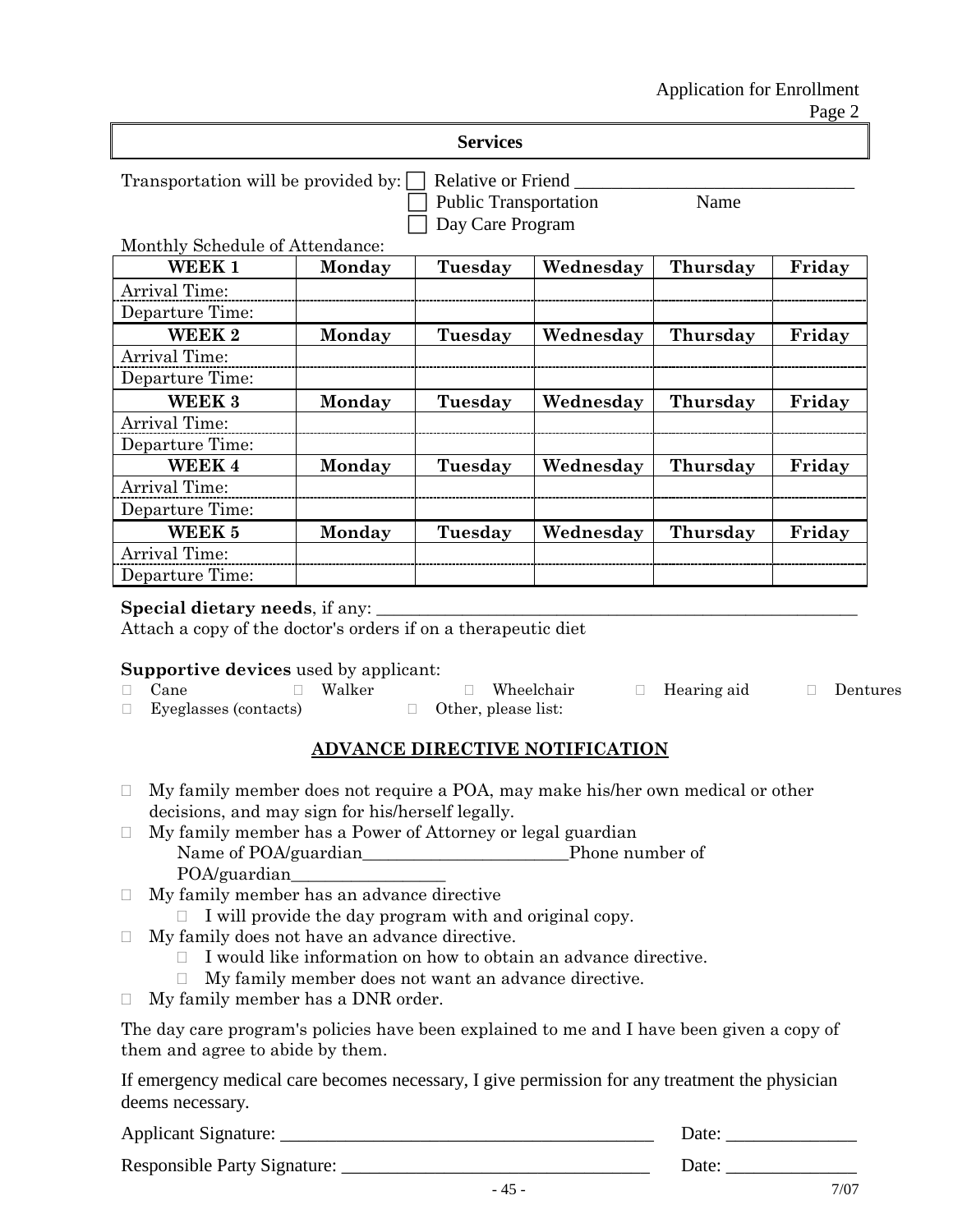Page 2

Transportation will be provided by:  $\Box$  Relative or Friend

Public Transportation Name Day Care Program

#### Monthly Schedule of Attendance:

| WEEK <sub>1</sub> | Monday | Tuesday | Wednesday | Thursday | Friday |
|-------------------|--------|---------|-----------|----------|--------|
| Arrival Time:     |        |         |           |          |        |
| Departure Time:   |        |         |           |          |        |
| WEEK 2            | Monday | Tuesday | Wednesday | Thursday | Friday |
| Arrival Time:     |        |         |           |          |        |
| Departure Time:   |        |         |           |          |        |
| WEEK 3            | Monday | Tuesday | Wednesday | Thursday | Friday |
| Arrival Time:     |        |         |           |          |        |
| Departure Time:   |        |         |           |          |        |
| <b>WEEK4</b>      | Monday | Tuesday | Wednesday | Thursday | Friday |
| Arrival Time:     |        |         |           |          |        |
| Departure Time:   |        |         |           |          |        |
| WEEK 5            | Monday | Tuesday | Wednesday | Thursday | Friday |
| Arrival Time:     |        |         |           |          |        |
| Departure Time:   |        |         |           |          |        |

#### **Special dietary needs**, if any:

Attach a copy of the doctor's orders if on a therapeutic diet

#### **Supportive devices** used by applicant:

| $\Box$ Cane                  | Walker | $\Box$ Wheelchair          | $\Box$ Hearing aid | Dentures |
|------------------------------|--------|----------------------------|--------------------|----------|
| $\Box$ Eyeglasses (contacts) |        | $\Box$ Other, please list: |                    |          |

### **ADVANCE DIRECTIVE NOTIFICATION**

- $\Box$  My family member does not require a POA, may make his/her own medical or other decisions, and may sign for his/herself legally.
- My family member has a Power of Attorney or legal guardian Name of POA/guardian\_\_\_\_\_\_\_\_\_\_\_\_\_\_\_\_\_\_\_\_\_\_\_\_Phone number of POA/guardian\_\_\_\_\_\_\_\_\_\_\_\_\_\_\_\_\_\_
- My family member has an advance directive
	- $\Box$  I will provide the day program with and original copy.
- $\Box$  My family does not have an advance directive.
	- $\Box$  I would like information on how to obtain an advance directive.
	- My family member does not want an advance directive.
- My family member has a DNR order.

The day care program's policies have been explained to me and I have been given a copy of them and agree to abide by them.

If emergency medical care becomes necessary, I give permission for any treatment the physician deems necessary.

Applicant Signature: \_\_\_\_\_\_\_\_\_\_\_\_\_\_\_\_\_\_\_\_\_\_\_\_\_\_\_\_\_\_\_\_\_\_\_\_\_\_\_\_ Date: \_\_\_\_\_\_\_\_\_\_\_\_\_\_

Responsible Party Signature: \_\_\_\_\_\_\_\_\_\_\_\_\_\_\_\_\_\_\_\_\_\_\_\_\_\_\_\_\_\_\_\_\_ Date: \_\_\_\_\_\_\_\_\_\_\_\_\_\_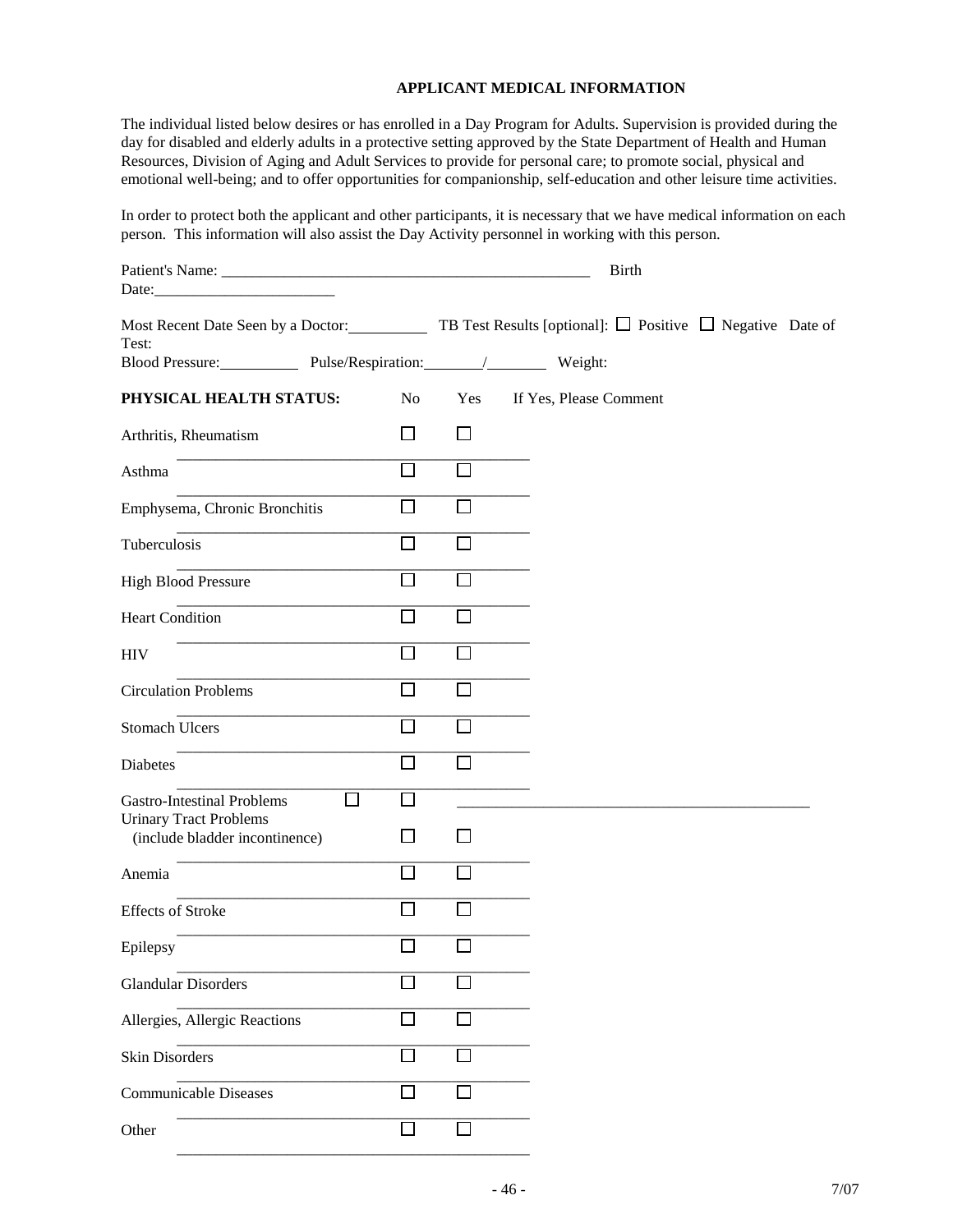#### **APPLICANT MEDICAL INFORMATION**

The individual listed below desires or has enrolled in a Day Program for Adults. Supervision is provided during the day for disabled and elderly adults in a protective setting approved by the State Department of Health and Human Resources, Division of Aging and Adult Services to provide for personal care; to promote social, physical and emotional well-being; and to offer opportunities for companionship, self-education and other leisure time activities.

In order to protect both the applicant and other participants, it is necessary that we have medical information on each person. This information will also assist the Day Activity personnel in working with this person.

|                                                                                                                 |                   |        | <b>Birth</b>           |  |
|-----------------------------------------------------------------------------------------------------------------|-------------------|--------|------------------------|--|
| Date:<br><u> 1989 - Johann Barbara, martin da kasar Indonesia.</u>                                              |                   |        |                        |  |
| Most Recent Date Seen by a Doctor: TB Test Results [optional]: $\Box$ Positive $\Box$ Negative Date of<br>Test: |                   |        |                        |  |
| Blood Pressure: Pulse/Respiration: / Weight:                                                                    |                   |        |                        |  |
| PHYSICAL HEALTH STATUS:                                                                                         | N <sub>o</sub>    | Yes    | If Yes, Please Comment |  |
| Arthritis, Rheumatism                                                                                           | l 1               | $\Box$ |                        |  |
| Asthma                                                                                                          | П                 | $\Box$ |                        |  |
| Emphysema, Chronic Bronchitis                                                                                   | П                 | П      |                        |  |
| Tuberculosis                                                                                                    | l 1               | l 1    |                        |  |
| <b>High Blood Pressure</b>                                                                                      | $\Box$            | l l    |                        |  |
| <b>Heart Condition</b>                                                                                          | П                 | l 1    |                        |  |
| <b>HIV</b>                                                                                                      | П                 | П      |                        |  |
| <b>Circulation Problems</b>                                                                                     | $\Box$            | $\Box$ |                        |  |
| <b>Stomach Ulcers</b>                                                                                           | $\overline{\Box}$ | П      |                        |  |
| Diabetes                                                                                                        | П                 | $\Box$ |                        |  |
| 囗<br><b>Gastro-Intestinal Problems</b><br><b>Urinary Tract Problems</b>                                         | П                 |        |                        |  |
| (include bladder incontinence)                                                                                  | $\Box$            | l l    |                        |  |
| Anemia                                                                                                          | ГI                | П      |                        |  |
| <b>Effects of Stroke</b>                                                                                        | $\mathsf{I}$      | $\Box$ |                        |  |
| Epilepsy                                                                                                        | $\Box$            | $\Box$ |                        |  |
| <b>Glandular Disorders</b>                                                                                      | l 1               | П      |                        |  |
| Allergies, Allergic Reactions                                                                                   | $\mathbf{I}$      | l.     |                        |  |
| Skin Disorders                                                                                                  |                   |        |                        |  |
| <b>Communicable Diseases</b>                                                                                    | П                 |        |                        |  |
| Other                                                                                                           |                   |        |                        |  |
|                                                                                                                 |                   |        |                        |  |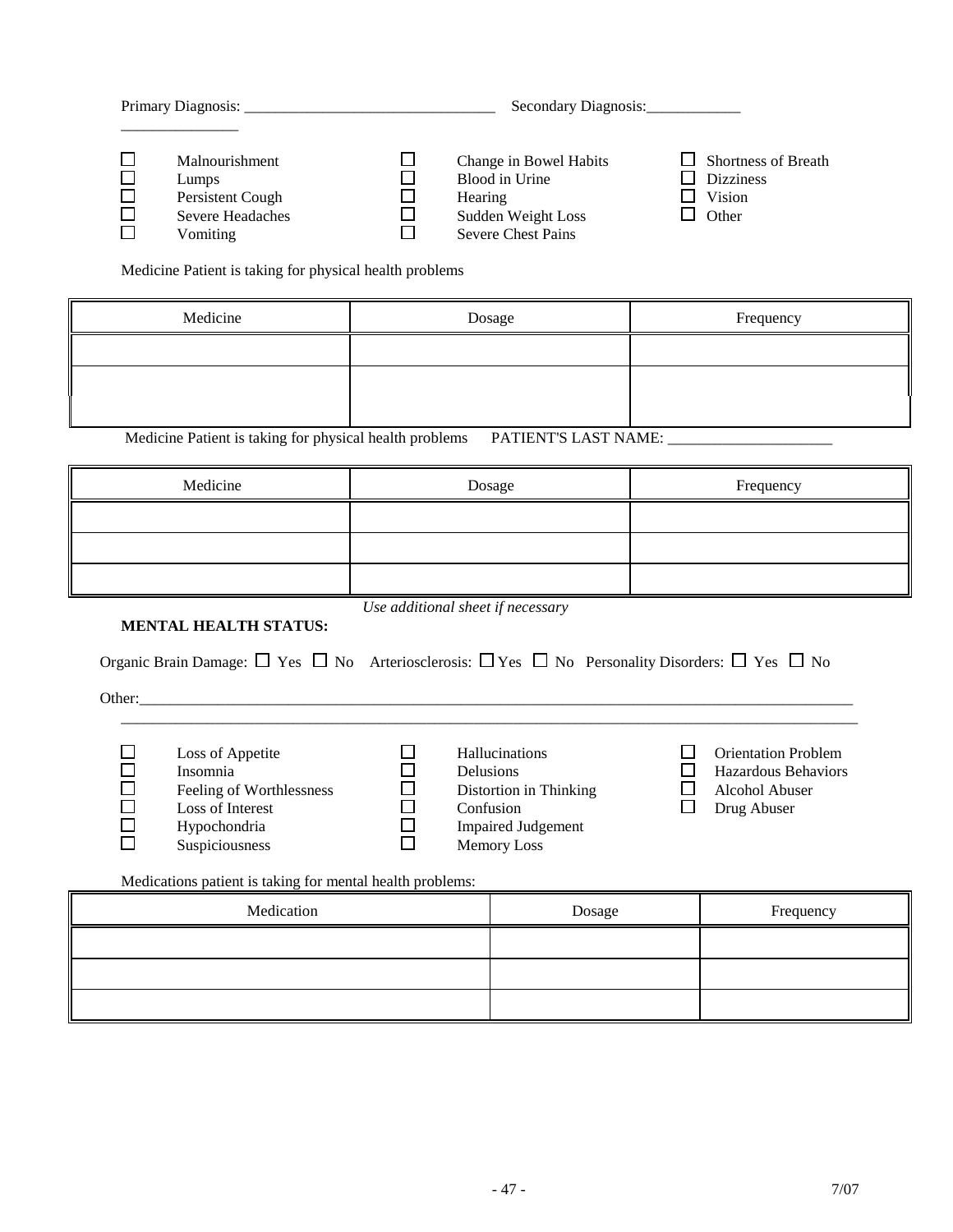|                                                                                                                                                                                            |                                                      | Secondary Diagnosis:                                                                                                  |                             |                                                                                    |  |  |  |
|--------------------------------------------------------------------------------------------------------------------------------------------------------------------------------------------|------------------------------------------------------|-----------------------------------------------------------------------------------------------------------------------|-----------------------------|------------------------------------------------------------------------------------|--|--|--|
| ப<br>Malnourishment<br>$\Box$<br>Lumps<br>$\Box$<br>Persistent Cough<br>$\Box$<br><b>Severe Headaches</b><br>$\Box$<br>Vomiting<br>Medicine Patient is taking for physical health problems | □<br>$\Box$<br>$\Box$<br>Hearing<br>$\Box$<br>$\Box$ | Change in Bowel Habits<br><b>Blood</b> in Urine<br>Sudden Weight Loss<br>Severe Chest Pains                           | Ш<br>$\mathbf{1}$           | Shortness of Breath<br><b>Dizziness</b><br>Vision<br>Other                         |  |  |  |
| Medicine                                                                                                                                                                                   |                                                      | Dosage                                                                                                                |                             | Frequency                                                                          |  |  |  |
|                                                                                                                                                                                            |                                                      |                                                                                                                       |                             |                                                                                    |  |  |  |
|                                                                                                                                                                                            |                                                      |                                                                                                                       |                             |                                                                                    |  |  |  |
| Medicine Patient is taking for physical health problems PATIENT'S LAST NAME:                                                                                                               |                                                      |                                                                                                                       |                             |                                                                                    |  |  |  |
| Medicine                                                                                                                                                                                   |                                                      | Dosage                                                                                                                |                             | Frequency                                                                          |  |  |  |
|                                                                                                                                                                                            |                                                      |                                                                                                                       |                             |                                                                                    |  |  |  |
|                                                                                                                                                                                            |                                                      |                                                                                                                       |                             |                                                                                    |  |  |  |
|                                                                                                                                                                                            |                                                      |                                                                                                                       |                             |                                                                                    |  |  |  |
|                                                                                                                                                                                            | Use additional sheet if necessary                    |                                                                                                                       |                             |                                                                                    |  |  |  |
| <b>MENTAL HEALTH STATUS:</b><br>Organic Brain Damage: $\Box$ Yes $\Box$ No Arteriosclerosis: $\Box$ Yes $\Box$ No Personality Disorders: $\Box$ Yes $\Box$ No                              |                                                      |                                                                                                                       |                             |                                                                                    |  |  |  |
| ⊔<br>Loss of Appetite<br>Insomnia<br>$\Box$<br>$\Box$<br>Feeling of Worthlessness<br>Loss of Interest<br>$\Box$<br>Hypochondria<br>Suspiciousness                                          | ப<br>□<br>$\Box$<br>$\Box$<br>囗<br>$\Box$            | Hallucinations<br>Delusions<br>Distortion in Thinking<br>Confusion<br><b>Impaired Judgement</b><br><b>Memory Loss</b> | ப<br>$\mathbf{L}$<br>$\Box$ | <b>Orientation Problem</b><br>Hazardous Behaviors<br>Alcohol Abuser<br>Drug Abuser |  |  |  |
| Medications patient is taking for mental health problems:<br>Medication                                                                                                                    |                                                      |                                                                                                                       |                             |                                                                                    |  |  |  |
|                                                                                                                                                                                            |                                                      | Dosage                                                                                                                |                             | Frequency                                                                          |  |  |  |
|                                                                                                                                                                                            |                                                      |                                                                                                                       |                             |                                                                                    |  |  |  |
|                                                                                                                                                                                            |                                                      |                                                                                                                       |                             |                                                                                    |  |  |  |
|                                                                                                                                                                                            |                                                      |                                                                                                                       |                             |                                                                                    |  |  |  |
|                                                                                                                                                                                            |                                                      |                                                                                                                       |                             |                                                                                    |  |  |  |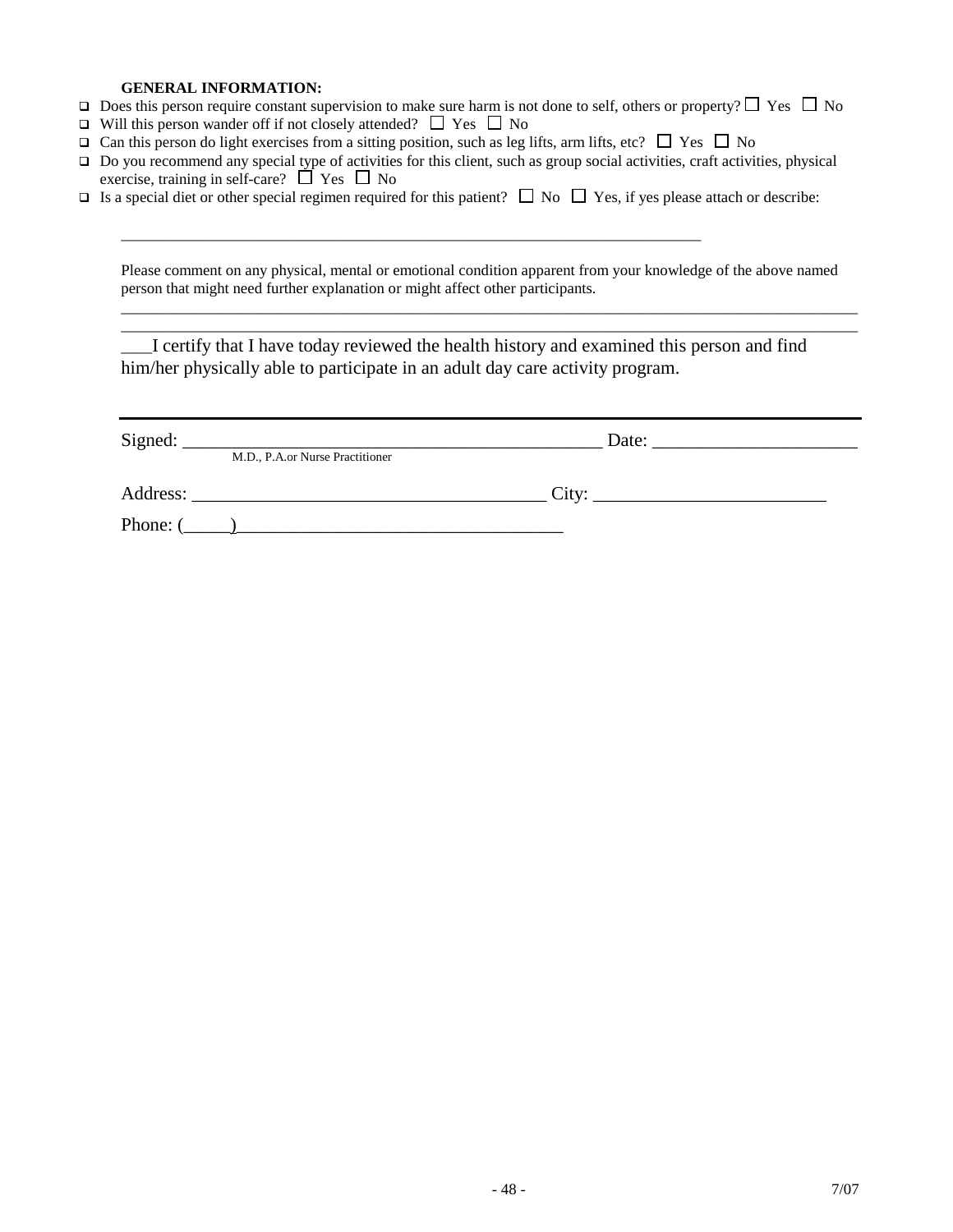#### **GENERAL INFORMATION:**

- $\Box$  Does this person require constant supervision to make sure harm is not done to self, others or property?  $\Box$  Yes  $\Box$  No
- $\Box$  Will this person wander off if not closely attended?  $\Box$  Yes  $\Box$  No
- $\Box$  Can this person do light exercises from a sitting position, such as leg lifts, arm lifts, etc?  $\Box$  Yes  $\Box$  No

\_\_\_\_\_\_\_\_\_\_\_\_\_\_\_\_\_\_\_\_\_\_\_\_\_\_\_\_\_\_\_\_\_\_\_\_\_\_\_\_\_\_\_\_\_\_\_\_\_\_\_\_\_\_\_\_\_\_\_\_\_\_\_\_\_\_\_\_\_\_\_\_\_\_

- $\Box$  Do you recommend any special type of activities for this client, such as group social activities, craft activities, physical exercise, training in self-care?  $\Box$  Yes  $\Box$  No
- Is a special diet or other special regimen required for this patient?  $\Box$  No  $\Box$  Yes, if yes please attach or describe:

Please comment on any physical, mental or emotional condition apparent from your knowledge of the above named person that might need further explanation or might affect other participants.

\_\_\_\_\_\_\_\_\_\_\_\_\_\_\_\_\_\_\_\_\_\_\_\_\_\_\_\_\_\_\_\_\_\_\_\_\_\_\_\_\_\_\_\_\_\_\_\_\_\_\_\_\_\_\_\_\_\_\_\_\_\_\_\_\_\_\_\_\_\_\_\_\_\_\_\_\_\_\_\_\_\_\_\_\_\_\_\_\_\_\_\_\_\_ \_\_\_\_\_\_\_\_\_\_\_\_\_\_\_\_\_\_\_\_\_\_\_\_\_\_\_\_\_\_\_\_\_\_\_\_\_\_\_\_\_\_\_\_\_\_\_\_\_\_\_\_\_\_\_\_\_\_\_\_\_\_\_\_\_\_\_\_\_\_\_\_\_\_\_\_\_\_\_\_\_\_\_\_\_\_\_\_\_\_\_\_\_\_

\_\_\_\_I certify that I have today reviewed the health history and examined this person and find him/her physically able to participate in an adult day care activity program.

| Signed:    | the control of the control of the control of the control of the control of the control of the control of the control of the control of the control of the control of the control of the control of the control of the control<br>M.D., P.A.or Nurse Practitioner | Date: |
|------------|------------------------------------------------------------------------------------------------------------------------------------------------------------------------------------------------------------------------------------------------------------------|-------|
| Address:   | <u> 1980 - Jan Barbara, manazarta da kasas da kasas da kasas da kasas da kasas da kasas da kasas da kasas da kasa</u>                                                                                                                                            | City: |
| Phone: $($ |                                                                                                                                                                                                                                                                  |       |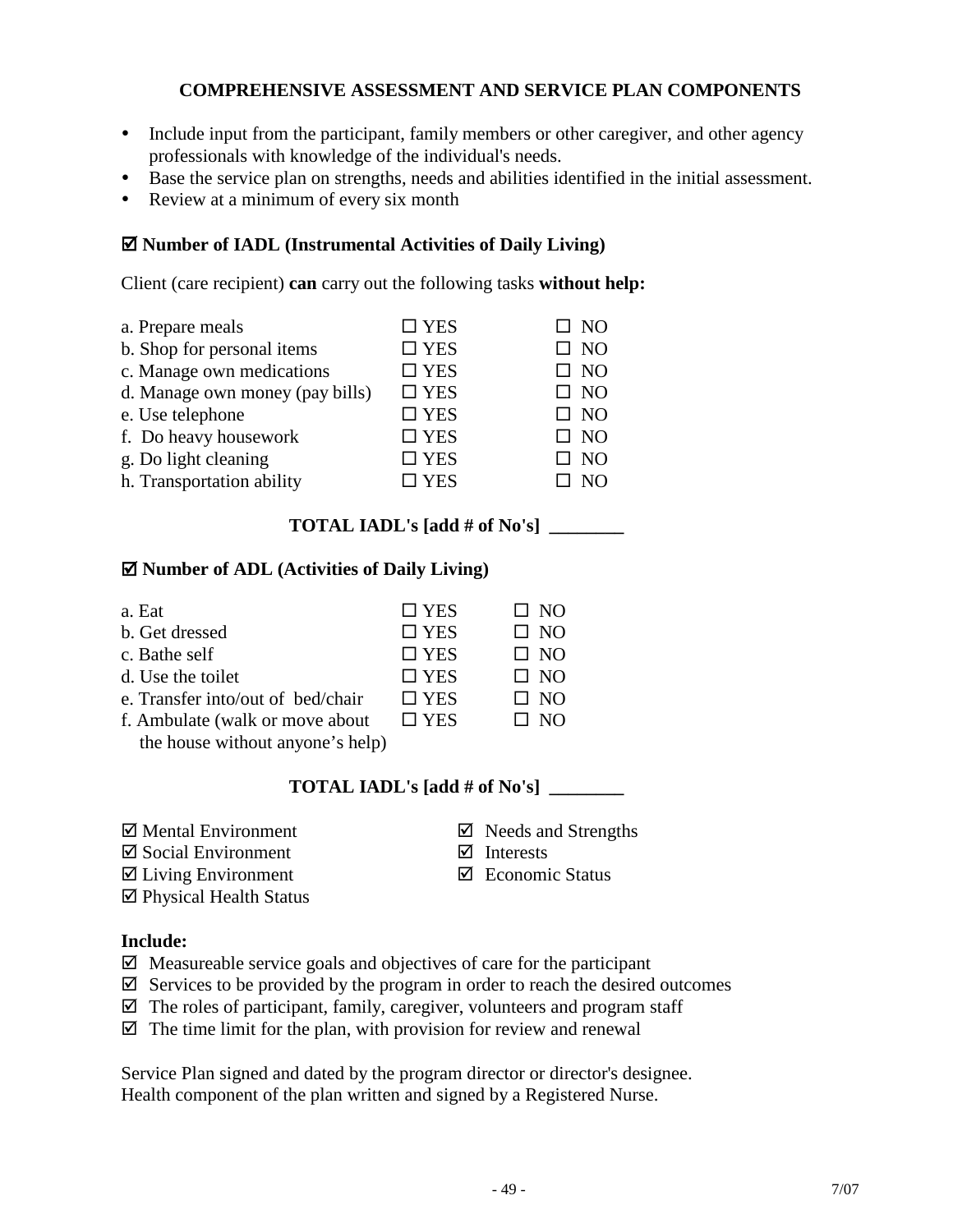## **COMPREHENSIVE ASSESSMENT AND SERVICE PLAN COMPONENTS**

- Include input from the participant, family members or other caregiver, and other agency professionals with knowledge of the individual's needs.
- Base the service plan on strengths, needs and abilities identified in the initial assessment.
- Review at a minimum of every six month

#### **Number of IADL (Instrumental Activities of Daily Living)**

Client (care recipient) **can** carry out the following tasks **without help:**

| a. Prepare meals                | $\square$ YES | $\square$ NO |
|---------------------------------|---------------|--------------|
| b. Shop for personal items      | $\square$ YES | <b>NO</b>    |
| c. Manage own medications       | $\square$ YES | $\square$ NO |
| d. Manage own money (pay bills) | $\square$ YES | $\square$ NO |
| e. Use telephone                | $\square$ YES | $\square$ NO |
| f. Do heavy housework           | $\square$ YES | $\square$ NO |
| g. Do light cleaning            | $\square$ YES | NO           |
| h. Transportation ability       | $\square$ YES | N()          |

### **TOTAL IADL's [add # of No's] \_\_\_\_\_\_\_\_**

#### **Number of ADL (Activities of Daily Living)**

| a. Eat                            | $\square$ YES | $\Box$ NO    |
|-----------------------------------|---------------|--------------|
| b. Get dressed                    | $\square$ YES | $\square$ NO |
| c. Bathe self                     | $\square$ YES | $\square$ NO |
| d. Use the toilet                 | $\square$ YES | $\square$ NO |
| e. Transfer into/out of bed/chair | $\square$ YES | $\square$ NO |
| f. Ambulate (walk or move about   | $\Box$ YES    | $\square$ NO |

the house without anyone's help)

## **TOTAL IADL's [add # of No's] \_\_\_\_\_\_\_\_**

- 
- $\boxtimes$  Social Environment  $\boxtimes$  Interests
- $\boxtimes$  Living Environment  $\boxtimes$  Economic Status
- Physical Health Status

#### **Include:**

 $\boxtimes$  Measureable service goals and objectives of care for the participant

- $\boxtimes$  Services to be provided by the program in order to reach the desired outcomes
- $\boxtimes$  The roles of participant, family, caregiver, volunteers and program staff
- $\boxtimes$  The time limit for the plan, with provision for review and renewal

Service Plan signed and dated by the program director or director's designee. Health component of the plan written and signed by a Registered Nurse.

- $\boxtimes$  Mental Environment  $\boxtimes$  Needs and Strengths
	-
	-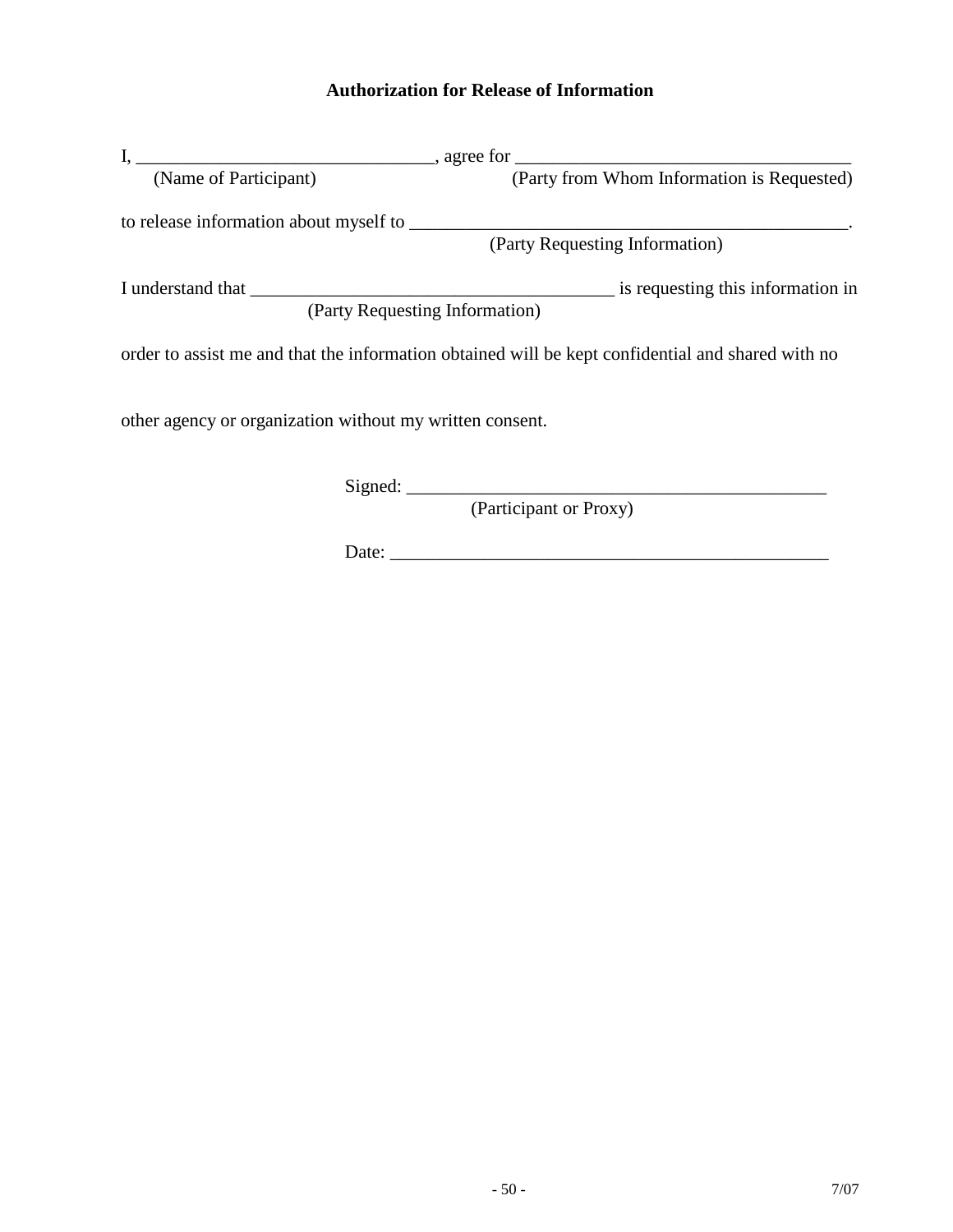# **Authorization for Release of Information**

| (Name of Participant)                                    | (Party from Whom Information is Requested)                                                        |
|----------------------------------------------------------|---------------------------------------------------------------------------------------------------|
|                                                          |                                                                                                   |
|                                                          | (Party Requesting Information)                                                                    |
|                                                          | is requesting this information in                                                                 |
|                                                          | (Party Requesting Information)                                                                    |
|                                                          | order to assist me and that the information obtained will be kept confidential and shared with no |
|                                                          |                                                                                                   |
|                                                          | (Participant or Proxy)                                                                            |
| other agency or organization without my written consent. |                                                                                                   |

 $Date:$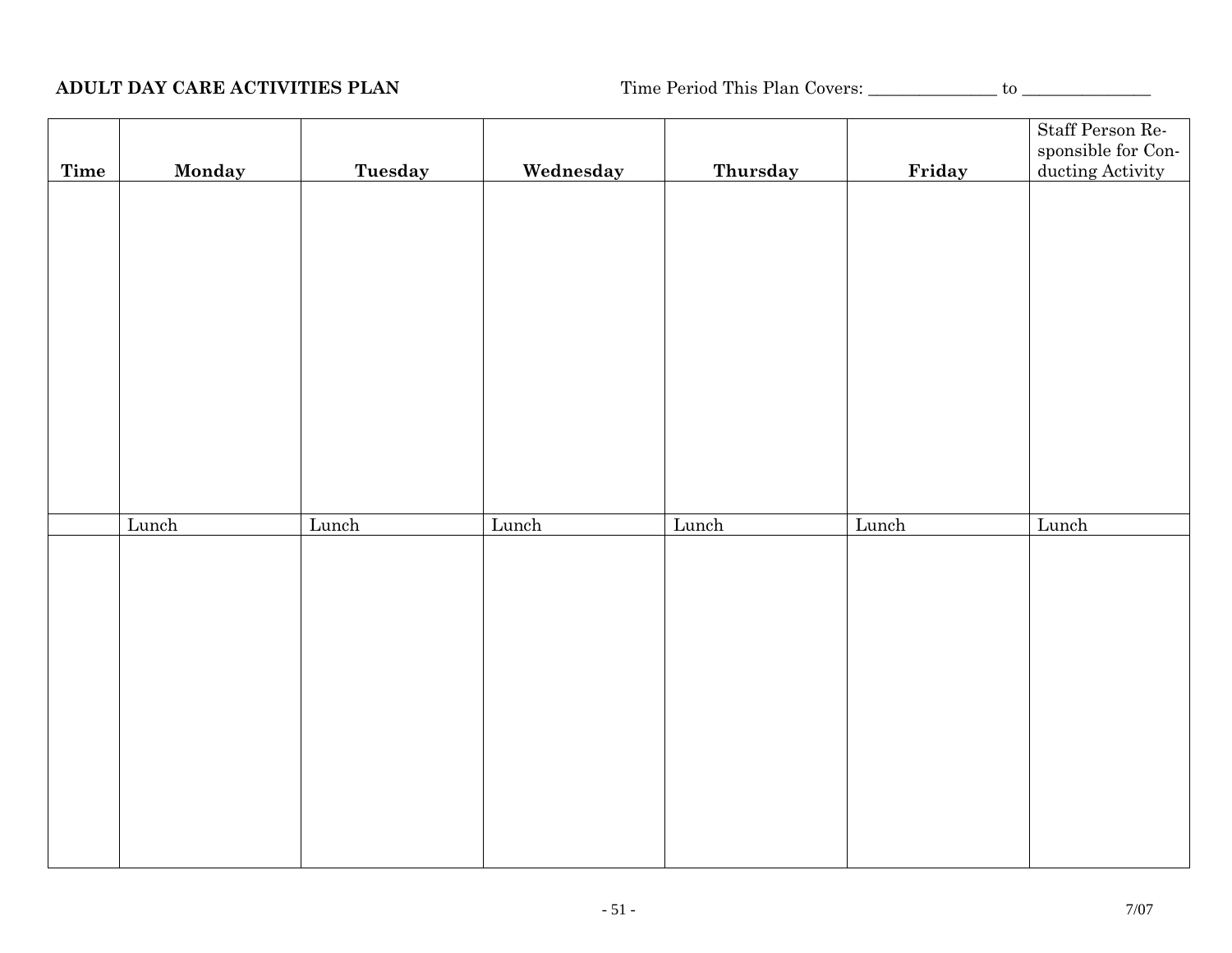**ADULT DAY CARE ACTIVITIES PLAN** Time Period This Plan Covers: \_\_\_\_\_\_\_\_\_\_\_\_\_\_\_ to \_\_\_\_\_\_\_\_\_\_\_\_\_\_\_

|      |        |         |           |          |        | Staff Person Responsible for Con- |
|------|--------|---------|-----------|----------|--------|-----------------------------------|
| Time | Monday | Tuesday | Wednesday | Thursday | Friday | ducting Activity                  |
|      |        |         |           |          |        |                                   |
|      |        |         |           |          |        |                                   |
|      |        |         |           |          |        |                                   |
|      |        |         |           |          |        |                                   |
|      |        |         |           |          |        |                                   |
|      |        |         |           |          |        |                                   |
|      |        |         |           |          |        |                                   |
|      |        |         |           |          |        |                                   |
|      |        |         |           |          |        |                                   |
|      |        |         |           |          |        |                                   |
|      |        |         |           |          |        |                                   |
|      |        |         |           |          |        |                                   |
|      |        |         |           |          |        |                                   |
|      | Lunch  | Lunch   | Lunch     | Lunch    | Lunch  | Lunch                             |
|      |        |         |           |          |        |                                   |
|      |        |         |           |          |        |                                   |
|      |        |         |           |          |        |                                   |
|      |        |         |           |          |        |                                   |
|      |        |         |           |          |        |                                   |
|      |        |         |           |          |        |                                   |
|      |        |         |           |          |        |                                   |
|      |        |         |           |          |        |                                   |
|      |        |         |           |          |        |                                   |
|      |        |         |           |          |        |                                   |
|      |        |         |           |          |        |                                   |
|      |        |         |           |          |        |                                   |
|      |        |         |           |          |        |                                   |
|      |        |         |           |          |        |                                   |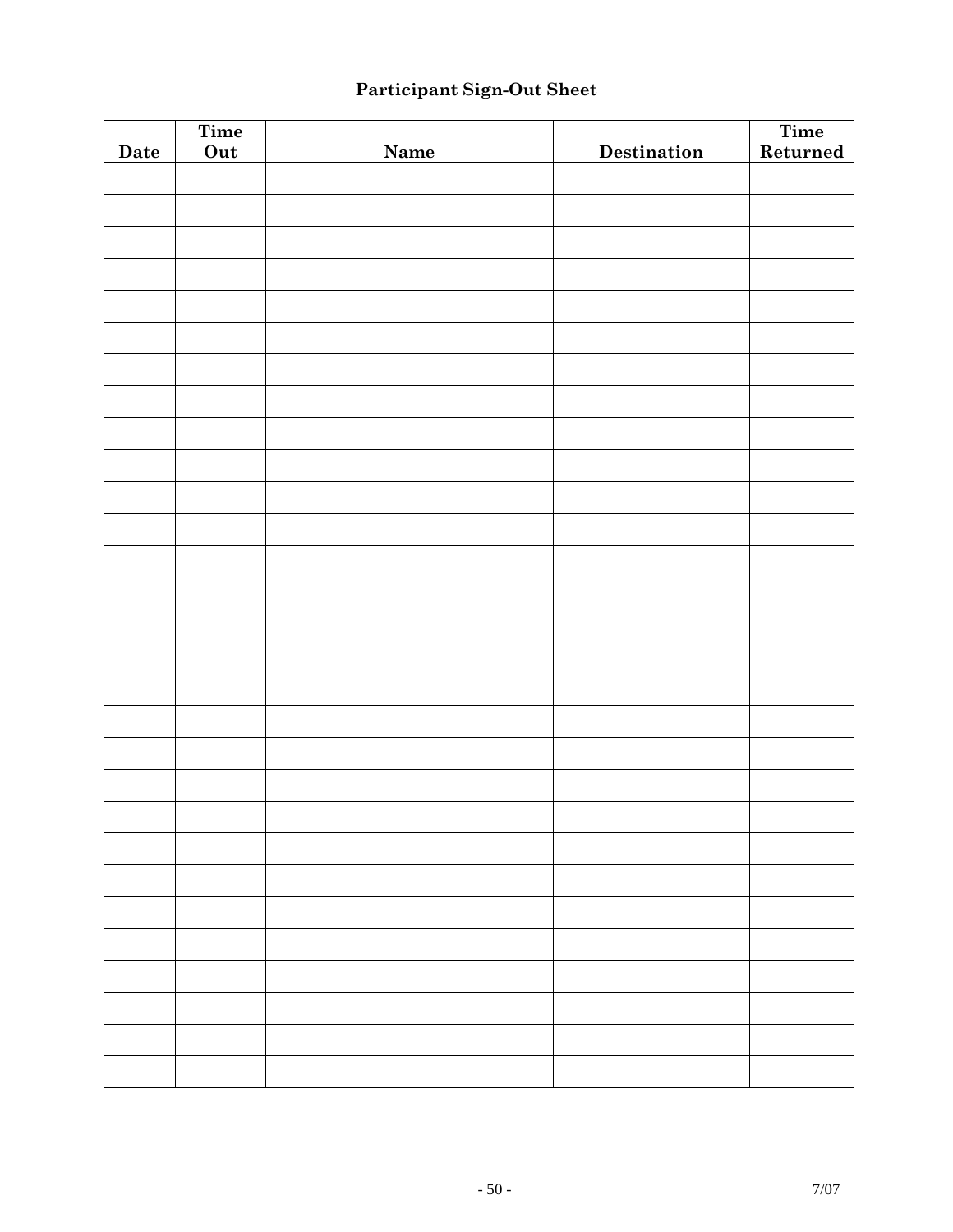# **Participant Sign-Out Sheet**

|      | Time |      |             | Time     |
|------|------|------|-------------|----------|
| Date | Out  | Name | Destination | Returned |
|      |      |      |             |          |
|      |      |      |             |          |
|      |      |      |             |          |
|      |      |      |             |          |
|      |      |      |             |          |
|      |      |      |             |          |
|      |      |      |             |          |
|      |      |      |             |          |
|      |      |      |             |          |
|      |      |      |             |          |
|      |      |      |             |          |
|      |      |      |             |          |
|      |      |      |             |          |
|      |      |      |             |          |
|      |      |      |             |          |
|      |      |      |             |          |
|      |      |      |             |          |
|      |      |      |             |          |
|      |      |      |             |          |
|      |      |      |             |          |
|      |      |      |             |          |
|      |      |      |             |          |
|      |      |      |             |          |
|      |      |      |             |          |
|      |      |      |             |          |
|      |      |      |             |          |
|      |      |      |             |          |
|      |      |      |             |          |
|      |      |      |             |          |
|      |      |      |             |          |
|      |      |      |             |          |
|      |      |      |             |          |
|      |      |      |             |          |
|      |      |      |             |          |
|      |      |      |             |          |
|      |      |      |             |          |
|      |      |      |             |          |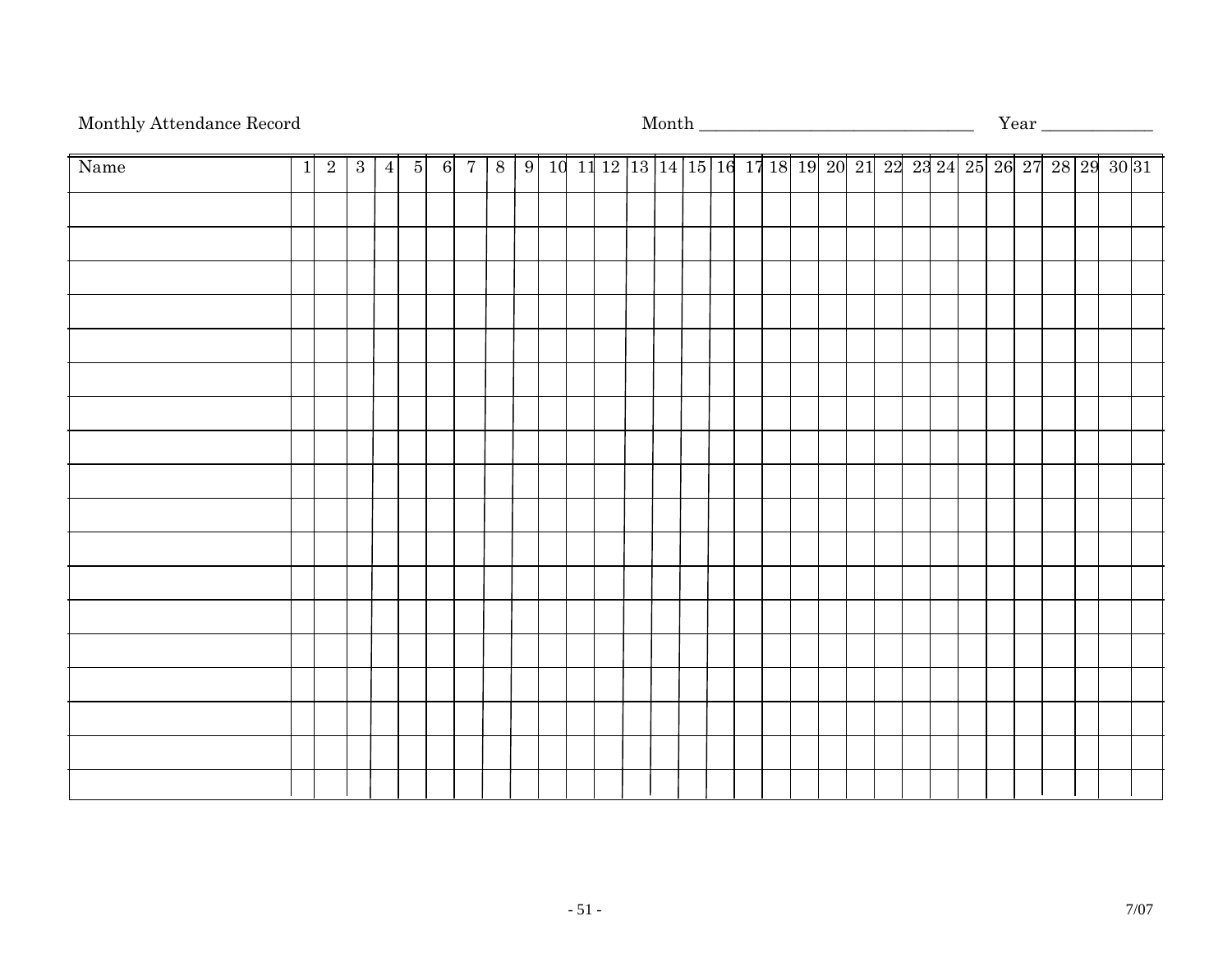# Monthly Attendance Record Month \_\_\_\_\_\_\_\_\_\_\_\_\_\_\_\_\_\_\_\_\_\_\_\_\_\_\_\_\_\_\_\_ Year \_\_\_\_\_\_\_\_\_\_\_\_\_

| Name | $\overline{1}$ | $\boxed{2}$ | 3 <sup>1</sup> | $\vert 4 \vert$ |  | $5 \quad 6 \quad 7$ |  |  |  |  |  |  |  |  |  |  | 8   9   10   11   12   13   14   15   16   17   18   19   20   21   22   23   24   25   26   27   28   29   30   31 |  |  |
|------|----------------|-------------|----------------|-----------------|--|---------------------|--|--|--|--|--|--|--|--|--|--|---------------------------------------------------------------------------------------------------------------------|--|--|
|      |                |             |                |                 |  |                     |  |  |  |  |  |  |  |  |  |  |                                                                                                                     |  |  |
|      |                |             |                |                 |  |                     |  |  |  |  |  |  |  |  |  |  |                                                                                                                     |  |  |
|      |                |             |                |                 |  |                     |  |  |  |  |  |  |  |  |  |  |                                                                                                                     |  |  |
|      |                |             |                |                 |  |                     |  |  |  |  |  |  |  |  |  |  |                                                                                                                     |  |  |
|      |                |             |                |                 |  |                     |  |  |  |  |  |  |  |  |  |  |                                                                                                                     |  |  |
|      |                |             |                |                 |  |                     |  |  |  |  |  |  |  |  |  |  |                                                                                                                     |  |  |
|      |                |             |                |                 |  |                     |  |  |  |  |  |  |  |  |  |  |                                                                                                                     |  |  |
|      |                |             |                |                 |  |                     |  |  |  |  |  |  |  |  |  |  |                                                                                                                     |  |  |
|      |                |             |                |                 |  |                     |  |  |  |  |  |  |  |  |  |  |                                                                                                                     |  |  |
|      |                |             |                |                 |  |                     |  |  |  |  |  |  |  |  |  |  |                                                                                                                     |  |  |
|      |                |             |                |                 |  |                     |  |  |  |  |  |  |  |  |  |  |                                                                                                                     |  |  |
|      |                |             |                |                 |  |                     |  |  |  |  |  |  |  |  |  |  |                                                                                                                     |  |  |
|      |                |             |                |                 |  |                     |  |  |  |  |  |  |  |  |  |  |                                                                                                                     |  |  |
|      |                |             |                |                 |  |                     |  |  |  |  |  |  |  |  |  |  |                                                                                                                     |  |  |
|      |                |             |                |                 |  |                     |  |  |  |  |  |  |  |  |  |  |                                                                                                                     |  |  |
|      |                |             |                |                 |  |                     |  |  |  |  |  |  |  |  |  |  |                                                                                                                     |  |  |
|      |                |             |                |                 |  |                     |  |  |  |  |  |  |  |  |  |  |                                                                                                                     |  |  |
|      |                |             |                |                 |  |                     |  |  |  |  |  |  |  |  |  |  |                                                                                                                     |  |  |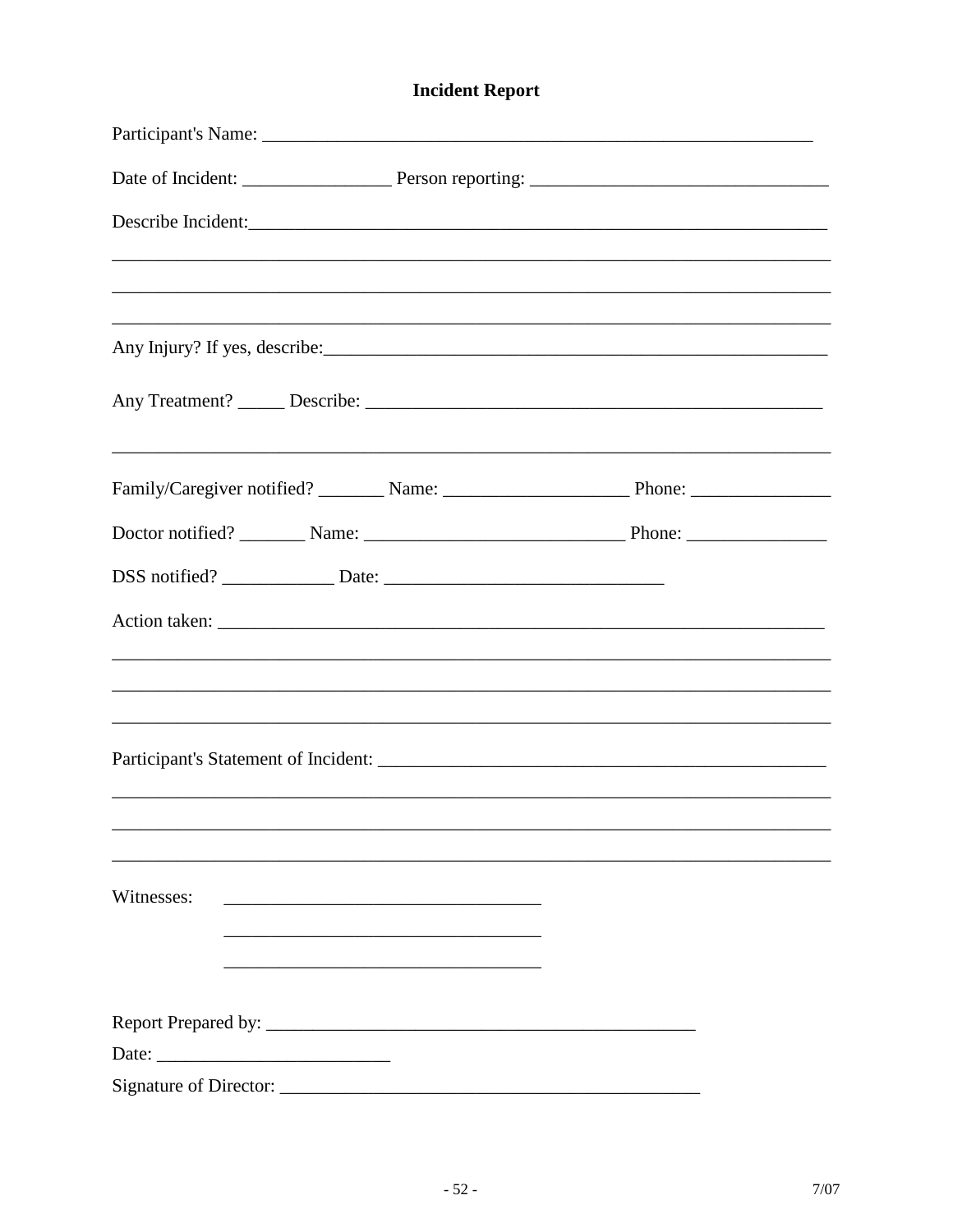# **Incident Report**

|            |                                                 | Describe Incident:<br>,我们也不能在这里的时候,我们也不能在这里的时候,我们也不能会在这里的时候,我们也不能会在这里的时候,我们也不能会在这里的时候,我们也不能会在这里的时候,我们也不 |
|------------|-------------------------------------------------|---------------------------------------------------------------------------------------------------------|
|            |                                                 |                                                                                                         |
|            |                                                 |                                                                                                         |
|            |                                                 |                                                                                                         |
|            |                                                 | ,我们也不能在这里的时候,我们也不能在这里的时候,我们也不能会在这里的时候,我们也不能会在这里的时候,我们也不能会在这里的时候,我们也不能会在这里的时候,我们也不                       |
|            |                                                 |                                                                                                         |
|            |                                                 |                                                                                                         |
|            |                                                 |                                                                                                         |
|            |                                                 |                                                                                                         |
|            |                                                 | ,我们也不能在这里的时候,我们也不能在这里的时候,我们也不能会在这里的时候,我们也不能会在这里的时候,我们也不能会在这里的时候,我们也不能会在这里的时候,我们也不                       |
|            |                                                 |                                                                                                         |
|            |                                                 |                                                                                                         |
|            |                                                 |                                                                                                         |
| Witnesses: | <u> 1989 - Johann Stein, mars et al. (1989)</u> |                                                                                                         |
|            |                                                 |                                                                                                         |
|            |                                                 |                                                                                                         |
|            |                                                 |                                                                                                         |
|            |                                                 |                                                                                                         |
|            |                                                 |                                                                                                         |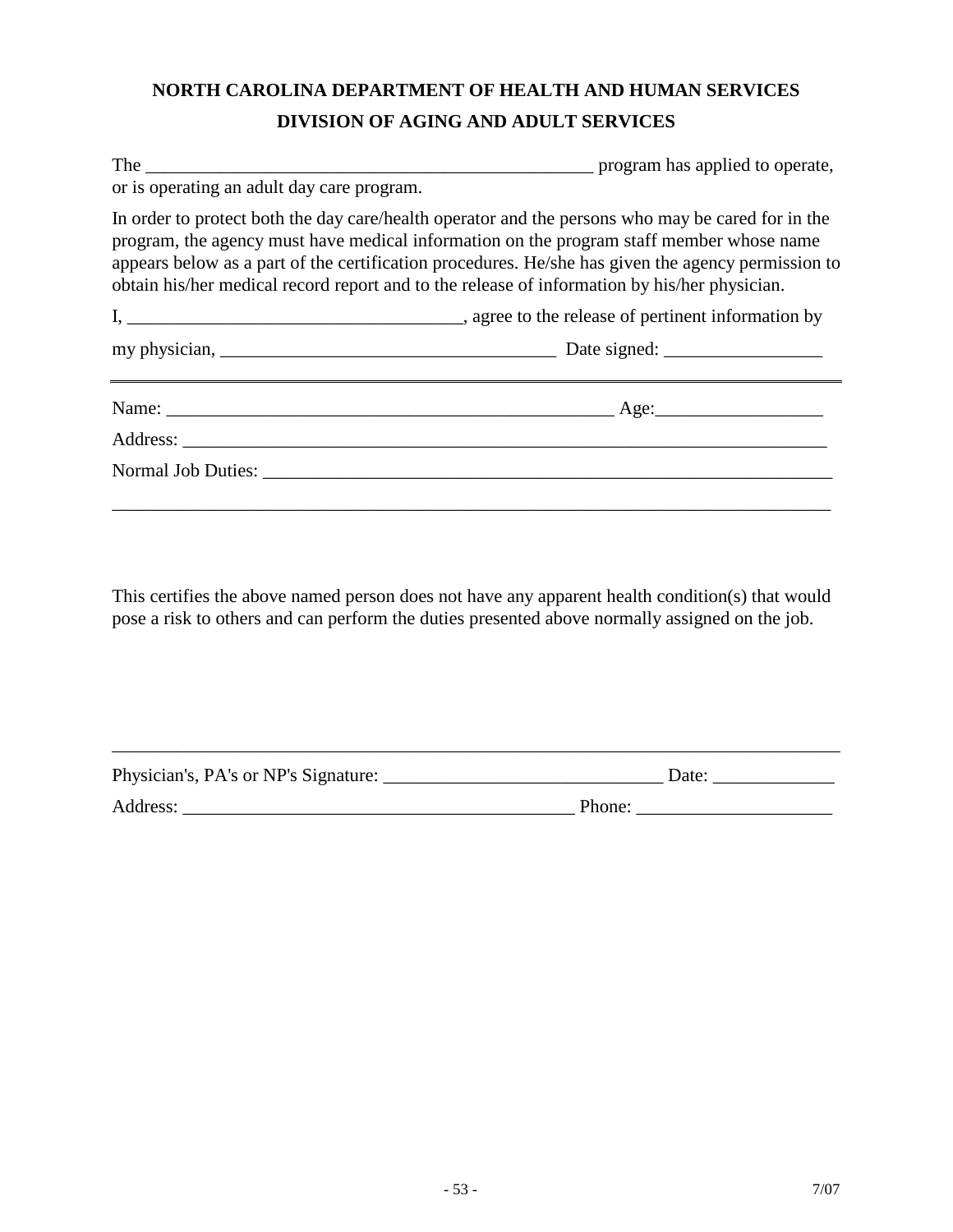# **NORTH CAROLINA DEPARTMENT OF HEALTH AND HUMAN SERVICES DIVISION OF AGING AND ADULT SERVICES**

| or is operating an adult day care program. |                                                                                                                                                                                                                                                                                                                                                                                                     |
|--------------------------------------------|-----------------------------------------------------------------------------------------------------------------------------------------------------------------------------------------------------------------------------------------------------------------------------------------------------------------------------------------------------------------------------------------------------|
|                                            | In order to protect both the day care/health operator and the persons who may be cared for in the<br>program, the agency must have medical information on the program staff member whose name<br>appears below as a part of the certification procedures. He/she has given the agency permission to<br>obtain his/her medical record report and to the release of information by his/her physician. |
|                                            |                                                                                                                                                                                                                                                                                                                                                                                                     |
|                                            |                                                                                                                                                                                                                                                                                                                                                                                                     |
|                                            |                                                                                                                                                                                                                                                                                                                                                                                                     |
|                                            |                                                                                                                                                                                                                                                                                                                                                                                                     |
| Normal Job Duties: Normal Job Duties:      |                                                                                                                                                                                                                                                                                                                                                                                                     |
|                                            |                                                                                                                                                                                                                                                                                                                                                                                                     |

This certifies the above named person does not have any apparent health condition(s) that would pose a risk to others and can perform the duties presented above normally assigned on the job.

| Physician's, PA's or NP's Signature: | Date:  |
|--------------------------------------|--------|
| Address:                             | Phone: |

\_\_\_\_\_\_\_\_\_\_\_\_\_\_\_\_\_\_\_\_\_\_\_\_\_\_\_\_\_\_\_\_\_\_\_\_\_\_\_\_\_\_\_\_\_\_\_\_\_\_\_\_\_\_\_\_\_\_\_\_\_\_\_\_\_\_\_\_\_\_\_\_\_\_\_\_\_\_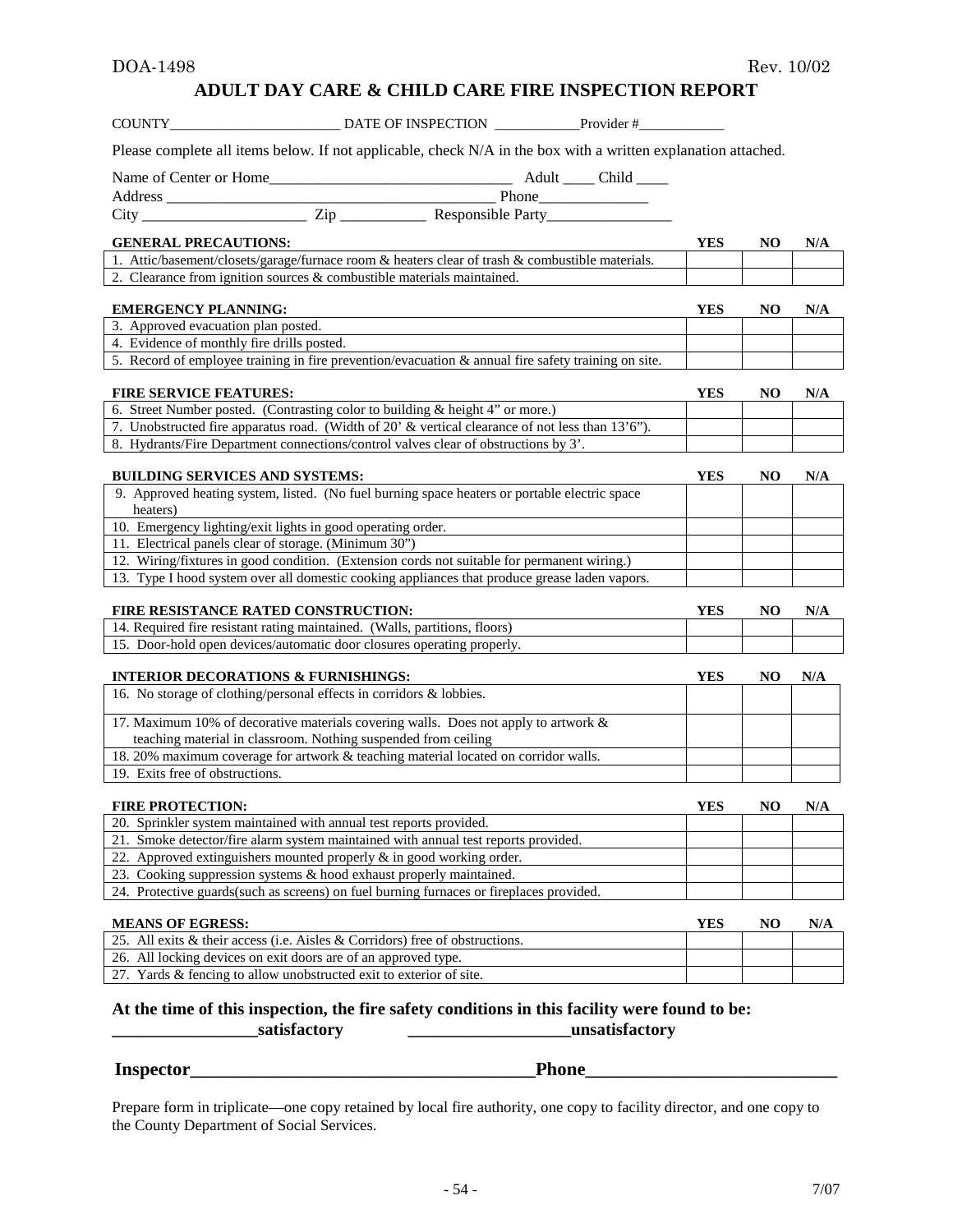#### **ADULT DAY CARE & CHILD CARE FIRE INSPECTION REPORT**

| Please complete all items below. If not applicable, check N/A in the box with a written explanation attached.<br><b>YES</b><br>NO.<br><b>GENERAL PRECAUTIONS:</b><br>N/A<br>1. Attic/basement/closets/garage/furnace room & heaters clear of trash & combustible materials.<br>2. Clearance from ignition sources $&$ combustible materials maintained.<br><b>EMERGENCY PLANNING:</b><br>YES<br>NO.<br>N/A<br>3. Approved evacuation plan posted.<br>4. Evidence of monthly fire drills posted.<br>5. Record of employee training in fire prevention/evacuation $\&$ annual fire safety training on site.<br><b>FIRE SERVICE FEATURES:</b><br><b>YES</b><br>N/A<br>NO.<br>6. Street Number posted. (Contrasting color to building & height 4" or more.)<br>7. Unobstructed fire apparatus road. (Width of 20' & vertical clearance of not less than 13'6").<br>8. Hydrants/Fire Department connections/control valves clear of obstructions by 3'.<br><b>BUILDING SERVICES AND SYSTEMS:</b><br>YES<br>NO.<br>N/A<br>9. Approved heating system, listed. (No fuel burning space heaters or portable electric space<br>heaters)<br>10. Emergency lighting/exit lights in good operating order.<br>11. Electrical panels clear of storage. (Minimum 30")<br>12. Wiring/fixtures in good condition. (Extension cords not suitable for permanent wiring.)<br>13. Type I hood system over all domestic cooking appliances that produce grease laden vapors.<br>FIRE RESISTANCE RATED CONSTRUCTION:<br>YES<br>NO.<br>N/A<br>14. Required fire resistant rating maintained. (Walls, partitions, floors)<br>15. Door-hold open devices/automatic door closures operating properly.<br><b>INTERIOR DECORATIONS &amp; FURNISHINGS:</b><br>N/A<br>YES<br>NO.<br>16. No storage of clothing/personal effects in corridors & lobbies.<br>17. Maximum 10% of decorative materials covering walls. Does not apply to artwork &<br>teaching material in classroom. Nothing suspended from ceiling<br>18. 20% maximum coverage for artwork & teaching material located on corridor walls.<br>19. Exits free of obstructions.<br><b>FIRE PROTECTION:</b><br><b>YES</b><br>N/A<br>N <sub>O</sub><br>20. Sprinkler system maintained with annual test reports provided.<br>21. Smoke detector/fire alarm system maintained with annual test reports provided.<br>22. Approved extinguishers mounted properly & in good working order.<br>23. Cooking suppression systems & hood exhaust properly maintained.<br>24. Protective guards(such as screens) on fuel burning furnaces or fireplaces provided.<br><b>MEANS OF EGRESS:</b><br>YES<br>NO<br>N/A<br>25. All exits & their access (i.e. Aisles & Corridors) free of obstructions.<br>26. All locking devices on exit doors are of an approved type.<br>27. Yards & fencing to allow unobstructed exit to exterior of site. | DATE OF INSPECTION Provider #<br>COUNTY |  |  |
|------------------------------------------------------------------------------------------------------------------------------------------------------------------------------------------------------------------------------------------------------------------------------------------------------------------------------------------------------------------------------------------------------------------------------------------------------------------------------------------------------------------------------------------------------------------------------------------------------------------------------------------------------------------------------------------------------------------------------------------------------------------------------------------------------------------------------------------------------------------------------------------------------------------------------------------------------------------------------------------------------------------------------------------------------------------------------------------------------------------------------------------------------------------------------------------------------------------------------------------------------------------------------------------------------------------------------------------------------------------------------------------------------------------------------------------------------------------------------------------------------------------------------------------------------------------------------------------------------------------------------------------------------------------------------------------------------------------------------------------------------------------------------------------------------------------------------------------------------------------------------------------------------------------------------------------------------------------------------------------------------------------------------------------------------------------------------------------------------------------------------------------------------------------------------------------------------------------------------------------------------------------------------------------------------------------------------------------------------------------------------------------------------------------------------------------------------------------------------------------------------------------------------------------------------------------------------------------------------------------------------------------------------------------------------------------------------------------------------------------------------------------------------------------------------------------------------------------------------------|-----------------------------------------|--|--|
|                                                                                                                                                                                                                                                                                                                                                                                                                                                                                                                                                                                                                                                                                                                                                                                                                                                                                                                                                                                                                                                                                                                                                                                                                                                                                                                                                                                                                                                                                                                                                                                                                                                                                                                                                                                                                                                                                                                                                                                                                                                                                                                                                                                                                                                                                                                                                                                                                                                                                                                                                                                                                                                                                                                                                                                                                                                            |                                         |  |  |
|                                                                                                                                                                                                                                                                                                                                                                                                                                                                                                                                                                                                                                                                                                                                                                                                                                                                                                                                                                                                                                                                                                                                                                                                                                                                                                                                                                                                                                                                                                                                                                                                                                                                                                                                                                                                                                                                                                                                                                                                                                                                                                                                                                                                                                                                                                                                                                                                                                                                                                                                                                                                                                                                                                                                                                                                                                                            |                                         |  |  |
|                                                                                                                                                                                                                                                                                                                                                                                                                                                                                                                                                                                                                                                                                                                                                                                                                                                                                                                                                                                                                                                                                                                                                                                                                                                                                                                                                                                                                                                                                                                                                                                                                                                                                                                                                                                                                                                                                                                                                                                                                                                                                                                                                                                                                                                                                                                                                                                                                                                                                                                                                                                                                                                                                                                                                                                                                                                            |                                         |  |  |
|                                                                                                                                                                                                                                                                                                                                                                                                                                                                                                                                                                                                                                                                                                                                                                                                                                                                                                                                                                                                                                                                                                                                                                                                                                                                                                                                                                                                                                                                                                                                                                                                                                                                                                                                                                                                                                                                                                                                                                                                                                                                                                                                                                                                                                                                                                                                                                                                                                                                                                                                                                                                                                                                                                                                                                                                                                                            |                                         |  |  |
|                                                                                                                                                                                                                                                                                                                                                                                                                                                                                                                                                                                                                                                                                                                                                                                                                                                                                                                                                                                                                                                                                                                                                                                                                                                                                                                                                                                                                                                                                                                                                                                                                                                                                                                                                                                                                                                                                                                                                                                                                                                                                                                                                                                                                                                                                                                                                                                                                                                                                                                                                                                                                                                                                                                                                                                                                                                            |                                         |  |  |
|                                                                                                                                                                                                                                                                                                                                                                                                                                                                                                                                                                                                                                                                                                                                                                                                                                                                                                                                                                                                                                                                                                                                                                                                                                                                                                                                                                                                                                                                                                                                                                                                                                                                                                                                                                                                                                                                                                                                                                                                                                                                                                                                                                                                                                                                                                                                                                                                                                                                                                                                                                                                                                                                                                                                                                                                                                                            |                                         |  |  |
|                                                                                                                                                                                                                                                                                                                                                                                                                                                                                                                                                                                                                                                                                                                                                                                                                                                                                                                                                                                                                                                                                                                                                                                                                                                                                                                                                                                                                                                                                                                                                                                                                                                                                                                                                                                                                                                                                                                                                                                                                                                                                                                                                                                                                                                                                                                                                                                                                                                                                                                                                                                                                                                                                                                                                                                                                                                            |                                         |  |  |
|                                                                                                                                                                                                                                                                                                                                                                                                                                                                                                                                                                                                                                                                                                                                                                                                                                                                                                                                                                                                                                                                                                                                                                                                                                                                                                                                                                                                                                                                                                                                                                                                                                                                                                                                                                                                                                                                                                                                                                                                                                                                                                                                                                                                                                                                                                                                                                                                                                                                                                                                                                                                                                                                                                                                                                                                                                                            |                                         |  |  |
|                                                                                                                                                                                                                                                                                                                                                                                                                                                                                                                                                                                                                                                                                                                                                                                                                                                                                                                                                                                                                                                                                                                                                                                                                                                                                                                                                                                                                                                                                                                                                                                                                                                                                                                                                                                                                                                                                                                                                                                                                                                                                                                                                                                                                                                                                                                                                                                                                                                                                                                                                                                                                                                                                                                                                                                                                                                            |                                         |  |  |
|                                                                                                                                                                                                                                                                                                                                                                                                                                                                                                                                                                                                                                                                                                                                                                                                                                                                                                                                                                                                                                                                                                                                                                                                                                                                                                                                                                                                                                                                                                                                                                                                                                                                                                                                                                                                                                                                                                                                                                                                                                                                                                                                                                                                                                                                                                                                                                                                                                                                                                                                                                                                                                                                                                                                                                                                                                                            |                                         |  |  |
|                                                                                                                                                                                                                                                                                                                                                                                                                                                                                                                                                                                                                                                                                                                                                                                                                                                                                                                                                                                                                                                                                                                                                                                                                                                                                                                                                                                                                                                                                                                                                                                                                                                                                                                                                                                                                                                                                                                                                                                                                                                                                                                                                                                                                                                                                                                                                                                                                                                                                                                                                                                                                                                                                                                                                                                                                                                            |                                         |  |  |
|                                                                                                                                                                                                                                                                                                                                                                                                                                                                                                                                                                                                                                                                                                                                                                                                                                                                                                                                                                                                                                                                                                                                                                                                                                                                                                                                                                                                                                                                                                                                                                                                                                                                                                                                                                                                                                                                                                                                                                                                                                                                                                                                                                                                                                                                                                                                                                                                                                                                                                                                                                                                                                                                                                                                                                                                                                                            |                                         |  |  |
|                                                                                                                                                                                                                                                                                                                                                                                                                                                                                                                                                                                                                                                                                                                                                                                                                                                                                                                                                                                                                                                                                                                                                                                                                                                                                                                                                                                                                                                                                                                                                                                                                                                                                                                                                                                                                                                                                                                                                                                                                                                                                                                                                                                                                                                                                                                                                                                                                                                                                                                                                                                                                                                                                                                                                                                                                                                            |                                         |  |  |
|                                                                                                                                                                                                                                                                                                                                                                                                                                                                                                                                                                                                                                                                                                                                                                                                                                                                                                                                                                                                                                                                                                                                                                                                                                                                                                                                                                                                                                                                                                                                                                                                                                                                                                                                                                                                                                                                                                                                                                                                                                                                                                                                                                                                                                                                                                                                                                                                                                                                                                                                                                                                                                                                                                                                                                                                                                                            |                                         |  |  |
|                                                                                                                                                                                                                                                                                                                                                                                                                                                                                                                                                                                                                                                                                                                                                                                                                                                                                                                                                                                                                                                                                                                                                                                                                                                                                                                                                                                                                                                                                                                                                                                                                                                                                                                                                                                                                                                                                                                                                                                                                                                                                                                                                                                                                                                                                                                                                                                                                                                                                                                                                                                                                                                                                                                                                                                                                                                            |                                         |  |  |
|                                                                                                                                                                                                                                                                                                                                                                                                                                                                                                                                                                                                                                                                                                                                                                                                                                                                                                                                                                                                                                                                                                                                                                                                                                                                                                                                                                                                                                                                                                                                                                                                                                                                                                                                                                                                                                                                                                                                                                                                                                                                                                                                                                                                                                                                                                                                                                                                                                                                                                                                                                                                                                                                                                                                                                                                                                                            |                                         |  |  |
|                                                                                                                                                                                                                                                                                                                                                                                                                                                                                                                                                                                                                                                                                                                                                                                                                                                                                                                                                                                                                                                                                                                                                                                                                                                                                                                                                                                                                                                                                                                                                                                                                                                                                                                                                                                                                                                                                                                                                                                                                                                                                                                                                                                                                                                                                                                                                                                                                                                                                                                                                                                                                                                                                                                                                                                                                                                            |                                         |  |  |
|                                                                                                                                                                                                                                                                                                                                                                                                                                                                                                                                                                                                                                                                                                                                                                                                                                                                                                                                                                                                                                                                                                                                                                                                                                                                                                                                                                                                                                                                                                                                                                                                                                                                                                                                                                                                                                                                                                                                                                                                                                                                                                                                                                                                                                                                                                                                                                                                                                                                                                                                                                                                                                                                                                                                                                                                                                                            |                                         |  |  |
|                                                                                                                                                                                                                                                                                                                                                                                                                                                                                                                                                                                                                                                                                                                                                                                                                                                                                                                                                                                                                                                                                                                                                                                                                                                                                                                                                                                                                                                                                                                                                                                                                                                                                                                                                                                                                                                                                                                                                                                                                                                                                                                                                                                                                                                                                                                                                                                                                                                                                                                                                                                                                                                                                                                                                                                                                                                            |                                         |  |  |
|                                                                                                                                                                                                                                                                                                                                                                                                                                                                                                                                                                                                                                                                                                                                                                                                                                                                                                                                                                                                                                                                                                                                                                                                                                                                                                                                                                                                                                                                                                                                                                                                                                                                                                                                                                                                                                                                                                                                                                                                                                                                                                                                                                                                                                                                                                                                                                                                                                                                                                                                                                                                                                                                                                                                                                                                                                                            |                                         |  |  |
|                                                                                                                                                                                                                                                                                                                                                                                                                                                                                                                                                                                                                                                                                                                                                                                                                                                                                                                                                                                                                                                                                                                                                                                                                                                                                                                                                                                                                                                                                                                                                                                                                                                                                                                                                                                                                                                                                                                                                                                                                                                                                                                                                                                                                                                                                                                                                                                                                                                                                                                                                                                                                                                                                                                                                                                                                                                            |                                         |  |  |
|                                                                                                                                                                                                                                                                                                                                                                                                                                                                                                                                                                                                                                                                                                                                                                                                                                                                                                                                                                                                                                                                                                                                                                                                                                                                                                                                                                                                                                                                                                                                                                                                                                                                                                                                                                                                                                                                                                                                                                                                                                                                                                                                                                                                                                                                                                                                                                                                                                                                                                                                                                                                                                                                                                                                                                                                                                                            |                                         |  |  |
|                                                                                                                                                                                                                                                                                                                                                                                                                                                                                                                                                                                                                                                                                                                                                                                                                                                                                                                                                                                                                                                                                                                                                                                                                                                                                                                                                                                                                                                                                                                                                                                                                                                                                                                                                                                                                                                                                                                                                                                                                                                                                                                                                                                                                                                                                                                                                                                                                                                                                                                                                                                                                                                                                                                                                                                                                                                            |                                         |  |  |
|                                                                                                                                                                                                                                                                                                                                                                                                                                                                                                                                                                                                                                                                                                                                                                                                                                                                                                                                                                                                                                                                                                                                                                                                                                                                                                                                                                                                                                                                                                                                                                                                                                                                                                                                                                                                                                                                                                                                                                                                                                                                                                                                                                                                                                                                                                                                                                                                                                                                                                                                                                                                                                                                                                                                                                                                                                                            |                                         |  |  |
|                                                                                                                                                                                                                                                                                                                                                                                                                                                                                                                                                                                                                                                                                                                                                                                                                                                                                                                                                                                                                                                                                                                                                                                                                                                                                                                                                                                                                                                                                                                                                                                                                                                                                                                                                                                                                                                                                                                                                                                                                                                                                                                                                                                                                                                                                                                                                                                                                                                                                                                                                                                                                                                                                                                                                                                                                                                            |                                         |  |  |
|                                                                                                                                                                                                                                                                                                                                                                                                                                                                                                                                                                                                                                                                                                                                                                                                                                                                                                                                                                                                                                                                                                                                                                                                                                                                                                                                                                                                                                                                                                                                                                                                                                                                                                                                                                                                                                                                                                                                                                                                                                                                                                                                                                                                                                                                                                                                                                                                                                                                                                                                                                                                                                                                                                                                                                                                                                                            |                                         |  |  |
|                                                                                                                                                                                                                                                                                                                                                                                                                                                                                                                                                                                                                                                                                                                                                                                                                                                                                                                                                                                                                                                                                                                                                                                                                                                                                                                                                                                                                                                                                                                                                                                                                                                                                                                                                                                                                                                                                                                                                                                                                                                                                                                                                                                                                                                                                                                                                                                                                                                                                                                                                                                                                                                                                                                                                                                                                                                            |                                         |  |  |
|                                                                                                                                                                                                                                                                                                                                                                                                                                                                                                                                                                                                                                                                                                                                                                                                                                                                                                                                                                                                                                                                                                                                                                                                                                                                                                                                                                                                                                                                                                                                                                                                                                                                                                                                                                                                                                                                                                                                                                                                                                                                                                                                                                                                                                                                                                                                                                                                                                                                                                                                                                                                                                                                                                                                                                                                                                                            |                                         |  |  |
|                                                                                                                                                                                                                                                                                                                                                                                                                                                                                                                                                                                                                                                                                                                                                                                                                                                                                                                                                                                                                                                                                                                                                                                                                                                                                                                                                                                                                                                                                                                                                                                                                                                                                                                                                                                                                                                                                                                                                                                                                                                                                                                                                                                                                                                                                                                                                                                                                                                                                                                                                                                                                                                                                                                                                                                                                                                            |                                         |  |  |
|                                                                                                                                                                                                                                                                                                                                                                                                                                                                                                                                                                                                                                                                                                                                                                                                                                                                                                                                                                                                                                                                                                                                                                                                                                                                                                                                                                                                                                                                                                                                                                                                                                                                                                                                                                                                                                                                                                                                                                                                                                                                                                                                                                                                                                                                                                                                                                                                                                                                                                                                                                                                                                                                                                                                                                                                                                                            |                                         |  |  |
|                                                                                                                                                                                                                                                                                                                                                                                                                                                                                                                                                                                                                                                                                                                                                                                                                                                                                                                                                                                                                                                                                                                                                                                                                                                                                                                                                                                                                                                                                                                                                                                                                                                                                                                                                                                                                                                                                                                                                                                                                                                                                                                                                                                                                                                                                                                                                                                                                                                                                                                                                                                                                                                                                                                                                                                                                                                            |                                         |  |  |
|                                                                                                                                                                                                                                                                                                                                                                                                                                                                                                                                                                                                                                                                                                                                                                                                                                                                                                                                                                                                                                                                                                                                                                                                                                                                                                                                                                                                                                                                                                                                                                                                                                                                                                                                                                                                                                                                                                                                                                                                                                                                                                                                                                                                                                                                                                                                                                                                                                                                                                                                                                                                                                                                                                                                                                                                                                                            |                                         |  |  |
|                                                                                                                                                                                                                                                                                                                                                                                                                                                                                                                                                                                                                                                                                                                                                                                                                                                                                                                                                                                                                                                                                                                                                                                                                                                                                                                                                                                                                                                                                                                                                                                                                                                                                                                                                                                                                                                                                                                                                                                                                                                                                                                                                                                                                                                                                                                                                                                                                                                                                                                                                                                                                                                                                                                                                                                                                                                            |                                         |  |  |
|                                                                                                                                                                                                                                                                                                                                                                                                                                                                                                                                                                                                                                                                                                                                                                                                                                                                                                                                                                                                                                                                                                                                                                                                                                                                                                                                                                                                                                                                                                                                                                                                                                                                                                                                                                                                                                                                                                                                                                                                                                                                                                                                                                                                                                                                                                                                                                                                                                                                                                                                                                                                                                                                                                                                                                                                                                                            |                                         |  |  |
|                                                                                                                                                                                                                                                                                                                                                                                                                                                                                                                                                                                                                                                                                                                                                                                                                                                                                                                                                                                                                                                                                                                                                                                                                                                                                                                                                                                                                                                                                                                                                                                                                                                                                                                                                                                                                                                                                                                                                                                                                                                                                                                                                                                                                                                                                                                                                                                                                                                                                                                                                                                                                                                                                                                                                                                                                                                            |                                         |  |  |
|                                                                                                                                                                                                                                                                                                                                                                                                                                                                                                                                                                                                                                                                                                                                                                                                                                                                                                                                                                                                                                                                                                                                                                                                                                                                                                                                                                                                                                                                                                                                                                                                                                                                                                                                                                                                                                                                                                                                                                                                                                                                                                                                                                                                                                                                                                                                                                                                                                                                                                                                                                                                                                                                                                                                                                                                                                                            |                                         |  |  |
|                                                                                                                                                                                                                                                                                                                                                                                                                                                                                                                                                                                                                                                                                                                                                                                                                                                                                                                                                                                                                                                                                                                                                                                                                                                                                                                                                                                                                                                                                                                                                                                                                                                                                                                                                                                                                                                                                                                                                                                                                                                                                                                                                                                                                                                                                                                                                                                                                                                                                                                                                                                                                                                                                                                                                                                                                                                            |                                         |  |  |
|                                                                                                                                                                                                                                                                                                                                                                                                                                                                                                                                                                                                                                                                                                                                                                                                                                                                                                                                                                                                                                                                                                                                                                                                                                                                                                                                                                                                                                                                                                                                                                                                                                                                                                                                                                                                                                                                                                                                                                                                                                                                                                                                                                                                                                                                                                                                                                                                                                                                                                                                                                                                                                                                                                                                                                                                                                                            |                                         |  |  |
|                                                                                                                                                                                                                                                                                                                                                                                                                                                                                                                                                                                                                                                                                                                                                                                                                                                                                                                                                                                                                                                                                                                                                                                                                                                                                                                                                                                                                                                                                                                                                                                                                                                                                                                                                                                                                                                                                                                                                                                                                                                                                                                                                                                                                                                                                                                                                                                                                                                                                                                                                                                                                                                                                                                                                                                                                                                            |                                         |  |  |
|                                                                                                                                                                                                                                                                                                                                                                                                                                                                                                                                                                                                                                                                                                                                                                                                                                                                                                                                                                                                                                                                                                                                                                                                                                                                                                                                                                                                                                                                                                                                                                                                                                                                                                                                                                                                                                                                                                                                                                                                                                                                                                                                                                                                                                                                                                                                                                                                                                                                                                                                                                                                                                                                                                                                                                                                                                                            |                                         |  |  |
|                                                                                                                                                                                                                                                                                                                                                                                                                                                                                                                                                                                                                                                                                                                                                                                                                                                                                                                                                                                                                                                                                                                                                                                                                                                                                                                                                                                                                                                                                                                                                                                                                                                                                                                                                                                                                                                                                                                                                                                                                                                                                                                                                                                                                                                                                                                                                                                                                                                                                                                                                                                                                                                                                                                                                                                                                                                            |                                         |  |  |
|                                                                                                                                                                                                                                                                                                                                                                                                                                                                                                                                                                                                                                                                                                                                                                                                                                                                                                                                                                                                                                                                                                                                                                                                                                                                                                                                                                                                                                                                                                                                                                                                                                                                                                                                                                                                                                                                                                                                                                                                                                                                                                                                                                                                                                                                                                                                                                                                                                                                                                                                                                                                                                                                                                                                                                                                                                                            |                                         |  |  |
|                                                                                                                                                                                                                                                                                                                                                                                                                                                                                                                                                                                                                                                                                                                                                                                                                                                                                                                                                                                                                                                                                                                                                                                                                                                                                                                                                                                                                                                                                                                                                                                                                                                                                                                                                                                                                                                                                                                                                                                                                                                                                                                                                                                                                                                                                                                                                                                                                                                                                                                                                                                                                                                                                                                                                                                                                                                            |                                         |  |  |
|                                                                                                                                                                                                                                                                                                                                                                                                                                                                                                                                                                                                                                                                                                                                                                                                                                                                                                                                                                                                                                                                                                                                                                                                                                                                                                                                                                                                                                                                                                                                                                                                                                                                                                                                                                                                                                                                                                                                                                                                                                                                                                                                                                                                                                                                                                                                                                                                                                                                                                                                                                                                                                                                                                                                                                                                                                                            |                                         |  |  |
|                                                                                                                                                                                                                                                                                                                                                                                                                                                                                                                                                                                                                                                                                                                                                                                                                                                                                                                                                                                                                                                                                                                                                                                                                                                                                                                                                                                                                                                                                                                                                                                                                                                                                                                                                                                                                                                                                                                                                                                                                                                                                                                                                                                                                                                                                                                                                                                                                                                                                                                                                                                                                                                                                                                                                                                                                                                            |                                         |  |  |
|                                                                                                                                                                                                                                                                                                                                                                                                                                                                                                                                                                                                                                                                                                                                                                                                                                                                                                                                                                                                                                                                                                                                                                                                                                                                                                                                                                                                                                                                                                                                                                                                                                                                                                                                                                                                                                                                                                                                                                                                                                                                                                                                                                                                                                                                                                                                                                                                                                                                                                                                                                                                                                                                                                                                                                                                                                                            |                                         |  |  |
|                                                                                                                                                                                                                                                                                                                                                                                                                                                                                                                                                                                                                                                                                                                                                                                                                                                                                                                                                                                                                                                                                                                                                                                                                                                                                                                                                                                                                                                                                                                                                                                                                                                                                                                                                                                                                                                                                                                                                                                                                                                                                                                                                                                                                                                                                                                                                                                                                                                                                                                                                                                                                                                                                                                                                                                                                                                            |                                         |  |  |

#### **At the time of this inspection, the fire safety conditions in this facility were found to be: \_\_\_\_\_\_\_\_\_\_\_\_\_\_\_\_\_satisfactory \_\_\_\_\_\_\_\_\_\_\_\_\_\_\_\_\_\_\_unsatisfactory**

# **Inspector\_\_\_\_\_\_\_\_\_\_\_\_\_\_\_\_\_\_\_\_\_\_\_\_\_\_\_\_\_\_\_\_\_\_\_\_\_Phone\_\_\_\_\_\_\_\_\_\_\_\_\_\_\_\_\_\_\_\_\_\_\_\_\_\_\_**

Prepare form in triplicate—one copy retained by local fire authority, one copy to facility director, and one copy to the County Department of Social Services.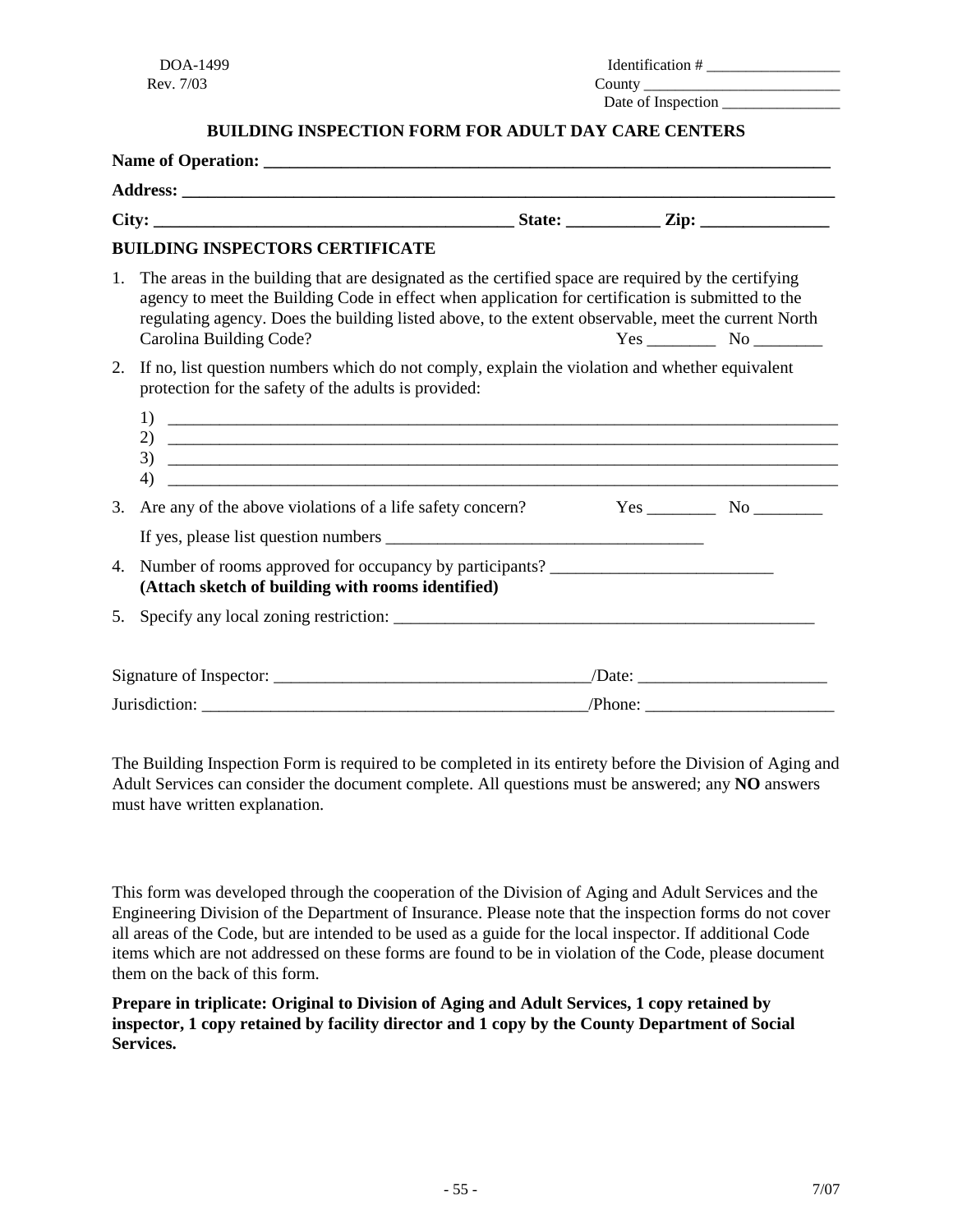| DOA-1499  | <b>Identification</b> # |
|-----------|-------------------------|
| Rev. 7/03 | County                  |
|           | Date of Inspection      |

**BUILDING INSPECTION FORM FOR ADULT DAY CARE CENTERS**

|    | <b>BUILDING INSPECTORS CERTIFICATE</b>                                                                                                                                                                                                                                                                                                     |  |                                             |
|----|--------------------------------------------------------------------------------------------------------------------------------------------------------------------------------------------------------------------------------------------------------------------------------------------------------------------------------------------|--|---------------------------------------------|
| 1. | The areas in the building that are designated as the certified space are required by the certifying<br>agency to meet the Building Code in effect when application for certification is submitted to the<br>regulating agency. Does the building listed above, to the extent observable, meet the current North<br>Carolina Building Code? |  | $Yes$ No $\_\_\_\_\_\$ No $\_\_\_\_\_\_\_\$ |
| 2. | If no, list question numbers which do not comply, explain the violation and whether equivalent<br>protection for the safety of the adults is provided:                                                                                                                                                                                     |  |                                             |
| 4) | 2) $\overline{\phantom{a}}$                                                                                                                                                                                                                                                                                                                |  |                                             |
| 3. | Are any of the above violations of a life safety concern?                                                                                                                                                                                                                                                                                  |  |                                             |
|    |                                                                                                                                                                                                                                                                                                                                            |  |                                             |
| 4. | Number of rooms approved for occupancy by participants?<br>(Attach sketch of building with rooms identified)                                                                                                                                                                                                                               |  |                                             |
| 5. |                                                                                                                                                                                                                                                                                                                                            |  |                                             |
|    |                                                                                                                                                                                                                                                                                                                                            |  |                                             |
|    |                                                                                                                                                                                                                                                                                                                                            |  |                                             |

The Building Inspection Form is required to be completed in its entirety before the Division of Aging and Adult Services can consider the document complete. All questions must be answered; any **NO** answers must have written explanation.

This form was developed through the cooperation of the Division of Aging and Adult Services and the Engineering Division of the Department of Insurance. Please note that the inspection forms do not cover all areas of the Code, but are intended to be used as a guide for the local inspector. If additional Code items which are not addressed on these forms are found to be in violation of the Code, please document them on the back of this form.

**Prepare in triplicate: Original to Division of Aging and Adult Services, 1 copy retained by inspector, 1 copy retained by facility director and 1 copy by the County Department of Social Services.**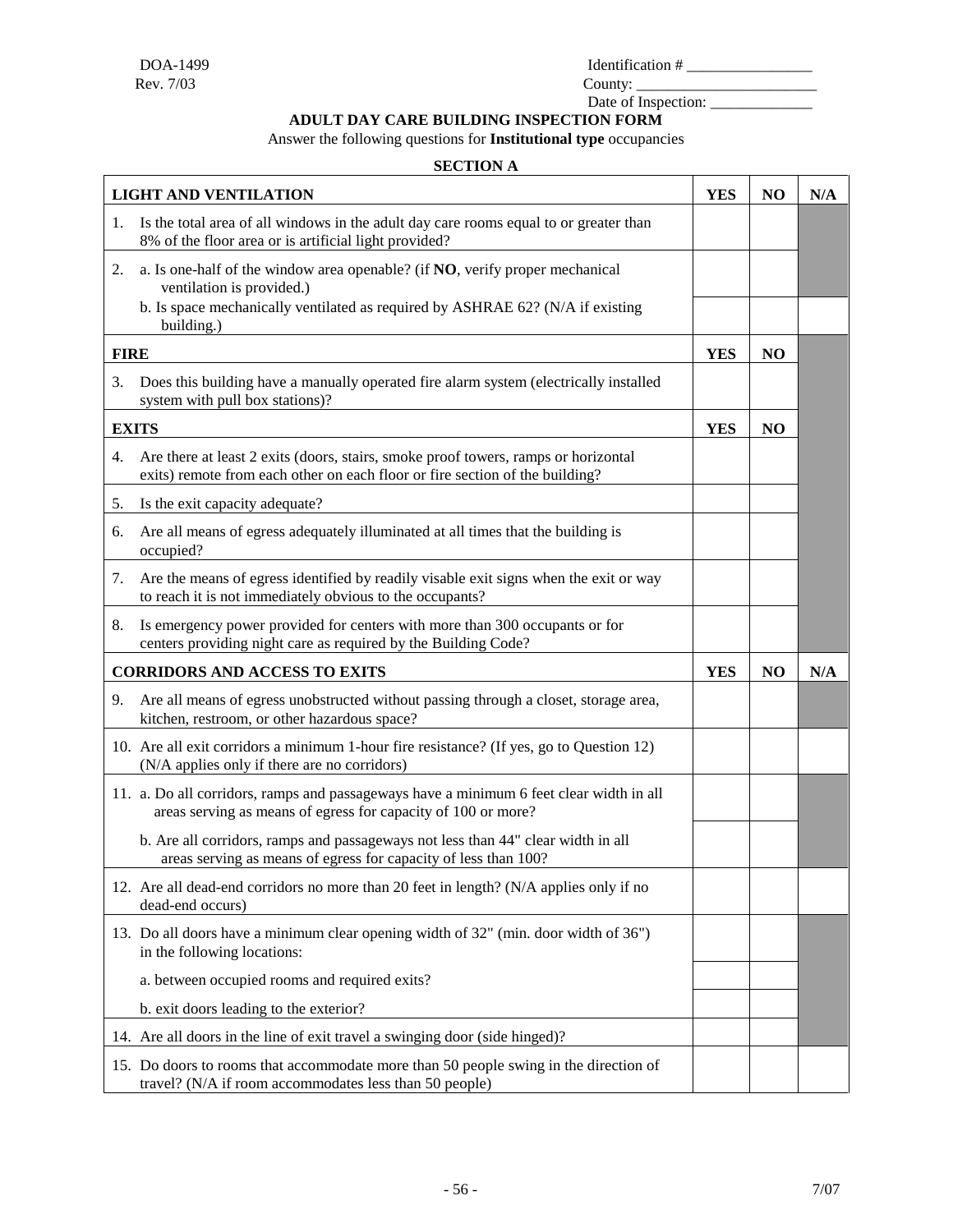Date of Inspection: \_\_\_\_\_\_\_\_\_\_\_\_\_

**ADULT DAY CARE BUILDING INSPECTION FORM**

Answer the following questions for **Institutional type** occupancies

#### **SECTION A**

|             | <b>LIGHT AND VENTILATION</b>                                                                                                                                                                | <b>YES</b> | NO             | N/A |
|-------------|---------------------------------------------------------------------------------------------------------------------------------------------------------------------------------------------|------------|----------------|-----|
| 1.          | Is the total area of all windows in the adult day care rooms equal to or greater than<br>8% of the floor area or is artificial light provided?                                              |            |                |     |
| 2.          | a. Is one-half of the window area openable? (if NO, verify proper mechanical<br>ventilation is provided.)<br>b. Is space mechanically ventilated as required by ASHRAE 62? (N/A if existing |            |                |     |
| <b>FIRE</b> | building.)                                                                                                                                                                                  | <b>YES</b> | N <sub>O</sub> |     |
| 3.          | Does this building have a manually operated fire alarm system (electrically installed<br>system with pull box stations)?                                                                    |            |                |     |
|             | <b>EXITS</b>                                                                                                                                                                                | <b>YES</b> | NO             |     |
| 4.          | Are there at least 2 exits (doors, stairs, smoke proof towers, ramps or horizontal<br>exits) remote from each other on each floor or fire section of the building?                          |            |                |     |
| 5.          | Is the exit capacity adequate?                                                                                                                                                              |            |                |     |
| 6.          | Are all means of egress adequately illuminated at all times that the building is<br>occupied?                                                                                               |            |                |     |
| 7.          | Are the means of egress identified by readily visable exit signs when the exit or way<br>to reach it is not immediately obvious to the occupants?                                           |            |                |     |
| 8.          | Is emergency power provided for centers with more than 300 occupants or for<br>centers providing night care as required by the Building Code?                                               |            |                |     |
|             | <b>CORRIDORS AND ACCESS TO EXITS</b>                                                                                                                                                        | <b>YES</b> | N <sub>O</sub> | N/A |
| 9.          | Are all means of egress unobstructed without passing through a closet, storage area,<br>kitchen, restroom, or other hazardous space?                                                        |            |                |     |
|             | 10. Are all exit corridors a minimum 1-hour fire resistance? (If yes, go to Question 12)<br>(N/A applies only if there are no corridors)                                                    |            |                |     |
|             | 11. a. Do all corridors, ramps and passageways have a minimum 6 feet clear width in all<br>areas serving as means of egress for capacity of 100 or more?                                    |            |                |     |
|             | b. Are all corridors, ramps and passageways not less than 44" clear width in all<br>areas serving as means of egress for capacity of less than 100?                                         |            |                |     |
|             | 12. Are all dead-end corridors no more than 20 feet in length? (N/A applies only if no<br>dead-end occurs)                                                                                  |            |                |     |
|             | 13. Do all doors have a minimum clear opening width of 32" (min. door width of 36")<br>in the following locations:                                                                          |            |                |     |
|             | a. between occupied rooms and required exits?                                                                                                                                               |            |                |     |
|             | b. exit doors leading to the exterior?                                                                                                                                                      |            |                |     |
|             | 14. Are all doors in the line of exit travel a swinging door (side hinged)?                                                                                                                 |            |                |     |
|             | 15. Do doors to rooms that accommodate more than 50 people swing in the direction of<br>travel? (N/A if room accommodates less than 50 people)                                              |            |                |     |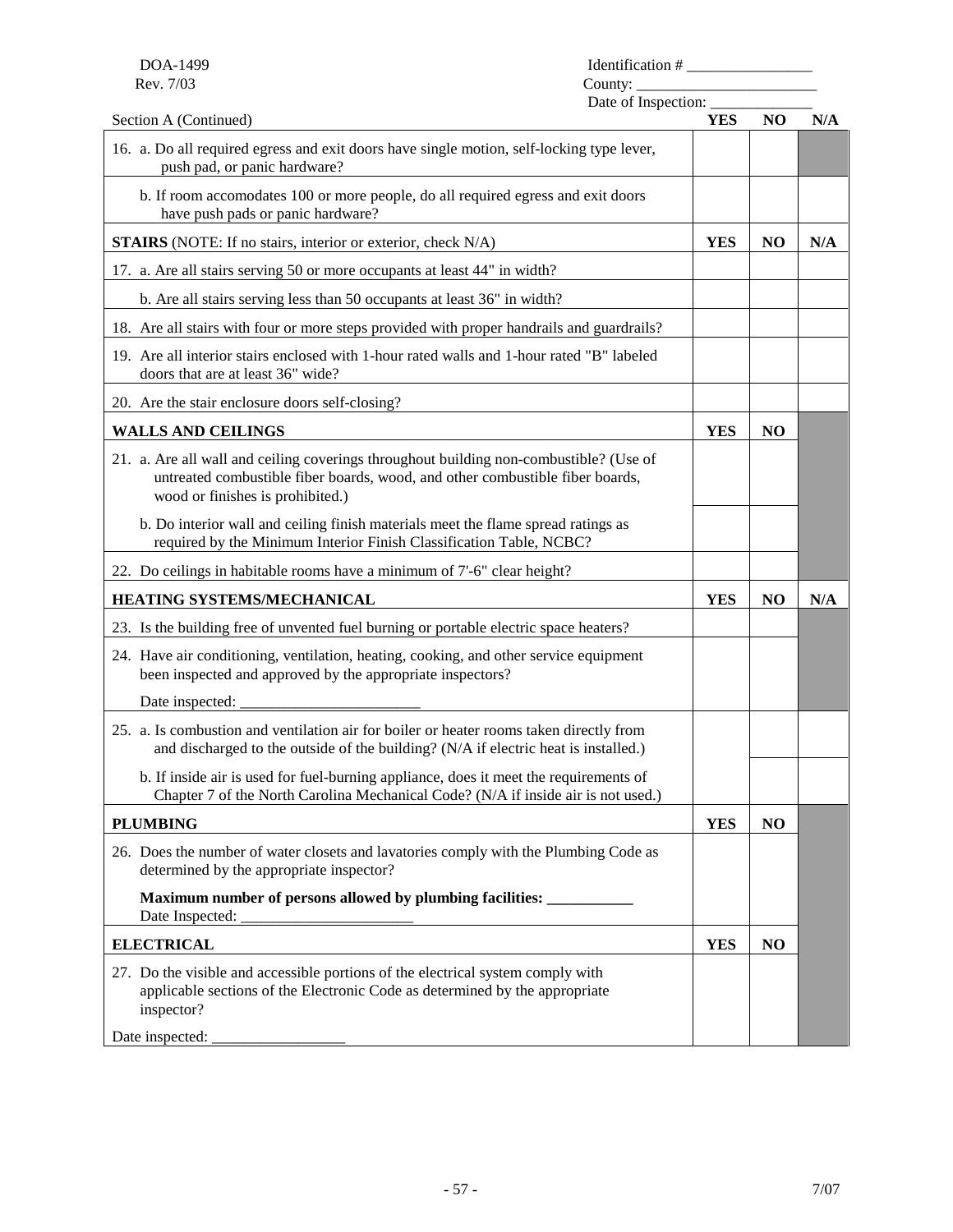| DOA-1499<br>Identification # |
|------------------------------|
|                              |

Date of Inspection:  $\frac{1}{\sqrt{1-\frac{1}{2}}\sqrt{1-\frac{1}{2}}\sqrt{1-\frac{1}{2}}\sqrt{1-\frac{1}{2}}}}$ 

| Section A (Continued)                                                                                                                                                                                       | <b>YES</b> | NO             | N/A |
|-------------------------------------------------------------------------------------------------------------------------------------------------------------------------------------------------------------|------------|----------------|-----|
| 16. a. Do all required egress and exit doors have single motion, self-locking type lever,<br>push pad, or panic hardware?                                                                                   |            |                |     |
| b. If room accomodates 100 or more people, do all required egress and exit doors<br>have push pads or panic hardware?                                                                                       |            |                |     |
| <b>STAIRS</b> (NOTE: If no stairs, interior or exterior, check N/A)                                                                                                                                         | <b>YES</b> | N <sub>O</sub> | N/A |
| 17. a. Are all stairs serving 50 or more occupants at least 44" in width?                                                                                                                                   |            |                |     |
| b. Are all stairs serving less than 50 occupants at least 36" in width?                                                                                                                                     |            |                |     |
| 18. Are all stairs with four or more steps provided with proper handrails and guardrails?                                                                                                                   |            |                |     |
| 19. Are all interior stairs enclosed with 1-hour rated walls and 1-hour rated "B" labeled<br>doors that are at least 36" wide?                                                                              |            |                |     |
| 20. Are the stair enclosure doors self-closing?                                                                                                                                                             |            |                |     |
| <b>WALLS AND CEILINGS</b>                                                                                                                                                                                   | <b>YES</b> | N <sub>O</sub> |     |
| 21. a. Are all wall and ceiling coverings throughout building non-combustible? (Use of<br>untreated combustible fiber boards, wood, and other combustible fiber boards,<br>wood or finishes is prohibited.) |            |                |     |
| b. Do interior wall and ceiling finish materials meet the flame spread ratings as<br>required by the Minimum Interior Finish Classification Table, NCBC?                                                    |            |                |     |
| 22. Do ceilings in habitable rooms have a minimum of 7'-6" clear height?                                                                                                                                    |            |                |     |
|                                                                                                                                                                                                             |            |                |     |
| HEATING SYSTEMS/MECHANICAL                                                                                                                                                                                  | <b>YES</b> | N <sub>O</sub> | N/A |
| 23. Is the building free of unvented fuel burning or portable electric space heaters?                                                                                                                       |            |                |     |
| 24. Have air conditioning, ventilation, heating, cooking, and other service equipment<br>been inspected and approved by the appropriate inspectors?                                                         |            |                |     |
| Date inspected:                                                                                                                                                                                             |            |                |     |
| 25. a. Is combustion and ventilation air for boiler or heater rooms taken directly from<br>and discharged to the outside of the building? (N/A if electric heat is installed.)                              |            |                |     |
| b. If inside air is used for fuel-burning appliance, does it meet the requirements of<br>Chapter 7 of the North Carolina Mechanical Code? (N/A if inside air is not used.)                                  |            |                |     |
| <b>PLUMBING</b>                                                                                                                                                                                             | <b>YES</b> | N <sub>O</sub> |     |
| 26. Does the number of water closets and lavatories comply with the Plumbing Code as<br>determined by the appropriate inspector?                                                                            |            |                |     |
| Maximum number of persons allowed by plumbing facilities: ___________<br>Date Inspected:                                                                                                                    |            |                |     |
| <b>ELECTRICAL</b>                                                                                                                                                                                           | <b>YES</b> | N <sub>O</sub> |     |
| 27. Do the visible and accessible portions of the electrical system comply with<br>applicable sections of the Electronic Code as determined by the appropriate<br>inspector?                                |            |                |     |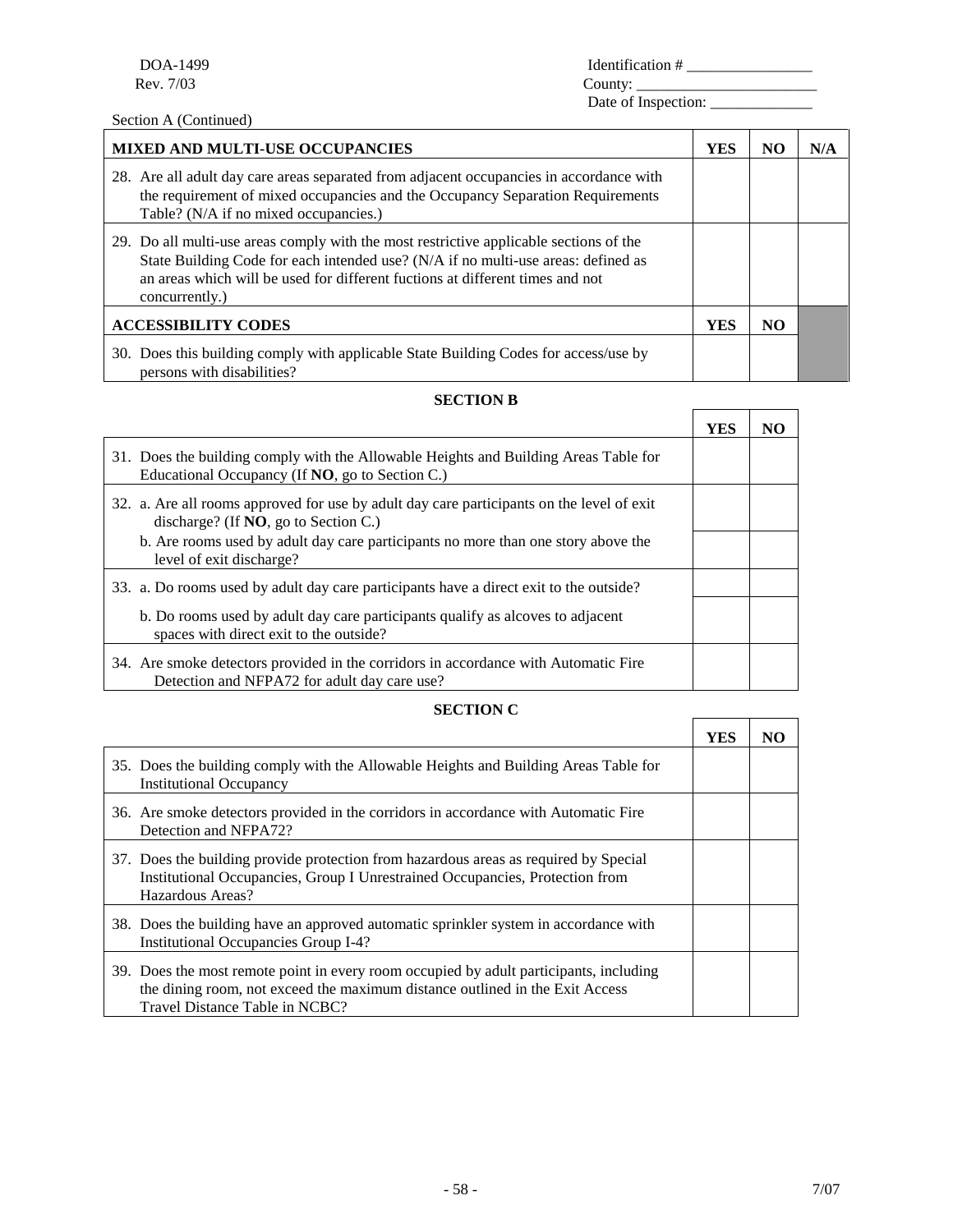Section A (Continued)

| -1499        | <i><u><b>Identification</b></u></i> |
|--------------|-------------------------------------|
| $DOA-1$      | ________________                    |
| Rev.<br>7/03 | ∩untv                               |

Date of Inspection: \_

| <b>MIXED AND MULTI-USE OCCUPANCIES</b>                                                                                                                                                                                                                                         | YES        | NO. | N/A |
|--------------------------------------------------------------------------------------------------------------------------------------------------------------------------------------------------------------------------------------------------------------------------------|------------|-----|-----|
| 28. Are all adult day care areas separated from adjacent occupancies in accordance with<br>the requirement of mixed occupancies and the Occupancy Separation Requirements<br>Table? (N/A if no mixed occupancies.)                                                             |            |     |     |
| 29. Do all multi-use areas comply with the most restrictive applicable sections of the<br>State Building Code for each intended use? (N/A if no multi-use areas: defined as<br>an areas which will be used for different fuctions at different times and not<br>concurrently.) |            |     |     |
| <b>ACCESSIBILITY CODES</b>                                                                                                                                                                                                                                                     | <b>YES</b> | NO. |     |
| 30. Does this building comply with applicable State Building Codes for access/use by<br>persons with disabilities?                                                                                                                                                             |            |     |     |

#### **SECTION B**

|                                                                                                                                         | YES | NO |
|-----------------------------------------------------------------------------------------------------------------------------------------|-----|----|
| 31. Does the building comply with the Allowable Heights and Building Areas Table for<br>Educational Occupancy (If NO, go to Section C.) |     |    |
| 32. a. Are all rooms approved for use by a dult day care participants on the level of exit<br>discharge? (If $NO$ , go to Section C.)   |     |    |
| b. Are rooms used by adult day care participants no more than one story above the<br>level of exit discharge?                           |     |    |
| 33. a. Do rooms used by adult day care participants have a direct exit to the outside?                                                  |     |    |
| b. Do rooms used by adult day care participants qualify as alcoves to adjacent<br>spaces with direct exit to the outside?               |     |    |
| 34. Are smoke detectors provided in the corridors in accordance with Automatic Fire<br>Detection and NFPA72 for adult day care use?     |     |    |

#### **SECTION C**

|                                                                                                                                                                                                          | YES | NO |
|----------------------------------------------------------------------------------------------------------------------------------------------------------------------------------------------------------|-----|----|
| 35. Does the building comply with the Allowable Heights and Building Areas Table for<br><b>Institutional Occupancy</b>                                                                                   |     |    |
| 36. Are smoke detectors provided in the corridors in accordance with Automatic Fire<br>Detection and NFPA72?                                                                                             |     |    |
| 37. Does the building provide protection from hazardous areas as required by Special<br>Institutional Occupancies, Group I Unrestrained Occupancies, Protection from<br>Hazardous Areas?                 |     |    |
| 38. Does the building have an approved automatic sprinkler system in accordance with<br><b>Institutional Occupancies Group I-4?</b>                                                                      |     |    |
| 39. Does the most remote point in every room occupied by adult participants, including<br>the dining room, not exceed the maximum distance outlined in the Exit Access<br>Travel Distance Table in NCBC? |     |    |

 $\blacksquare$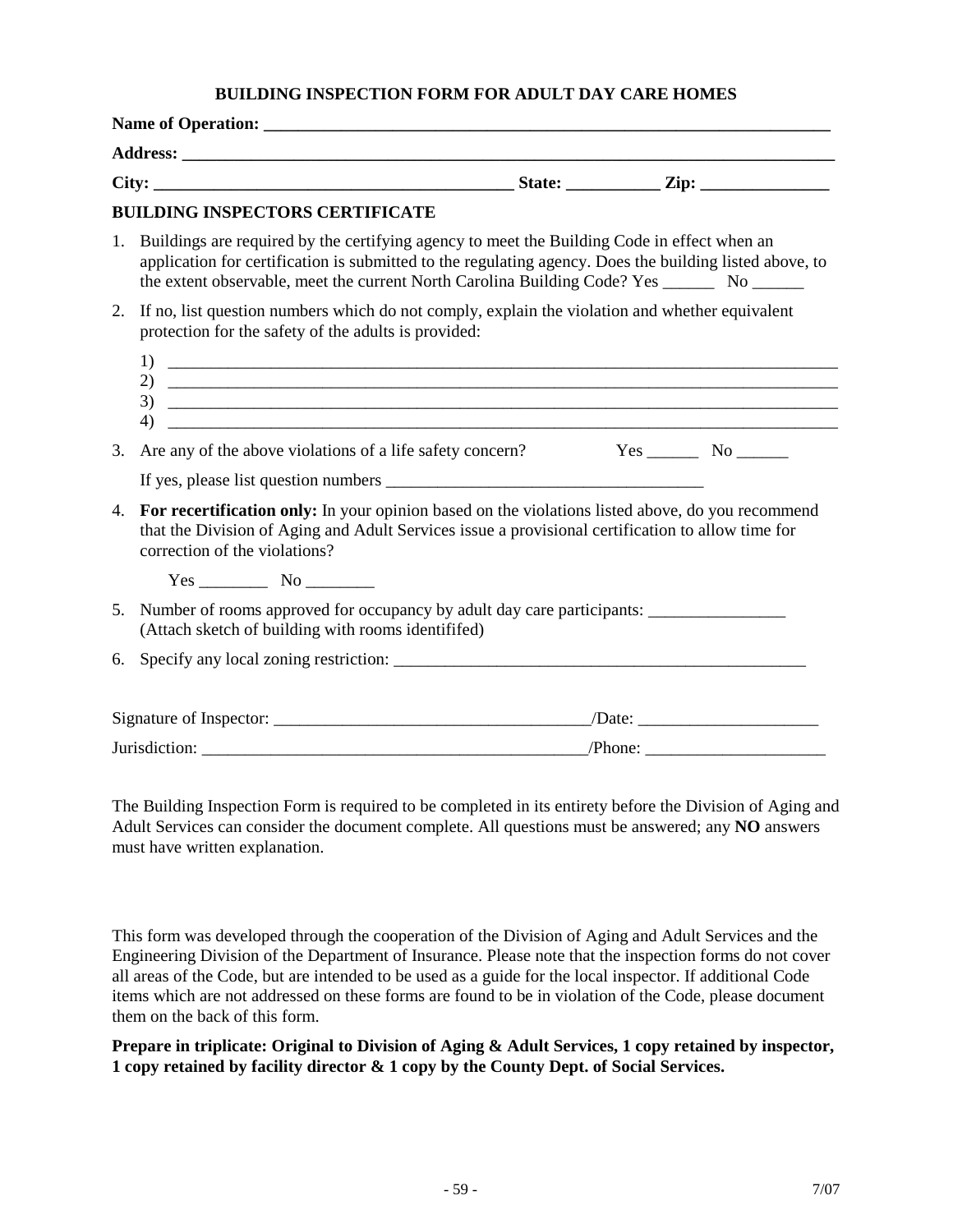#### **BUILDING INSPECTION FORM FOR ADULT DAY CARE HOMES**

|    | <b>BUILDING INSPECTORS CERTIFICATE</b>                                                                                                                                                                                                                                                                      |                                       |  |
|----|-------------------------------------------------------------------------------------------------------------------------------------------------------------------------------------------------------------------------------------------------------------------------------------------------------------|---------------------------------------|--|
|    | 1. Buildings are required by the certifying agency to meet the Building Code in effect when an<br>application for certification is submitted to the regulating agency. Does the building listed above, to<br>the extent observable, meet the current North Carolina Building Code? Yes _________ No _______ |                                       |  |
| 2. | If no, list question numbers which do not comply, explain the violation and whether equivalent<br>protection for the safety of the adults is provided:                                                                                                                                                      |                                       |  |
|    | 2) $\overline{\phantom{a}}$<br>4)                                                                                                                                                                                                                                                                           |                                       |  |
| 3. | Are any of the above violations of a life safety concern?                                                                                                                                                                                                                                                   | $Yes$ No $\_\_\_\_\$ No $\_\_\_\_\_\$ |  |
|    |                                                                                                                                                                                                                                                                                                             |                                       |  |
| 4. | For recertification only: In your opinion based on the violations listed above, do you recommend<br>that the Division of Aging and Adult Services issue a provisional certification to allow time for<br>correction of the violations?                                                                      |                                       |  |
|    | $Yes$ No $\qquad$                                                                                                                                                                                                                                                                                           |                                       |  |
| 5. | Number of rooms approved for occupancy by adult day care participants:<br>(Attach sketch of building with rooms identififed)                                                                                                                                                                                |                                       |  |
| 6. | Specify any local zoning restriction:                                                                                                                                                                                                                                                                       |                                       |  |
|    |                                                                                                                                                                                                                                                                                                             |                                       |  |
|    |                                                                                                                                                                                                                                                                                                             |                                       |  |

The Building Inspection Form is required to be completed in its entirety before the Division of Aging and Adult Services can consider the document complete. All questions must be answered; any **NO** answers must have written explanation.

This form was developed through the cooperation of the Division of Aging and Adult Services and the Engineering Division of the Department of Insurance. Please note that the inspection forms do not cover all areas of the Code, but are intended to be used as a guide for the local inspector. If additional Code items which are not addressed on these forms are found to be in violation of the Code, please document them on the back of this form.

**Prepare in triplicate: Original to Division of Aging & Adult Services, 1 copy retained by inspector, 1 copy retained by facility director & 1 copy by the County Dept. of Social Services.**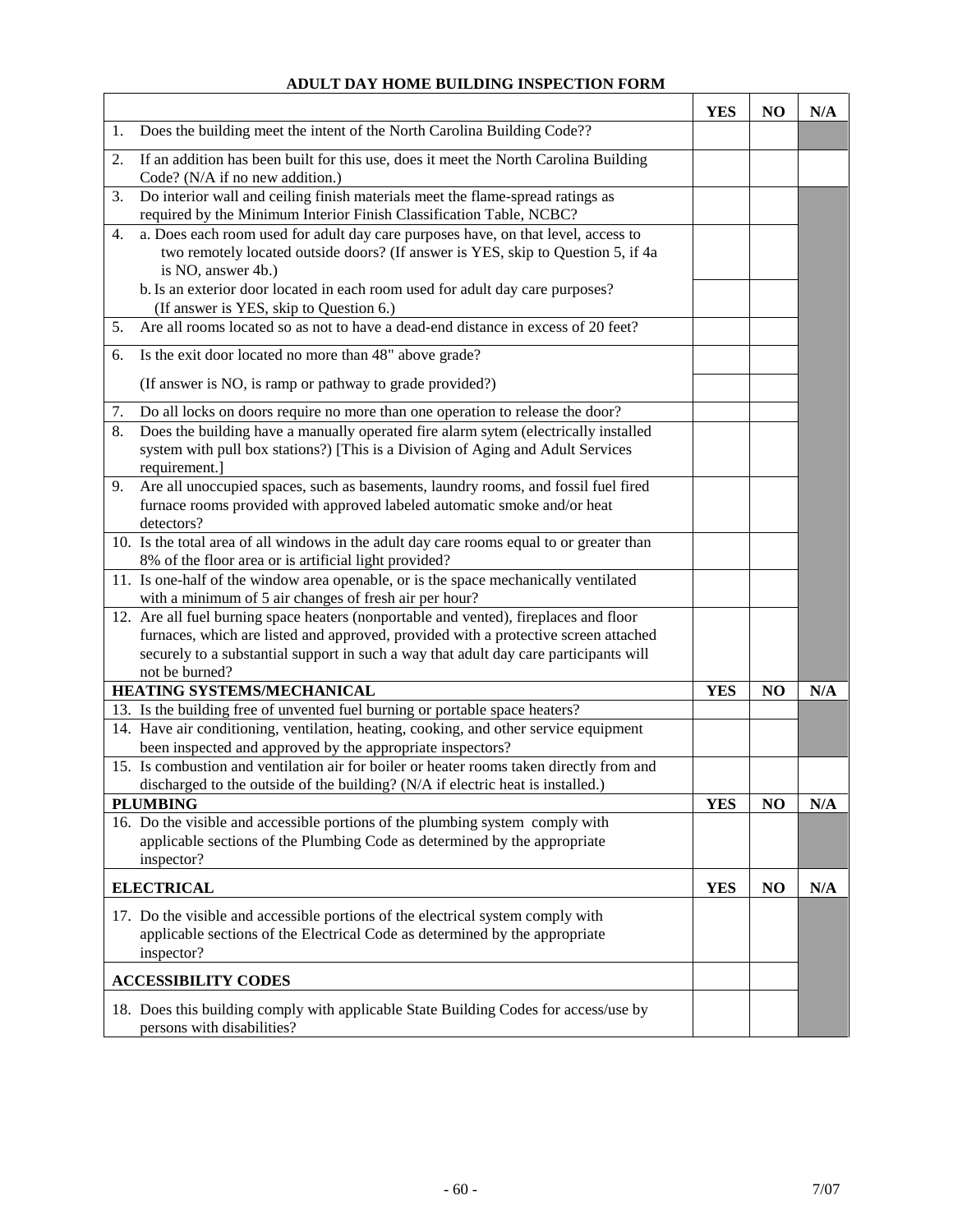#### **ADULT DAY HOME BUILDING INSPECTION FORM**

|                                                                                                                                                                                                                                                                                         | <b>YES</b> | NO             | N/A |
|-----------------------------------------------------------------------------------------------------------------------------------------------------------------------------------------------------------------------------------------------------------------------------------------|------------|----------------|-----|
| Does the building meet the intent of the North Carolina Building Code??<br>1.                                                                                                                                                                                                           |            |                |     |
| If an addition has been built for this use, does it meet the North Carolina Building<br>2.<br>Code? (N/A if no new addition.)                                                                                                                                                           |            |                |     |
| Do interior wall and ceiling finish materials meet the flame-spread ratings as<br>3.<br>required by the Minimum Interior Finish Classification Table, NCBC?                                                                                                                             |            |                |     |
| a. Does each room used for adult day care purposes have, on that level, access to<br>4.<br>two remotely located outside doors? (If answer is YES, skip to Question 5, if 4a<br>is NO, answer 4b.)                                                                                       |            |                |     |
| b. Is an exterior door located in each room used for adult day care purposes?<br>(If answer is YES, skip to Question 6.)                                                                                                                                                                |            |                |     |
| Are all rooms located so as not to have a dead-end distance in excess of 20 feet?<br>5.                                                                                                                                                                                                 |            |                |     |
| Is the exit door located no more than 48" above grade?<br>6.                                                                                                                                                                                                                            |            |                |     |
| (If answer is NO, is ramp or pathway to grade provided?)                                                                                                                                                                                                                                |            |                |     |
| Do all locks on doors require no more than one operation to release the door?<br>7.                                                                                                                                                                                                     |            |                |     |
| Does the building have a manually operated fire alarm sytem (electrically installed<br>8.<br>system with pull box stations?) [This is a Division of Aging and Adult Services<br>requirement.]                                                                                           |            |                |     |
| Are all unoccupied spaces, such as basements, laundry rooms, and fossil fuel fired<br>9.<br>furnace rooms provided with approved labeled automatic smoke and/or heat<br>detectors?                                                                                                      |            |                |     |
| 10. Is the total area of all windows in the adult day care rooms equal to or greater than<br>8% of the floor area or is artificial light provided?                                                                                                                                      |            |                |     |
| 11. Is one-half of the window area openable, or is the space mechanically ventilated<br>with a minimum of 5 air changes of fresh air per hour?                                                                                                                                          |            |                |     |
| 12. Are all fuel burning space heaters (nonportable and vented), fireplaces and floor<br>furnaces, which are listed and approved, provided with a protective screen attached<br>securely to a substantial support in such a way that adult day care participants will<br>not be burned? |            |                |     |
| HEATING SYSTEMS/MECHANICAL                                                                                                                                                                                                                                                              | <b>YES</b> | N <sub>O</sub> | N/A |
| 13. Is the building free of unvented fuel burning or portable space heaters?<br>14. Have air conditioning, ventilation, heating, cooking, and other service equipment<br>been inspected and approved by the appropriate inspectors?                                                     |            |                |     |
| 15. Is combustion and ventilation air for boiler or heater rooms taken directly from and<br>discharged to the outside of the building? (N/A if electric heat is installed.)                                                                                                             |            |                |     |
| <b>PLUMBING</b>                                                                                                                                                                                                                                                                         | <b>YES</b> | NO             | N/A |
| 16. Do the visible and accessible portions of the plumbing system comply with<br>applicable sections of the Plumbing Code as determined by the appropriate<br>inspector?                                                                                                                |            |                |     |
| <b>ELECTRICAL</b>                                                                                                                                                                                                                                                                       | <b>YES</b> | N <sub>O</sub> | N/A |
| 17. Do the visible and accessible portions of the electrical system comply with<br>applicable sections of the Electrical Code as determined by the appropriate<br>inspector?                                                                                                            |            |                |     |
| <b>ACCESSIBILITY CODES</b>                                                                                                                                                                                                                                                              |            |                |     |
| 18. Does this building comply with applicable State Building Codes for access/use by<br>persons with disabilities?                                                                                                                                                                      |            |                |     |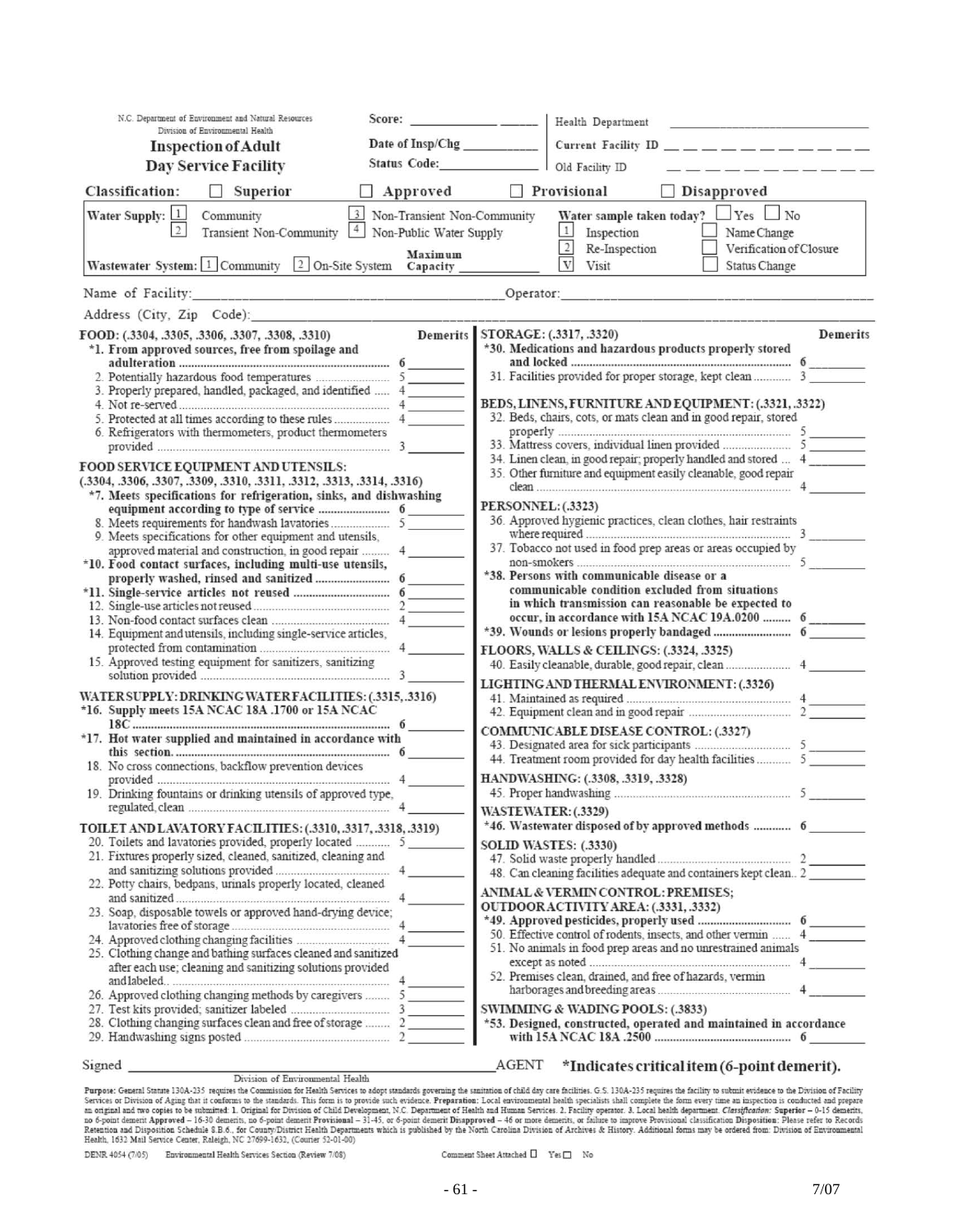|                                   | N.C. Department of Environment and Natural Resources                                                                                                                                                                                                                                                                                                                                                                                                                                                                                                                                                                                                                                                                                                       |                                                                     |                           | Health Department<br>the control of the control of the control of                                                                                                                                                                                                                                                                                                                                                                                                                                                                                                                                                                                        |                 |
|-----------------------------------|------------------------------------------------------------------------------------------------------------------------------------------------------------------------------------------------------------------------------------------------------------------------------------------------------------------------------------------------------------------------------------------------------------------------------------------------------------------------------------------------------------------------------------------------------------------------------------------------------------------------------------------------------------------------------------------------------------------------------------------------------------|---------------------------------------------------------------------|---------------------------|----------------------------------------------------------------------------------------------------------------------------------------------------------------------------------------------------------------------------------------------------------------------------------------------------------------------------------------------------------------------------------------------------------------------------------------------------------------------------------------------------------------------------------------------------------------------------------------------------------------------------------------------------------|-----------------|
|                                   | Division of Environmental Health<br><b>Inspection of Adult</b>                                                                                                                                                                                                                                                                                                                                                                                                                                                                                                                                                                                                                                                                                             | Date of Insp/Chg                                                    |                           | Current Facility ID $\_\_\_\_\_\_\_\_\_\_\_\_\_$                                                                                                                                                                                                                                                                                                                                                                                                                                                                                                                                                                                                         |                 |
|                                   | Day Service Facility                                                                                                                                                                                                                                                                                                                                                                                                                                                                                                                                                                                                                                                                                                                                       |                                                                     |                           | Old Facility ID<br>فللتوسيد والمسوفين والمتواطنة                                                                                                                                                                                                                                                                                                                                                                                                                                                                                                                                                                                                         |                 |
|                                   |                                                                                                                                                                                                                                                                                                                                                                                                                                                                                                                                                                                                                                                                                                                                                            |                                                                     |                           |                                                                                                                                                                                                                                                                                                                                                                                                                                                                                                                                                                                                                                                          |                 |
| <b>Classification:</b>            | Superior                                                                                                                                                                                                                                                                                                                                                                                                                                                                                                                                                                                                                                                                                                                                                   | Approved                                                            |                           | Provisional<br>Disapproved                                                                                                                                                                                                                                                                                                                                                                                                                                                                                                                                                                                                                               |                 |
| Water Supply: 1<br>$\overline{2}$ | Community<br>Transient Non-Community 4                                                                                                                                                                                                                                                                                                                                                                                                                                                                                                                                                                                                                                                                                                                     | 3 Non-Transient Non-Community<br>Non-Public Water Supply<br>Maximum |                           | $\perp$ Yes $\perp$ No<br>Water sample taken today?<br>$\mathbf{1}$<br>Inspection<br>Name Change<br>$\overline{2}$<br>Re-Inspection<br>Verification of Closure                                                                                                                                                                                                                                                                                                                                                                                                                                                                                           |                 |
|                                   | Wastewater System: 1 Community 2 On-Site System Capacity                                                                                                                                                                                                                                                                                                                                                                                                                                                                                                                                                                                                                                                                                                   |                                                                     |                           | $\overline{\mathbf{V}}$<br>Visit<br><b>Status Change</b>                                                                                                                                                                                                                                                                                                                                                                                                                                                                                                                                                                                                 |                 |
|                                   | Name of Facility: Operator:                                                                                                                                                                                                                                                                                                                                                                                                                                                                                                                                                                                                                                                                                                                                |                                                                     |                           | <b>The contract of the contract of the contract of the contract of the contract of the contract of the contract of the contract of the contract of the contract of the contract of the contract of the contract of the contract </b>                                                                                                                                                                                                                                                                                                                                                                                                                     |                 |
| Address (City, Zip Code):         |                                                                                                                                                                                                                                                                                                                                                                                                                                                                                                                                                                                                                                                                                                                                                            |                                                                     |                           |                                                                                                                                                                                                                                                                                                                                                                                                                                                                                                                                                                                                                                                          |                 |
|                                   | FOOD: (.3304, .3305, .3306, .3307, .3308, .3310)<br>*1. From approved sources, free from spoilage and                                                                                                                                                                                                                                                                                                                                                                                                                                                                                                                                                                                                                                                      | <b>Demerits</b>                                                     |                           | STORAGE: (.3317, .3320)<br>*30. Medications and hazardous products properly stored                                                                                                                                                                                                                                                                                                                                                                                                                                                                                                                                                                       | <b>Demerits</b> |
|                                   | 3. Properly prepared, handled, packaged, and identified  4<br>6. Refrigerators with thermometers, product thermometers                                                                                                                                                                                                                                                                                                                                                                                                                                                                                                                                                                                                                                     |                                                                     |                           | BEDS, LINENS, FURNITURE AND EQUIPMENT: (.3321, .3322)<br>32. Beds, chairs, cots, or mats clean and in good repair, stored<br>34. Linen clean, in good repair; properly handled and stored  4                                                                                                                                                                                                                                                                                                                                                                                                                                                             |                 |
|                                   | <b>FOOD SERVICE EQUIPMENT AND UTENSILS:</b><br>(.3304, .3306, .3307, .3309, .3310, .3311, .3312, .3313, .3314, .3316)<br>*7. Meets specifications for refrigeration, sinks, and dishwashing<br>9. Meets specifications for other equipment and utensils,<br>*10. Food contact surfaces, including multi-use utensils,<br>14. Equipment and utensils, including single-service articles,<br>15. Approved testing equipment for sanitizers, sanitizing<br>WATER SUPPLY: DRINKING WATER FACILITIES: (.3315, .3316)<br>*16. Supply meets 15A NCAC 18A .1700 or 15A NCAC<br>*17. Hot water supplied and maintained in accordance with<br>18. No cross connections, backflow prevention devices<br>19. Drinking fountains or drinking utensils of approved type, |                                                                     | <b>PERSONNEL: (.3323)</b> | 35. Other furniture and equipment easily cleanable, good repair<br>36. Approved hygienic practices, clean clothes, hair restraints<br>37. Tobacco not used in food prep areas or areas occupied by<br>*38. Persons with communicable disease or a<br>communicable condition excluded from situations<br>in which transmission can reasonable be expected to<br>occur, in accordance with 15A NCAC 19A.0200  6<br>FLOORS, WALLS & CEILINGS: (.3324, .3325)<br>LIGHTING AND THERMAL ENVIRONMENT: (.3326)<br><b>COMMUNICABLE DISEASE CONTROL: (.3327)</b><br>44. Treatment room provided for day health facilities  5<br>HANDWASHING: (.3308, .3319, .3328) |                 |
|                                   | TOILET AND LAVATORY FACILITIES: (.3310, .3317, .3318, .3319)<br>20. Toilets and lavatories provided, properly located  5<br>21. Fixtures properly sized, cleaned, sanitized, cleaning and<br>22. Potty chairs, bedpans, urinals properly located, cleaned<br>23. Soap, disposable towels or approved hand-drying device;<br>25. Clothing change and bathing surfaces cleaned and sanitized<br>after each use; cleaning and sanitizing solutions provided<br>28. Clothing changing surfaces clean and free of storage  2                                                                                                                                                                                                                                    |                                                                     | WASTEWATER: (.3329)       | *46. Wastewater disposed of by approved methods  6<br><b>SOLID WASTES: (.3330)</b><br>48. Can cleaning facilities adequate and containers kept clean 2<br><b>ANIMAL &amp; VERMIN CONTROL: PREMISES;</b><br>OUTDOOR ACTIVITY AREA: (.3331, .3332)<br>50. Effective control of rodents, insects, and other vermin  4<br>51. No animals in food prep areas and no unrestrained animals<br>52. Premises clean, drained, and free of hazards, vermin<br><b>SWIMMING &amp; WADING POOLS: (.3833)</b><br>*53. Designed, constructed, operated and maintained in accordance                                                                                      |                 |
| Signed                            |                                                                                                                                                                                                                                                                                                                                                                                                                                                                                                                                                                                                                                                                                                                                                            |                                                                     | AGENT                     | *Indicates critical item (6-point demerit).                                                                                                                                                                                                                                                                                                                                                                                                                                                                                                                                                                                                              |                 |

 $\begin{minipage}[t]{.4cm}\textbf{Supned}\textbf{Supmed}\textbf{Supmed}\textbf{Suprad}\textbf{Suprad}\textbf{Suprad}\textbf{Suprad}\textbf{Suprad}\textbf{Suprad}\textbf{Suprad}\textbf{Suprad}\textbf{Suprad}\textbf{Suprad}\textbf{Suprad}\textbf{Suprad}\textbf{Suprad}\textbf{Suprad}\textbf{Suprad}\textbf{Suprad}\textbf{Suprad}\textbf{Suprad}\textbf{Suprad}\textbf{Suprad}\textbf{Suprad}\textbf{Suprad}\textbf{Suprad}\textbf{Suprad}\textbf{Suprad}\textbf{Suprad}\textbf{Suprad}\textbf{Suprad}\textbf{Suprad}\textbf{Suprad}\textbf{Suprad}\textbf{$ 

DENR 4054 (7/05) Environmental Health Services Section (Review 7/08)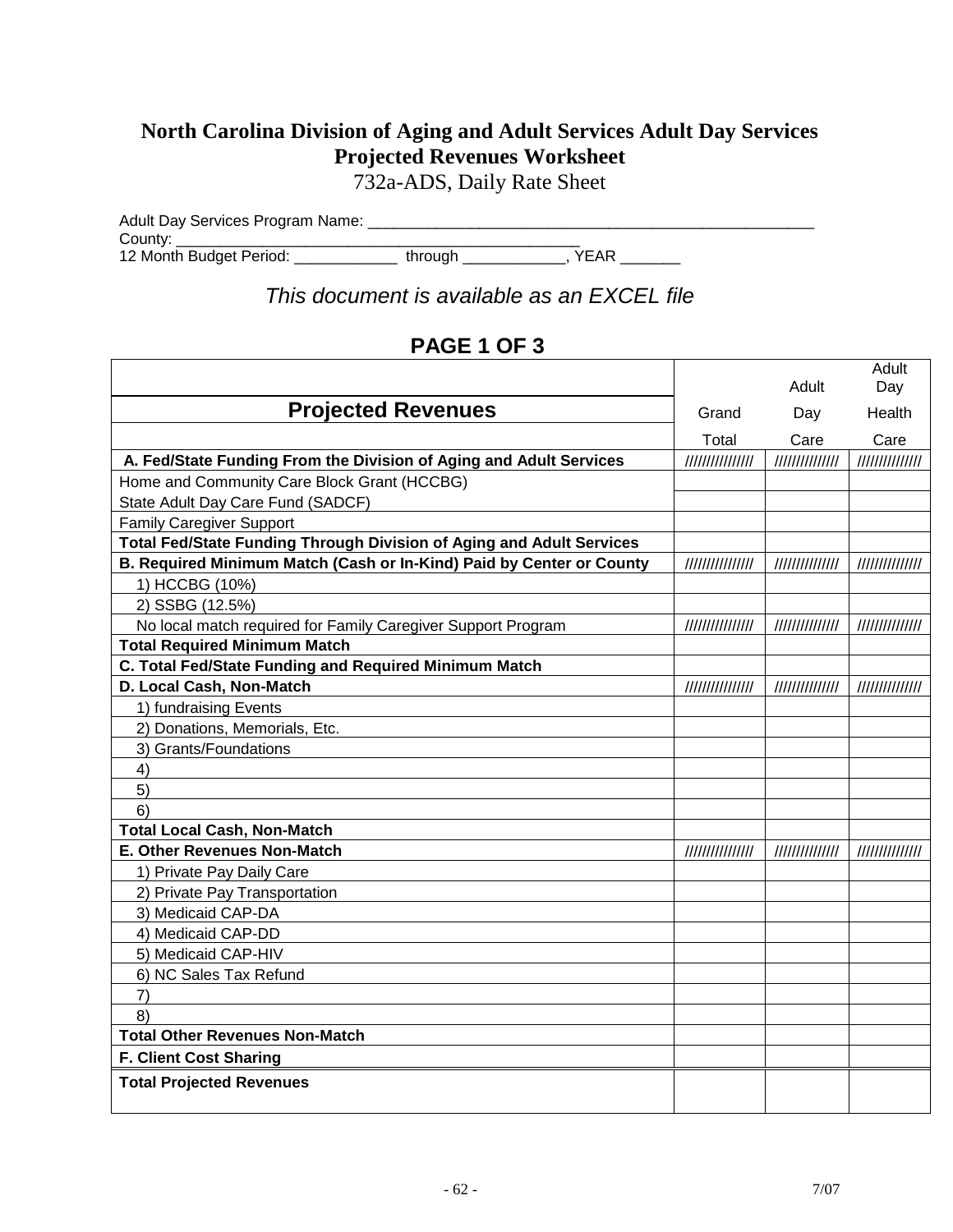## **North Carolina Division of Aging and Adult Services Adult Day Services Projected Revenues Worksheet**

732a-ADS, Daily Rate Sheet

Adult Day Services Program Name: \_\_\_\_\_\_\_\_\_\_\_\_\_\_\_\_\_\_\_\_\_\_\_\_\_\_\_\_\_\_\_\_\_\_\_\_\_\_\_\_\_\_\_\_\_\_\_\_\_\_\_\_ County: \_\_\_\_\_\_\_\_\_\_\_\_\_\_\_\_\_\_\_\_\_\_\_\_\_\_\_\_\_\_\_\_\_\_\_\_\_\_\_\_\_\_\_\_\_\_\_ 12 Month Budget Period: \_\_\_\_\_\_\_\_\_\_\_\_\_\_\_through \_\_\_\_\_\_\_\_\_\_\_\_\_, YEAR \_\_\_\_\_\_\_\_

*This document is available as an EXCEL file*

### **PAGE 1 OF 3**

|                                                                      |                 | Adult           | Adult<br>Day    |
|----------------------------------------------------------------------|-----------------|-----------------|-----------------|
| <b>Projected Revenues</b>                                            | Grand           | Day             | Health          |
|                                                                      | Total           | Care            | Care            |
| A. Fed/State Funding From the Division of Aging and Adult Services   | 111111111111111 | 111111111111111 | //////////////  |
| Home and Community Care Block Grant (HCCBG)                          |                 |                 |                 |
| State Adult Day Care Fund (SADCF)                                    |                 |                 |                 |
| <b>Family Caregiver Support</b>                                      |                 |                 |                 |
| Total Fed/State Funding Through Division of Aging and Adult Services |                 |                 |                 |
| B. Required Minimum Match (Cash or In-Kind) Paid by Center or County | /////////////// | //////////////  | //////////////  |
| 1) HCCBG (10%)                                                       |                 |                 |                 |
| 2) SSBG (12.5%)                                                      |                 |                 |                 |
| No local match required for Family Caregiver Support Program         |                 | 111111111111111 | 111111111111111 |
| <b>Total Required Minimum Match</b>                                  |                 |                 |                 |
| C. Total Fed/State Funding and Required Minimum Match                |                 |                 |                 |
| D. Local Cash, Non-Match                                             | 111111111111111 | 11111111111111  | 11111111111111  |
| 1) fundraising Events                                                |                 |                 |                 |
| 2) Donations, Memorials, Etc.                                        |                 |                 |                 |
| 3) Grants/Foundations                                                |                 |                 |                 |
| 4)                                                                   |                 |                 |                 |
| 5)                                                                   |                 |                 |                 |
| 6)                                                                   |                 |                 |                 |
| <b>Total Local Cash, Non-Match</b>                                   |                 |                 |                 |
| E. Other Revenues Non-Match                                          | 111111111111111 | 11111111111111  | 11111111111111  |
| 1) Private Pay Daily Care                                            |                 |                 |                 |
| 2) Private Pay Transportation                                        |                 |                 |                 |
| 3) Medicaid CAP-DA                                                   |                 |                 |                 |
| 4) Medicaid CAP-DD                                                   |                 |                 |                 |
| 5) Medicaid CAP-HIV                                                  |                 |                 |                 |
| 6) NC Sales Tax Refund                                               |                 |                 |                 |
| 7)                                                                   |                 |                 |                 |
| 8)                                                                   |                 |                 |                 |
| <b>Total Other Revenues Non-Match</b>                                |                 |                 |                 |
| F. Client Cost Sharing                                               |                 |                 |                 |
| <b>Total Projected Revenues</b>                                      |                 |                 |                 |
|                                                                      |                 |                 |                 |
|                                                                      |                 |                 |                 |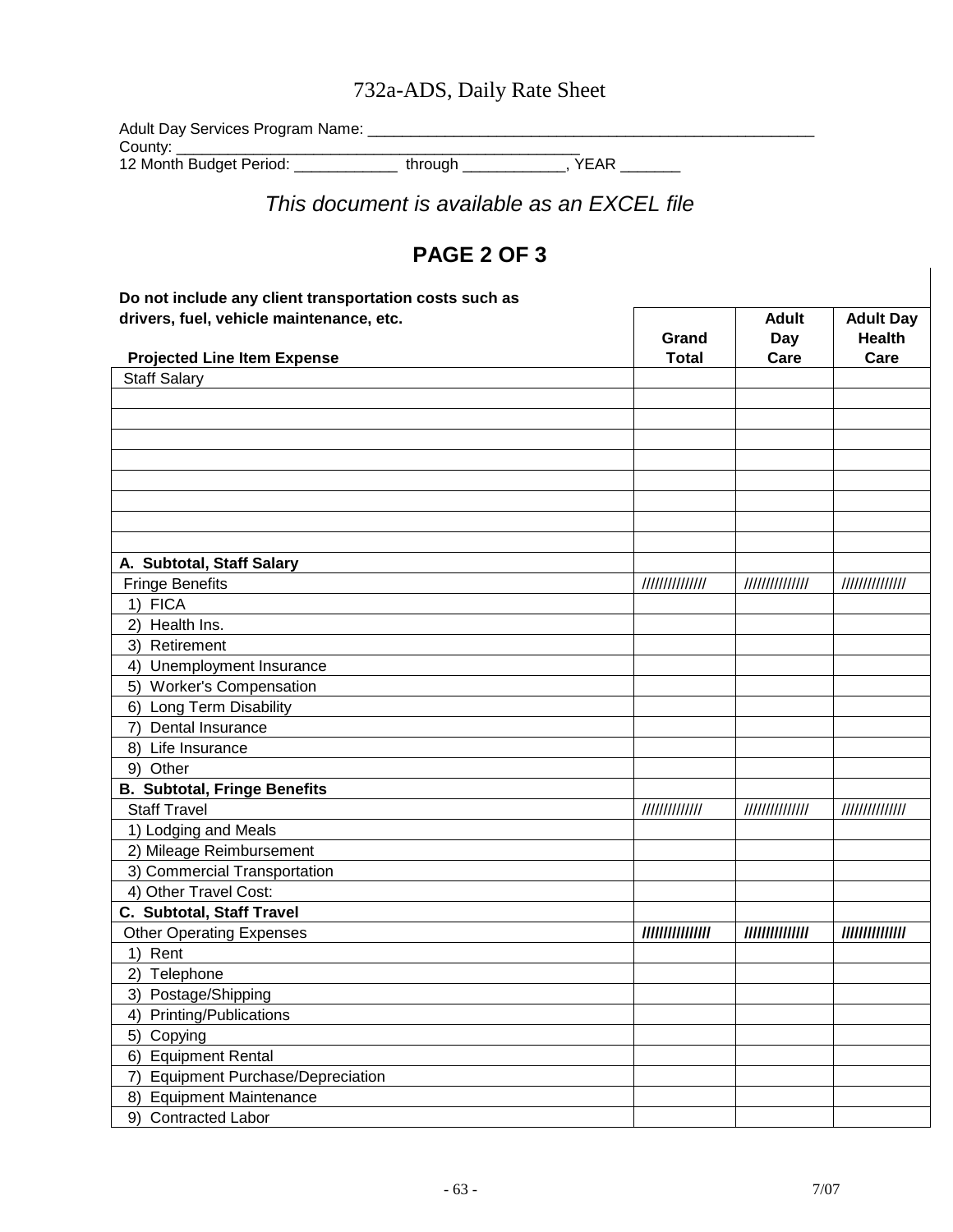# 732a-ADS, Daily Rate Sheet

Adult Day Services Program Name: \_\_\_\_\_\_\_\_\_\_\_\_\_\_\_\_\_\_\_\_\_\_\_\_\_\_\_\_\_\_\_\_\_\_\_\_\_\_\_\_\_\_\_\_\_\_\_\_\_\_\_\_ County: \_\_\_\_\_\_\_\_\_\_\_\_\_\_\_\_\_\_\_\_\_\_\_\_\_\_\_\_\_\_\_\_\_\_\_\_\_\_\_\_\_\_\_\_\_\_\_

12 Month Budget Period: \_\_\_\_\_\_\_\_\_\_\_\_ through \_\_\_\_\_\_\_\_\_\_\_\_, YEAR \_\_\_\_\_\_\_

*This document is available as an EXCEL file*

## **PAGE 2 OF 3**

| Do not include any client transportation costs such as |                 |                     |                                   |
|--------------------------------------------------------|-----------------|---------------------|-----------------------------------|
| drivers, fuel, vehicle maintenance, etc.               | Grand           | <b>Adult</b><br>Day | <b>Adult Day</b><br><b>Health</b> |
| <b>Projected Line Item Expense</b>                     | <b>Total</b>    | Care                | Care                              |
| <b>Staff Salary</b>                                    |                 |                     |                                   |
|                                                        |                 |                     |                                   |
|                                                        |                 |                     |                                   |
|                                                        |                 |                     |                                   |
|                                                        |                 |                     |                                   |
|                                                        |                 |                     |                                   |
|                                                        |                 |                     |                                   |
|                                                        |                 |                     |                                   |
|                                                        |                 |                     |                                   |
| A. Subtotal, Staff Salary<br><b>Fringe Benefits</b>    | 11111111111111  | 11111111111111      | 11111111111111                    |
| 1) FICA                                                |                 |                     |                                   |
| Health Ins.<br>2)                                      |                 |                     |                                   |
| 3) Retirement                                          |                 |                     |                                   |
| 4) Unemployment Insurance                              |                 |                     |                                   |
| 5) Worker's Compensation                               |                 |                     |                                   |
| 6) Long Term Disability                                |                 |                     |                                   |
| Dental Insurance<br>7)                                 |                 |                     |                                   |
| Life Insurance<br>8)                                   |                 |                     |                                   |
| 9) Other                                               |                 |                     |                                   |
| <b>B. Subtotal, Fringe Benefits</b>                    |                 |                     |                                   |
| <b>Staff Travel</b>                                    | 1111111111111   | 11111111111111      | 11111111111111                    |
| 1) Lodging and Meals                                   |                 |                     |                                   |
| 2) Mileage Reimbursement                               |                 |                     |                                   |
| 3) Commercial Transportation                           |                 |                     |                                   |
| 4) Other Travel Cost:                                  |                 |                     |                                   |
| C. Subtotal, Staff Travel                              |                 |                     |                                   |
| <b>Other Operating Expenses</b>                        | /////////////// | ///////////////     | ///////////////                   |
| 1) Rent                                                |                 |                     |                                   |
| 2) Telephone                                           |                 |                     |                                   |
| 3) Postage/Shipping                                    |                 |                     |                                   |
| Printing/Publications<br>4)                            |                 |                     |                                   |
| Copying<br>5)                                          |                 |                     |                                   |
| <b>Equipment Rental</b><br>6)                          |                 |                     |                                   |
| <b>Equipment Purchase/Depreciation</b><br>7)           |                 |                     |                                   |
| <b>Equipment Maintenance</b><br>8)                     |                 |                     |                                   |
| 9)<br><b>Contracted Labor</b>                          |                 |                     |                                   |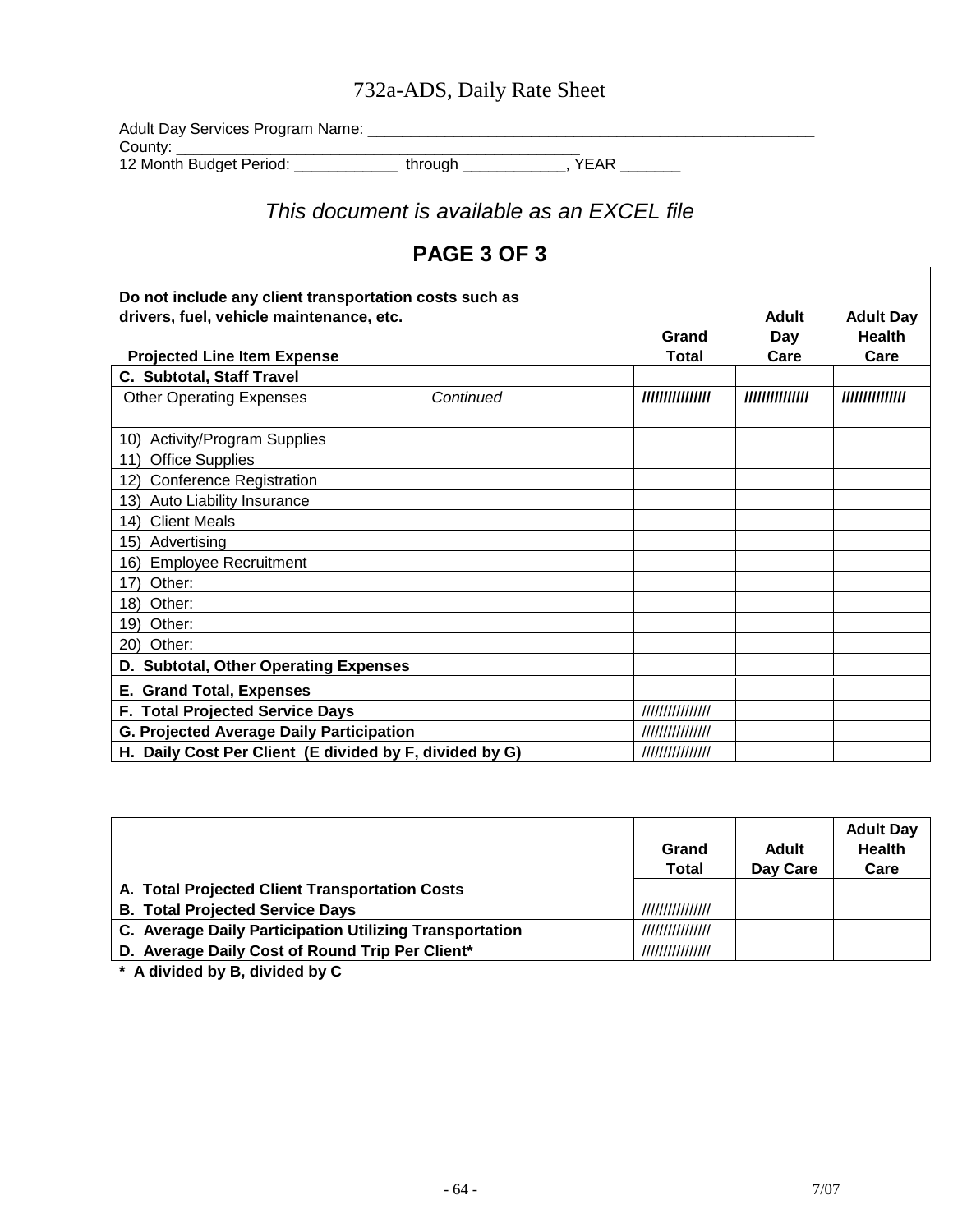### 732a-ADS, Daily Rate Sheet

Adult Day Services Program Name: \_\_\_\_\_\_\_\_\_\_\_\_\_\_\_\_\_\_\_\_\_\_\_\_\_\_\_\_\_\_\_\_\_\_\_\_\_\_\_\_\_\_\_\_\_\_\_\_\_\_\_\_ County: \_\_\_\_\_\_\_\_\_\_\_\_\_\_\_\_\_\_\_\_\_\_\_\_\_\_\_\_\_\_\_\_\_\_\_\_\_\_\_\_\_\_\_\_\_\_\_

12 Month Budget Period: \_\_\_\_\_\_\_\_\_\_\_\_ through \_\_\_\_\_\_\_\_\_\_\_\_, YEAR \_\_\_\_\_\_\_

*This document is available as an EXCEL file*

### **PAGE 3 OF 3**

#### **Do not include any client transportation costs such as**  drivers, fuel, vehicle maintenance, etc. **Adult Adult Adult Adult Adult Adult** Day

|                                                         |           | Grand            | Day             | Health          |
|---------------------------------------------------------|-----------|------------------|-----------------|-----------------|
| <b>Projected Line Item Expense</b>                      |           | Total            | Care            | Care            |
| C. Subtotal, Staff Travel                               |           |                  |                 |                 |
| <b>Other Operating Expenses</b>                         | Continued | //////////////// | /////////////// | /////////////// |
|                                                         |           |                  |                 |                 |
| <b>Activity/Program Supplies</b><br>10)                 |           |                  |                 |                 |
| <b>Office Supplies</b><br>11)                           |           |                  |                 |                 |
| <b>Conference Registration</b><br>12)                   |           |                  |                 |                 |
| Auto Liability Insurance<br>(13)                        |           |                  |                 |                 |
| <b>Client Meals</b><br>14)                              |           |                  |                 |                 |
| Advertising<br>15)                                      |           |                  |                 |                 |
| <b>Employee Recruitment</b><br>16)                      |           |                  |                 |                 |
| 17)<br>Other:                                           |           |                  |                 |                 |
| 18)<br>Other:                                           |           |                  |                 |                 |
| 19)<br>Other:                                           |           |                  |                 |                 |
| Other:<br>20)                                           |           |                  |                 |                 |
| D. Subtotal, Other Operating Expenses                   |           |                  |                 |                 |
| E. Grand Total, Expenses                                |           |                  |                 |                 |
| F. Total Projected Service Days                         |           |                  |                 |                 |
| <b>G. Projected Average Daily Participation</b>         |           | ///////////////  |                 |                 |
| H. Daily Cost Per Client (E divided by F, divided by G) |           | ///////////////  |                 |                 |

|                                                         | Grand<br><b>Total</b> | <b>Adult</b><br>Day Care | <b>Adult Day</b><br><b>Health</b><br>Care |
|---------------------------------------------------------|-----------------------|--------------------------|-------------------------------------------|
| A. Total Projected Client Transportation Costs          |                       |                          |                                           |
| <b>B. Total Projected Service Days</b>                  | ////////////////      |                          |                                           |
| C. Average Daily Participation Utilizing Transportation | ////////////////      |                          |                                           |
| D. Average Daily Cost of Round Trip Per Client*         | ///////////////       |                          |                                           |

**\* A divided by B, divided by C**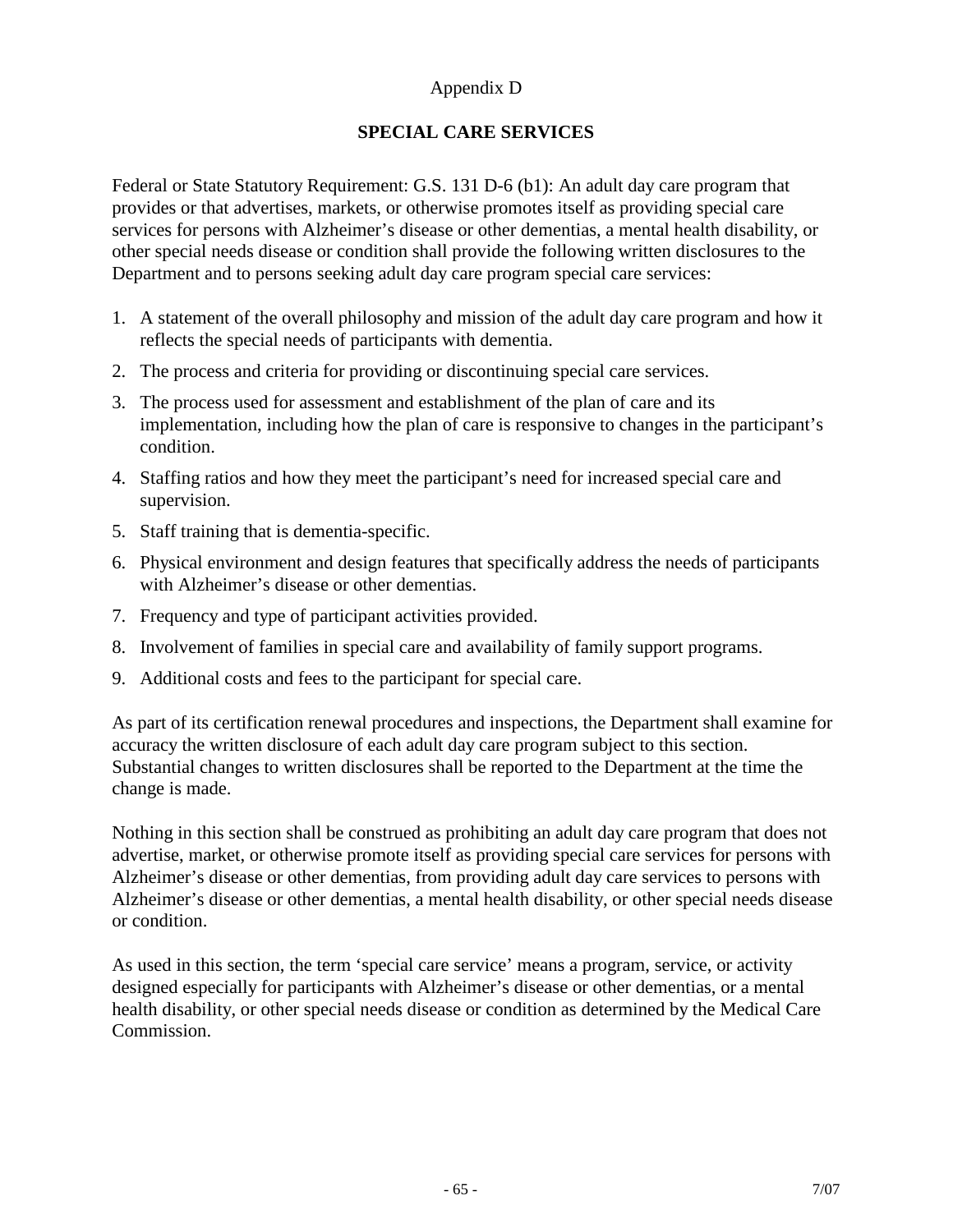#### Appendix D

#### **SPECIAL CARE SERVICES**

Federal or State Statutory Requirement: G.S. 131 D-6 (b1): An adult day care program that provides or that advertises, markets, or otherwise promotes itself as providing special care services for persons with Alzheimer's disease or other dementias, a mental health disability, or other special needs disease or condition shall provide the following written disclosures to the Department and to persons seeking adult day care program special care services:

- 1. A statement of the overall philosophy and mission of the adult day care program and how it reflects the special needs of participants with dementia.
- 2. The process and criteria for providing or discontinuing special care services.
- 3. The process used for assessment and establishment of the plan of care and its implementation, including how the plan of care is responsive to changes in the participant's condition.
- 4. Staffing ratios and how they meet the participant's need for increased special care and supervision.
- 5. Staff training that is dementia-specific.
- 6. Physical environment and design features that specifically address the needs of participants with Alzheimer's disease or other dementias.
- 7. Frequency and type of participant activities provided.
- 8. Involvement of families in special care and availability of family support programs.
- 9. Additional costs and fees to the participant for special care.

As part of its certification renewal procedures and inspections, the Department shall examine for accuracy the written disclosure of each adult day care program subject to this section. Substantial changes to written disclosures shall be reported to the Department at the time the change is made.

Nothing in this section shall be construed as prohibiting an adult day care program that does not advertise, market, or otherwise promote itself as providing special care services for persons with Alzheimer's disease or other dementias, from providing adult day care services to persons with Alzheimer's disease or other dementias, a mental health disability, or other special needs disease or condition.

As used in this section, the term 'special care service' means a program, service, or activity designed especially for participants with Alzheimer's disease or other dementias, or a mental health disability, or other special needs disease or condition as determined by the Medical Care Commission.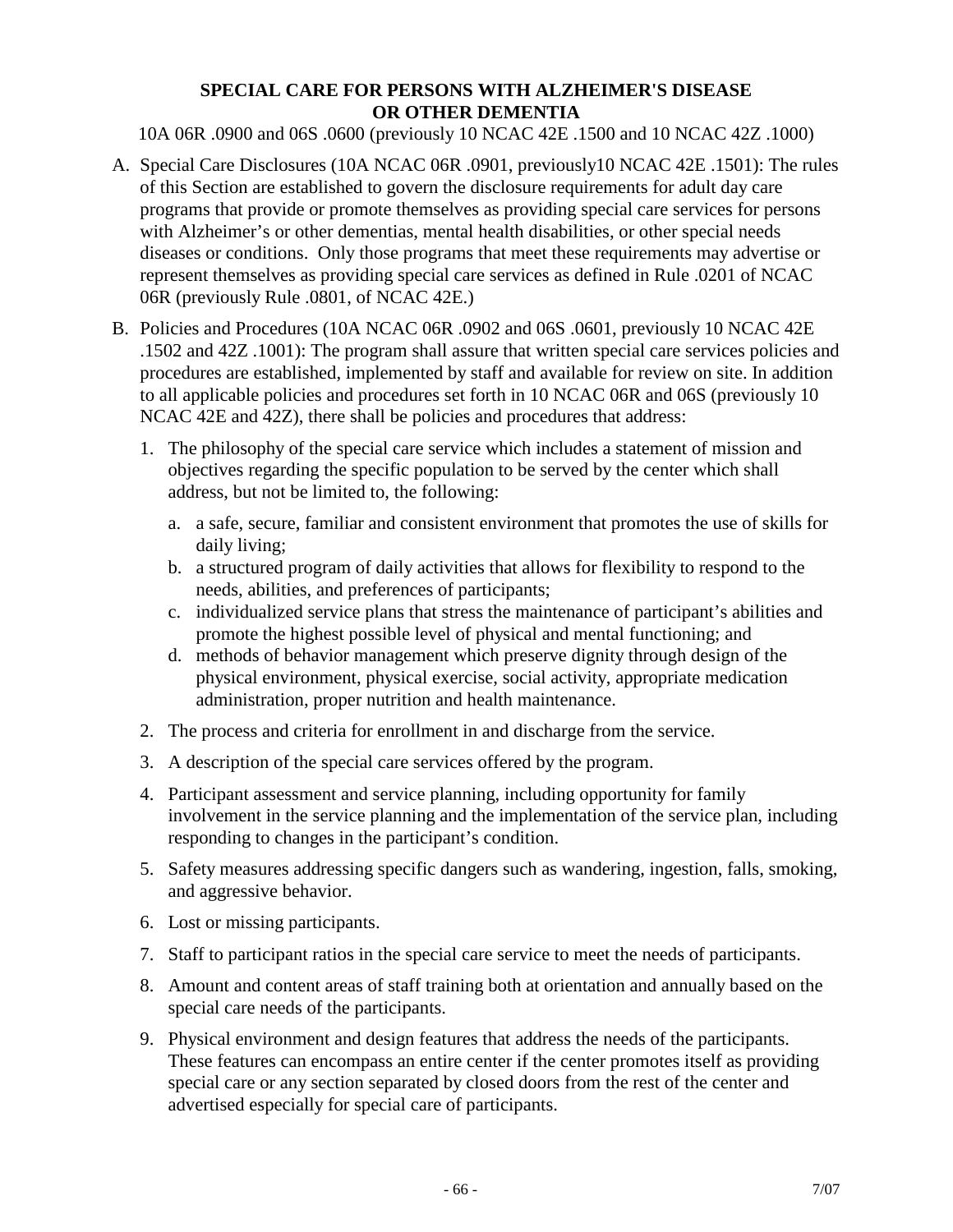#### **SPECIAL CARE FOR PERSONS WITH ALZHEIMER'S DISEASE OR OTHER DEMENTIA**

10A 06R .0900 and 06S .0600 (previously 10 NCAC 42E .1500 and 10 NCAC 42Z .1000)

- A. Special Care Disclosures (10A NCAC 06R .0901, previously10 NCAC 42E .1501): The rules of this Section are established to govern the disclosure requirements for adult day care programs that provide or promote themselves as providing special care services for persons with Alzheimer's or other dementias, mental health disabilities, or other special needs diseases or conditions. Only those programs that meet these requirements may advertise or represent themselves as providing special care services as defined in Rule .0201 of NCAC 06R (previously Rule .0801, of NCAC 42E.)
- B. Policies and Procedures (10A NCAC 06R .0902 and 06S .0601, previously 10 NCAC 42E .1502 and 42Z .1001): The program shall assure that written special care services policies and procedures are established, implemented by staff and available for review on site. In addition to all applicable policies and procedures set forth in 10 NCAC 06R and 06S (previously 10 NCAC 42E and 42Z), there shall be policies and procedures that address:
	- 1. The philosophy of the special care service which includes a statement of mission and objectives regarding the specific population to be served by the center which shall address, but not be limited to, the following:
		- a. a safe, secure, familiar and consistent environment that promotes the use of skills for daily living;
		- b. a structured program of daily activities that allows for flexibility to respond to the needs, abilities, and preferences of participants;
		- c. individualized service plans that stress the maintenance of participant's abilities and promote the highest possible level of physical and mental functioning; and
		- d. methods of behavior management which preserve dignity through design of the physical environment, physical exercise, social activity, appropriate medication administration, proper nutrition and health maintenance.
	- 2. The process and criteria for enrollment in and discharge from the service.
	- 3. A description of the special care services offered by the program.
	- 4. Participant assessment and service planning, including opportunity for family involvement in the service planning and the implementation of the service plan, including responding to changes in the participant's condition.
	- 5. Safety measures addressing specific dangers such as wandering, ingestion, falls, smoking, and aggressive behavior.
	- 6. Lost or missing participants.
	- 7. Staff to participant ratios in the special care service to meet the needs of participants.
	- 8. Amount and content areas of staff training both at orientation and annually based on the special care needs of the participants.
	- 9. Physical environment and design features that address the needs of the participants. These features can encompass an entire center if the center promotes itself as providing special care or any section separated by closed doors from the rest of the center and advertised especially for special care of participants.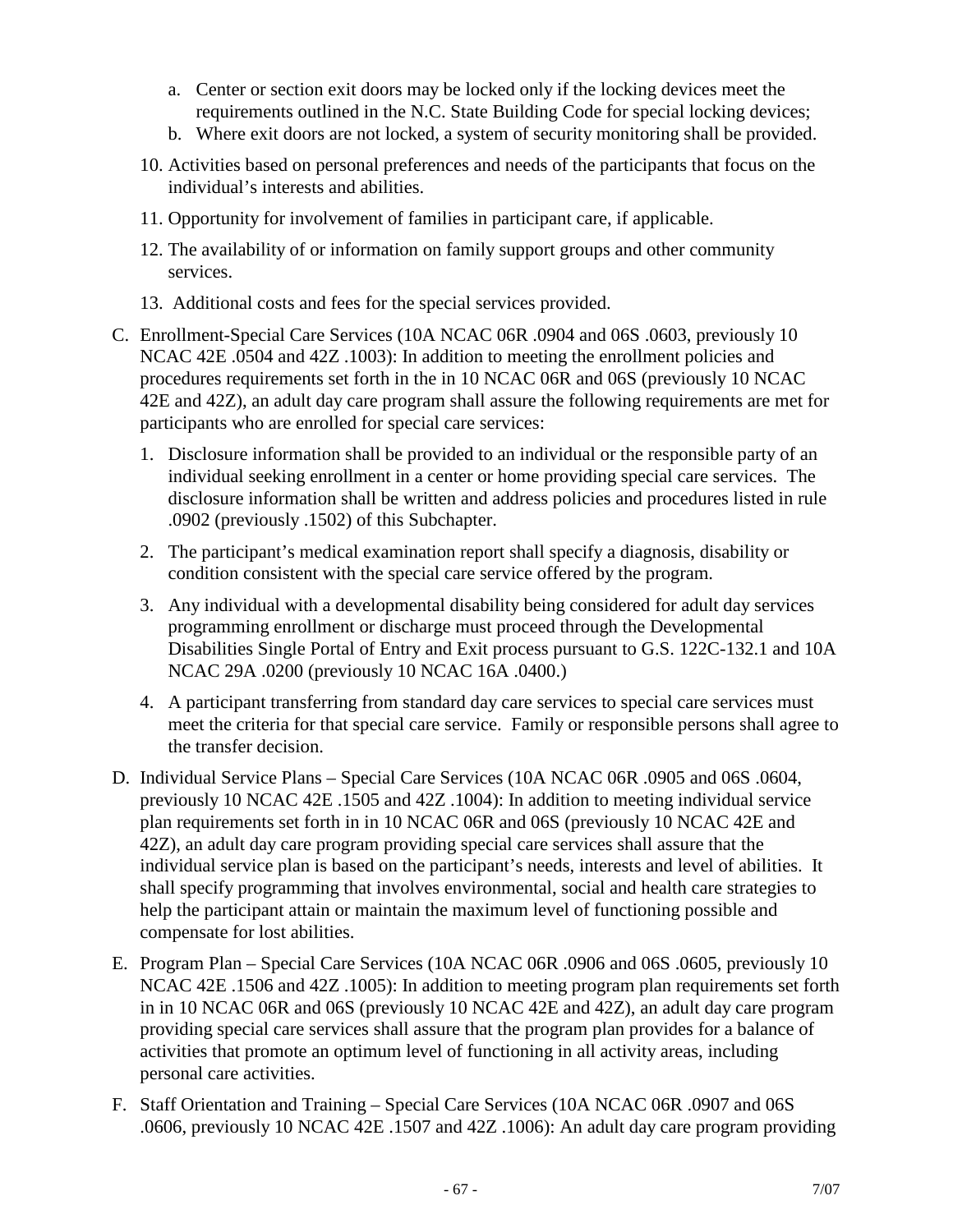- a. Center or section exit doors may be locked only if the locking devices meet the requirements outlined in the N.C. State Building Code for special locking devices;
- b. Where exit doors are not locked, a system of security monitoring shall be provided.
- 10. Activities based on personal preferences and needs of the participants that focus on the individual's interests and abilities.
- 11. Opportunity for involvement of families in participant care, if applicable.
- 12. The availability of or information on family support groups and other community services.
- 13. Additional costs and fees for the special services provided.
- C. Enrollment-Special Care Services (10A NCAC 06R .0904 and 06S .0603, previously 10 NCAC 42E .0504 and 42Z .1003): In addition to meeting the enrollment policies and procedures requirements set forth in the in 10 NCAC 06R and 06S (previously 10 NCAC 42E and 42Z), an adult day care program shall assure the following requirements are met for participants who are enrolled for special care services:
	- 1. Disclosure information shall be provided to an individual or the responsible party of an individual seeking enrollment in a center or home providing special care services. The disclosure information shall be written and address policies and procedures listed in rule .0902 (previously .1502) of this Subchapter.
	- 2. The participant's medical examination report shall specify a diagnosis, disability or condition consistent with the special care service offered by the program.
	- 3. Any individual with a developmental disability being considered for adult day services programming enrollment or discharge must proceed through the Developmental Disabilities Single Portal of Entry and Exit process pursuant to G.S. 122C-132.1 and 10A NCAC 29A .0200 (previously 10 NCAC 16A .0400.)
	- 4. A participant transferring from standard day care services to special care services must meet the criteria for that special care service. Family or responsible persons shall agree to the transfer decision.
- D. Individual Service Plans Special Care Services (10A NCAC 06R .0905 and 06S .0604, previously 10 NCAC 42E .1505 and 42Z .1004): In addition to meeting individual service plan requirements set forth in in 10 NCAC 06R and 06S (previously 10 NCAC 42E and 42Z), an adult day care program providing special care services shall assure that the individual service plan is based on the participant's needs, interests and level of abilities. It shall specify programming that involves environmental, social and health care strategies to help the participant attain or maintain the maximum level of functioning possible and compensate for lost abilities.
- E. Program Plan Special Care Services (10A NCAC 06R .0906 and 06S .0605, previously 10 NCAC 42E .1506 and 42Z .1005): In addition to meeting program plan requirements set forth in in 10 NCAC 06R and 06S (previously 10 NCAC 42E and 42Z), an adult day care program providing special care services shall assure that the program plan provides for a balance of activities that promote an optimum level of functioning in all activity areas, including personal care activities.
- F. Staff Orientation and Training Special Care Services (10A NCAC 06R .0907 and 06S .0606, previously 10 NCAC 42E .1507 and 42Z .1006): An adult day care program providing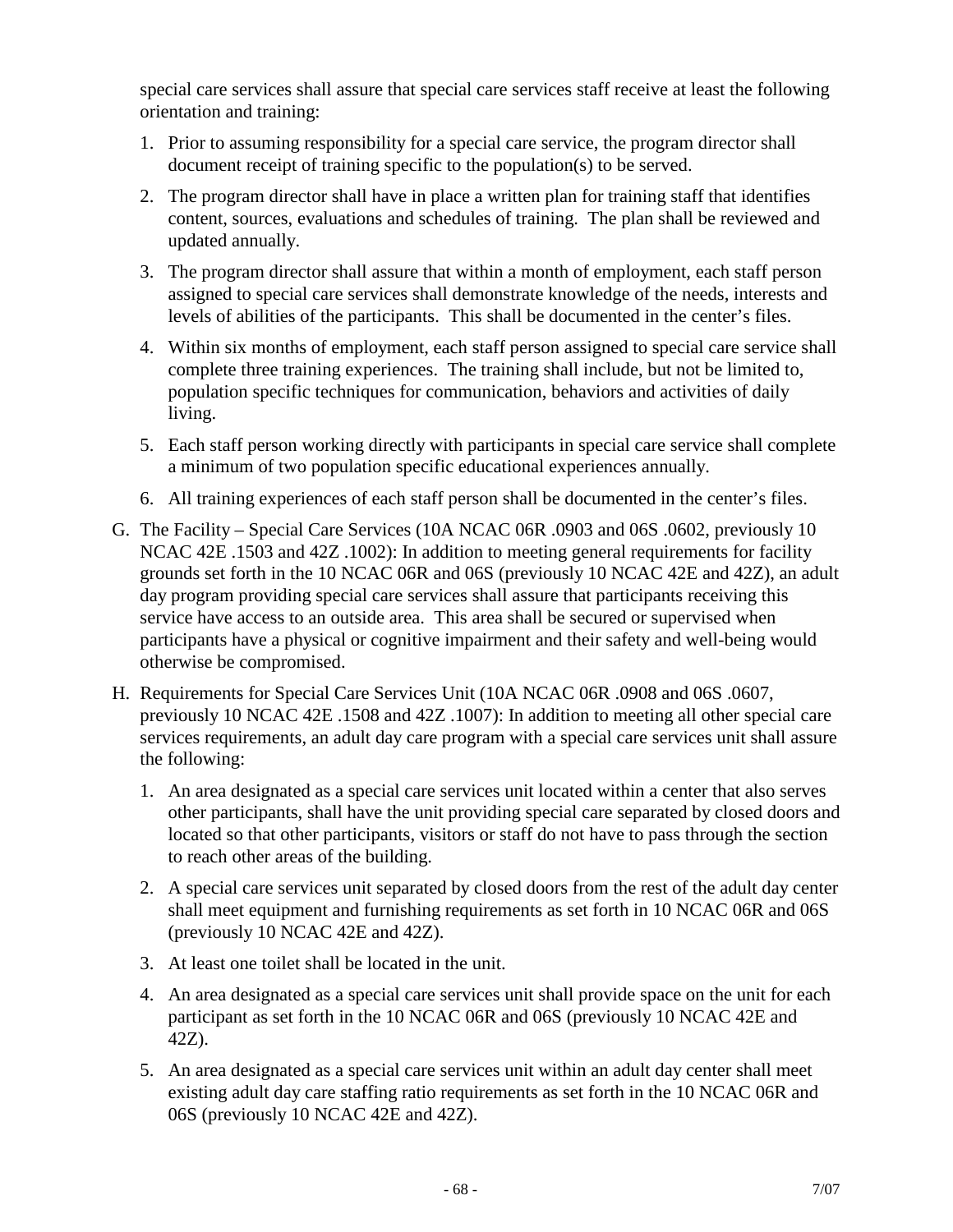special care services shall assure that special care services staff receive at least the following orientation and training:

- 1. Prior to assuming responsibility for a special care service, the program director shall document receipt of training specific to the population(s) to be served.
- 2. The program director shall have in place a written plan for training staff that identifies content, sources, evaluations and schedules of training. The plan shall be reviewed and updated annually.
- 3. The program director shall assure that within a month of employment, each staff person assigned to special care services shall demonstrate knowledge of the needs, interests and levels of abilities of the participants. This shall be documented in the center's files.
- 4. Within six months of employment, each staff person assigned to special care service shall complete three training experiences. The training shall include, but not be limited to, population specific techniques for communication, behaviors and activities of daily living.
- 5. Each staff person working directly with participants in special care service shall complete a minimum of two population specific educational experiences annually.
- 6. All training experiences of each staff person shall be documented in the center's files.
- G. The Facility Special Care Services (10A NCAC 06R .0903 and 06S .0602, previously 10 NCAC 42E .1503 and 42Z .1002): In addition to meeting general requirements for facility grounds set forth in the 10 NCAC 06R and 06S (previously 10 NCAC 42E and 42Z), an adult day program providing special care services shall assure that participants receiving this service have access to an outside area. This area shall be secured or supervised when participants have a physical or cognitive impairment and their safety and well-being would otherwise be compromised.
- H. Requirements for Special Care Services Unit (10A NCAC 06R .0908 and 06S .0607, previously 10 NCAC 42E .1508 and 42Z .1007): In addition to meeting all other special care services requirements, an adult day care program with a special care services unit shall assure the following:
	- 1. An area designated as a special care services unit located within a center that also serves other participants, shall have the unit providing special care separated by closed doors and located so that other participants, visitors or staff do not have to pass through the section to reach other areas of the building.
	- 2. A special care services unit separated by closed doors from the rest of the adult day center shall meet equipment and furnishing requirements as set forth in 10 NCAC 06R and 06S (previously 10 NCAC 42E and 42Z).
	- 3. At least one toilet shall be located in the unit.
	- 4. An area designated as a special care services unit shall provide space on the unit for each participant as set forth in the 10 NCAC 06R and 06S (previously 10 NCAC 42E and 42Z).
	- 5. An area designated as a special care services unit within an adult day center shall meet existing adult day care staffing ratio requirements as set forth in the 10 NCAC 06R and 06S (previously 10 NCAC 42E and 42Z).